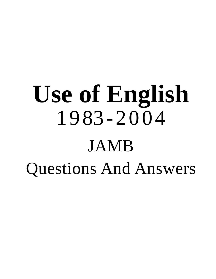# **Use of English** 1983-2004 JAMB Questions And Answers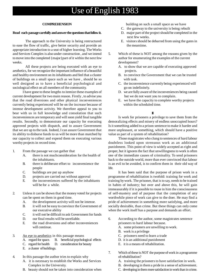# Use of English 1983

## **COMPREHENSION**

#### **Read each passagecarefullyandanswerthequestionsthatfollowit.**

The approach to the University is being restructured to ease the flow of traffic, give better security and provide an appropriate introduction to a seat of higher learning. TheWorks and Services Complex is also under construction , and we intend tomove into the completed {major}part of it within the next few weeks.

All these projects are being executed with an eye to aesthetics, for we recognize the important influence of a beautiful and healthy environment on itsinhabitants and feel that a cluster of buildings on a small space such as we have , should be so well designed as to have a beneficial psychological and sociological effect on all members of the community.

I have gone to these lengths to itemize these examples of current development for two main reason. Firstly , to advise you that the road diversions and other physical inconveniences currently being experienced will be on the increase because of intense development activity. We therefore appeal to you to bear with us in full knowledge and consolation that such inconveniences are temporary and will soon yield final tangible results. Secondly, to demonstrate our capacity for executing approved projects with dispatch, and to assure Government that we are up to the task. Indeed, I can assure Government that its ability to disburse funds to us will be more than matched by our capacity to collect and expend them on executing various worthy projects in record time.

- 1. From the passage we can gather that
	- A. there is not muchconsideration for the health of the inhabitants.
	- B. there is deliberate effort to inconvenience the people
	- C. buildings are put up anyhow
	- D. projects are carried out without approval
	- E. the inconveniences suffered by the inhabitants will be for a while.
- 2. Unlessit can be shown that the money voted for projects can be spent on them in good time.
	- A. the development activity will not be intense.
	- B. it will not be easy to convince the Government of our executive ability
	- C. it will not be difficult to ask Government for funds
	- D. our final results will be unreliable.
	- E. the road diversions and other inconveniences will continue.
- 3. An eye to aesthetics in this passage means
	- A. regard forspace. B. beneficial psychological effects
	- C. regard for health D. consideration for beauty
	- E. a cluster of buildings.
- 4. In this passage the author tries to explain why
	- A. it is necessary to establish the Works and Services Complex in the University.
	- B. beauty should not be taken into consideration when

building on such a small space as we have

- C. the gateway to the university is being rebuilt
- D. major part of the project should be completed in the next few weeks.
- E. visitors should be debarred from using the gates in the meantime.
- 5. Which of these is NOT among the reasons given by the author for enumerating the examples of the current development?
	- A. to show that we are capable of executing approved projects.
	- B. to convince the Government that we can be trusted with task.
	- C. the inconvenience currently being experienced will go on indefinitely.
	- D. we are fully aware of the inconveniences being caused but we do not want you to complain.
	- E. we have the capacity to complete worthy projects within the scheduled time.

# **II**

Is work for prisoners a privilege to save them from the demoralizing effects and misery of endless unoccupied hours? Is it something added to a prison sentence to make it harder and more unpleasant, or something, which should have a positive value as part of a system of rehabilitation?

Those magistrates who clung to sentences of hard labour doubtless looked upon strenuous work as an additional punishment. This point of view is widely accepted as right and proper, but it ignores the fact that unwillingness to work is often one of the immediate causes of criminality. To send prisoners back to the outside world, more than ever convinced that labour is an evil to be avoided, is to confirm them in their old way of life.

It has been said that the purpose of prison work in a programme of rehabilitation is twofold: training for work and training by work. The prisoner, that is to say, needs to be trained in habits of industry; but over and above this, he will gain immeasurably if it is possible to rouse in him the consciousness of self-mastery and of purpose that the completion of any worthwhile piece of work can give to the doer. He may find a pride of achievement in something more satisfying, and more socially desirable, than crime. But these things can only come when the work itself has a purpose and demands an effort.

- 6. According to the author, some magistrates sentence prisoners to hard labour because.
	- A. some prisoners are unwilling to work.
	- B. work is a privilege
	- C. prisoners need to learn a trade
	- D. it is an additional punishment
	- E. it is a means of rehabilitation.
- 7. Which of these is *NOT* the purpose of work in a programme ofrehabilitation?
	- A. training the prisoners to have satisfaction in work.
	- B. developing in them a pride in a sense of achievement.
	- C. developing in them more satisfaction in work than in crime.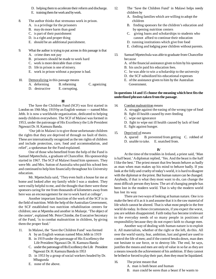- D. helping them to accelerate their reform and discharge.
- E. training them for work and by work.
- 8. The author thinks that strenuous work in prison.
	- A. is a privilege for the prisoners
	- B. may do more harm than good
	- C. is part of their punishment
	- D. is a right and proper thing
	- E. should be an additional punishment.
- 9. What the author is trying to put across in this passage is that
	- A. crime does not pay
	- B. prisoners should be made to work hard
	- C. work is more desirable than crime
	- D. life in prison is one of misery.
	- E. work in prison without a purpose is bad.
- 10. Demoralizing in this passage means A. deforming B. reforming C. agonizing D. destructive E. corrupting.
	- **III**

The Save the Children Fund (SCF) was first started in London on 19th May, 1919 by an English woman --- named Miss Jebb. It is now a worldwide organization, dedicated to helping needy children everywhere. The SCF of Malawi was formed in 1953, under the patronage of His Excellency the Life President Ngawazi Dr. H. Kamuzu Banda.

'Our job in Malawi isto give those unfortunate children the rights that they are deprived of through no fault of theirs. These are internationally recognized asthe ten rights of children and include protection, care, food and accommodation, and relief', a spokesman for the Fund explained.

One of those who benefited from the help of the Fund is Samuel Mpetechula, a graduate of Chancellor. His sponsorship started in 1967. The SCF of Malawi found him sponsors. They were Mr. and Mrs. Sutton of Australia who paid his school fees and continued to help him financially throughout his University education.

Mr. Mpetechula said, 'They even built a house for me at home and looked after my family while I was a student. They were really helpful to me, and the thought that there were these sponsors caring for me from thousands of kilometers away from here was an encouragement for me to work hard at college'.

Another important function of the work of the SCF is in the field of nutrition. With the help of the Australian Government, the SCF established two nutrition rehabilitation centers for children; one at Mpemba and another in Mulanje. 'The object of the centre', explained Mr. PetreChimbe, the Executive Secretary of the Fund, 'is to combat malnutrition in children, by giving them the proper food.'

- 11. In Malawi, the 'Save the Children Fund' wasformed
	- A by an English woman named Miss Jebb in 1919
	- B. in 1919 under the patronage of His Excellency the Life President Ngawazi Dr. H. Kamuzu Banda
	- C. under the patronage of His Excellency the Life President Ngawazi Dr. H. Kamuzu Banda in 1953
	- D. in 1953 by a group of social workers headed by Dr. Mbagunda
	- E. none of the above.
- 12. The 'Save the Children Fund' in Malawi helps needy children by
	- A. finding families which are willing to adopt the children
	- B. finding sponsors for the children's education and by opening nutrition centers
	- C. giving loans and scholarships to students who cannot afford to continue their education
	- D. running institutions which give free food
	- E. clothing and lodging poor children without parents.
- 13. Samuel Mpetechula was able to graduate from Chancellor because
	- A. of the financial assistance given to him by his sponsors
	- B. his uncle paid his education fees.
	- C. he was able to win a scholarship to the university
	- D. the SCF subsidized his educational expenses
	- E. ofthe assistance given to him by the Australian Government.

#### **In questions 14 and 15 choose the meaning which best fitsthe underlined phrasestaken from the passage**.

- 14. Combat malnutrition means
	- A. struggle against the easing of the wrong type of food
	- B. fight ill health caused by over-feeding
	- C. wipe out ignorance
	- D. fight to wipe out ill health caused by lack of food
	- E. fight against hunger.
- 15. Deprived of means
	- A. spared B. prevented from getting C. robbed of D. unable to take. E. snatched from.

#### **IV**

At the time of the troubles in Ireland, a priest said, 'Man is half beast.'Adiplomat replied, 'Yes. And the beast is the half I like the best.' The priest meant that few beasts behave as badly as man when man makes up his mind to behave badly. If you look at the folly and cruelty of today's world, it is hard to disagree with the diplomat or the priest. But human nature can be changed. Anybody, if that is what they most want to do, can change the most difficult person they know. The art of changing people has been lost in the modern world. That is why the modern world has lost its way.

There are twoways of looking at human nature. One isto make the best of it as it is and assume that it is the raw material of life which cannot be altered. That is what most people in the free world do today. In these circumstances, if you expect the worst, you are seldom disappointed. Faith today has become irrelevant to the everyday needs of so many people in positions of responsibility because they do not expect faith to change men.

Another way of dealing with human nature is to exploit it. All materialists, whether of the right or the left, do this. All over the world vanity, fear, ambition, lust and greed are used to control the life of men; and if the control breaks down, man does not hesitate to use force, or to destroy life. The end, he says, justifies the means and men are only of value in so far as they are a means towards the achievement of his ambition. If they cannot be bribed or forced to playtheir part, then theymust be liquidated.

- 16. The priest meant that
	- A. man is both beast and human
	- B. man could be sores than a beast if he wants to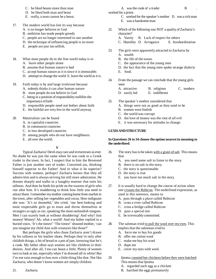- C. he liked beasts more than man
- D. he liked both man and beast
- E. really, a man cannot be a beast.

#### 17. The modern world has lost its way because

- A. it no longer believes in God
- B. ambition has made people greedy
- C. people are no longer interested in one another
- D. the technique of influencing people is no more
- E. people are just too selfish.
- 18. What most people do in the free world today is to
	- A. leave other people alone
	- B. assume that human nature is bad
	- C. accept human nature as it is since it is immutable.
	- D. attempt to change the world E. leave the world as it is.
- 19. Faith today is by and large irrelevant because
	- A. nobody thinks it can alter human nature
	- B. most people do not believe in God
	- C. being in a position of responsibility nullifies the importance of faith
	- D. responsible people need not bother about faith
	- E. the faithful are very few in the world anyway.
- 20. Materialists can be found
	- A. in capitalist countries
	- B. in communist countries
	- C. in less developed countries
	- D. among people who do not have neighbours.
	- E. all over the world.

#### **V**

Typical Zacharia! Devil-maycare and irrevererant as ever. No doubt he was just the same when he was cook to a Greek trader in the town. In fact, I suspect that to him the Reverend Father is just another sort of trader. Conceited ass, thinking himself superior to the Father! And in what is he superior? Success with women, perhaps? Zacharia knows that they all admire him and is always striving for still more admiration. He dresses sharply and walks in a haughty manner that suits his tallness. And then he feeds his pride on the swarms of girls who run after him. It's maddening to think how little you need to attract them. Iremember mymother coming home from market in the town, after selling her vegetables and cocoa. How indignant she was: 'It's so shameful,' she cried, 'our best-looking and most respectable girls go to town and throw themselves at strangers as ugly as sin, speaking the most outlandish tongues. Men I can scarely look at without shuddering! And why? Just money! Money! Ah, what a world! And my father replied in a buried voice, 'It's the times!' 'The times!' shouted mother, 'can you imagine my child Ann with creatures like those?'

But perhaps the girls who chase Zacharia aren't drawn by his tallness or his leather shoes. Perhaps they're only after childish things, a bit of bread or a pot of jam, knowing that he's a cook. My father often says women are like children in their desires. And after all, I too can boast a little. Plenty of women turn to look at me, especiallywhen I'm dressed all in white! But I'm not vain enough to fuss over a little thing like that. Not like Zacharia, who doesn't knowwomen are simply children.

# A. was the cook of a trader **B**

- worked for a priest
	- C. worked for the speaker's mother D. was a rich man
	- E. was a handsomeman
- 22. Which ofthe following was *NOT* a qualityofZacharia's character?
	- A. Vanity B. Lack of respect for others
	- C. Humility D. Arrogance E. Insubordination
- 23. The girls were apparently attracted to Zacharia by
	- A. wealth
		- B. the life of the towns
		- C. the appearance of the young men
		- D. the fact that the young men spoke strange dialects
		- E. food.
- 24. From the passage we can conclude that the young girls were
	- A. attractive B. religious C. modern D. easily led E. indifferent
- 25. The speaker's mother considered that
	- A. things were not as good as they used to be
	- B. women were foolish
	- C. the world was corrupt
	- D. the love of money was the root of all evil
	- E. it was necessary for attitudes to change.

# **LEXISANDSTRUCTURE**

## **In Questions 26 to 34 choose the option nearest in meaning to the underlined**.

- 26. The story has to be taken with a grain of salt. This means that
	- A. you need some salt to listen to the story.
	- B. there is no salt in the story.
	- C. the story is questionable
	- D. the story is true
	- E. you have too much salt in the story.
- 27. It is usually hard to change the course of action when one crosses the Rubicon. The underlined expression, as used in this sentence, means to
	- A. pass through a place called Rubicon
	- B. cross a river called Rubicon
	- C. cross a bridge called Rubicon
	- D. pass a special test
	- E. be irrevocably committed.
- 28. The saleman tried to pull the wool over my eyes. This implies that the salesman tried to
	- A. force me to buy his goods
	- B. offer me cotton wool
	- C. make me buy his wool
	- D. dupe me
	- E. cover my eyes with wool.
- 29. Ijeoma counted her chickens before theywere hatched. This means that Ijeoma
	- A. regarded each egg as a chicken
	- B. hatched the eggs prematurely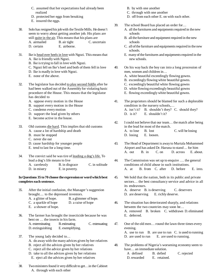- C. assumed that her expectations had already been realized
- D. protected her eggs from breaking
- E. insured the eggs.
- 30. Solo hasresigned hisjobwith theTextileMills. He doesn't seem to worry about getting another job. His plans are still quite in the air. This means that his plans are
	- A. airmailed B. air tight C. uncertain D. certain E. airborne.
- 31. Ike is head over heels in love with Ngozi. This means that A. Ike is friendly with Ngozi.
	- B. Ike istrying to fall in love with Ngozi.
	- C. Ngozi fell on Ike's heel and both of them fell in love
	- D. Ike is madly in love with Ngozi.
	- E. none of the above.
- 32. The legislator has decided to play second fiddle after he had been walked out of the Assembly for violating basic procedure of the House. This means that the legislator has decided to
	- A. oppose every motion in the House
	- B. support every motion in the House
	- C. condemn everymotion
	- D. support the lead given by others
	- E. become active in the house.
- 33. Old customs die hard. This implies that old customs
	- A. cause a lot of hardship and death
	- B. must be stopped
	- C. never die out
	- D. cause hardship for younger people
	- E. tend to last for a long time.
- 34. The convict said he was tire of leading a dog's life. To lead a dog's life means to live A. carelessly B. in disgrace C. in solitude D. in misery E. in poverty.

# **In Questions 35 to70 choose the expressionor word whichbest completes each sentence.**

- 35. After the initial confusion, the Manager's suggestion brought.... to the depressed investors. A. a glitter of hope. B. a glimmer of hope. C. a sparkle of hope D. a raise of hope E. a shower of hope.
- 36. The farmer has brought the insecticide because he was bent on ... the insects in his farm. A. exterminating B. estimating C. extenuating D. extinguishing E. exemplifying.
- 37. The young lady decided to… A. do awaywith the many advices given by her relatives
	- B. reject all the advices given by her relatives
	- C. reject all the advice given by her relations
	- D. take to all the advices given by her relations
	- E. eject all the advices given by her relatives

.

38. Two ministers found it very difficult to get... in the Cabinet A. through with each other

- B. by with one another
- C. through with one another
- D. off from each other E. on with each other.
- 39. The school Board has placed an order for…
	- A. all the furnitures and equipments required in the new schools
	- B. all the furniture and equipment required in the new schools
	- C. all of the furniture and equipments required in the new schools.
	- E. many of the furnitures and equipments required in the new schools.
- 40. On his way back the boy ran into a long procession of men, women and children in…
	- A. white beautiful exceedingly flowing gowns.
	- B. exceedingly flowing white beautiful gowns.
	- C. exceedingly beautiful white flowing gowns
	- D. white flowing exceedingly beautiful gowns
	- E. flowing exceedinglywhite beautiful gowns.
- 41. The proprietors should be blamed for such a deplorable condition in the nursery schools,… A. isn't it? B. shouldn't they? C. should they? D. is it? E. shouldn't it?
- 42. I could not believe that our team… the match after being in the lead for most of the match. A. to lose B. lost C. will be losing D. losing E. loosen.
- 43. The Head of Department is awayto Murtala Mohammed Airport and has asked Dr. Haruna to stand ... for him A. out B. in C. on D. across E. about.
- 44. The Commission was set up to enquire …. the general conditions of child abuse in such institutions. A. at B. from C. after D. before E. into.
- 45. We hold that the nation, both in its public and private sectors… the best consultancy service and advice in all its endeavours. A. deserve B. is deserving C. deservers
	- D. are deserving E. richly deserve.
- 46. The situation has deteriorated sharply, and relations between the two countries may soon be… A. removed B. broken C. withdrawn D. eliminated E. deferred.
- 47. One of the old men… round the lawn three times every evening. A. use to run B. are use to run C. is used to running D. are used to run E. are used to running.
- 48. The problems of Nigeria's worsening economy seem to have… an immediate solution.

| A defined   | B. defied    | C. rejected |
|-------------|--------------|-------------|
| D. rewarded | E. retained. |             |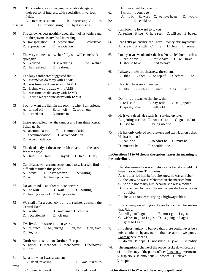| 49.     | This conference is designed to enable delegates<br>their personal interests with specialists in various | 62. | E. was used to traveling.<br>I wish I  your age.                                                                                          |
|---------|---------------------------------------------------------------------------------------------------------|-----|-------------------------------------------------------------------------------------------------------------------------------------------|
|         | fields.<br>A. to discuss about<br>B. discussing C.<br>to                                                | be  | A. to be B. were C. to have been<br>D. would<br>E. could be.                                                                              |
| discuss | D. for discussing<br>E. by discussing.                                                                  | 63. | I am looking forward to you                                                                                                               |
| 50.     | The car owner does not think about the of his vehicle and<br>the other payments involved in owning it.  |     | A. seeing B. see C. have seen D. will see E. be see.                                                                                      |
|         | A. transportation. B. depreciation<br>C. calculation<br>D. appreciation<br>E. association.              | 64. | I can't offer you another loan. I have money left in my account.<br>A. a few B. a little C. little<br>D. few E. some                      |
| 51.     | The very moment she  her folly, she will come back to<br>apologize.                                     | 65. | I told you you would miss the bus. You  left home earlier.<br>A. can't have<br>B. must have<br>C. will have                               |
|         | A. realized<br>C. will realize<br>B. is realizing<br>E. realizes.<br>D. has realized                    | 66. | D. should have<br>E. had to have.                                                                                                         |
| 52.     | The lazy candidates suggested that it<br>A. is time we do away with JAMB                                |     | I always prefer the theatre the cinema.<br>A. than B. then C. on top of D. before E. to.                                                  |
|         | B. was time we do away with JAMB                                                                        | 67. | He acts he were a manager.                                                                                                                |
|         | C. is time we did away with JAMB<br>D. was time we did away with JAMB                                   |     | A. like B. such as C. such<br>D. as<br>E. as if.                                                                                          |
|         | E. is time we are done away with JAMB.                                                                  | 68. | Don't  the teacher that he that!                                                                                                          |
| 53.     | I do not want the light in my room when I am asleep.<br>A. turned off<br>B. turn off<br>C. to run out   |     | A. tell, said<br>B. say, tells<br>C. talk, spoke.<br>D. speak, talked<br>E. tell, told.                                                   |
|         | E. turned in.<br>D. turned out.                                                                         | 69. | He is very tired. He really is staying up late.                                                                                           |
| 54.     | I have applied for on the campus and I am almost certain                                                |     | A. getting used to B. not used to<br>C. got used to<br>D. used to<br>E. being used to.                                                    |
|         | I shall get it.<br>A. acommodation<br>B. accommondation<br>C. accommodation<br>D. accomoddation.        | 70. | He has only ordered some lettuce and tea. He  on a diet.                                                                                  |
|         | E. accommodation.                                                                                       |     | He is a bit too fat.<br>A. can't be<br>B. needn't be<br>C. must be                                                                        |
| 55.     | The dead body of the armed robber has  in the street                                                    |     | E. shouldn't be.<br>D. mustn't be                                                                                                         |
|         | for three days.<br>A. laid<br>B. lain<br>C. layed D. lied E. lay.                                       |     | In Questions 71 to 74 choose the option nearest in meaning to<br>the underlined.                                                          |
| 56.     | Candidates who are not accustomed to fast will find it<br>difficult to finish this paper.               | 71. | Had she known he was a high-way robber she would not                                                                                      |
|         | B. have written<br>A. write<br>C. be writing                                                            |     | have married him. This means<br>A. she married him before she knew he was a robber.                                                       |
|         | D. writing<br>E. having written.                                                                        |     | B. she knew he was a robber when she married him                                                                                          |
| 57.     | Do you mind another minute or two?<br>B. wait<br>C. waiting<br>A. to wait                               |     | C. she did not marry him because she was a robber.<br>D. she refused to marry the man when she knew he was                                |
|         | D. having awaited. E. being awaited.                                                                    |     | a robber.<br>E. she was a robber marrying a highway robber.                                                                               |
| 58.     | We shall offer a good job to a  to register guests in the<br>Central Hotel.                             | 72. | Jide is being forced to go to Lagos tomorrow. This means                                                                                  |
|         | A. waiter<br>B. watchman C. cashier                                                                     |     | that Jide                                                                                                                                 |
|         | D. receptionist<br>E. cleaner.                                                                          |     | A. will go to Lagos<br>B. must go to Lagos<br>C. wishes to go to Lagos D. is going to Lagos<br>E. goes to Lagos.                          |
| 59.     | I've lived this street ten years.<br>A. at, since B. for, during C. on, for<br>D. on, from              |     |                                                                                                                                           |
|         | $E.$ in, for.                                                                                           | 73. | It is sheer fantasy to believe that there could never be a<br>miscalculation by any nation that has atomic weapons.<br>Fantasy here means |
| 60.     | North Africa is  than Northern Europe.<br>A. hotter B. more hot C. more hotter<br>D. the hottest        |     | A. dream B. hope C. nonsense D. joke E. stupidity.                                                                                        |
|         | E. hot.                                                                                                 | 74. | The ingenious scheme of the robber broke down because<br>of the efficiency of the police officer. Ingenious here means                    |
| 61.     | I a lot when I was a student<br>A. used traveling<br>B. was used to                                     |     | A. suspicious. B. ambitious. C. deceitful D. clever<br>E. stupid.                                                                         |
| travel. |                                                                                                         |     |                                                                                                                                           |
|         | used to travel<br>D. used travel<br>C.                                                                  |     | In Questions 75 to 77 select the wrongly spelt word.                                                                                      |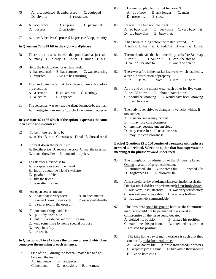- 75. A. disappointed B. embarassed C. equipped D. rhythm E. restaurant.
- 76. A. occurence B. surprise C. personnel D. possess E. curiosity.
- 77. A. quiet B. beleive C. proceed D. precede E. opportunity.

#### **In Questions 78 to 81 fill in the right word/phrase**

- 78. There is not… sense in what that politician has just said. A. many B. plenty C. lot of D. much E. big.
- 79. He… the book to the library last week. A has returned B. had returned C. was returning D. returned E. was to be returning..
- 80. The candidate made… at the village square a day before the elections. A. a sermon B. an address C. a eulogy D. a lecture E. a speech.
- 81. The policeman was sent to.. the allegation made by the man. A. investigateB. examineC. probe D. enquireE. observe.

# **In Questions 82 to 86 which of the options expressesthe same idea asthe one in quotes?**

- 82. 'To be in the red' is to be A. indebt B. rich C.a socialist D.red E. dressedinred.
- 83. 'To beat down the price' is to A. flog the price B. reduce the price C. beat the salesman D. attack the seller E. control the price.
- 84. To ask after a friend'is to
	- A. ask questions about the friend
	- B. inquire about the friend's welfare
	- C. go after the friend
	- D. like the friend
	- E. take after the friend.
- 85. 'An open secret' means
	- A. a fact that is very secret B. an open matter
	- C. a secret known to everybody D.aconfidentialmatter
	- E. a secret told in the open air.
- 86. 'To put something aside' is to
	- A. put it by one's side
	- B. put it in a side pocket for future use
	- C. keep something for some special purpose
	- D. keep in safety
	- E. protect it.

#### **In Questions 87 to 94 choose the phrase or word which best completesthe meaning of each sentence.**

- 87. One of the… during the football match led to fight between the teams.
	- A. incidence B. incidences
	- C. incidents D. occasions E. linesmen.
- 88. He used to play tennis, but he doesn't... A. as of now B. any longer C. again D. presently E. since.
- 89. He was… he had no time to eat. A. so busy that B. very busy C. very busy that D. too busy that E. busy that.
- 90. It had been raining before the match started, …? A. isn't it B. hasn't it. C. hadn't it D. wasn't it E. isit.
- 91. The mechanic said that he... mend my car before Saturday. A. can't B. couldn't C. can't be able to D. couldn't be able to E. won't be able to.
- 92. There was a fire in the market last week which resulted… a terrible destruction of property. A. in B. to C. from D. into E. with.
- 93. At the end of the month we… each other for five years. A. would know B. should have known C. should be knowing D. would have been knowing E. used to know.
- 94. The body is sensitive to changes in velocity which, if too sudden, …
	- A. consciousness may be lost
	- B. it may lose consciousness
	- C. one may become unconscious
	- D. may cause loss of consciousness
	- E. may lose consciousness.

## **Each ofQuestions 95 to 100 consists of a sentence with a phrase or word underlined. Select the option that best expressesthe meaning of the phrase or wordunderlined.**

- 95. The thought of his admission to the University keyed Olu up to a state of great excitement. A stimulated Olu B. ushered Olu C. opened Olu D. frightened Olu E. allowed Olu.
- 96. After a careful review of Adamu's last examination result, the Principal concluded that his performance left much to be desired. A was very unsatisfactory B. was very satisfactory C. was extremely desirable D. was very brilliant E. was extremelycommendable.
- 97. The President stood his ground because the Committee members would not be persuaded to arrive at a compromise on the issue being debated. A. yielded his position B. shifted his position C. maintained his position D. defended his position
	- E. resisted his position.
- 98. The take home pay of many workers is such that they can hardly make both ends meet A. live an honest life B. finish their schedule of work
	- C. keep two jobs at a time D. live within their income
	- E. live on both ends.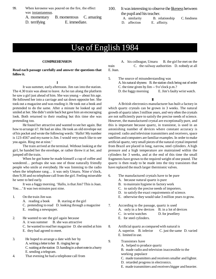- 99. When kerosene was poured on the fire, the effect was instantaneous.
	- A. momentary B. momentous C. amazing D. terrifying E. immediate.
- 100. It was interesting to observe the likeness between the pupil and histeacher.
	- A. similarity B. relationship C. fondness D. affection E. affinity.

# Use of English 1984

#### **COMPREHENSION**

**Read each passage carefully and answer the questions that followit.**

**I**

It was summer, early afternoon. Jim ran into the station. The 4.30 train was about to leave. As he ran along the platform he saw a girl just ahead of him. She was young -- about his age. He followed her into a carriage and sat down opposite her. She took out a magazine and wasreading it. He took out a book and pretended to do the same. After a minute he looked up and smiled at her. She didn'tsmile back but gave him an encouraging look. Both returned to their reading but this time she was pretending too.

He found her attractive and wanted to see her again. But how to arrange it?. He had an idea. He took an old envelope out of his pocket and wrote the following words: 'Hallo! My number is 123-4567 and my name is Jim. I would very much like to see you again. Ring me at nine.'

The train arrived at the terminal. Without looking at the girl, he handed her the envelope, or rather threw it at her, and jumped off the train.

When he got home he made himself a cup of coffee and wondered… perhaps she was one of those naturally friendly people who smile at everybody. He was listening to the radio when the telephone rang… it was only Umaru. Nine o'clock, then 9;30 and no telephone call from the girl. Feeling miserable he went to bed early.

It was a foggy morning. 'Hallo, is that Jim? This is Joan. You...' It was two minutes past nine.

- 1. On the train Jim was
	- A. reading a book B. staring at the girl

C. pretending to read D. looking through a magazine

- E. reading a newspaper.
- 2. He wanted to see the girl again because A. it was summer B. she was attractive
	- C. he wanted to read her magazine D. she smiled at him
	- E. they had agreed to meet.
- 3. He hoped to arrange a date with her by A.writinga lettertoher B. ringing her up C. waiting at the station D. handing in a short note in a hurry E. sending a telegram.
- 4. That evening he had a telephone call from

A. his colleague, Umaru B. the girl he met on the train C. the railway authorities D. nobody at all E.Joan.

5. The source of misunderstanding was

- A. his natural shyness B. the station clock being out of order C. the time given by Jim --  $9 \text{ o}'$  clock p.m.?<br>D. the foggy morning E. Jim's faulty
	- E. Jim's faulty wrist watch.

# **II**

A British electronics manufacturer has built a factory in which quartz crystals can be grown in 3 weeks. The natural growth of quartz takes 3 million years, and very often the crystals are not sufficiently pure to satisfy the precise needs of science. However, the manufactured crystal are exceptionally pure, and this is important because quartz, in transistor, is used in an astonishing number of devices where constant accuracy is required: radio and television transmitters and receivers, space satellites and computers are familiar examples. In order to make artificial quartz, very small pieces ofthe natural crystal imported from Brazil are placed in long, narrow, steel cylinders. A high pressure and a high temperature are maintained within the cylinders for 3 weeks, and at the end of this time the small fragments have grown to the required weight of one pound. The quartz is then ready to be made into the tiny transistors that have replaced the much larger thermionic valves.

- 6. The manufactured crystals have to be pure
	- A. because natural quartz is pure
	- B. to maintain hygiene in factory work
	- C. to satisfy the precise needs of importers.
	- D. to satisfy the exact requirements of science.
	- E. otherwise they would take 3 million years to grow.
- 7. According to the passage, quartz is used
	- A. only in a few devices B. in a lot of devices
	- C. in wrist watches D. for jewellery
	- E. for steel cylinders.
- 8. Artificial quartz as compared with natural is A. superior. B. inferior C. just the same D. varied E. limited in use.
	-
- 9. Transistors have
	- A. helped to produce quartz
	- B. made radio and television inaccessible to the working populace
	- C. made transmitters and receivers smaller and lighter.
	- D. retarded progress in electronics.
	- E. made transmitters and receivers bigger and heavier.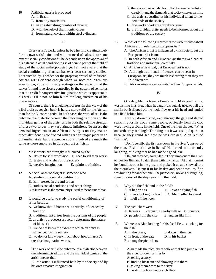- A. inBrazil
- B. from tiny transistors
- C. in an astonishing number of devices
- D. with the help of thermionic valves
- E. from natural crystals within steel cylinders.

#### **III**

Every artist's work, unless he be a hermit, creating solely for his own satisfaction and with no need of sales, is to some extent 'socially conditioned'; he depends upon the approval of his patrons. Social conditioning is of course part of the field of study of the social anthropologist, yet I am not aware that the social conditioning of artists has ever been seriously studied. That such study is needed for the proper appraisal of traditional African art is evident enough when we note the ingenuous assumption, current in many writings on the subject, that the carver's hand is so closely controlled by the custom of centuries that the credit for any creative imagination which is apparent in his work is due not to him but to the long succession of his predecessors.

Of course, there is an element of trust in this view of the tribal artist as copyist, but it is hardlymore valid for the African than for the European artist. In both cases the work of art isthe outcome of a dialectic between the informing tradition and the individual genius of the artist, and in both the relative strength of these two forces may vary almost infinitely. To assess the personal ingredient in an African carving is no easy matter, especially if one is confronted with a rare or unique piece in an unfamiliar style; but the considerations involved are much the same as those employed in European art criticism.

- 11. Most artists are strongly influenced by the
	- A. desire forself-expression. B. need to sell their works
	- C. tastes and wishes of the society
	- D. creative imagination E. opinions of critics.
- 12. A social anthropologist is someone who
	- A. studies only social conditioning
	- B. is interested in art and artists
	- C. studies social conditions and other things
	- D. is interested in the community E. studies the origins of man.
- 13. It would be useful to study the social conditioning of artist because
	- A. we know that African art is entirely influenced by tradition.
	- B. traditional art arises from the customs of the people
	- C. an artist's predecessors solely determine the nature of his work
	- D. we do not know the extent to which an artist is influenced by his society
	- E. we do not know very much about how an artist's creative imagination works.
- 14. 'The work of art isthe outcome of a dialectic between the informing tradition and the individual genius of the artist' means that

A. the artist is influenced both by the society and by his own creative imagination

- B. there is an irreconcilable conflict between an artist's creativity and the demands that society makes on him.
- C. the artist subordinates his individual talent to the demands of the society
- D. few works of art are entirely original
- E. the individual artist needs to be informed about the traditions of the society.
- 15. Which of the following represents the writer's view about African art in relation to European Art?
	- A. The African artist is influenced by his society, but the European artist is not
	- B. In both African and European art there is a blend of tradition and individual creativity
	- C. African art is tribal, but European art is not
	- D. Although traditional influences can be seen in European art, they are much less strong than they are in African art
	- E. African artists aremoreimitative than European artists.

## **IV**

One day, Alan, a friend of mine, who likes country life, wasfishing in a river, when he caught a trout. He tried to pull the fish in but it slipped off the hook, flew over his head and landed in a field behind him.

Alan put down hisrod, went through the gate and started searching for his trout. Some people, obviously from the city, were having a picnic in the field. One of the men shouted 'What on earth are you doing?' Thinking that it was a stupid question because they could see how he was dressed, Alan replied 'Fishing'.

'Don't be silly, the fish are down in the river', answered the man. 'Fish don't live in fields!' He turned to his friends, laughing, thinking that he had made a good joke.

'Oh, but they do', said Alan. 'They jump out of the river to look for flies and I catch them with myhands. 'At that moment he found histrout in the grass and picked it up and showed it to the picnickers. He put it in his basket and bent down, as if he was hunting for another one. The picnickers, no longer laughing, spent the rest of the day searching the field.

- 16. Why did the fish land in the field?
	- A it had wings B. it was a flying fish
	- C. it was looking for food D. Alan pulled too hard.
	- E. it fell off the hook.
- 17. The picnickers were A. farmers B. from the nearby village C. tourists
	- D. people from the city E. anglers like him.
- 18. Where was Alan looking for his fish? He was looking for the fish

| A. in the grass,         | B. down in the river |
|--------------------------|----------------------|
| C. in front of the gate  | D. in his basket     |
| E. among the picnickers. |                      |

- 19. Alan made the picnickers believe that fish jump out of the river to look for flies by A. telling a story.
	- B. finding histrout and showing it to them
	- C. taking them down to the river
	- D. watching how trout catch flies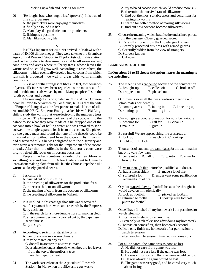#### E. picking up a fish and looking for more.

- 20. 'He laughs best who laughs last' (proverb). It is true of this story because
	- A. the picnickers were enjoying themselves
	- B. finally he found his fish
	- C. Alan played a good trick on the picnickers
	- D. fishing is a pastime
	- E. Alan likes countrylife.

#### **V**

In1973 a Japanese sericulturist arrived in Malawi with a batch of 40,000 silkworm eggs. They were taken to the Bvumbwe Agricultural Research Station in Thyolo District. In this station, work is being done to determine favourable silkworm rearing conditions and areas where mulberry trees, whose leaves the worms feed on, could grow well. According to researchers, the silkworms – which eventually develop into cocoons from which raw silk is produced – do well in areas with warm climatic conditions.

Silk is one of the strongest of fibres. In fact, for thousands of years, silk fabrics have been regarded as the most beautiful and durable materials woven by man. Many people call silk the 'cloth of kings and queens'.

The weaving of silk originated in China. An old Chinese book, believed to be written byConfucius, tells us that the wife of Emperor Huang-ti was the first person to make fabrics of silk. Around 2640 B.C., Emperor Huang-ti asked his wife Hsi Lingshih to study the worms that were destroying the mulberry trees in his garden. The Empress took some of the cocoons into the palace to see what they were made of. She dropped one of the cocoons into a bowl of boiling water and was amazed to see a cobweb-like tangle separate itself from the cocoon. She picked up the gauzy mass and found that one of the threads could be unwound almost without end from the cocoon. His Ling-shih had discovered silk. She was delighted with the discovery and even wove a ceremonial robe for the Emperor out of the cocoon threads. After that, the officials in the Emperor's court wore brightly dyed silk robes on important occasions.

People in other countries regarded the new fibres as something rare and beautiful. A few traders went to China to learn about making cloth from silk, but the Chinese kept their silk worms a closely guarded secret.

- 21. Sericulture is
	- A. carried out only in China
	- B. the breeding of silkworms for the production for silk
	- C. the research done on silkworms
	- D. the making of cloth from the cocoons of silkworms
	- E. the breeding of silkworms in Malawi.
- 22. It is implied in this passage that silk was discovered A. after years of hard work and research by the Empress B. by accident
	- C. in the search for a more durable fibre for making cloth.
	- D. after some experiments carried out by the Japanese sericulturist
	- E. by design.
- 23. According to sericulturists, silkworms A. cannot survive in a warm climate
	- B. may be reared on any tree
	- C. dowell in areas with a warm climate
	- D. produce the longest threads when they are fed leaves from the top of the mulberry tree
	- E. are destroyed by heat.
- 24. The work carried out at the Agricultural Research Station in Malawi on the silkworm eggs was to
- A. try to breed cocoons which would produce more silk
- B. determine the survival rate of silkworms
- C. find out the most suitable areas and conditions for rearing silkworms
- D. search for better method of rearing silk worms
- E. find out how cocoons become silkworms.
- 25. Choose the meaning which best fits the underlined phrase
	- from the passage. Closely guarded secret
		- A. Carefully hidden from the knowledge of others
		- B. Secretly processed business with armed guards C. Carefully hidden from the view of strangers
		-
		- D. Scarcely known
		- E. Unknown.

#### **LEXISANDSTRUCTURE**

#### **In Questions 26 to 38 choose the option nearest in meaning to the underlined**.

| 26. |                | The meeting was cancelled because of the convocation. |               |
|-----|----------------|-------------------------------------------------------|---------------|
|     | A. brought up  | B. called off                                         | C. broken off |
|     | D. dropped out | E. phased out.                                        |               |

- 27. Our town is so small that we are always meeting our schoolmates accidentally. A coming across B. falling into C. knocking up D. running up E. running into.
- 28. Can you give a good explanation for your behaviour? A. account for B. call for C. clear up D. make up E. give up.
- 29. Be careful! We are approaching the crossroads. A. look up B. watch out C. look up D. hold up E. look in.
- 30. Thousands of students are candidates for the examination but only very few pass. A. come into B. call for C. go into D. enter for E. turn up for.
- 31. He went through fire before he qualified as a doctor. A. had a fire accident B. made a lot of fire C. suffered a lot D. underwent some purification E. required a lot of fire.
- 32. Osyaku started playing football because he thought it would develop him physically. A. took up football B. picked up football C. returned to football D. took up with football E. put in for football.
- 33. Once I have finished all my homework I am permitted to watch television.
	- A. I can watch television at anytime.
	- B. I can onlywatch television after doing my homework.
	- C. Television comes first, then homework second.
	- D. I can only finish my homework after permission to watch television
	- E. after watching television I finished my homework.
- 34. For all he cared, the game was as good as lost.
	- A. He did not care if the game was lost
		- B. He could not care less if the game was lost.
		- C. He was almost certain that the game would be lost.
		- D. He was afraid the game would be lost.
		- E. The game was very good, and he cared very much about losing it.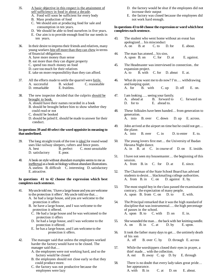- 35. A basic objective in this respect is the attainment of self sufficiency in food in about a decade.
	- A. Food will soon be sufficient for every body
	- B. Mass production of food
	- C. We should aim at producing food for sale and consumption in ten years.
	- D. We should be able to feed ourselves in five years.
	- E. Our aim isto provide enough food for our needs in ten years.
- 36. In their desire to impresstheir friends and relatives, many young workers bite off more than theycan chew in terms of financial obligations.
	- A. have more money than sense
	- B. eat more than they can digest property
	- C. spend too much money on food
	- D. care too much for their relatives
	- E. take on more responsibility than they can afford.
- 37. All the efforts made to settle the quarrel were futile. A. successful B. wicked C. reasonable<br>
D. remarkable E. fruitless. D. remarkable
- 38. The new inspector decided that the culprits should be brought to book.
	- A. should have their names recorded in a book
	- B. should be brought before him to show whether they could read or not
	- C. should be booked
	- D. should be jailed E. should be made to answer for their conduct.

# **In questions 39 and 40 select the word oppoisite in meaning to that underlined.**

- 39. The long straight trunk of the tree is ideal for round wood uses like railway sleepers, rafters and fence posts. A. best B. perfect C. most unsuitable D. satisfactory E. poor.
- 40. A book on style without abundant examples seems to me as ineffectual as a book on biology without abundant illustrations. A. useless B. difficult C. interesting D. satisfactory E. attractive.

## **In questions 41 to 42 choose the expression which best completes each sentence.**

- 41. Myuncle told me,'Ihavea largehouse andyou arewelcome to the protection it offers'. Myuncle told me that…
	- A. he had a large house, and you are welcome to the protection it offers
	- B. he have a large house, and I was welcome to the protection it offered.
		- C. He had a large house and he was welcomed to the protection it offers
	- D. he had a large house, and I was welcome to the protection it offered.
	- E. he has a large house, and I am welcome to the protection it offers.
- 42. The manager said that unless the employees worked harder the factory would have to be closed. The manager said that…
	- A. the employees were not working hard, and so the factory would be closed
	- B. the employees should not close early so that they could produce more.
	- C. the factory was not productive because the employees were lazy
- D. the factory would be shut if the employees did not increase their output
- E. the factory was closed because the employees did not work hard enough.

#### **In questions 43 to 60 choose the expression or word which best completes each sentence.**

- 43. The student who went home without an exeat has apologized… his misconduct A. on B. at C. to D. for E. about. 44. The man has atoned... his sins. A. upon B. on C. for D. at E. against. 45. The Headmaster wasinterviewed in connection.. the expansion project. A. to B. with C. for D. about E. at. 46. What do you want me to do now? I'm…. withdrawing and keeping quiet.<br>A. for B. wi B. with C. up D. off E. on. 47. I am looking …. seeing your family. A. ahead at B. forward to C. forward on D. for to E. ahead to.
- 48. These folktales have been handed… from generation to generation. A. into B. over C. down D. up E. across.
- 49. John arrived at the airport on time but he could not get… the plane. A. into B. over C. in D. to enter E. to.
- 50. The young lovers first met… the University of Ibadan Havana Night dance. A. in B. at C. in course of D. on E. inside.
- 51. I have not seen my housemaster… the beginning of this session. A. from B. in C. for D. at E. since.
- 52. The Chairman of the State School Board has advised students to desist… blackmailing college authorities. A. from B. in C. on D. against E. by.
- 53. The most stupid boy in the class passed the examination contrary.. the expectation of many people. A. upon B. from C. on D. to E. with.
- 54. The Principal remarked that it wasthe high standard of discipline that was instrumental.... the high percentage of passes in the school. A. upon B. to C. with D. on E. in.
- 55. She wounded the man... the back with her knitting needle. A. on B. in C. at D. by E. upon.
- 56. It took the father many days to get… the untimely death of his son B. over C. by D. through E. across
- 57. While the worshippers closed their eyes in prayer, a thief made… with the collection. A. out B. away C. up D. by E. through
- 58. There is no doubt that every lady takes great pride… her appearance. A. with B. in C. at D. on E. about.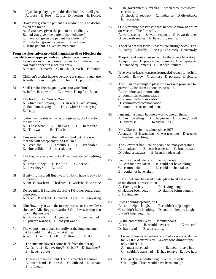- 59. If you keep playing with this door handle, it will get… A. loose B. lose C. lost D. loosing E. loosed.
- 60. 'Have you given the patient his medicine?' The doctor asked the nurse.
	- A. if you have given the patient his medicine.
	- B. had you given the patient his medicines?
	- C. have you given the patient his medicine?
	- D. if she had given the patient his medicine.
	- E. if the patient is given his medicine.

#### **Fromthe alternatives providedinquestions 61 to100 select the one** which most appropriately completes the sentence.

- 61. I was seriously disappointed when the… between the two teams ended in a goaless draw. A. march B. marsh C. match D. mash E. martch.
- 62. Children's clothes have to be strong to stand… rough use. A. with B. in through C. in for D. up to E. up for.
- 63. Shall I make the cheque… you or to your firm? A. in for B. up with C. in with D. up for E. out to
- 64. The hotel... is at Wurno Road. A. which I am staying. B. in where I am staying C that I am staying D. at which I am staying E. I stay.
- 65. …the main points of the lecture given by the Director of the Institute.
	- A. Those were B. That was C. There were D. This was E. That is. D. This was
- 66. I am sure that mymother will not find out. She isso… that she will accept anything I tell her. A. credible B. credulous C. creditable
	- D. incredible E. incredulous.
- 67. The boys are very naughty. They have started fighting again, ... A. haven't they? B. isn't it? C. not so? D. have they? E. is it?
- 68. If only I ... insured! But I wasn't. Now, I have to pay a lot of money. A. am B. have been C. had been D. would be E. was to be.
- 69. Do you mind ifI wait for the reply? I'd rather you… again tomorrow. A. called B.will call C.cancall D.call E.werecalling.
- 70. Olu: Howdo you want the money in cash or in traveller's cheques? Ali: Beg your pardon? Olu: I was asking you how ... the money? A. do you want B. you want C. you wanted D. you are wanting E. did you want.
- 71. The young man looked carefully at the long document, but he couldn't make ... what it meant. A. up B. out C. off D. through E. do.
- 72. The students haven't come back from the library, … A. isn't it? B. have they? C. is it? D. had they? E. haven't they?
- 73. Give me a minute to think. I can't remember the answer... A. out of hand B. ahead C. offhand D. to hand E. off head
- 74. The government suffered a.. .. when they lost two by elections. A. check B.set-back C. hindrance D. disturbance E. recession.
- 75. Our Literature Master said that he would show us a film on Macbeth. The film will … A. worth seeing B. worth seeing it C. be worth to see D. be worth seeing E. be worthy seeing.
- 76. The driver of that lorry… lost hislife during the collision. A. barely B. hardly C. nearly D. closely E. narrowly.
- 77. The principal went tobuysome…for the physicslaboratory. A. equipment B. pieces of equipments C. equipments D. items of equipments E. list of equipment.
- 78. Wherever the leader went people struggled to catch a... of him. A. look B. view C. glimpse D. portrait E. picture.
- 79. The…. in an attempt to please the workers promised to provide ... for them as soon as possible. A. committee/accommodation
	- B. committee/acommodation
	- C. committee/accomodation
	- D. committee/acommoddation
	- E. committee/accomondation.
- 80. I meant... a pencil but there was no one.... them. A. buying/selling B. to buy/to sell C. buying/to sell D. buy/to sell E. to buy/selling.
- 81. Mrs. Okoro ... in this school since 1975. A. taught B. isteaching C. wasteaching D. teaches E. has been teaching
- 82. The Governor has... to the people on many occasions. A. broadcast B. been broadcast C. broadcasted D. being broadcast E. been broadcasted.
- 83. Paulina arrived late, she... the right route.
	- A. cannot have taken B. could not have taking
	- C. cannot take. D. could not had taken
	- E. could not have taken.

84. ...the medicine, he asked his daughter to take it according to the doctor's prescription. A. Having to buy B. Having bought C. Having been bought D. Having being bought E. Having buy.

- 85. It was a funny episode, so I ... A. can't help to laugh. B. couldn't help laugh C. couldn't help laughing D. couldn't help to laugh E. can't help laughing.
- 86. By the end of this year I… twenty books A. read B. would have read C. will read D. have read E. am reading.
- 87. Leonard: We went to a hotel and had a very good dinner for N1.00 Geoffrey: You… a very good dinner if you onlypaid N1.00. A. must have had B. needn't have had C. couldn't have had D. had to have E. have had.
- 88. Evelyn: I've submitted eight copies. Joseph: You... eight. Three would have been enough.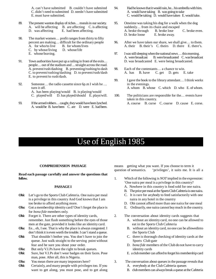A. can't have submitted B. couldn't have submited C. didn't need to submitted D. needn't have submitted E. must have submitted.

- 89. Thepresent wanton displayofriches…moralsin oursociety. A. will be affecting B. are affecting C. is affecting D. was affecting E. had been affecting.
- 90. The market women... profit ranges from thirty to fifty percent are making… difficult for the ordinary people
	- A. for who/to live B. for whom/lives
	- C. by whose/living D. whose/life
	- E. whose/leaving.
- 91. Town authorities have put up a railing in front of the exits... people... out of the stadium and ... straight across the road. A. prevent/rush/dashing B. preventing/rushing/to dash C. to prevent/rushing/dashing D. to prevent/rush/dash E. to prevent/to rush/dash.
- 92. Someone... the radio cassette since 6p.m I wish he ... turn it off. A. has been playing/would B. is playing/would C. played/will D. has played/should E. plays/will.
- 93. If the armed robbers... caught, they would have been lynched. A. wouldbe B. havebeen C. are D. were E. hadbeen.
- 94. Hadheknownthatitwouldrain,he...hisumbrellawithhim. A. would have taking B. was going to take C. would be taking D. would have taken E. would take.
- 95. Omeime was taking his dog for a walk when the dog suddenly… from its chain and escaped A. broke through B. broke lose C. broke even. D. broke loose E. broke away.
- 96. After we have taken our share, we shall give… to them. A. their B. their's C. theirs D. there E. there's.
- 97. I was still sleeping when the national news ... this morning. A. were broadcast B. were broadcasted C. was broadcast D. was broadcasted E. were being broadcasted.
- 98. Each of the contestants… a chance to win. A. has B. have C. get D. gets E. take
- 99. I gave the book to the library attendant… I think works in the evenings. A. whom B. whose C. which D. who E. ofwhom.
- 100. The politicians are responsible for the… events have taken in this country. A. course B. curse C. coarse D. cause E. corse.

# Use of English 1985

#### **COMPREHENSION PASSAGE**

**Read each passage carefully and answer the questions that follow.**

#### **PASSAGE I**

- **Obi:** Let's go to the Sports Club Cafeteria. One naira per meal is a privilege in this country And God knowsthat I am too broke to afford anything more.
- **Olu:** Got a membership identitycard? Don't forget the place is for *bona fide* members only.
- **Obi:** Forget it. There are other types of identity cards, remember. Just flash something before the eyes of those men at the gate, provided it lookslike an identity card.
- **Olu:** Ee... eh, I see. That is why the place is always congested. I don't think it is even worth the trouble. I can't stand a queue.
- **Obi:** That shouldn't bother you. You don't have to join the queue. Just walk straight to the serving point without fear and be sure you shout your order.
- **Olu:** But only V.I.Ps have the right to break queues.
- **Obi:** Sure, but V.I.Ps don't wear badges on their faces. Pose man, pose. After all, this is Nigeria.
- **Olu:** You mean there are many impostors here?
- **Obi:** Certainly, and many people with privileges too. If you want to get along, you must pose, and to get along

means getting what you want. If you choose to term it question of semantics. 'privileges', it suits me. It is all a

- 1. Which of the following is *NOT* implied in the expression: 'One naira per meal is a privilege in this country?
	- A. Nowhere in this country is food sold for one naira.
	- B. The price per meal at the Sports Club Cafeteria is one naira.
	- C. It is rare for anybody to feed satisfactorily with one naira in any hotel in the country
	- D. Obi cannot afford more than one naira for one meal
	- E. Ordinarily, one naira cannot buymuch in the country.
- 2. The conversation about identity cards suggests that
	- A. without an identity card, no one can be allowed to eat in the Sports Club Cafeteria
	- B. without an identity card, no one can be allowedinto the Sports Club
	- C. there is thorough checking of identity cards at the Sports Club gate
	- D. *bona fide* members of the Club do not have to carry identity cards
	- E. a club member can afford to forget his membership card
- 3. The conversation about queues in the passage reveals that A. everybody at the ClubCafeteria queues
	- B. club members can always break a queue at the Cafeteria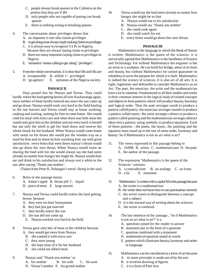- C. people always break queues in the Cafeteria on the pretext that they are V.IPs
- D. only people who are capable of posing can break queues
- E. there is nothing wrong in breaking queues.

4. The conversation about privileges shows that

- A. an impostor is one who claims privileges
- B. to get along must always imply making claims to privileges
- C. it is always easy to recognize V.I.Ps in Nigeria, because they are always laying claim to privileges
- D. there are many impostors laying claim to privileges in Nigeria
- E. 'semantics'meanscallingtoget along''privileges'.
- 5. Fromthe wholeconversation, it is clear thatObi and Olu are A. irresponsible B. selfish C. privileged
	- D. 'go-getters' E. epitomes of the Nigeria society.

#### **PASSAGEII**

Days passed fast for Ntanya and Teresa. They could hardly notice the land getting brown all over Kachawanga again, since neither of them hardly noticed any more the sun come up and go down. Ntanya would work very hard in the field hauling in the last harvest and Teresa would stay at home washing, cooking and waiting, waiting for him to come home. She would cook his meal with extra care and when there was little meat she would only give bits to the children and not even touch it herself but use only the smell to get her food down and reserve the whole chunk for her husband. When Ntanya would come home with sweat on his brows she would put the wooden tray on a stool for him and sit down by him watching him eat with great satisfaction: every *bolus*that went down ntanya's throat would also go down her own throat. When Ntanya would insist on sharing the food with her she would always say she had eaten already no matter how hungry she might be. Ntanya would then eat and drink to his satisfaction and always rest a while in the sun after saying 'Thank you mother'.

(Taken from Peter K. Palangyo's novel: *Dying in the sun*)

- 6. *Bolus* in the passage means A. Adam's apple B. throat pill C. liquid D. piece of meat E. large morsel.
- 7. Ntanya and Teresa could hardly notice the land getting brown because
	- A. they were on their honeymoon
	- B. they had just got married
	- C. they hardly notice the sun
	- D. the sun did not come up
	- E. Ntanya worked very hard in the field.
- 8. Teresa gave only bits of meat to the children because A. they would get more from Ntanya
	- B. she cooked it with extra care
	- C. they were young
	- D. she kept most of it for her husband
	- E. she could not afford meat.
- 9. Ntanya said 'Thank you mother' to
	- A. his mother B. his wife C. his aunt
	- D. Teresa's mother E. his grand-mother
- 10. Teresa would say she had eaten already no matter how hungry she might be so that
	- A. Ntanya would eat to his satisfaction
	- B. Ntanya would say 'Thank you mother'
	- C. she could cook again
	- D. she could watch his eat
	- E. every *bolus* would go down her own throat.

# **PASSAGEIII**

Mathematics is the language in which the Book of Nature is written: Mathematics is the queen of the sciences. it is universally agreed that Mathematics is the backbone of Science and Technology. For without Mathematics the engineer is but an artist or a scultptor. He can build his bridge, attest ot its form and beauty, but without Mathematics he cannot guarantee its reliability to serve the purpose for which it is built. Mathematics is indeed the science of sciences. It is also art of all arts. It is right, legitimate and defensible to consider Mathematics as an Art. The poet, the musician, the artist and the mathematician have a lot in common. Fundamental to all their studies and works istheir common interest in the logical study of related concepts and objects to form patterns which will produce beauty, harmony and logical order. Thus the poet arranges words to produce a pattern called poetry: the musician arranges sounds to produce a pattern called music: the artist arranges colours to produce a pattern called painting and the mathematician arranges abstract ideas into a pattern, using symbols, to produce equations. Each of these patterns - the poem, the music, the painting and the equation must stand up to the test of some order, harmony and beauty. So if Mathematics is not an art what is art?

- 11. The views expressed in this passage belong to A. JAMB B. artists C. mathematicians D. the poet E. the author of the passage.
- 12. The expression 'Mathematics is the queen of the Sciences' contians A. a contradiction B. an analogy C. an irony D. a lie E. nonsense
- 13. 'Mathematics' is written with a capital M in this passage because A. the writer is a mathematician
	- B. the writer does not know how to use punctuation correctly
	- C. the writer wants to distinguish between a concept and a subject
	- D. it is the normal way of writing about the sciences
	- E. the writer is confused.
- 14. The last sentence of the passage , 'So if Mathematics is not an art what is art?' is a
	- A. questions posed for the reader to answer
	- B. statement put in the form of a question
	- C. question combined with a statement
	- D. mathematical equation stated in words
	- E. pattern which illustrates beauty, harmony and order in language.

15. Mathematics can be considered as a form of art because

- A. its main principle is made use of by the arts
- B. it involves drawing of figures
- C. it is a form of Fine Arts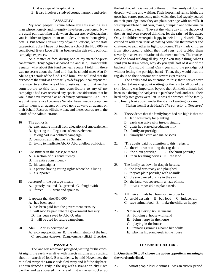- D. it is a type of GraphicArts
- E. it also involves a studyof beauty, harmonyand order.

#### **PASSAGEIV**

My good people: I come before you this evening as a man whose honesty and intergrity have been questioned. Now, the usual political thing to do when charges are levelled against you is either to ignore them or to deny them without giving details. But before I answer any of your questions, let me state categorically that I have not touched a kobo of the N50,000 we contributed. Every kobo of it has been used in defraying political campaign expenses.

As a matter of fact, during one of my meet-the-press conferences, Tony Agiwa *accosted* me and said, 'Honourable Senator, what about this fund we hear about?' I told him there was no secret about the fund and that he should meet Abu O. Abu to get details of the fund. I told him, 'You will find that the purpose of the fund was primarily to defray political expenses.' In answer to another one of his questions, I said that neither contributors to this fund, nor contributors to any of my campaigns had ever received any special consideration that he would not have received as an ordinary *constituent*. And I can say that never, since I became a Senator, have I made a telephone call for them to an agency or have I gone down to an agency on their behalf. Records will show that, and these records are in the hands of the Administrator.

- 16. The author is
	- A. exonerating himselffrom allegations of embezzlement
	- B. ignoring the allegations of embezzlement
	- C. taking part in a political campaign
	- D. demonstrating that he is a Senator
	- E. trying to implicate Abu O. Abu, a fellow politician.
- 17. *Constituent* in the passage means
	- A. a section of his constituency
	- B. his entire constituency
	- C. his campaigner
	- D. a person having voting rights where he is living
	- E. a supporter
- 18. *Accosted* in the passage means A. grossly insulted B. greeted C. fought with
	- D. forced E. went and spoke to
- 19. It appears that the N50,000
	- A. has been spent
	- B. has been paid into the government treasury
	- C. will soon be paid into the government treasury
		- D. has been saved by Abu O. Abu
		- E. will be used for future campaigns.
- 20. Abu O. Abu is portrayed as
	- A. a corrupt politician B. the administrator of the fund C. anordinarytaxpayer D.agovernmentofficial E. acitizen

#### **PASSAGE V**

The land was ready and ploughed, waiting for the crops. At night, the earth was alive with insects singing and rustling about in search of food. But suddenly, by mid-November, the rain fled away: the rain-clouds fled away and left the sky bare. The sun danced dizzily in the sky, with a strange cruelty. Each day the land was covered in a haze of mist as the sun sucked up the last drop of moisture out of the earth. The family sat down in despair, waiting and waiting. Their hopes had run so high; the goats had started producing milk, which they had eagerly poured on their porridge, now they ate plain porridge with no milk. It wasimpossible to plant corn, maize, pumpkin and water-melon seeds in the dry earth. They sat the whole day in the shadow of the huts and even stopped thinking, for the rain had fled away. Onlythe children were quite happy in their little girl world. They carried on with their *game of making house* like their mother and chattered to each other in light, soft tones. They made children from sticks around which they tied rags, and scolded them severely in an exact imitation of their own mother. Their voices could be heard scolding all day long: 'You stupid thing, when I send you to draw water, why do you spill half of it out of the bucket?' 'You stupid thing! Can't you mind the porridge pot without letting the porridge burn?' Then, they would beat the rag-dolls on their bottoms with severe expressions.

The adults paid no attention to this; their nerves were stretched to breaking point waiting for the rain to fall out of the sky. Nothing was important, beyond that. All their animals had been sold during the bad years to purchase food, and of all their herd only two goats were left. It was the women of the family who finally broke down under the strain of waiting for rain.

(Taken from Bessie Head's *The collector of Treasures*)

- 21. The evidence that the family hopes had run high is that the
	- A. land was ready for planting
	- B. earth was alive with insects singing
	- C. goats had started producing milk
	- D. family ate porridge
	- C. family had corn and maize seeds.
- 22. 'The adults paid no attention to this' refers to
	- A. the children scolding the rag-dolls
	- B. the plain porridge C. the burnt porridge
	- D. their breaking nerves E. the land.
- 23. The family sat down in despair because
	- A. the land was ready and ploughed
	- B. they ate plain porridge with no milk
	- C. the sun danced dizzily in the sky
	- D. the land was covered in a haze of mist
	- E. it was impossible to plant seeds.
- 24. All their animals had been sold in order to
	- A. avoid despair B. buy food C. induce rain
	- C. save animal food E. make the children happy.
- 25. '*Game of making house'* means
	- A. building a house with sand
	- B. being happy in the house
	- C. playing in the house
	- D. imitating running a home like adults
	- E. playing hide-and-seek in the house

# **LEXISANDSTRUCTURE**

# **In Questions 26 to 37 choose the option opposite in meaning to the word underlined.**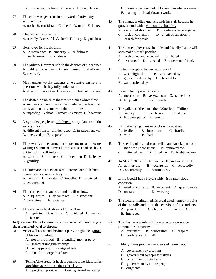A. prosperous B. harsh C. severe D. sour E. stern.

- 27. The chief was generous in his award of university scholarships A. noble B. considerate C. liberal D. mean E. honest.
- 28. Chidi is naturallytaciturn. A. friendly B. cheerful C. dumb D. lively E. garrulous.
- 29. He is loved for his altruism. A. benevolence B. sincerity C. selfishness D. selflessness E. kindness.
- 30. The Military Governor upheld the decision of his cabinet. A. held up B. undercut C. maintained D. abolished E. reversed.
- 31. Many untrustworthy students give evasive answers to questions which they fully understand. A. direct B. outspoken C. simple D. truthful E. clever.
- 32. The deafening noise of the two jet planes which flew across our compound yesterday made people fear that an assault on the countrymight be imminent. A. impending B. ahead C. remote D. eminent E. threatening

33. Disgruntled people are indifferent to any plansto rid the society of evil. A. different from B. diffident about C. in agreement with D. interested in E. opposed to.

34. The severity of the harmattan helped me to complete my writing assignment in record time because I had no choice but to lock myself indoors.

A. warmth B. mildness C. moderation D. leniency E. gentility.

- 35. The increase in transport fares deterred our club from planning an excursion this year. A. deferred B. irritated C. impelled D. restricted E. encouraged
- 36. This card entitles you to attend the film show. A. disqualifies B. discourages C. disenchants D. proclaims E. satisfies
- 37. Thisis an abridged edition of Oliver Twist A. reprinted B. enlarged C. outdated D. extinct E. banned

## **In Questions 38 to 71 choose the option nearest in meaning to the underlined word or phrase.**

- 38. Victor will not attend the dinner partytonight: he is afraid of his own shadow.
	- A. not in the mood B. attending another party
	- C. scared of imaginary things
	- D. unhappy with his assigned role
	- E. unable to forget his fears.
- 39. TellingAli to break his habit of coming towork late islike knocking your head against a brick wall. A trying the impossible B. asking him to beat you up

C. makingafoolofyourself D.askinghimtobeyour enemy E. making him break down at work.

- 40. The manager often quarrels with his staff because he goes around with a chip on his shoulder.
	- A. deformed shoulder B. readiness to be angered
	- C. look of contempt D. an air of superiority
	- E. search for gossip.
- 41. The new employee isso humble and friendly that he will soon make himself popular.
	- A. welcomed and accepted B. hated
	- C. estranged D. rejected E. a personal friend.
- 42. He took exception to Ezenwa's remark.
	- A. was delighted at B. was excited by
	- C. got demoralized by D. objected to
	- E. was perplexed by.
- 43. Kelechi hardly ever falls sick.
	- A. most often B. very seldom C. sometimes
	- D. frequently E. occasionally
- 44. The gallant soldiers met their Waterloo at Philippi A. victory B. trouble C. defeat D. happiest period E. enemy
- 45. It is futile trying to make bricks without straw. A. fertile B. important C. fragile D. vain E. bad
- 46. The ceiling of my bed-room fell in and knocked me out. A. made me unconscious B. removed me C. flattened me D. killed me E. frightened me.
- 47. In May 1978 the rain fell incessantly and made life drab. A. at intervals B. recurrently C. repeatedly D. concurrently E. continuously
- 48. Little Ugochi has a bicycle which is in marvelous condition. A. need of a tune up B. excellent C. questionable D. unstable E. working
- 49. The lecturer maintained his usual good humour in spite of the cat-calls and the rude behaviour of his students A. provoked B. obtained C. kept D. lost E. improved.
- 50. The class as a whole will have a lecture on scarce commoditiestomorrow
	- A. argument B. deliberation C. dispute
	- D. conference E. talk
- 51. Many states practise the ideals of democracy.
	- A. government by elections
	- B. government by representatives
	- C. government by civilians
	- D. government by all the people
	- E. oligarchy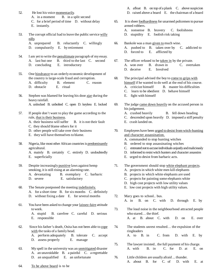- 52. He lost his voice momentarily.
	- A. in a moment B. in a split second
	- C. for a brief period of time D. without delay E. instantly.
- 53. The corrupt official had to leave the public service willy nilly. A. unprepared B. reluctantly C. willingly

D. compulsorily E. by retirement

- 54. I am yet to write the penultimate paragraph of my essay. A. last but one B. third to the last C. second D. concluding E. introductory
- 55. One hindrance to an orderly economic development of the country is large-scale fraud and corruption.
	- A. difficulty B. element C. reason D. obstacle E. ritual
- 56. Stephen was blamed for leaving his door ajar during the heavy rainfall. A. unlocked B. unbolted C. open D. keyless E. locked
- 57. If people don't want to play the game according to the rule, that is their business.
	- A. their business will suffer B. it is not their fault
	- C. they should blame others for it
	- D. other people will take over their business
	- E. theywill have themselves to blame.
- 58. Nigeria, like most other African countries is predominantly agricultural.
	- A. mainly B. certainly C. entirely D. undoubtedly E. superficially
- 59. Despite increasingly punitive laws against hemp smoking, it is still rising at an alarming rate.
	- A. devastating B. exemplary C. barbaric D. severe E. satisfactory
- 60. The Senate postponed the meeting indefinitely. A. for a short time B. for six months C. definitely D. without fixing a date E. for several months
- 61. You have been asked to change your laissez-faire attitude towork. A. stupid B. carefree C. careful D. serious E. responsible
- 62. Since hisfather's death, Osita has not been able to cope with the tasks of a family head. A. perform adequately B. tolerate C. accept D. assess properly E. manage
- 63. My spell in the university was an unmitigated disaster A. an unavoidable B. a painful C. a regrettable D. an unqualified E. an unfortunate
- A. afloat B. on top of a plank C. above suspicion D. raised above a board E. the chairman of a board
- 65. It issheer foolhardinessfor unarmed policemen to pursue armed robbers. A. nonsense B. bravery C. foolishness D. stupidity E. foolish risk taking 66. Bankole was a man given to much wine. A. pushed to B. taken over by C. addicted to D. forced to E. afflicted by
- 67. The officer refused to be taken in by the private. A. won over B. drawn in C. overtaken D. deceive E. Involved
- 68. The principal advised the boy to come to grips with himself if he wanted to do well at the end of his course.
	- A. criticize himself B. master his difficulties
	- C. learn to be obedient D. behave himself
	- E. fight with himself
- 69. The judge came down heavily on the accused person in his judgement.
	- A. crashed heavily B. fell down heading
	- C. descended upon heavily D. imposed a stiff penalty
	- E. crash landed on.
- 70. Employees have been urged to desist from witch-hunting and character assassination.
	- A. commanded to stop hunting witches
	- B. ordered to stop assassinating witches
	- C. entreated not to accuse individuals unjustly and maliciously
	- D. informed to resistwitch hunters and character assassins
	- E. urged to desist from barbaric acts.
- 71. The government should stop white elephant projects.
	- A. projects in which white men kill elephants
	- B. projects in which white elephants are used
	- C. projects for painting some elephants white
	- D. high cost projects with low utility values
	- E. low cost projects with high utility values.
- 72. Mary goes to school.. bus. A. in B. on C. with D. through E. by
- 73. The loud noise in the neighbourhood attracted people who stared… the thief. A. at B. about C. with D. on E. over
- 74. The students unrest resulted… the expulsion of the ringleaders A. to B. in C. from D. with E. by
- 75. The lawyer insisted.. the full payment of his charge. A. with B. in C. for D. at E. on
- 76. Little children are usually afraid ... thunder. A. about B. for C. of D. with E. at

64. To be above board is to be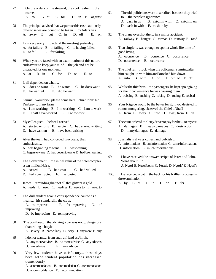- 77. On the orders of the steward, the cook rushed… the market A. to B. at C. for D. in E. against
- 78. The principal advised that we pursue this case cautiously, otherwise we are bound to be taken… byAda's lies. A. away B. out C. in D. off E. on
- 79. I am very sorry… to attend the meeting yesterday. A. for failure B. in failing C. to having failed D. to fail E. for failing
- 80. When you are faced with an examination of this nature endeavour to keep your mind... the job and not be distracted for one moment. A. at B. in C. for D. on E. to
- 81. It all depended on what… A. does he want B. he wants C. he does want D. he wanted E. did he want
- 82. Samuel: Would you please come here, John? John: No. I'm busy…in myfarm. A. I am working B. I'm working C. I am to work D. I shall have worked E. I go to work
- 83. My colleagues… before I arrived. A. started writing B. wrote C. had started writing D. have written E. have been writing
- 84. After the team had conceded two goals, their enthusiasm… A. was beginning to wane B. was waning C. begantowane D. hadbeguntowane E. hadbeenwaning
- 85. The Government... the initial value of the hotel complex at ten million Naira. A. costed B. had cost C. had valued D. had constructed E. has costed
- 86. James... reminding that not all that glitters is gold. A. needs B. need C. needing D. needsto E. need to
- 87. The dull student took a correspondence course as a means… his standard in the class. A. to improve B. for improving C. of improving D. by improving E. to improving
- 88. The boy thought that driving a car was not… dangerous than riding a bicyle. A. sovery B. particularly C. very D. anymore E. any
- 89. I do not want... from such a friend as Jimoh. A. anymoreadvices B. nomore advice C. anyadvices D. no advice E. any advice
- 90. Very few students have satisfactory... these days becausethe student population has increased tremendously. A. acommondation B. accomodation C. accommodation

D. acommoddation E. acommodation.

- 91. The old politicians were discredited because they tried to… the people's ignorance. A. cash in on B. catch in with C. catch in on D. cash in with E. cash in by
- 92. The plane overshot the… in a minor accident. A. railway B. hangar C. tarmac D. runway E. road
- 93. That single… was enough to spoil a whole life time of good living. A. occurence B. ocurence C. occurrence D. occurrense E. ocurrence.
- 94. The thief ran… luck when the policeman running after him caught up with him and knocked him down. A. into B. with C. of D. out of E. off
- 95. Whilst the thief was... the passengers, he kept apologizing for the inconvenience he was causing them A. robbing B. rubbing C. robing D. rubing E. robbed.
- 96. Your brigade would be the better for it, if you desisted ... rumor-mongering, observed the Chief of Staff A. from B. away C. into D. away from E. on
- 97. The court ordered the lorrydriver to payfor the ... tomycar. A. damages B. heavy damages C. destruction D. many damages E. damage
- 98. Journalists always collect and publish ... A. informations B. an information C. some informations D. information E. much informations.
- 99. I have received the answer scripts of Peter and John. What about ...? A. Ngozi B. Ngozi'sown C. Ngozis D. Ngozis'E. Ngozi's
- 100. He received a pat ... the back for his brilliant successin the examination. A. by B. at C. in D. on E. for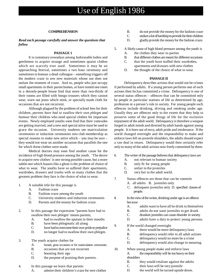# Use of English 1986

#### **COMPREHENSION**

# *Read each passage carefully and answer the questions that follow*

## **PASSAGE 1**

It is customary nowadays among fashionable ladies and gentlemen to acquire strange and sometimes quaint clothes which are scarcely ever used. Sometimes it may be an approaching festival, sometimes a two hour ceremony and sometimes to honour a dead colleague – something triggers off the modern craze to sew new materials whose use does not outlast the moment of craze. And so, people who just occupy small apartments in their parent homes, or have rented one room in a densely-people house find that more than two-thirds of their rooms are filled with bongo trousers which they cannot wear, worn out jeans which stink, or specially made cloth for occasions that are not recurrent.

Although plagued by the problem of school fees for their children, *parents have had to swallow their own phlegm and humour* their children who need special clothes for important events. Newly employed youths soon find that their comrades are getting married, and a new and special attire must be used to grace the occasion. University students see matriculation ceremonies or induction ceremonies into club membership as special reasons to make new attire which – you may be sure – they would not wear on another occasion that parallels the one for which these clothes were made.

Medical doctors may soon find another cause for the incidence of high blood pressure among the youth. 'The desire to acquire new clothes' is one strong possible cause, but a more subtle one which haunts like a ghost is the problem of choice of what to wear. The youths have so suffered their apartments, wardrobes, drawers and trunks with so many clothes that the greatest problem they face is the choice of what to wear.

- 1. A suitable title for this passage is
	- A. Fashion craze
	- B. Fashion craze among the youth
	- C. University students and induction ceremonies
	- D. Parents and the money for fashion craze.
- 2. In this passage the expression "parents have had to swallow their own phlegm' means parents,
	- A. had to swallow the sputum in their mouths
	- B. have been phlegmatic all along
	- C. have had to overcome their own pride or prejudice
	- D. no longer had to swallow their own phlegm.
- 3. The youth acquire clothes for
	- A. burials, great occasions or for matriculation ceremonies
	- B. occasions that are not recurrent
	- C. boosting their ego
	- D. the purpose of praising their parents.
- 4. In this passage we learn that parents
	- A. admire their children's craze for new clothes
- B. do not provide the money for the fashion craze
- C. endure a lot of hardship to provide for their children
- D. gladly provide the money for the fashion craze.

5. A likely cause of high blood pressure among the youth is

- A. the clothes they wear to parties
- B. that different clothes are meant for different occasions
- C. that the youth have stuffed their wardrobes, apartments and drawars with new clothes
- D. the thought of the choice of what to wear.

# **PASSAGEII**

Delinquency describes actions that would not be crimes if performed by adults. If a young person performs one of such actions then he has committed a crime. Delinquency is one of several status offences – offences that can be committed only by people in particular stations of life as determined by age, profession or a person's role in society. For young people such offences include drinking, driving and smoking under age. Usually they are offences only to the extent that they help to preserve some of the good things of life for the exclusive enjoyment of the adult world. Delinquency is therefore a weapon forged in adult minds and directed byadult hands against young people. It is born out of envy, adult pride and intolerance. If the world changed overnight and the responsibility to make and enforce laws fell on juvenile shoulders, the adults should expect a raw deal in return. Delinquency would then certainly refer onlyto manyof the adult actions now freely committed by them.

- 6. Thewriter of the passage believesthat delinquencylaws are
	- A. not relevant to human society
	- B. only fit for young people
	- C. unfair to the juveniles
	- D. very fair to the adult world.

7. Status offences are those that can be committ

- A. all adults B. juveniles only
	- C. delinquent juveniles only D. specified classes of people.
- 8. In theviewofthewriter, drinking under age isan offence because
	- A. adults want to have all he drink to themselves
	- B. adults do not want juveniles to get drunk
	- C. drunken juveniles can cause disorder in society
	- D. adults have a duty to protect young persons.
- 9. If the world changed overnight
	- A. there would be more delinquency laws
	- B. delinquency would refer to all adult actions
	- C. delinquencywould no more be a crime
	- D. delinquency would also change in meaning.
- 10. When young people make and enforce laws
	- A. the responsibilitywill be too heavyon their shoulders
		- B. they would retaliate against the adults
		- C. their laws will be very juvenile
		- D. the world will be turned upside down.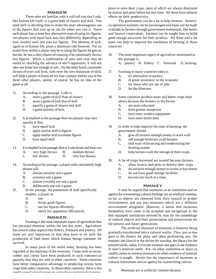#### **PASSAGEIII**

Those who are familiar with it will tell you that Ludo, like human life itself, is a game both of chance and skill. You need skill in deciding how to make the most advantageous use of the figures that turn up on the die when you cast it. Since each player has at least four alternative ways of using his figures, two players with equal luck may fare differently, depending on how cleverly each one uses his figures. The element of luck, again as in human life, plays a dominant role however. For no matter how skilful a player may be in using the figures he gets on the die, he has a slim chance of winning if he continually throws low figures. While a combination of ones and twos may be useful in checking the advance of one's opponents, it will not take one home fast enough to win. On the other hand, consistent throws of sixes and fives, with even the very minimum of skill, will help a player to home all his four counters before any of the three other players, unless, of course, he has no idea of the game at all.

- 11. According to the passage, Ludo is
	- A. more a game of skill than of chance
	- B. more a game of luck that of skill
	- C. equally a game of chance and skill
	- D. a game entirely of luck.
- 12. It isimplied in the passage that two players may fare equally if they
	- A. have equal luck
	- B. apply similar skill to figures
	- C. applysimilar skill to similar figures
	- D. have equal skill.
- 13. It isimplied in the passage, that in Ludothrees and fours are
	- A. very high throws B. medium throws
	- C. low throws D. very low throws.
- 14. According to the passage, a player with consistently high throws will
	- A. almost certainlywin a game
	- B. certainlywin a game
	- C. almost certainly not win a game
	- D. deliberately not win a game.
- 15. In the passage, the possession of skill specifically enables a player to
	- A. win
	- B. throw good figures
	- C. use his figures efficiently
	- D. check his opponents efficienctly

#### **PASSAGEIV**

Farming isthe most important aspect of agriculture that has attracted attention within the last few years. Agriculture hasseveral other aspectslike fishery, livestock and poultry. All these are also important in that they have to do with the production of food items which human beings consume for survival.

In many parts of the world today, farming has been regarded as the mainstay of the economy. Crops such as cocoa, rubber and cotton have been produced in such commercial quantity that they are sold to other countries. Some countries have better comparative advantage in producing certain farm crops than other countries. In these other countries, there is the need to spend a lot of money on agriculture, particularly farming.

place to store their crops, most of which are always destroyed by insects and pests before harvest time. All these have adverse effects on their productivity.

The government can do a lot to help farmers. farmers' co-operative societies can be encouraged and loans can be made available to farmers through government institutions, like banks and finance corporation. Farmers can be taught how to build good storage structures for their produce. All these and a lot more can help to improve the conditions of farming in these countries.

- 16. The most important aspect of agriculture mentioned in the passage is
	- A. poultry B. fishery C. livestock D. farming.
- 17. Farming in many countries today is
	- A. an alternative to poultry
	- B. of great assistance to the economy
	- C. for those who are out of jobs
	- D. for the illiterates.
- 18. Some countries produce more and better crops than others because the farmers in the former
	- A. are more educated
	- B. have greater manpower
	- C. have more modern equipment
	- D. have more fertile land.
- 19. In order to help improve the state of farming, the government should
	- A. give all farmers enough money to work with
	- B. sell enough fertilizers to all farmers
	- C. find ways of financing and modernizing the farming system
	- D. help farmers with the storage of their crops.
- 20. A lot of crops harvested are wasted because farmers
	- A. allow insects and pests to destroy their crops
	- B. do not have enough money to invest in harvesters
	- C. do not have good storage facilities
	- D. harvest too much at a time.

## **PASSAGE V**

It may be argued that museums as an institution and an agency for transmitting cultural heritage are an artificial creation, so far as objects are removed from their natural or proper environments and put into museums which are a different environment altogether. However, it seems that museums themselves have come to be accepted and recognized as the best equipped institutions devised by man for the assemblage of cultural objects and their presentation and preservation for the present and future generations.

The artificial character of museums is however being gradually transformed into a cultural reality. Thus, just as one goes to the theatre for plays and other performing arts, the mosque, the church or the shrine for worship, the library for the printed words, today, it isto the museum one goesto see evidence of man's material outfit. For, no other institution or place so readily comes to mind as museums do when evidence of material culture is sought. Herein lies the importance of museums as cultural institutions and an agency for transmitting culture.

21. Museums are at artificial creation because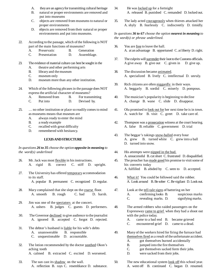- A. they are an agency for transmitting cultural heritage
- B. natural or proper environments are removed and put into museums
- C. objects are removed from museumsto natural or proper environments
- D. objects are removed from their natural or proper environments and put into museums.
- 22. According to the passage, which of the following is NOT part of the main functions of museums?
	- A. Preservatic B. Generation
	- C. Presentation D. Assemblage.
- 23. The evidence of material culture can best be sought in the
	- A. theatre and other performing arts
	- B. library and themuseum
	- C. museum only
	- D. museum more than any other institution.
- 24. Which of the following phrases in the passage does NOT expressthe artificial character of museums?
	- A. Removed from B. For transmitting
	- C. Put into D. Devised by.
- 25. … no other institution or place so readily comes to mind as museums means that museum are
	- A. always ready to enter the mind
	- B. a ready example
	- C. recalled with great difficulty
	- D. remembered with hesitancy.

# **LEXISANDSTRUCTURE**

## *In questions 26 to 35 choose the option opposite in meaning to the word(s) underlined*

- 26. Mr. Jack was most <u>flexible</u> in his instructions. A. rigid B. correct C. stiff D. upright.
- 27. The University has offered temporary accommodation to its staff. A. popular B. permanent C. recognized D.regular.
- 28. Mary complained that she slept on the coarse floor. A. smooth B. rough C. bad D. harsh.
- 29. Jim was one of the spectators at the concert. A. ushers B. judges C. guests D. performers.
- 30. The Governor declined to give audience to the journalist A. ignored B. accepted C. forgot D. rejected.
- 31. The debtor's husband is liable for his wife's debts A. unanswerable B. responsible C. unquestionable D. accountable.
- 32. The lotion recommended by the doctor soothed Okon's aching tooth A. calmed B. extracted C. excited D. worsened.
- 33. The sun cast its shadow on the wall. A. reflection B. rays C. resemblance D. substance.
- 34. He was locked up for a fortnight A. released B. punished C. remanded D. locked out.
- 35. The lady acted courageously when thieves attacked her A. shyly B. fearlessly C. indiscreetly D. timidly.

*In questions 36 to 67 choose the option nearest in meaning to the word(s) or phrase underlined.*

- 36. You are free to leave the hall. A. at an advantage B. opportuned C. at liberty D.right.
- 37. The culprits will surrender their loot to the Customs officials. A give away B. give out C. given in D. give up.
- 38. The discussion became animated. A. specialized B. lively C. intellectual D. unruly.
- 39. Rich citizens are often niggardly in their ways. A. beggarly B. sordid C. miserly D. pompous.
- 40. The musician's popularity is beginning to decline A. change B. wane C. slide D. disappear.
- 41. Olu promised to look out for her next time he is in town. A. watch for B. visit C. greet D. take care of.
- 42. Thompson was a prosecution witness at the court hearing. A. false B. reliable C. government D. trial
- 43. The beggar's takings snow-balled every hour A. grew B. turned white C. grew into a ball D. turned into snow.
- 44. His attempts were nipped in the bud. A. unsuccessful B. cutshort C. frustrated D. disqualified. 45. The preacher has made good his promise to visit some of his converts today A. fulfilled B. abided by C. seen to D. accepted.
- 46. What it! You could be followed said the robber. A. Look around B.Be sober C.Be vigilant D. Lookout.
- 47. Look at the tell-tale signs of battering on her A. confirming looks B. suspicious marks C. revealing marks. D. signifying marks.
- 48. The armed robbers who raided passengers on the Expressway came to grief when they had a shoot out with the police today.
	- A. came to a bad end B. became grieved
	- C. encountered grief D. came to a dead.
- 49. Many of the workers hired for firing the furnace had themselves fired as a result of the unfortunate accident.
	- A. got themselves burned accidentally
	- B. jumped into the fire themselves
	- C. got themselves sacked form their jobs.
	- D. were sacked from their jobs.
- 50. The new educational system look off this school year. A. went off B. continued C. began D. resumed.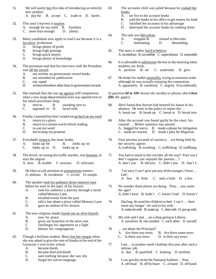- 51. We will surely buy thisidea of introducing an entirely new product
	- A. pay for B. accept C. trade in D. barter.
- 52. This year's harvest is surplus.
	- A. enough for our need B. limitless C. more than enough D. plenty.
- 53. Many candidates new apply to read Law because it is a lucrative profession.
	- A. brings plenty of profit<br>B. brings high prestige
	- brings high prestige
	- C. brings quick money
	- D. brings plenty of knowledge.
- 54. The pressman said that his interview with the President was off the record.
	- A. not written on government record books
	- B. not intended for publication
	- C. not taped
	- D. written elsewhere other than in government records.
- 55. She realised that she was up against stiff competition when a new large departmental store was opened next to her small provisions shop.
	- A. next to B. standing next to
	- C. opposed to D. faced with.
- 56. Finally,I assured him that I would not go back on myword A. return to a place
	- B. return to a certain world which reading
	- C. re-use my word
	- D. fail to keep my promise.
- 57. Everybody respects the team leader.
	- A. looks up for B. looks up on C. looks up to D. looks up at.
- 58. The driver, on seeing the traffic warden, was hesitant to start the engine. A. slow B. unable C. anxious D. reluctant.
- 59. He likes to call attention to unimportant matters. A. dubious B. incidental C. trivial D. simple.
- 60. The speaker took his audience down memory lane before he went to the topic of his lecture.
	- A. took his audience a journey through a street called Memory Lane.
	- B. recalled events from the past
	- C. told a late about a place called Memory Lane
	- D. gave an outline of his lecture.
- 61. The new religious leader hands out an olive branch.
	- A. sues for peace
	- B. gives out branches of the olive tree.<br>C. challenges his opponents to a fight
	- challenges his opponents to a fight
	- D. blesses his congregation.
- 62. Though a brilliant student, Binta lost her tongue when she was asked to give the vote of thanks at the end of the Governor's visit to her school.
	- A. became dumb.
	- B. became deaf and dumb<br>C. said nothing because s
	- C. said nothing because she was shy<br>D. forgot her native language.
	- forgot her native language.
- 63. The accounts clerk was jailed because he cooked the books.
	- A. set fire to the account books
	- B. sold the books in his office to get money for food
	- C. falsified the accounts to his advantage<br>D. destroyed the account books by cooking
	- destroyed the account books by cooking them.
- 64. The task was Herculean.
	- A. irregular B. related to Hercules
	- C. stimulating D. demanding.
- 65. The story is rather hard to believe. A.incedulous B.incredible C.superstitious D. untenable
- 66. It is advisable to administer the test in the morning when students are fresh.<br>A. perform B. set C. undertake D. give.
- 67. He broke his mallet ostensibly trying to maintain order although he was actually enjoying the commotion. A. apparently B. carelessly C. angrily D accidentally.

*In question 68 to 100 choose the word(s) or phrase which best fills the gap(s)*

- 68. Jibril found that thieves had entered his house in his absence. He went to the police to report the … A. break out B. break up C. break in D. break into
- 69. After the accused was found guilty by the court, his counsel…. Before sentence was passed. A. begged for mercy B. made a please for mitigation C. made an ovation D. made a plea for Migation.
- 70. Four persons accused of currency… are being held by the security agents A. traficking B. traviking C. trafficking D. traffiking.
- 71. You had to stand in the corridor all the way? Poor you I don't suppose you enjoyed the journey…? A. don't you B. did you C. didn't you D. don't I.
- 72. 'I m sorry I can't give you any of the oranges, I have … Left', A. few B. little C. only a little D. a few.
- 73. No wonder those plants are dying. They… any water for ages! A. didn't have B. hadn't C. haven't had D. haven't
- 74. Darling, do send the children to bed. I can't … their noise any longer', he said to his wife. A.makedowith B.makeup C. dealwith D. put upwith.
- 75. My wife and I met… on a shop going to Liberia. A. ourselves B. one another C. each other D. ourself.
- 76. … yet about the Principal?
	- A. Are there any news B. Are there some news<br>C. Is there any news D. Is their any news.
	- C. Is there any news.
- 77. I am… to another week's holiday this year after such a tedious job. A. due B. qualified C. looking D. entitled.
- 78. I can quickly recite the National Anthem… Now A. off head B. off by heart C. at hand D. off hand.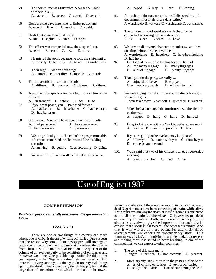- 79. The committee was frustrated because the Chief withheld his … A. accent B. access C. assent D. ascent.
- 80. Gone are the days when the … Enjoy patronage. A. would B. will C. used to D. could.
- 81. He did not attend the final burial… A. rite B. rights C. rites D. right
- 82. The officer was compelled to… the suspect's car. A. seize B. cease C. sieze D. sease.
- 83. He missed the point because he took the statement … A. literally B. literarily C. literacy D. uniliterally.
- 84. Their high … was an advantage A. moral B. morality C. morale D. morals
- 5. The brave officer ….the time bomb A. diffused B. devused C. defused D. difused.
- 86. A number of suspects were paraded… the victim of the robbery.
- A. in front of B. before C. for D. to 87. If you want peace, you … Prepared for war. A. had better B. have better C. had better got D. had better get.
- 88. If only we… We could have overcome the difficulty. A. had persevered B. have persevered C. had persevere D. persevered.
- 89. We are gradually … to the end of the programme this afternoon, remarked the chairman of the wedding reception. A. arriving B. getting C. approaching D. going.
- 90. We saw him… Over a wall as the police approached

A. leaped B. leap C. leapt D. leaping.

- 91. A number of doctors are not so well disposed to … In government hospitals these days…they? A. working/do B. work/are C. working/are D. work/aren't.
- 92. The only set of loud speakers available… To be connected according to the instruction. A. is B. are C. were D. have
- 93. We later on discovered that some members… another meeting before the one advertised. A. were holding B. have held C. have been holding D. had held. 94. He decided to wait for the bus because he had
	- A. too many luggage B. many luggages C. a lot of luggage D. plenty luggages
- 95. Thank you for the party, we really…. A. enjoyed ourselves B. enjoyed C. enjoyed very much D. enjoyed to much
- 96. We were trying to study for the examinations lastnight when the lights… A. weretaken away B. cameoff C. quenched D.went off.
- 97. When he had arranged the furniture, he… the picture on the wall. A. hanged B. hung C. hang D. hunged.
- 98. If forgot to bring a pen with me. Would you please... me yours? A. borrow B. loan C. provide D. lend.
- 99. If you are going to the market, may I…please? A. follow you B. come with you C. come by you D. come as your second
- 100. Wada said that two of his chickens … eggs yesterday morning. A. layed B. lied C. laid D. lai

# Use of English 1987

#### **COMPREHENSION**

*Read each passage carefully and answerthe questionsthat follow*

#### **PASSAGE I**

There are one or two things this country can teach others, one ofwhich isthe art of writing obituaries. One suspects that the reason why some of our newspapers still manage to break even is because of the great amount of revenue they derive from obituaries. It is not unusual for about one quarter of the volume of an average daily to be constituted of obituaries and *in memoriam* alone. One possible explanation for this, it has been argued, is that Nigerians value their dead greatly. And there is a saying amongst us that you do not say evil things against the dead. This is obviously the philosophy behind the large dose of encomiums with which our dead are bestowed.

From the evidences of these obituaries and *In memoriam*, every dead Nigerian must have been something of a saint while alive. This would explain why the death of most Nigerians is attributed to the evil machinations of the wicked. Only very few people in our country die natural death, and even when they do, the obituaries etc. always give the impression that such deaths constitute the saddest loss to befall the deceased's family. And that is why writers of these obituaries and their allied advertisements are experts on 'mortuary stylistics'. This 'mortuary stylistics', the study in the art of eulogizing the dead and making their loss sound so heart breaking, is one of the commodities we can export to other countries.

- 1. The tone of this passage is A. angry B.satirical C. non-commital D. pleasant.
- 2. Mortuary 'stylistics' as used in the passage refers to the A. art of writing obituaries B. text of obituaries
	- C. study of obituaries D. art of eulogizing the dead.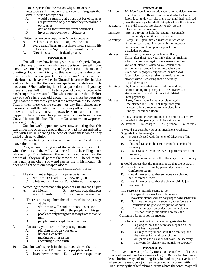- 3. 'One suspects that the reason why some of our newspapers still manage to break even ...' Suggests that some Nigerian newspapers
	- A. would be running at a loss but for obituaries
	- B. are patronized only because they specialize in obituaries
	- C. derive all their revenue from obituaries<br>D. invest huge revenue in obituaries.
	- invest huge revenue in obituaries.

4. Obituaries are very popular in Nigeria because

- A. evil things are not said against the dead
	- B. every dead Nigerian must have lived a saintly life
	- C. only very few Nigerians die natural deaths
	- D. Nigerians value their dead greatly.

#### **PASSAGEII**

'You all know how friendlywe are with Okperi. Do you think that any Umuaro man who goes to prison there will come back alive? But that apart, do you forget that this is the moon of planting? Do you want to grow this year's crops in the prison house in a land where your fathers owe a cow? I speak as your elder brother. I have travelled in Olu and I have travelled in Igbo, and I can tell you that there is no escape from the white man. He has come. When suffering knocks at your door and you say there is no seat left for him, he tells you not to worry because he has brought his own stool. The white man is like that. Before any of you're here was old enough to tie a cloth between the legs I saw with my own eyes what the white man did to Abame. Then I knew there was no escape. As day light chases away darkness so will the white man drive away all our customs. I know that as I say it now it passes by your ears, but it will happen. The white man has power which comes from the true God and it burns like fire. This is the God about whom we preach every eighth day. ….

Unachukwu's opponents were now shouting that this was a meeting of an age group, that they had not assembled to join with him in chewing the seed of foolishness which they called their newreligion.

'We are talking about the white man'sroad, 'said a voice above the others.

'Yes, we are talking about the white man's road. But when the roof and the walls of a house fall in, the ceiling is not left standing. The white man, the new religion, the soldiers, the new road – they are all part of the same thing. The white man has a gun, a matchet, a bow and carries fire in his mouth. He does not fight with one weapon alone'.

(Taken form Chinua Achebe's Arrow of God)

- 6. The dominant subject of this passage is the<br>A. white man's road B. new religion
	- A. white man'sroad B. new religion
	- C. white man'sinfluence D. white man's weapons.
- 7. According to the passage, the people of Umuaro and Okperi A. are friends B. are only acquaintances
	- C. are no friends D. can never be enemies.
- 8. 'There is no escape from the white man' in the passage means that the
	-
	- A. white man will send the people to prison<br>B. white man can kill all the people with his B. white man can kill all the people with his gun<br>C. exposure only trying to run away from the white people are only trying to run away from the white man
	- D. people must accept the white man.
- 9. 'Passes by your ears' in the passage means
	- A. piercing through your ears.<br>B. listening eagerly
	- B. listening eagerly<br>C. making no impre
	- making no impression
	- D. accepting as the truth.
- 10. Unachukwu's speech in this passage shows that he
	- A. is a coward B. wants his people to suffer<br>C. loves the white man D. is wise with exper
	- loves the white man D. is wise with experience.
- **PASSAGEIII** Manager: Mr. Mbu, I would not describe you as an inefficient worker, I therefore find it difficult to understand why the Conference Room is so untidy, in spite of the fact that I had reminded you of the meeting scheduled to take place there this afternoon. Secretary: Sir, I did instruct the cleaner to tidy up the place before the meeting. Manager: Are you trying to hold the cleaner responsible for the untidy condition of the room? Secretary: Partly, Sir, I gave him an instruction which he failed to carry out. It is certainly my intention to make a formal complaint against him for dereliction of duty. Manager: And would you wash your hands off any blame after that? Do you think that just making a formal complaint against the cleaner absolves you of all blame? When do you consider an assignment as properly executed: when the execution is properly supervised or not? Was it sufficient for you to give instructions to the cleaner without ensuring that he actually carried them out? Secretary: Sir, I do not see what else I could have done, short of doing the job myself. The cleaner is a six-footer and I could not have intimidated him physically. Manager : I see, I await your formal complaint against the cleaner, but I shall not forget that you allowed a board meeting to take place in an untidy Conference Room. 11. The relationship between the manager and his secretary, as revealed in the passage, could be said to be A. strained B. charged C. personal D. cordial. 12. 'I would not describe you as an inefficient worker…' Suggests that the manager A. is quite pleased with the level of diligence of his secretary. B. has had cause in the past to complain against his secretary C. is dissatisfied with the level of performance of his secretary D. is non-commital over the efficiency of his secretary.
	- 13. It would appear that the manager feels that the secretary A. should have, if possible, personally cleaned the
		- Conference Room.
		- B. should have ensured that someone else cleaned the Conference Room
		- C. should have ensured that the cleaner did his job
		- D. is a coward
	- 14. The secretary's attitude seems to be
		- A. Manager Sir, you employed this huge and recalcitrant cleaner and I am not going to do his job for him.
		- B. 'It is not the duty o f a secretary to enforce the instructions he gives to his junior workers'
		- C. 'I am a secretary by profession, not a cleaner
		- D. The is not terribly important how tidy the
		- Conference Room is for the meeting.
	- 15. The last comment by the manager suggests that he
		- A. is going to hold the secretary responsible for what has happened
		- B. is likely to reprimand both the secretary and the cleaner for dereliction of duty
		- C. will punish the cleaner but warn the secretary
		- D. will warn the cleaner and punish he secretary.

#### **PASSAGEIV**

Primitive man was probably more concerned with fire as a source of warmth and as a means of light. Before he discovered less laborious ways of making fire, he had to preserve it, and whenever he went on a journey he carried a firebrand with him. His discovery that the firebrand, from which the torch maywell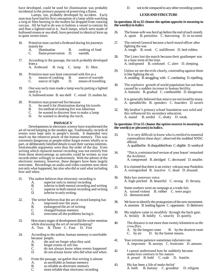have developed, could be used for illumination was probably incidental to the primary purpose of preserving a flame.

Lamps, too, probably developed by accident. Early man may have had his first conception of a lamp while watching a twig or fibre burning in the molten fat dropped from roasting carcass. All he had to do was to fashion a vessel to contain fat and float a lighted reed in it. Such lamps, which were made of hollowed stones or sea-shell, have persisted in identical form up to quite recent times.

16. Primitive man carried a firebrand during hisjourneys mainlyfor

| $\mathbf{A}$ | illumination       | cooking of food |
|--------------|--------------------|-----------------|
|              | flame preservation | warmth.         |

17. According to the passage, the torch probably developed from a<br>A. firebrand B. twig C. lamp D. fibre.

- 18. Primitive man was least concerned with fire as a<br>A. means of cooking B. source of warmth
	- A. means of cooking B.
	- C. source of light D. means of travelling
- 19. One way earlyman made a lamp was by putting a lighted reed in a A. hollowed stone B. sea shell C. vessel D. molten fat.
- 20. Primitive man preserved fire because
	- A. he used it for illumination during his travels<br>B. his method of making fire was laborious
	- B. his method of making fire was laborious<br>C. he wanted to discover how to make a lan
	- C. he wanted to discover how to make a lamp<br>D. he wanted to develop the torch.
	- he wanted to develop the torch.

#### **PASSAGE V**

Developments in electronic science have transformed the art of record keeping in the modern age. Traditionally, records of events were kept only in people's minds. It depended very much on the retentive power of the human memory. This was extremely dangerous as people either forgot events wholly or in part, or deliberately falsified details to suit their various interests. Interminable arguments were thus the order of the day. Even writing which replaced mental recording was not entirely free from these shortcomings as untruths could be written as true records either willingly or inadvertently. With the advent of the electronic memory, however, these dangers have been largely overcome. Recordings on audio and video cassettes now show not only what happened, but also who did orsaid what including how and when.

- 21. The author believes that electronic recording is
	- A. superior only to mental recording<br>B. inferior to both mental recording a
	- B. inferior to both mental recording and writing<br>C. superior to both mental recording and writing
	- C. superior to both mental recording and writing<br>D. inferior to only writing.
	- inferior to only writing.
- 22. The writer believes that the art of record keeping has A. improved over the years<br>B. endangered the art of write
	- B. endangered the art of writing<br>C. changed human memory
	- C. changed human memory<br>D. overcome all the problem
	- overcome all the problems facing it.
- 23. Howmanystages of development did the writer mention while discussing the art of record keeping? A. Two B. Three C. Four D. Five
- 24. According to the author, human memory is unreliable because people.
	- A. die and we forget what they said.<br>B. forget events or tell lies
	- B. forget events or tell lies<br>C. do not always know wh
	- C. do not always know when events happened<br>D. do not always know who did what and when.
	- do not always know who did what and when.
- 25. From the passage, we gather that writing is almost
	- A. as unreliable as human memory<br>B. as reliable as electronic memory
	- B. as reliable as electronic memory<br>C. more reliable than electronic rec more reliable than electronic recording

D. not to be compared to anyother recording system.

#### **LEXISANDSTRUCTURE**

#### **In questions 26 to 32 choose the option** *opposite in meaning* **to the word(s) in italics**

- 26. The house-wife was *hard up* before the end of each month. A. upset B. penniless C. borrowing D. in no need.
- 27. The retired General became a *hard-nosed* officer after fighting the war. A. tough B. weak C. indifferent D. bed-ridden.
- 28. The Lions lost the match because their goalkeeper was in a *haze* most of the time. A. indisposed B. confused C. alert D. sleeping.
- 29. Unless we see the evils clearly, *contending* against them islike fighting the air. A. avoiding B.struggling with C. combating D.repelling.
- 30. The *explosive* growth of world population has not been caused by a sudden increase in human fertility. A. fantastic B. gradual C. combustible D. dangerous.
- 31. It is generally believed that *misers* are not loved bymany. A. spendthrifts B. spenders C. hoarders D. savers
- 32. My brother's primary school foundation was *solid* and this influenced his secondary education. A. sound B. sordid C. shaky D. weak.

#### **In questions 33 to 55 choose the** *option nearest in meaning* **to the word(s) or phrase(s) in italics.**

- 33. 'It is very difficult to know who is *entitled* to essential commodities these days', observed the mobbed NNSC official. A. qualifiedfor B.disqualifiedfrom C.eligible D.worthyof
- 34. 'Thisis a *miniaturized* version of your house' remarked the Architect. A. compressed B. abridged C. decreased D.smaller.
- 35. It is claimed that there is an *extinct* volcano near Pankshin A. extinguished B. inactive C. dead D. disused.
- 36. Bola has *sonorous* voice. A. high-pitched B. beautiful C. strong D. throaty.
- 37. Some workers went on rampage at a trade-fair. A. turned violent B. robber C. were angry D. demonstrated.
- 38. We have to identify the *protagonists* of the new movement. A. enemies B. leading figures C. opponents D.Believers
- 39. My nephew came in *stealthily* through the back gate. A. briskly B. boldly C. wearily D. quietly.
- 40. The distance is not more than twenty kilometres as *the crowflies*. A. by the longest route B. by the shortest route C. by air D. by the fastest means.
- 41. Your extreme patience sometimes *infuriates* me. A. impresses B. annoys C. frustrates D. amuses.
- 42. I cannot understand how he suddenly became *audacious* contrary to his nature. A. proud B. bold C. rude D. hostile.
- 43. His has been a life of *make-belief* A. faith B. fantasy C. grandeur D. religion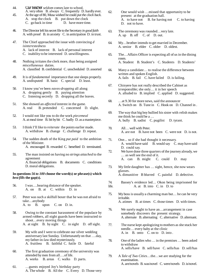- 44. Our teacher *seldom* comes late to school. A. veryoften B. always C. frequently D. hardlyever. 45. At the age of 80, Musa wished he could *put the clock back*.
	- A. stop the clock B. put down the clock C. go back in time D. have more time.
- 46. TheDirector left hissecret file to theSecretary *in good faith* A. with proof B. in anxiety C. in anticipation D. in trust.
- 47. The Chief approached the issue with convincing *d isinterestedness* A. lack of interest B. lack of personal interest C. inability to be interested D. unwillingness.
- 48. Nothing irritates the clerk more, than being assigned *miscellaneous* duties. A. classified B. confidential C. unscheduled D. assorted
- 49. It is of *fundamental* importance that one sleeps properly. A. undisputed B. basic C. special D. least.
- 50. I know you've been *eaves-dropping* all along A. dropping gently B. paying attention C. listening secretly D. dropping all the leaves.
- 51. She showed an *affected* interest in the game. A. real B. pretended C. concerned D. slight.
- 52. I would not like you to do the work *piecemeal* A. atmeal time B. bit bybit C. badly D. as amasterpiece.
- 53. I think I'll like to *reiterate* the points earlier made. A. withdraw B. change C. challenge D. repeat.
- 54. The sudden death of the King *put paid* to the ambition of the Minister. A. encouraged B. rewarded C. benefited D. terminated.
- 55. The man insisted on having no *strings attached* to the agreement A.financial obligations B. documents C. conditions D. moral obligations.

#### **In questions** *56 to 100* **choose the word(s) or phrase(s) which** *best fills* **the gap(s).**

- 56. I was….hearing distance of the speaker. A. on B. at C. within D. in
- 57. Peter was such a skilfull boxer that he was not afraid to take…anybody A. to B. upon C. on D. in.
- 58. Owing to the constant harassment of the populace by armed robbers, all night guards have been instructed to shoot…every moving things A. at sight B. by sight C. in sight D. off sight.
- 59. My wife and I were to celebrate our silver wedding anniversary last Sunday. Unfortunately on that ….day, my father-in-law died mysteriously. A. fruitless B. faithful C. futile D. fateful
- 60. The first graduation ceremony of the university was attended bymen from all….of life. A. works B. areas C. walks D. parts.
- 61. …guests enjoyed Joy's birthday party A. The whole B. All the C. Every D. Those very
- 62. One would wish …missed that opportunity to be present at the graduation hall. A. to have not B. for having not C. to having D. not to have.
- 63. The ceremony was rounded…very late. A. up B. off C. of D. out.
- 64. My…brother intends to get married in December. A. senior B. elder C. older D. oldest.
- 65. The…Affairs Officer is expecting all of us in the dining room. A. Student B. Student's C. Students D. Students'
- 66. Many a candidate… to realise the difference between written and spoken English. A. fails B. fail C. have failed D. is failing.
- 67. Chinyere has not really described the Cabinet as irresponsible; she only… it in her speech A. alluded to B. implied C. applied D. suggested.
- 68. …at 9.30 for more news, said the announcer A. Switch on B. Tune in C. Hook on D. Channel in .
- 69. The way that big boy bullied hissister with relish makes me think he could be a … A. bully B. sadist C. pugilist D. tyrant.
- 70. All…well with Peter. A. are not B. have not been C. were not D. is not.
- 71. One... so if she had thought it necessary. A. would have said B. would say C. may have said D. could say. 72. We have done three quarters of the journey already, we
- … as well see the end of it. A. can B. might C. could D. may
- 73. My little daughter has … sight, hence, she now wears glasses. A. dimunitive B blurred C. painful D. defective.
- 74. Bassey's evidence led... Okon being imprisoned for life.<br>A. at B. into C. in D. to A. at B. into C. in D. to
- 75. My boss is usually a charming man but… he can be very irritable. A. atimes B. at times C. those times D. with times.
- 76. We surely ought to have an…arrangement in case somebody discovers the present strategy. A. alternative B. alternating C. alternative D. alternant.
- 77. The nurse kept apologizing to mothers as she stuck her needle… every baby at the clinic A. in B. onto C. on to D. into .
- 78. One of the ladies who … in the premises … been asked to withdraw A. sells/have B. sell/have C. sells/has D. sell/has
- 79. A *Tale of Two Cities*…the…we are studying for the examination. A. are/novels B.was/novel C. were/novels D. is/novel.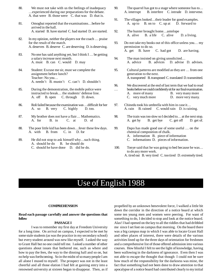- 80. We must not take with us the feelings of inadequacy ... experienced during our preparations for the debate. A. that were B. those were C. that was D. that is.
- 81. Omogbai reported that the examinations…before he arrived in the hall. A. started B. have started C. had started D. are started.
- 82. In my opinion, neither the players nor the coach … praise for the result of the match. A. deserves B. deserve C. are deserving D. is deserving.
- 83. No one has said anything yet, but I think I … be getting a salary increase next month. A. must B. can C. would D. may
- 84. Student: Excuse me sir, must we complete the assignment before lunch? Teacher: No you… A. needn't B. mustn't C. can't D. shouldn't
- 85. During the demonstration, the mobile police were instructed to break… the students' defense line. A. off B. open C. through D. down.
- 86. Roli failed because the examination was ... difficult for her A. so B. very C. highly D. too.
- 87. My brother does not have a flair... Mathematics.<br>A for B in C at D of A. for B. in C. at
- 88. The poor little kid has been down…fever these few days. A. with B. from C. in D. for
- 89. He did not stop to ask himself why…such thing. A. should he do B. he should do C. should he have done D. did he do.
- 90. The quarrel has got to a stage where someone hasto… A. interrupt B. interfere C. intrude D. intervene.
- 91. The villages looked…their leader for good examples. A. up to B. on to C. up at D. forward to
- 92. The hunter brought home…antelope A. alive B. a life C. alive D. a living.
- 93. Do not take my books out of this office unless you… my permission to do so. A. get B. have C. had got D. are having.
- 94. The man insisted on giving unsolicited… A. advice B. advices D. advise D. advises.
- 95. Cultural patterns are modified asthey are … from one generation to the next. A.transported B.transposed C.translated D.transmitted.
- 96. We discovered at the end oflast term that we had to read
- ... books before we could confidently sit for our final examination. A. more of many B. very many more
	- C. very much more D. more very many.
- 97. Chinedu took his umbrella with him in case it… A. rain B. rained C. would rain D. is raining.
- 98. The train was too slow so I decided to... at the next stop. A. get by B. get bye C. get off D. get of.
- 99. Dapo has made good use of some useful … on the chemical composition of chalk. A. information B. piece of information C. informations D. pieces of information.
- 100. Tonye said that he was going to bed because he was… to do anymore work.

A. tired out B. very tired C. tootired D. extremely tired.

# Use of English 1988

#### **COMPREHENSION**

## **Read each passage carefully and answer the questions that follow**

#### **PASSAGE I**

I was to remember my first day at Freedom University for a long time. On arrival on campus, I expected to be met by some stale students (as was the practice in my secondary school) but every student around was new like myself. I asked the way toGrant Hall but no one could tell me. I asked a number of other questions about issues that bothered me, such as where and how to pay the fees, the way to the dinning hall and so on, but no help was forthcoming. So in the midst of so many people I am all alone I mused to myself. The prospect was not in the least cheerful and all those elation I had felt at gaining entry into a renowned university at sixteen began to disappear. Then, as if propelled by an unknown benevolent force, I walked a little bit down the corridor in the direction of a notice board at which some ten young men and women were peering. For want of something to do, I decided to stop and look at the notice board. Alas! I had opened on the key to all the riddles that had dribbled me since I set foot on campus that morning. On the board there was a big campus map in which I was able to locate Grant Hall and other places of interest, there were details of the various activities lined up for the three days of orientation for freshmen and a comprehensive list of those offered admission into various courses. How blissful I felt to see the light of knowledge, having been wallowing in the darkness of ignorance. Even then I was not able to escape the thought that though I could not be sure how much of the responsibility for the darkness was mine, the fact that something had not been done to draw attention to that apocalypse of a notice board had contributed clearly to myinitial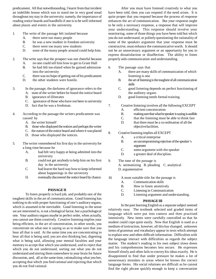predicament. All that notwithstanding, I learnt fromthat incident an indelible lesson which was to stand me in very good stead throughout my stay in the university: namely, the importance of reading notice boards and handbills if one is to be well informed about places and events in the university.

- 1. The write of the passage felt isolated because
	- A. there were too many people
	- B. he was a new student in freedom university
	- C. there were too many new students
	- D. none of the many people around could help him.
- 2. The write says that the prospect was not cheerful because
	- A. no one could tell him how to get to Grant Hall B. he had felt too elated when he gained admission
	- into the university
	- C. there was no hope of getting out of his predicament
	- D. the other students were hostile.
- 3. In the passage, the darkness of ignorance refers to the
	- A. state of the writer before he found the notice board
	- B. ignorance of illiterates
	- C. ignorance of those who have not been to university
	- D. fact that he was a freshman.
- 4. According to the passage the writers predicament was caused by
	- A. the writer himself
	- B. those who displayed the notices and perhaps the writer
	- C. the nature of the notice board and where it was placed
	- D. those who displayed the notices.
- 5. The writer remembered hisfirst day in the university for a long time because he
	- A. had felt very happy at being admitted into the university
	- B. could not get anybody to help him on his first day in the university
	- C. had learnt the hard way howto keep informed about happenings in the university
	- D. eventually discovered the notice board by chance.

# **PASSAGEII**

To listen properly is hard job, and probably one of the toughest skills in the art of communication. Good listening has nothing to do with proper functioning of one's auditory organs, which is assumed to be inevitable. Good listening in the sense we are interested in, is not a biological factor, but a psychological one. Your auditoryorgans maybe in perfect order, when actually, you cannot use them creatively. Creative listening implies your being efficient, in the art of concentration, in other words, you concentrate on what one is saying so as to make sure that you hear all that is said. At the same time you are concentrating to hear all that is being said, you are also thinking fast, digesting what is being said, allowing your mental faculties and your memory to accept that which you understand, and to reject that which you do not understand, sorting out what you do not understand and storing them somewhere in your brain for future discussion, and, all at the same time, rationalizing what you her, accepting that which you find rational and rejecting that which you do not find rational.

After you must have listened creatively to what you have been told, then you can respond if the need arises. It is quite proper that you respond because the process of response enhances the art of communication. But your response ought to be only a necessary response, a response that will improve your understanding. This response should involve your monitoring, some of those things you have been told but which you do not understand, or politely questioning the rationality of some of the speakers argument that your response must be constructive, must enhance the communicative worth. It should not be an unnecessary argument or an opportunity for you to express dissatisfaction or disaffection. The ability to listen properly aids communication and understanding.

- 6. The passage says that
	- A. there are many skills of communication of which listening is one
	- B. the art of listening is the toughest of all communication skills
	- C. good listening depends on perfect functioning of the auditory organs
	- D. good listening needs formal training.
- 7. Creative listening involves all the following EXCEPT
	- A. efficient concentration
	- B. making sure that what he speaker is saying is audible
	- C. that the listening must be able to think fast
	- D. that there must be a co-ordination of all the objectivefacilities.
- 8. Creative listening implies all EXCEPT
	- A. a critical enterprise
	- B. an uncompromisingrejection ofthespeaker's argument
	- C. some argument with the speaker
	- D. a greater deal of discipline.

# 9. The tone of the passage is

A. sermonizing B. pleading C. analytical D. argumentative

- 10. A most suitable title for the passage is
	- A. Communication skills
	- B. How to listen attentively
	- C. Listening in Communication
	- D. Listening argument and understanding.

#### **PASSAGEIII**

In the past learning English as a separate subject seemed relatively easy. The textbook selected and graded items of language which were put into context and then practised intensively. New items were carefully controlled so that he student could cope quite easily. Now that English is used as a medium of instruction, however, all this has changed. unknown items of grammar and vocabulary appear in texts which attempt to explain new and often difficult information. Difficulties with the language interact with difficulties as regards the subject matter. The student's reading in his own subject slows down and his comprehension becomes less secure. He expresses himself slowly and often fails to convey his ideas exactly. He is disappointed to find that under pressure he makes a lot of unnecessary mistakes in areas where he knows the correct language forms. His social relations are difficult as he cannot find the right phrase quickly enough to keep a conversation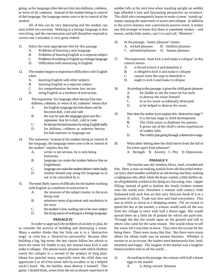going, so his language often betrays him into dullness, coldness, or worst of all, rudeness. Instead of the student being in control of the language, the language seems now to be in control of the student.

All of this can be very depressing and the student can start to feel very anxious. Working in a foreign language is also verytiring, and the concentration and self-discipline required to correct one's mistakes is very great indeed.

- 11. Select the most appropriate title for this passage
	- A. Problems of learning a new language
	- B. Problems of learning English as a separate subject
	- C. Problems of working in English as a foreign language
	- D. Difficulties with interacting in English.
- 12. The student begins to experience difficulties with English when
	- A. learning English with other subjects
	- B. learning English as a separate subject
	- C. his comprehension becomes less secure
	- D. using English as a medium of instruction.
- 13. The expression 'hislanguage often betrays him into dullness, coldness, or worst of all, rudeness' means that
	- A. hisEnglish language lets him down and he becomes dull, cold and rude
	- B. the way he usesthe language gives one the i mpression that he is dull, cold or rude
	- C. hebetrayshisbadmannersbyusingEnglish badly
	- D. his dullness, coldness or rudeness betrays his bad manners in language use.
- 14. The statement 'instead of the student being in control of the language, the language seems now to be in control of the student' implies that the
	- A. writer is not serious, he is only being humorous
	- B. language can make the student behave like an Englishman
	- C. language can make the student behave rather badly
	- D. student should stop using the language so as not to be controlled by it.
- 15. The most likely source of difficulty for the student working with English as a medium of instruction is
	- A. the newness of the subject matter in the texts being read
	- B. unknown items of grammar and vocabularyin the texts
	- C. thestudent'sslowreading rate in his own subject
	- D. the tiring nature of working in a foreign language.

#### **PASSAGEIV**

In order to approach the problem of anxiety in play, let us consider the activity of building and destroying a tower. Many a mother thinks that her little son is in a 'destructive stage' or even has a 'destructive personality' because after building a big, big tower, the boy cannot follow her advice to leave the tower for Daddy to see, but instead must kick it and make it collapse. The almost manic pleasure with which children watch the collapse in a second of the product of long playlabour has puzzled many, especially since the child does not appreciate it at all if his tower falls by accident or by a helpful uncle's hand. He, the builder, must destroy it himself. This game, I should think, arises from the not so distant experience of sudden falls at the very time when standing upright on wobbly legs afforded a new and fascinating perspective on existence. The child who consequently learns to make a tower 'stands up' enjoys causing the same tower to waver and collapse. In addition to the active mastery over a previously passive event, it makes one feel stronger to know that there is somebody weaker – and towers, unlike little sisters, can't cry and call, 'Mummy!'.

- 16. In the passage, 'manic pleasure' means
	- A. wicked pleasure B. children pleasure
	- C. unlimited pleasure D. human pleasure.
- 17. The expression 'must kick it and make it collapse' in this context means
	- A. isforced to kick it and demolish it.
	- B. is obliged to kick it and make it collapse
	- C. cannot resist the urge to demolish it
	- D. ought to kick it and make it collapse
- 18. According to this passage, it gives the child great pleasure
	- A. for Daddy to see the tower he has built
	- B. to destroy the tower himself
	- C. to se his tower accidentally destroyed
	- D. to be helped to destroy the tower.
- 19. Howdoesthe author trytoexplain this'destructive stage'?
	- A. It is the last stage in child development.
	- B. The child wants to displease his parents.
	- C. It grows out of the child's recent experiences of sudden falls.
	- D. The child is just going through a destructive stage.
- 20. What other feeling doesthe child derive from the fall of his tower apart from pleasure?
	- A. Strength B. Anxiety C. Pity D. Depression.

#### **PASSAGE V**

The market was old, timeless Africa, loud, crowded and free. Here, a man sat making sandals from old discarded motorcar tyres, there another worked at an old sewing machine, making a nightgown-like affair while the buyer waited, a little further on, an old goldsmith worked at his dying art, but using, now, copper fillings instead of gold to fashion the lovely trinkets women wear the world over; elsewhere a woman sold country cloth fashioned with such fine art that only Africans think of it as a garment of utility. Trade was slow and loud everywhere. This was as much as social as a shopping centre. For an excuse to spend the day at the market, a woman would walk all the way from her village to town with half a dozen eggs. She would spread them on a little bit of ground for which she paid rent. Through the day she would squat on the ground and talk to others who came for the same reason. She would refuse to sell her wares till it wastime to leave. Theywere the excuse for her being there. There were many like that. But there were many others for whom trade was an earnest business. Whether is earnest or as an excuse, the traders were boisterously free, loudmouthed and happy. The laugher of the market was a laughter found nowhere else in all the world…

- 21. According to the passage, the woman with half a dozen eggsin the market
	- A. is doing earnest business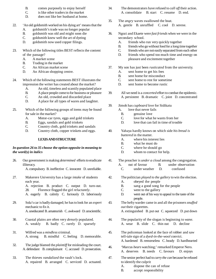- B. comes purposely to enjoy herself
- C. islike other tradersin the market
- D. does not like her husband at home.
- 22. 'An old goldsmith worked on his dying art' meansthat the
	- A. goldsmith's trade was no longer popular
	- B. goldsmith was old and might soon die
	- C. goldsmith knew well the art of dyeing
	- D. goldsmith now used copper filings.
- 23. Which of the following titles BEST reflects the content of the passage?
	- A. A market scene
	- B. Trading in themarket
	- C. An African market scene
	- D. An African shopping centre.
- 24. Which of the following statements BEST illustrates the impression the writer has created about the market?
	- A. An old, timeless and scantily populated place
	- B. A place people come tofor business or pleasure
	- C. An old, crowded and discarded place
	- D. A place for all types of wares and laughter.
- 25. Which of the following groups of items may be found for sale in the market?
	- A. Motor-car tyres, eggs and gold trinkets
	- B. Eggs, sandals and gold trinkets
	- C. Country cloth, gold trinkets and sandals
	- D. Country cloth, copper trinkets and eggs.

# **LEXISANDSTRUCTURE**

# *In question 26 to 35 choose the option opposite in meaning to the word(s) in italics*

26. Our government is making *determined* efforts to eradicate illiteracy.

A. compulsory B. ineffective C. innocent D. unreliable.

27. Makerere University has a large *intake* of students each year. A. rejection B. product C. output D. turn-out.

28. Florence flogged the girl *reluctantly*. A. eagerly B. calmly C. furiously D. laboriously

- 29. Sola's car is badlydamaged; he hasto look for an *expert* mechanic to fix it. A.uneducated B. amateurish C. awkward D.unscientific.
- 30. Coastal plains are often very *densely* populated. A. weakly B. badly C. rarely D. sparsely
- 31. Wilfred was a *mindless* criminal. A. strong B. mindful C. feeling D. memorable.
- 32. The judge blamed the *plaintiff* for misleading the court. A. defendant B. complainant C. accused D. prosecution.
- 33. The thieves *vandalized* the vault's lock. A. repaired B. arranged C. serviced D. actuated.
- 34. The demonstrators have refused to *call off* their action. A. consolidate B. start C. resume D. end.
- 35. The *angry* waves swallowed the boat. A. gentle B. unruffled C. cool D. serene.
- 36. Ngozi and Ekaete were *fast friends* when we were in the secondary school.
	- A. friends who run very quickly together
	- B. friends who go without food for a long time together
	- C. friends who are not easily separated from each other
	- D. friends who spend too much time and energy on pleasure and excitement together
- 37. My son has just been *rusticated* from the university.
	- A. sent home to get his fees
	- B. sent home for misconduct
	- C. sent home to rest for sometime
	- D. sent home to become rustic
- 39. All we need is a *concerted* effort to combat the epidemic. A. persistent B. dramatic C. joint D. concentrated
- 39. Jimoh has *cupboard love* for Sidikatu
	- A. love that never fails
	- B. genuine love
	- C. love for what he wants from her
	- D. love that can fail in time of trouble
- 40. Yahaya hardly knows on which side *his bread is buttered* in the matter.
	- A. where his interest lies
	- B. what he must do
	- C. where he should go
	- D. whom to contact for help.
- 41. The preacher is *under a cloud* among the congregation.
	- A. out of favour B. under observation
	- C. under weather D. confused
- 42. The politician *played to the gallery* towin the election.
	- A. obeyed the people
	- B. sang a good song for the people
	- C. went to the gallery
	- D. went out of his way to appeal to the taste of the people.
- 43. The heftywarder came in and all the prisoners *snuffed out* their cigarettes. A. extinguished B. put out C. squeezed D. put down
- 44. The popularity of the slogan is beginning to *wane.* A. wear B. slide C. thin out D. decline
- 45. The policeman looked at the face of robber and saw tell-tale sign of a *dyed-in-the-wool* convict. A. hardened B.remorseless C. heady D. hardhearted
- 46. 'Marcus *bears* watching;' remarked Emperor Nero. A. deserves B. needs C. favours D. enjoys
- 47. The senior perfect had to *carry the can* because he refused to identify the culprit
	- A. dispose the can of refuse
	- B. accept responsibility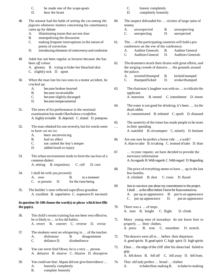- C. be made one of the scape-goats
- D. bear the brunt
- 48. The senator had the habit of *setting the cat among the pigeons* whenever matters concerning his constituency came up for debate
	- A. illuminating issues that are not clear
	- B. monopolizing the discussion
	- C. making frequent interruptions in the nature of points of correction
	- D. introducing elements of controversyand confusion
- 49. Adah has not been regular at lectures because she has been *off colour.*

A. gloomy B. trying to hider her bleached skin C. slightly sick D. upset

- 50. When the man lost his two sons in a motor accident, he *cracked up.*
	- A. became broken-hearted
	- B. became inconsolable
	- C. became slightly daranged
	- D. became temperamental
- 51. The news of his performance in the sessional examination has made Okechukwu *crestfallen.* A. highlyirritable B. dejected C. elated D. pompous
- 52. The man rebuked his son severely, but his words seem to have *cut no ice.*
	- A. been unconvincing
	- B. had no effect
	- C. not cooled the boy's temper
	- D. added insult to injury
- 53. The urban environment tends to form the *nucleus* of a common dialect A. setting B. respository C. cell D. core
- 54. I shall be with you *presently* A. now B. in a moment C. at present D. for the time being
- 55. The builder's taste reflected *superflous* grandeur A. excellent B. superlative C. expensiveD. toomuch

#### **In question 56-100 choose the word(s) or phras which best fills the gap(s).**

- 56. The child's recent training has not been very effective, he islikely to … to his old habits. A. revert B. convert C. reverse D. revise
- 57. The students went on whispering in … of the teacher. A. dishonour B. disagreement C. defiance D. disobedience
- 58. You can never find Okwu; he is a very … person. A. delusive B. elusive C. illusive D. disceptive
- 59. You could see that: Akpan did not give theevidence … A. honestly completely B. complete honestly
- C. honest completely
- D. completely honestly
- 60. The suspect defrauded his … victims of large sums of money. A. unsuspected B. unsuspecting C. unexpecting D. unexpected 61. The … of the participating countries will hold a preconference on the eve of the conference. A. Auditor Generals B. Auditor General C. Auditors General D. Auditors Generals 62. The drummers struck their drums with great efforts, and the surging crowds of dancers … the grounds around the palace. A. strutted/thumped B. kicked/stamped C. thumped/licked D. stroke/thumped 63. The chairman'slaughter was with no … to ridicule the applicant. A. intention B. intend C. intendment D. intent 64. The water is not good for drinking; it's been …. by the dead rabbit. A. contaminated B. infested C.spoilt D. diseased 65. The austerity of the times has made people to be more … in their spending A. watchful B. circumspect C. miserly D. hesitant 66. Are you sure he prefers a horse ride … a walk? A. than to take B. to taking C. instead oftake D. than 67. … to your request, we have decided to provide the necessary information A. As regards B. With regards C. With regard D. Regarding 68. The price of everything seemsto have … up in the last few months. A. climbed B. shot C. risen D. flared 69. Just to convince you about mycommitment to the project. Ishall ... at the office before I leave for Kanotomorrow. A. put up an appearance B. put in an appearance C. put up appearance D. put an appearance 70. There was a ... of steps. A. stair B. height C. flight D. climb. 71. Many young men of nowadays do not know how to properly…. their clothes. A. press B. iron C. smoothen D. stretch. 72. The dancers were all in … before their departure. A. good spirits B. good spirit C. high spirit D. high spirits 73. Ebun ... the edge of the cliff after his shoes had failed to
- grip. A. fell down B. fell off C. fell away D. fell from.
- 74. That old lady prefers … bread … clothes A. to bake/than making B. to bake/to making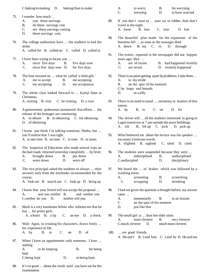|     | baking/than to make<br>$C$ baking/to making $D$ .                                                              |                                                           | A.<br>$\mathsf{C}$                                                                                                                              | to worry<br>worrying                                        | <b>B.</b><br>D. | for worrying<br>to have worried                          |
|-----|----------------------------------------------------------------------------------------------------------------|-----------------------------------------------------------|-------------------------------------------------------------------------------------------------------------------------------------------------|-------------------------------------------------------------|-----------------|----------------------------------------------------------|
| 75. | I wonder how much<br>cost these earrings<br>A.                                                                 | 89.                                                       |                                                                                                                                                 |                                                             |                 | If you don't want to  your car to robber, then don't     |
|     | <b>B.</b><br>do these earrings cost                                                                            |                                                           | travel in the night.                                                                                                                            |                                                             |                 |                                                          |
|     | ${\bf C}$<br>are these earrings costing<br>D.<br>these earrings cost.                                          |                                                           | A. loose                                                                                                                                        | B. loss                                                     | C. lose         | D. lost                                                  |
|     |                                                                                                                | 90.                                                       |                                                                                                                                                 |                                                             |                 | The beautiful plan made for the expansion of the         |
| 76. | The college authorities have  the students to end the<br>strike.                                               |                                                           | A. down                                                                                                                                         | business fell  as soon as the manager died.<br>B. out C. in |                 | D. through                                               |
|     | A. called for B. called on C. called D. called at.                                                             |                                                           |                                                                                                                                                 |                                                             |                 |                                                          |
| 77. |                                                                                                                | 91.                                                       |                                                                                                                                                 |                                                             |                 | The events reported in the newspaper did not happen      |
|     | I have been trying to locate you<br>since five days<br><b>B.</b><br>A.<br>five days now                        |                                                           | years ago; they<br>A.                                                                                                                           | are of recent                                               |                 | B. had happened recently                                 |
|     | $\mathcal{C}$<br>since five days now D.<br>for five days.                                                      |                                                           | $\mathcal{C}$                                                                                                                                   | are recent                                                  |                 | D. recently happened                                     |
| 78. | The host insisted on  what he called 'a little gift.'<br><b>B.</b><br>A.<br>me to accept<br>me accepting       | 92.                                                       | A.                                                                                                                                              | in my stride                                                |                 | There is no point getting upset by problems; I take them |
|     | $\mathsf{C}$<br>D.<br>my accepting<br>my acceptance.                                                           |                                                           | <b>B.</b>                                                                                                                                       | on the spur of the moment                                   |                 |                                                          |
| 79. | The whole class looked forward to  Kainji Dam at                                                               |                                                           | D.                                                                                                                                              | C by leaps and bounds<br>in a jiffy.                        |                 |                                                          |
|     | Christmas.                                                                                                     |                                                           |                                                                                                                                                 |                                                             |                 |                                                          |
|     | A. visiting B. visit<br>C. be visiting<br>D. a visit                                                           | 93.                                                       | nature.                                                                                                                                         |                                                             |                 | There is no need to stand  ceremony in matters of this   |
| 80. | A government spokesman announced that efforts  the<br>release of the hostages are continuing.                  |                                                           | A. by                                                                                                                                           | B. to                                                       | $C.$ on         | D. for                                                   |
|     | A. to obtain<br>B. in obtaining C. for obtaining<br>D. of obtaining                                            | 94.                                                       | The driver will  all the students interested in going to<br>Lagos tomorrow at 7.am outside the main buildings.<br>A. lift<br>B. lift up C. pick |                                                             |                 | D. pick up.                                              |
| 81. | I know you think I'm talking nonsense, Shehu, but                                                              |                                                           |                                                                                                                                                 |                                                             |                 |                                                          |
|     | you'll realize that I was right.                                                                               | 95.<br>What bothered me about the lecture was the speaker |                                                                                                                                                 |                                                             |                 |                                                          |
|     | A. at one time B. on time C. in time D. at times                                                               |                                                           | too many irrelevant words.                                                                                                                      |                                                             |                 |                                                          |
|     |                                                                                                                |                                                           |                                                                                                                                                 | A. slighted B. sighted                                      |                 | C. sited<br>D. cited.                                    |
| 82. | The Inspector of Education who made several trips on<br>the bad roads returned yesterday completely  by fever. | 96.<br>The students were suspended because they were      |                                                                                                                                                 |                                                             |                 |                                                          |
|     | brought down<br><b>B.</b><br>put down<br>A.                                                                    |                                                           | A.                                                                                                                                              | indisciplined                                               | <b>B.</b>       | undisciplined                                            |
|     | $\mathbf C$<br>worn down<br>D.<br>worn off                                                                     |                                                           | C.undiscipled                                                                                                                                   |                                                             | D.              | disciplinary                                             |
| 83. | The vice principal asked the students to always  their<br>answers only from the textbooks recommended for the  | 97.                                                       | crashing noise.                                                                                                                                 | We heard the  of brakes which was followed by a             |                 |                                                          |
|     | course.                                                                                                        |                                                           | A.                                                                                                                                              | screaming                                                   | <b>B.</b>       | screeching                                               |
|     | A. look out B. search out C. look up D. bring up.                                                              |                                                           | $\mathcal{C}$                                                                                                                                   | scrapping                                                   | D.              | streaking                                                |
| 84. | I know that your friend will not accept the proposal<br>and you neither B.<br>and neither you<br>A.            | 98.                                                       | came                                                                                                                                            |                                                             |                 | I had not given the question a thought before; my answer |
|     | C. neither do you D.<br>neither will you.                                                                      |                                                           | A.                                                                                                                                              | momentarily                                                 | <b>B.</b>       | in an instant                                            |
| 85. | Mark is a very handsome fellow who informs me that he                                                          |                                                           | $\mathbf C$ .<br>D.                                                                                                                             | on the spur of the moment<br>just like that                 |                 |                                                          |
|     | has  for pretty girls.<br>A. a heart B. a lip<br>C. an eye D. a check.                                         | 99.                                                       |                                                                                                                                                 | The small girl is  than her elder sister.                   |                 |                                                          |
|     |                                                                                                                |                                                           | A.                                                                                                                                              | more cleverer                                               | B.              | very cleverer                                            |
| 86. | Wale Agun, in creating his characters, draws freely<br>his experience in life.                                 |                                                           | C. much cleverer                                                                                                                                | D.                                                          |                 | much more cleverer.                                      |
|     | B. in<br>C.<br>A. by<br>D. of<br>on                                                                            | 100.                                                      | are good friends.                                                                                                                               |                                                             |                 | A. He and I B. I and him C. I and he D. He and me        |
| 87. | When I have an appointment with someone, I hate<br>waiting                                                     |                                                           |                                                                                                                                                 |                                                             |                 |                                                          |
|     | to be keeping<br>A.<br><b>B.</b><br>for being<br>kept                                                          |                                                           |                                                                                                                                                 |                                                             |                 |                                                          |
|     | C being kept<br>D.<br>in being kept.                                                                           |                                                           |                                                                                                                                                 |                                                             |                 |                                                          |

88. It's no good … about the result until you have sat for the examination.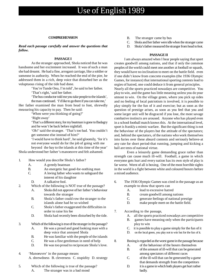# Use of English 1989

#### **COMPREHENSION**

*Read each passage carefully and answer the questions that follow.*

## **PASSAGE I**

Asthe stranger approached, Shola noticed that he was handsome and her excitement increased. It was of such a man she had dreamt. He had a fine, arrogant carriage, like a soldier or someone in authority. When he reached the end of the pier, he addressed them in a rich, deep voice that disturbed her as the voluptuous rising of the tide had done.

'You'reTunde Onu, I'm told', he said to her father.

'That's right,' said her father.

'The bus conductor told me you take people to the islands',

theman continued. 'I'dliketogothereifyoucan takeme,' Her father examined the man from head to foot, shrewdly

measuring his capacity to pay. Then he said:

'When were you thinking of going?'

'Right away'

'That's a different story, for my boatman is gone to Badagry and he won't be back before nightfall.

'Oh!'said the stranger. 'That's too bad. You couldn't get someone else instead of him?'

'I would have to think hard', he said gloomily, 'for it's not everyone would do for the job of going with me

beyond the bay to the islands at this time of the year' Shola understood her father's manoeuvre and felt ashamed.

- 1. How would you describe Shola's father?
	- A. A greedy boatman
	- B. An energetic but good-for-nothing man
	- C. A loving father who wants to safeguard the interest of his daughter
		- D. A talkative fool.
- 2. Which of the following is NOT true of the passage?
	- A. Shola did not approve of her father's behaviour towards the stranger
	- B. Shola's father could row the stranger to the islands alone had he so wished
	- C. Shola's father exaggerated the difficulties in order to raise his fee
	- D. Shola had recently been disturbed by the tide.
- 3. Which of the following is true of the stranger in the passage?
	- A. He was a proud and good looking man with a deep voice that annoyed Shola
	- B. He wasfamiliar with the people of the islands
	- C. He was a fine gentleman in need of help
	- D. He was too proud to reciprocate Shola's love.
- 4. 'Manoeuvre' in the passage means A. shrewdness B. cleverness C. stupidity D. strategy
- 5. Which of the following is true of the passage?
	- A. The stranger was in a bad mood
- B. The stranger came by bus
- C. Shola and her father were idle when the stranger came
- D. Shola's father measured the stranger from head to foot.

# **PASSAGEII**

I am always amazed when I hear people saying that sport creates goodwill among nations, and that if only the common peoples of the world could meet one another at football orsquash, they would have no inclination to meet on the battle field. even if one didn't know from concrete examples (the 1936 Olympic Games, for instance) that international sporting contests lead to orgies of hatred, one could deduce it from general principles.

Nearly all the sports practiced nowadays are competitive. You play to win, and the game has little meaning unless you do your utmost to win. On the village green, where you pick up sides and no feeling of local patriotism is involved, it is possible to play simply for the fun of it and exercise; but as soon as the question of prestige arises, as soon as you feel that you and some larger unit will be disgraced if you lose, the most savage combative instincts are aroused. Anyone who has played even in a school football match knows this. At the international level, sport is frankly a mimic warfare. But the significant thing is not the behaviour of the players but the attitude of the spectators; and, behind the spectators, of the nations who work themselves into furies over these absurd contests and seriously believe-at any rate for short period-that running, jumping and kicking a ball are tests of national virtue.

Even a leisurely game demanding grace rather than strength can cause much ill-will. Football, a game in which everyone gets hurt and every nation has its own style of play is far worse. Worst of all is boxing. One of the most horrible sights in the world is a fight between white and coloured boxers before a mixed audience.

- 6. The 1936 Olympic Games was cited in the passage as an example to show that sports can
	- A. lead to excessive hatred
	- B. create goodwill among nations
	- C. generate feelings of national prestige
	- D. make people meet on the battle field.
- 7. According to the passage,
	- A. all the sports practiced nowadays are competitive
	- B. games have meaning only when the participants play to win
	- C. it is possible to play a game simply for the fun of it
	- D. on the local green, you play not to win but for the fun of it.
- 8. Boxing is regarded as the worst game in the passage because
	- A. of the behaviour of the boxers themselves
	- B. of the amount of ill-will that can be generated among spectators of different races
	- C. of the ill-will that can be generated by a game that demands strength from the competitors
	- D. it is a game in which both players get hurt rather badly.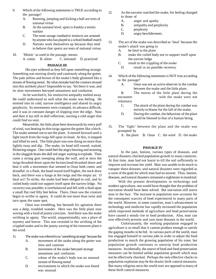- 9. Which of the following statementsis TRUE according to the passage?
	- A. Running, jumping and kicking a ball are tests of national virtue
	- B. At the national level, sport is frankly a mimic warfare
	- C. The most savage combative instincts are aroused by anyone who has played in a school football match
	- D. Nations work themselves up because they tend to believe that sports are tests of national virtue.
- 10. 'Mimic' as used in the passage, means A. comic B. silent C. imitated D. practiced

# **PASSAGEIII**

His eyes widened as they fell upon something strange. Something was moving slowly and cautiously along the gutter. The pale yellow and brown of the snake's body glistened like a stream of flowing metal. By what mistake had the creature strayed into this unlikely place? Impossible to say. Yet there it was; and its slow movements betrayed uneasiness and confusion.

As he watched it, his instinctive antipathy melted away. He could understand so well what the snake was feeling. He entered into its cold, narrow intelligence and shared its angry perplexity. Its movements were cramped, its advance difficult, and it was in constant danger of slipping over the edge. Now and then it lay still in dull reflection, nursing a cold anger that could find no vent.

Meanwhile, the little plant bent downwards by every puff of wind, was beating its thin twigs against the gutter like a birch. The snake seemed not to see the plant. It moved forward until a light touch from the twigs fell upon its head. At this, it stopped and lifted its neck. The little plant was now doing no more than lightly sway and dip. The snake, its head still reared, waited, flickering tongue. One could feel the angryheaving and straining in the sluggish brain-the dull red anger waiting to explode. Then came a strong gust sweeping along the wall, and at once the twigsthrashed down upon the furious head-thrashed down and beat it with a movement that seemed to Osun both comic and dreadful: in a flash, the head reared itself higher, the neck drew back, and there was a lunge at the twigs and the empty air. O fatal act! To strike, the snake had been obliged to coil, and its coiled body could not support itself upon the narrow ledge. No recoverywas possible; it overbalanced and fell with a thud upon a small flat roof fifty feet below. There, Osun saw the creature begin to writhe in agony. It could do not more than twist and turn upon the same spot.

Osun was trembling, but beneath his agitation there was a deep, troubled wonder. Here was the little plant now waving with a kind of jauntycynicism. And there was the snake writhing in agony. The world, unquestionably, was a place of mystery and horror. This was revealed in the writhing of the crippled snake and in the jaunty waving of the innocent plant n the wind.

- 11. The snake was referred to as 'something strange' because the
	- A. movement of the snake along the gutter was slow and cautious
	- B. movement of the snake betrayed strange uneasiness and confusion
	- C. colour of the snake's body was an unusual stream of flowing metal
	- D. environment in which the snake was found was unusual
- 12. Asthe narrator watched the snake, his feeling changed to those of
	- A. anger and apathy
	- B. antipathy and perplexity
	- C. perplexity
	- D. angry bewilderment.
- 13. The act of the snake was described as 'fatal' because the snake's attack was going to
	- A. be fatal to the plant
	- B. make the coiled body not to support itself upon the narrow ledge
	- C. result in the crippling of the snake

D. result in no possible recovery.

- 14. Which of the following statements is NOT true according to the passage?
	- A. Osun was not an active observer in the combat between the snake and the little plant.

B. The moves of the little plant during the encounter with the snake were not voluntary.

- C. The attack of the plant during the combat was entirely to blame for the fall of the snake.
- D. During the combat, the behaviour of the plant could be likened to that of a human being.
- 15. The 'fight' between the plant and the snake was prompted by

A. the plant B. Osun C. the wind D. the snake

#### **PASSAGEIV**

In the past, famine, various types of diseases, and natural disasters checked population growth in many countries. At that time, man had not learnt to till the soil sufficiently to improve and increase her yield. Man was unable to do much to conquer these diseases; and natural disasters were regarded as a curse of the gods for which man had no answer. Thus, famine, diseases, and natural disasters remained a nightmare to mankind.

With the present developments in technology and modern agriculture, one would have thought that the problem of starvation should have been solved. But starvation still stares man in the face. The increase in population now accounts for the consequent scarcity of food experienced in many parts of the world. However, in some countries, man's advancement in technology and medicine has rapidly increased the population while improved methods of agriculture and food preservation have caused a steady rise in food production. Also, man can now effectively prevent and cure most diseases in the world.

Unfortunately, the working population engaged in agriculture is so small that it cannot produce enough to satisfy the gaping mouths to be fed. In various parts of the world, man has engaged himself in various jobs in order to adjust the food production to match the growing population of his zone, but population growth continues to outstrip food production measures. Incidentally, the source of food and food preservation measures can be limited unlike population growth which may not be effectively checked. Perhaps the only effective checks to population explosion may be the drastic birth control measures. But many religious sects the world over are opposed to many of these birth control measures.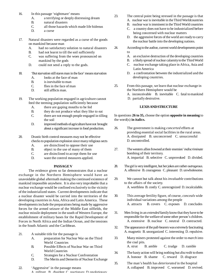- 16. In this passage 'nightmare' means
	- A. a terrifying or deeply distressing dream
	- B. natural disasters
	- C. all those hazards which made life hideous
	- D. a curse
- 17. Natural disasters were regarded as a curse of the goods on mankind because man
	- A. had no satisfactory solution to natural disasters
	- B. had not learnt to till the soil sufficiently
	- C. was suffering from the woes pronounced on mankind by the gods
	- D. could not send a reply to the gods.
- 18. 'But starvation still stares man in the face' means starvation
	- A. looks at the face of man
	- B. isinevitable to man
	- C. flies in the face of man
	- D. still afflicts man.
- 19. The working population engaged in agriculture cannot feed the teeming population sufficiently because
	- A. there are gaping mouths to be fed
	- B. they do not produce what they like to eat
	- C. there are not enough people engaged in tilling the soil
	- D. improved methods of agriculture have not brought about a significant increase in food production.
- 20. Drastic birth control measures may not be effective checks to population explosion since many religious sects
	- A. are disinclined to oppose their use
	- B. object to the use of many of them
	- C. are disinclined to accept them for use
	- D. want the control measures applied.

#### **PASSAGE V**

The evidence given so far demonstrates that a nuclear exchange in the Northern Hemisphere would have an unavoidable global aftermath making the continued existence of mankind impossible anywhere. It is also very improbable that a nuclear exchange would be confined exclusively to the vicinity of the industrialized states. Current developments indicate that a nuclear disaster would be carried into the territories of the developing countries in Asia, Africa and Latin America. These developments include the preparations being made by aggressive forces for the armed seizure of the Middle East oilfields, the nuclear missile deployment in the south of Western Europe, the establishment of military bases for the Rapid Development of Forces in North Africa and the Indian Ocean, and the tensions in the South Atlantic and the Caribbean.

- 21. A suitable title for the passage is
	- A. preparation for Nuclear War on theThird World Countries
	- B. Possible Effects of Nuclear War on Third World Countries
	- C. Strategies for a Nuclear Confrontation
	- D. The Merits and Demerits of Nuclear Exchange
- 22. 'Aggressive' in the passage means A. militant B. dissident C. reactionary D.revolutionary.
- 23. The central point being stressed in the passage is that
	- A. nuclear war is inevitable in the Third Worldcountries
	- B. nuclear war isimminent in theThird World countries
	- C. a country does not have to be industrialized before being concerned with nuclear matters
	- D. the aggressive forces of the world are ready to carry the nuclear battle into the developing nations.
- 24. According to the author, current world developments point to
	- A. an exclusive destruction of the developing countries
	- B. a likelyspread of nuclear calamitytotheThirdWorld
	- C. nuclear exchange taking place in Africa, Asia and Latin America
	- D. a confrontation between the industrialized and the developing countries.
- 25. From this passage, we learn that nuclear exchange in the Northern Hemisphere would be
	- A. inconceivable B. inevitable C. fatal tomankind D. partially destrutive.

# **LEXISANDSTRUCTURE**

In questions **26 to 35,** choose the option **opposite in meaning** to the word(s) **in italics.**

- 26. The government is making *concerted* efforts at providing essential social facilities in the rural areas. A. dissipated B. unconcerned C. unsuccessful D. uncontrolled.
- 27. Thewestern alliesfrownedattheir enemies' *indiscriminate* bombing of their territory. A. impartial B.selective C. unprovoked D. divided.
- 28. Thegirl isveryintelligent, but herjokesare rather *outrageous*. A. offensive B. courageous C. pleasant D. unwholesome.
- 29. We cannot but talk about his *invaluable* contributions to the affairs of the society. A. worthless B. costly C. unrecognized D. incalculable.
- 30. This average fertility figure, of course, *conceals* wide individual variations among the people A. attracts B. covers C. exposes D. concludes
- 31. Men living in an *extended* familyknowthat theyhave to be responsible for the welfare of some other person's children. A. extensive B. nuclear C. neutral D. contracted.
- 32. The appearance of the pall-bearers was *extremely* fascinating A. magnetic B. unorganized C. interesting D. repulsive.
- 33. Manyminers protested against the order to *march* into the coal pits. A. strut B. amble C. trudge D. ramble
- 34. The hasty action will bring nothing but *discredit* to them A. honour B. shame C. reward D. disgrace
- 35. The man's health has *deteriorated* in the hospital A. collapsed B. improved C. worsened D. revived.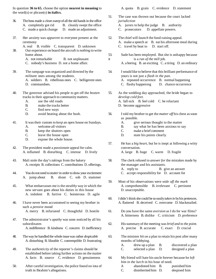In question **36 to 65**, choose the option **nearest in meaning** to the word(s) or phrase(s) **in italics.**

- 36. The boss made a *clean sweep* of all the old handsin the office A. completely got rid B. cleanly swept the office C. made a quick change D. made an adjustment. 37. Her anxiety was *apparent* to everyone present at the ceremony A. real B. visible C. transparent D. unknown 38. Our experience on board the aircraft is *nothing* towrite home about. A. not remarkable B. not unpleasant C. nobody's business D. not a home affair. 39. The rampage was organized and directed by the *militant* ones among the students. A. soldiers B. rebellious ones C. belligerent ones D. commandoes. 40. The governor advised his people to get off the *beaten* tracks in their approach to community matters. A. use the old roads B. make the tracks better C. find new ways D. avoid beating about the bush.
- 41. It wastheir custom to *keep* an open house on Sundays. A. welcome all visitors
	- B. keep the shutters open
	- C. leave the house open
	- D. expose the whole house.
- 42. The president made a *passionate* appeal for calm. A. inflamed B. disturbing C. intense D. lively
- 43. Mali stole the day's *takings* from the bakery A. receipts B. collections C. contributions D. offerings.
- 44. You donot need to *stutter*in ordertoshowyour excitement A. jump about B. shout C. sob D. stammer
- 45. What embarrasses me is the *stealthy* way in which the new servant goes about his duties in this house A. indolent B. furtive C. boisterous D. agile
- 46. I have never been accustomed to seeing my brother in such a *pensive* mood A. merry B. infuriated C. thoughtful D. hostile
- 47. The administrator's *apathy* was soon noticed by all his subordinates A. indifference B. kindness C. concern D. inefficiency
- 48. Theway he handled the whole issuewasrather *despicable* A. disturbing B. likeable C. contemptible D.frustrating
- 49. The *authenticity* of the reporter's claims should be established before taking further actions on the matter A. facts B. source C. evidence D. genuineness
- 50. After careful investigation, the police found no iota of truth in Ibrahim's allegations.

# A. quota B. grain C. evidence D. statement

- 51. The case was thrown out because the court lacked *jurisdiction*
	- A. jurors to help the judge B. authority
	- C. prosecutors D. appellate powers.
- 52. The chief will *launch* the fund-raising appeal. A. make a speech at B. eat his afternoon meal during C. travel by boat to D. start off.
- 53. Sade has been employed. But she is unhappy because it is a *run of the mill* job.
	- A. a boring B. an exciting C. a tiring D. an ordinary
- 54. I would like to believe that this brilliant performance of yours is not just a *flash in the pan*. A. repeated occurrence B. normal happening
	- C. flashy happening D. chance occurrence
- 55. As the wedding day approached, the bride began to *develop cold feet*. A. fall sick B. feel cold C. be reluctant
	-
	- D. become aggressive
- 56. I told my brother to get the *matter off* his chest assoon as possible.
	- A. give serious thought to the matter
	- B. say what he has been anxious to say
	- C. make a brief comment
	- D. state his points clearly.
- 57. He has a *big heart*, but he is inept at following a witty conversation. A. large B. huge C. warm D. fragile
- 58. The clerk refused to *answer for* the mistakes made by the manager and his assistants. A. reply to B. give an answer
	- C. accept responsibility for D. account for
- 59. Most of his observations were *wide off the mark* A. comprehensible B. irrelevant C. pertinent D. unacceptable.
- 60. I didn't think she could be so easily *taken in* byhis pretences. A. flattered B. deceived C. overcome D. blackmailed.
- 61. Do you have the same *aversion* as I do for war films? A. bitterness B. dislike C. criticism D. preference
- 62. Hissummary of the meeting was *brief and to the point*. A. precise B. accurate C. exact D. crucial
- 63. The minister *hit on* a plan to retain his post after many months of lobbying.
	- A. drew up a plan B. discovered a plan
	- C. selected a plan D. designed a plan
- 64. My friend will hate his uncle forever because he *left him in the lurch* in his hour of need.
	- A abandoned him B. punished him C. disinherited him D. despised him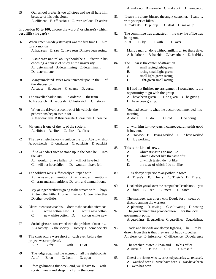65. Our school prefect is too *officious* and we all hate him because of his behaviour. A. efficient B. efficacious C. over-zealous D. active

In question **66 to 100,** choose the word(s) or phrase(s) which **best fill(s)** the gap(s).

- 66. When I met Amadi yesterdayit wasthe first time I … him for six months. A. had seen B. saw C. have seen D. have been seeing.
- 67. A student's natural ability should be a … factor in his choosing a course of study at the university A. determined B. determining C. determinant D. determinate
- 68. Many unrelated issues were touched upon in the … of the discussion A. cause B. course C. coarse D. curse.
- 69. The traveller had to run … in order to … the train. A. first/catch B. fast/cash C. fast/catch D. first/cash.
- 70. When the driver lost control of his vehicle, the pedestrians began to run for … A. their dear lives B. their dearlife C. dearlives D. dearlife.
- 71. My uncle is one of the … of the society. A. elitists B. elites C. elite D. elitist
- 72. The new singlet factoryis built on the …of Aba township A. outstretch B. outskates C. outskirts D. outskirt
- 73. If Kaka hadn't tried to stand up in the boat, he … into the lake. A. wouldn't have fallen B. will not have fell C. will not have fallen D. wouldn't have fell.
- 74. The soldiers were sufficiently equipped with … A. arms and ammunition B. arms and ammunitions C. arm and ammunitions D. arm and ammunitions.
- 75. My younger brother is going to the stream with … boys. A. twoother little B. other little two C. two little other D. other two little.
- 76. Okoro intends to wear his ... dress to the zoo this afternoon. A. white cotton new B. white new cotton C. new white cotton D. cotton white new
- 77. Sociologists are concerned with the problem of man in ... A. a society B. the society C. society D. some society.
- 78. The contractors were short … cash even before the project was completed. A. in B. for C. with D. of
- 79. The judge acquitted the accused… all the eight counts. A. of B. on C. from D. upon
- 80. If we go hunting this week-end, we'll have to … with scratch meals and sleep in a hut in the forest.

A. make up B. make do C.make out D. make good.

- 81. 'Leave me alone'blurted the angry customer. 'I cant … with your price hikes'. A. make do B. put up C. deal D. make up.
- 82. The committee was disgusted … the way the office was being run. A. at B. by C. with D. over.
- 83. Many a man ... done without milk in ... tea these days. A. had/their B. has/his C. have/their D. had/his.
- 84. The ... car is the center of attraction.
	- A. small racing light-green
	- B. racing small light-green
	- C. small light-green racing
	- D. light-green small racing.
- 85. If I had not finished my assignment, I would not … the opportunity to go with the group A. have been given B. be given C. be giving D. have been giving.
- 86. You had better … what the doctor recommended this morning A. done B. do C. did D. be doing.
- 87. … with him for two years, I cannot guarantee his good behaviour. A. Towork B. Having worked C. To haveworked D. Byworking.
- 88. This is the kind of stew ...
	- A. which its taste I do not like
	- B. which I do not like the taste of it
	- C. of which taste I do not like
	- D. the taste of which I do not like.
- 89. … is always superior to any other in town. A. There's B. Theirs C. Their's D. There.
- 90. Ilooked for you all over the campus but I could not …you A. find B. see C. meet D. catch.
- 91. The manager was angry with Dauda for … seeds of discord among the workers.
- A. planting B. sewing C. cultivating D. sowing 92. The government has provided new … for the local government polls.
	- A.guardlines B.guidelines C.guardlines D.guidelines.
- 93. Tsado and his wife are alwaysfighting. The … to be drawn from this is that they are not happy together. A. reference B. inference C. difference D. deference
- 94. The teacher invited Akpan and … to his office A. myself B. me C. I D. himself.
- 95. One of the rioters who ... arrested yesterday ... released. A. was/had been B. were/have been C. was/have been D. were/has been.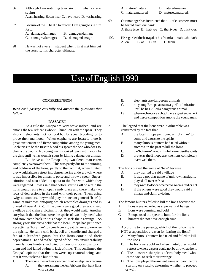96. Although I am watching television, I … what you are saying

A. am hearing B. can hear C. have heard D. was hearing

- 97. Because of the ... he did to my car, I am going to sue him for  $\dots$ 
	- A. damage/damages B. damages/damage
	- C. damages/damages D. damage/damage
- 98. He was not a very … student when I first met him but the years … his character ultimate.
- A. mature/mature B. matured/mature C. mature/matured D. matured/matured.
- 99. Our manager has instructed that … of customers must be barred from our bank. A. those type B. that type C. that types D. thistypes.
- 100. He regarded the betrayal of his friend as a stab...the back A. on B. at C. in D. from

# Use of English 1990

## **COMPREHENSION**

*Read each passage carefully and answer the questions that follow.*

## **PASSAGE I**

As a rule the Emopa are very brave indeed, and are among the fewAfricans who still hunt lion with the spear. They also kill elephants, not for food but for spear blooding, or to prove their manhood. When elephants are located, there is great excitement and fierce competition among the young men. Each tries to be the first to blood his spear: the one who doesso, claimsthe trophy. No young man islooked upon with favour by the girls until he has won his spurs by killing a dangerous animal.

But brave as the Emopa are, two fierce man-eaters completely overawed them. This was partly due to the cunning and boldness of the lions, partly to the fact that, when hunted, they would always retreat into dense riverine undergrowth, where it was impossible for a man to poise and throw a spear. Superstitution had also added its quota to the fear with which they were regarded. It was said that before starting off on a raid the lions would retire to an open sandy place and there make two rows of depressions in the sand with their paws. Then, using twigs as counters, theywould play the ancient game of 'baw' (a game of unknown antiquity, which resembles draughts and is played all over Africa). If the omens were good they would raid a village and claim a victim; if not, they would wait. Another story had it that the lions were the spirits of two 'holymen' who had now come back in this shape to seek their revenge. So stronglywas this view held that the local Emopa had petitioned a practicing 'holyman' to come from a great distance to exorcise the spirits. He came with book, bell and candle and charged a fee of a hundred goats, but the lions continued their depredations. To add to the legend of the lions'invulnerability many famous hunters had tried on previous occasions to kill them and had failed owing to lack of time. This confirmed the Emopa's opinion that the lions were supernatural beings and that it was useless to hunt them.

- 1. The young men of Emopa would hunt for elephants because
- A. they are among the few Africans that hunt lions with a spear
- B. elephants are dangerous animals
- C. no young Emopa attracts a girl's admiration until he has killed a dangerous animal
- D. when elephants are sighted, there is great excitement and fierce competition among the young men.

# 2. The legend that the lions were invulnerable was confirmed by the fact that

- A. the local Emopa petitioned a 'holy man' to come and exorcize the spirits
- B. many famous hunters had tried without success in the past to kill the lions
- C. the'holyman'failedinhisbidtoexorcisethespirits
- D. brave as the Emopa are, the lions completely overawed them.
- 3. The lions played the game of 'baw' because
	- A. they wanted to raid a village
	- B. it was a popular game of unknown antiquity played all over Africa
	- C. theywant todecide whether to go on a raid or not
	- D. if the omens were good they would raid a village and claim a victim.
- 4. The famous hunters failed to kill the lions because the
	- A. lions were regarded as supernatural beings
	- B. lions were cunning and bold
	- C. Emopa used the spear to hunt for the lions
	- D. hunters did not have enough time.
- 5. According to the passage, which of the following is NOT a superstitious reason for fearing the lions?
	- A. Many famous hunters had tried and failed to kill the lions
	- B. The lions were bold and when hunted, theywould retreat towhere a spear could not be thrown at them.
	- C. The lions were the spirits of two 'holy men' who came back to seek their revenge.
	- D. The lions played the ancient game of 'baw' before starting on a raid to determine whether to proceed or wait.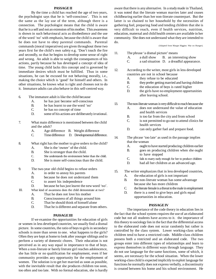### **PASSAGEII**

By the time a child has reached the age of two years, the psychologist says that he is 'self-conscious'. This is not the same as the lay use of the term, although there is a connection. The psychologist means that the child is aware that he is a self and not an extension of hismother. This awareness is shown in such behavioural acts as disobedience and the use of the word 'no' with emphasis, because the child is aware that he does not have to obey parental commands. Parental commands(moral imperatives) are given throughout these two years first for the child's own safety e.g. 'Don't touch the fire and secondly, so that he begins to develop some sense of right and wrong. An adult is able to weigh the consequences of his actions, partly because he has developed a concept of idea of time. The young child lacks this concept and is governed by immediate desires which must be fulfilled. Thus in some situations, he can be excused for not behaving morally, i.e., making the choice which is 'good' for himself and others. In other situations, he knows what is right and chooses not to do it. Immature adults can also behave in this self-centred way.

- 6. The immature adult is like the child because
	- A. he has just become self-conscious
	- B. he has learnt to use the word 'no'
	- C. he has no concept of time
	- D. some of his actions are deliberately irrational.
- 7. What main difference is mentioned between the child and the adult?
	- A. Age difference B. Weight difference
	- C. Time difference D. Developmental difference.
- 8. What right has the mother to give orders to the child?
	- A. She is the 'owner' of the child.
	- B. She is stronger than the child.
	- C. She understands the environment better than the child.
	- D. She is more self-conscious than the child.
- 9. The two-year old child begins to refuse orders
	- A. in order to annoy his parents
	- B. because he does not understand them
	- C. to assert his independence
	- D. because he has just learnt the new word 'no'.
- 10. What kind of awareness does the child demonstrate at two?
	- A. That he does not love his mother
	- B. Consciousness of all things around him
	- C. That he should think of himself alone
	- D. That he is different and separate from others.

#### **PASSAGEIII**

If we examine the opportunities for education of girls or women in less developed countries, we usually find a dismal picture. In some countries, the ratio of boys to girls in secondary schools is more than seven to one. what happens to the girls? Often they are kept at home to look after younger siblings and to perform a variety of domestic chores. Their education is not perceived as in any way equal in importance to that of boys. When a non-literate or barely literate girl reaches adolescence, she has little or no qualification for employment, even if her community provides any opportunity for the employment of women. The solution is to get her married as soon as possible, with the inevitable result that she produces children too soon, too often and too late. With no formal education, she is hardly aware that there is anyalternative. In a studymade in Thailand, it was noted that the literate woman marries later and ceases childbearing earlier than her non-literate counterpart. But the latter is so chained to her household by the necessities of gathering fuel, preparing food and tending children that she is very difficult to reach, even if health services, nutrition, education, maternal and child health centers are available in her community. She does not understand what they are intended to do.

(Adapted from Margot Higgins: War on Hunger).

- 11. The phrase 'a dismal picture' means
	- A. a dull show B. an interesting show
	- C. a sad situation D. a dreadful appearance.
- 12. According to the writer, most girls in less developed countries are not in school because
	- A. they refuse to be educated
	- B. theyprefer getting married and having children
	- C. the education of boys is rated higher
	- D. the girls have no employment opportunities after leaving school.
- 13. The non-literate woman is very difficult to reach because she
	- A. does not understand the value of education and health services
	- B. is too far from the city and from school
	- C. is not permitted to go out to attend clinics for health services
	- D. can only gather fuel and prepare food.
- 14. The phrase 'too late' as used in the passage implies that the woman
	- A. ought to have started producing children earlier
	- B. goes on producing children when she ought to have stopped
	- C. fails to marry early enough for her to produce children
	- D. had all her children at an advanced age.
- 15. The writer emphasizes that in less developed countries,
	- A. the education of girls is not important
	- B. the non-literate woman has some advantage because she has more children
	- C. the literate female is a threat to the male in employment
	- D. there is a need to give boys and girls equal opportunities in education.

# **PASSAGEIV**

The importance of the code theory in education lies in the fact that the school system requires the use of an elaborated code but not all students have access to it. the importance of thistheory to sociology liesin the fact that the differential access to the elaborated code does not occur randomly but rather is controlled by the class system. Lower working-class urban children tend to have a restricted code. Middle-class children possess both a restricted and an elaborated code. The two groups enter into different types of relationships and learn to express themselves in different ways through language. They do not use language for the same functions, some of which, it seems, are necessary for the school situation. When the lower working-class child is expected implicitly to exploit language for functions he normally does not express verbally, a discontinuity is created between his home and his school environment. He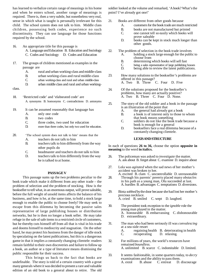has learned to verbalize certain range of meanings in his home and when he enters school, another range of meanings is required. There is, then a very subtle, but nonetheless very real, sense in which what is taught is personally irrelevant for this child. The school system does not talk to him. Middle class children, possessing both codes, experience no such discontinuity. They can use language for those functions required by the school.

- 16. An appropriate title for this passage is
	- A. Language and Education B. Education and Sociology
	- C. Codes and Sociology D. Codes and Education
- 17. The groups of children mentioned as examples in the passage are
	- A. rural and urban working-class and middle-class
	- B. urban working-class and rural middle-class
	- C. urban working-class and rural and urban middle-class
	- D. urban middle class and rural and urban working-
- class.
- 18. 'Restricted code' and 'elaborated code' are A. synonyms B. homonyms C. contradictions D. antonyms
- 19. It can be assumed reasonably that language has
	- A. only one code
	- B. two codes
	- C. three codes, two used for education
	- D. more than three codes, but only two used for education.
- 20. 'The school system does not talk to him' means that the
	- A. teachers do not talk to him
	- B. teachers talk to him differently from the way other pupils do
	- C. headmaster and teachers do not talk to him
	- D. teachers talk to him differently from the way he istalked to at home.

#### **PASSAGE V**

This passage sums up the two problems peculiar to the book trade which make it different from any other trade – the problem of selection and the problem of stocking. How is the bookseller to tell what, in an enormous output, will prove saleable, before the full weight of unsold items affects the balance of his business, and how is he, at the same time, to hold a stock large enough to enable the public to choose freely? He may seek to escape from this dilemma by becoming the passive sales representative of large publishing houses or distribution networks, but he is then no longer a book seller. He may take refuge in the sale of safe items to a restricted circle of customers, but he thereby cuts himself off from all that is vital in his trade and dooms himself to mediocrity and stagnation. On the other hand, he may protect his business from the danger of idle stock by speculating on the latest publications, but this is a dangerous game in that it implies a constantly changing clientele: readers remain faithful to their own discoveries and failure to follow up a book, an author or a type of literature means dismissing the public responsible for their success.

This brings us back to the fact that books are undefinable. The story is told of a certain country with a great manygenerals where it was decided to present a rare and valuable edition of an old book to a general about to retire. The old soldier looked at the volume and remarked, 'A book? What's the point? I've already got one!'

- 21. Books are different from other goods because
	- A. customers for the book trade are much restricted
	- B. books are not manufactured but printed
	- C. one cannot tell so easily which books will
	- prove saleable D. books can be kept in stock much longer than other goods.
- 22. The problem of selection in the book trade involves
	- A. holding a stock large enough for the public to choose from
		- B. determining which books will sell fast
	- C. being a sales representative of large publishing houses<br>D. being able to review the latest publications.
	- being able to review the latest publications.
- 23. How many solutions to the bookseller's problems are offered in this passage? A. Two B. Three C. Four D. Five
- 24. Of the solutions proposed for the bookseller's problems, how many are actually positive? A. Two B. Three C. Four D. None.
- 25. The story of the old soldier and a book in the passage is an illustration of the point that
	- A. the general had already got a book
	- B. a book is of interest only to those to whom that book means something
	- C. soldiers do not like the book trade because a book is enough for a general
	- D. booksellers face a real dilemma because of a constantly changing clientele.

### **LEXISANDSTRUCTURE**

In each of questions **26 to 36,** choose the option **opposite in meaning** to the word **in italics.**

- 26. The policeman was asked to *investigate* the matter. A. ask about B. forget about C. examine D. inquire about
- 27. Lola was *agitated* when the sad news of her mother's accident was broken to her.
- A. excited B. clam C. uncontrollable D. unreasonable 28. Through his parents' poverty placed many *obstacles* in his path as a young man, Olu succeeded at last. A. hurdles B. advantages C. temptations D. diversions.
- 29. Binta *sobbed* bythe door because she had lost her mother's precious necklace. A. cried B. smiled C. wept D. laughed.
- 30. The president took exception to the *ignoble* role the young man played in the matter. A. honourable B. embarrassing C. dishonourable D. extraordinary.
- 31. The man who had been seriously ill was *convalescing* at a sea-side resort A. regaining health B. deteriorating in health C. recuperating D. relaxing. recuperating D. relaxing.
- 32. For millions of years, the world's resources have remained *boundless*. A. unlimited B. scarce C. indomitable D. limited.
- 33. It seems fashionable, in some quarters today, to *decry* examinations and the ability to pass them. A. extol B. abuse C. entreat D. discourage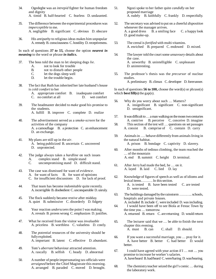34. Ogedegbe was an *intrepid* fighter for human freedom and dignity A. timid B. half-hearted C. fearless D. undaunted.

35. The difference between the experimental procedures was *imperceptible* to me. A. negligible B. significant C. obvious D. obscure

36. His *antipathy* to religiousideas makes him unpopular A.remedy B. consciousness C. hostility D.receptiveness.

In each of questions *37 to 55,* choose the option *nearest in meaning* to the word or phrase *in italics***.**

- 37. The boss told the man to let sleeping dogs *lie*.
	- A. not to look for trouble<br>B. not to disturb other pe
	- B. not to disturb other people<br>C. let the dogs sleep well
	- let the dogs sleep well
	- D. let the trouble begin.
- 38. The fact that Ruth hasinherited her late husband's house is *cold comfort* to her
	- A. appropriate comfort B. inadequate comfort<br>C. no comfort at all D. wet comfort
	- C. no comfort at all
- 39. The headmaster decided to *make* good his promise to the students. A. fulfill B. improve C. complete D. realize

40. The advertisement served as a *smoke-screen* for the activities of the company A. a camouflage B. a protection C. an enhancement D. an exchange.

- 41. My plans are still up in the *air*. A. being publicized B. uncertain C. uncovered D. unprotected.
- 42. The judge always takes a *hardline* on such issues A. complex stand B. simple stand C. uncompromising stand D. difficult stand.
- 43. The case was dismissed for want of *evidence*. A. for want of facts B. for want of opinions C. for insufficient discussions D. for lack of proof.
- 44. That team has become *indomitable* quite recently. A.incorrigible B. disobedient C.unconquerable D. unruly.
- 45. The flock suddenly became *restive* after midday. A. quiet B. submissive C. disorderly D. fidgety
- 46. Your reaction *underscores*the point I was making. A. reveals B. proves wrong C. emphasizes D. justifies.
- 47. What he received from the visitor was *invaluable* A. priceless B. worthless C. valueless D. costly.
- 48. The *potential* resources of the university should be fullyexploited. A. important B. latent C. effective D. abundant.
- 49. Tom's *aberrant* behaviour attracted attention. A. rascally B. selfish C. heady D. abnormal
- 50. A number of people impersonating tax-officials were *arraigned* before the Chief Magistrate this morning. A. arranged B. paraded C. moved D. brought.
- 51. Ngozi spoke to her father quite *candidly* on her proposed marriage A. rudely B. faithfully C. frankly D. respectfully.
- 52. The secretarywas advised to put on a cheerful *disposition* whenever the manager arrives. A. a good dress B. a smiling face C. a happy look D. good make-up.
- 53. The cereal is *fortified* with multi-vitamins. A. enriched B. prepared C. endowed D. mixed.
- 54. The lawyer told the courtsome *unsavoury* details about the case. A. unworthy B. unintelligible C. unpleasant D. uninteresting.
- 55. The professor's thesis was the *precursor* of nuclear studies.

A. preliminary B. climax C. developer D.forerunner.

In each of questions **56 to 100,** choose the word(s) or phrase(s) which **best fill(s)** the gap(s).

- 56. Why do you worry about such … Matters? A. insignificant B. significant C. non-significant D. unsignificant.
- 57. It was difficult to ... a man walking on the moon two centuries A. contrive B. perceive C. conceive D. imagine
- 58. Thissection of the test will … questions on set passages A. consist B. comprise of C. contain D. carry
- 59. Animalsin …. behave differently from animals living in the natural habitat.

A. prison B. bondage C. captivity D. slavery.

- 60. After months of tedious climbing, the team reached the … of the mountain A. end B. summit C. height D. terminal.
- 61. After Jerry had made the bed, he … on it. A. layed B. laid C. lied D. lay
- 62. Knowledge of figures of speech as well as of idioms and lexical items………. In thissection.

A. is tested B. have been tested C. are tested D. were tested.

- 63. The buildings damaged bythe rainstorm ………..schools, hospitals and private houses.
- A. included B. include C. were included D. was including. 64. I would have been off to see Biola at Festac Town by the time you … tomorrow. A. returned B. return C. are returning D. would return
- 65. The lecturer said that we … be able to finish the next chapter this evening. A. must B. can C. shall D. should.
- 66. If you want a successful marriage, you … pray for it. A. have better B. better C. had better D. would better.
- 67. I could have agreed with your action if I … not … you promise to increase he worker's salaries. A. have/heard B. had/heard C.were/haring D.was/hearing.
- 68. The chemistryteacher seized the girl's comic … during the laboratory work.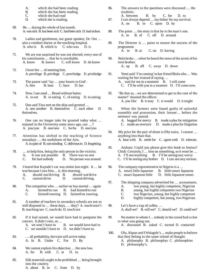- A. which she had been reading
- B. which she has been reading
- C. which she had read
- D. which she is reading.
- 69. He … during the whole of last month. A. was sick B. has been sick C. had been sick D. had sicken.
- 70. Ladies and gentlemen, our guest speaker, Dr. Oni … also a resident doctor at the teaching hospital.<br>A. who is B. which is C. who was D. A. who is B. which is C. who was D. is
- 71. We are not surprised he was not elected; every one of his constituents … that he is unreliable. A. know B. knows C. will know D. do know
- 72. I have the … of meeting him. A. previlege B. privilege C. previledge D. priviledge
- 73. The pastor said 'lay ... your hearts to God'.<br>A. bier B. bear C. bare D. bar A. bier B. bear C. bare D. bar
- 74. Now, I am used … Bread without butter. A. to eat B. in eating C. of eating D. to eating.
- 75. Dan and Tina met on the ship and greeted … A. one another B. themselves C. each other D. theirselves.
- 76. One can no longer take for granted today what … enjoyed in the University some years ago, can …? A. you/you B. one/one C. he/he D. one/you
- 77. Attention has shifted to the teaching of Science nowadays … the usefulness of the Arts. A.inspite of B. notminding C. obliviousto D.forgetting.
- 78. … to help him, being the only person in the vicinity. A. It was not possible B. There was no one C. He had nobody D. No person was around.
- 79. I heard that Kayode's car was stolen last night. It … be true because Isaw him… it, this morning.
	- A. should not/driving B. should not/drive C. cannot/drive D. cannot/driving.
- 80. The competitor who … earlier on has started … again A. fainted/to run B. had fainted/to run C. fainted/running D. fainted/on running.
- 81. A number of teachers in secondary schools are not so well disposed to … these days, … they? A. teach/aren't B. teaching/are C. teach/do D. teach/are
- 82. If it had rained, we would have had to postpone the concert. It didn't rain, so …
	- A. we won't have to B. we would have had to
	- C. we wouldn't have to D. we didn't have to.
- 83. … all probability, the train will arrive today. A. In B. Under C. For D. By
- 84. We cannot explain his objection … the new law. A. for B. with C. at D. to.
- 85. Silk materials ought to be prohibited … being brought into the country. A. about B. in C. from D. by
- 86. The answers to the questions were discussed … the students.
	- A. between B. by C. for D. to
- 87. I can always depend … my father for my survival. A. on B. in C. upon D. by
- 88. The point … the story is that he is the man's son. A. in B. of C. off D. around
- 89. The Director is … pains to ensure the success of the programme.<br>A. in B. at C. on D. having
- 90. Bola broke … when he heard the news of the arrest of his twin brother. A. up B. off C. away D. down
- 91. Yemi said 'I'm coming'to her friend Biola who… Was waiting for her instead of saying … A. wait for me in a moment B. I will come C. I'll be with you in a moment D. I'll come now.
- 92. 'Be that as…we are determined to get to the root of the matter!'shouted the officer. A. you like B. it may C. it would D. it might
- 93. When the farmers were found guilty of unlawful assembly and procession, their lawyer… before the sentence was passed.
	- A. begged for mercy B. made a plea for mitigation C. made an overture D. made a plea for litigation
- 94. My price for the pair of shoes is fifty naira. I cannot ... anything less than that. A. bear with B. settle for C. agree with D. tolerate.
- 95. Aishatu: Could you please give this book to Aminu? Chidi: Certainly, I … him on something, so it wont be … A. I'll see/anything B. I'll be seeing/any worry C. I'll be seeing/any bother D. I can see/any serious.
	-
- 96. The company representative in Nigeria is a … A. smart little Japanese B. little smart Japanese C. smart Japanese little D. little Japanese smart.
- 97. The shipping company advertised for … accountants.
	- A. two young, but highly competent, Nigerian<br>B. voung, but highly competent two Nigerian
	- young, but highly competent two Nigerian
	- C. two Nigerian, young, but highly competent
	- D. highly competent, but young, two Nigerian.
- 98. Let's have a cup of coffee, … A.shall we? B. will we? C.should we? D. couldwe?
- 99. No matter to whom I ... nobody in the crowd had a clue to what was going out.

A. discussed B. asked C. turned D. contacted

- 100. Olu, Akpan and Ovbiagele's ... make people to believe that they belong to the same school of thought.
	- A. philosophy B. philosophys C. philosophies D. philososphy's.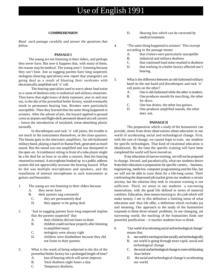# Use of English 1991

### **COMPREHENSION**

*Read each passage carefully and answer the questions that follow.*

# **PASSAGE I**

The young are not listening to their elders, and perhaps they never have. But now it happens that, with many of them, the reason may be medical. The young aren't listening because they can't hear. Just as nagging parents have long suspected, otologists (hearing specialists) now report that youngsters are going deaf as a result of blasting their eardrums with electronicallyamplified rock 'n' roll.

The hearing specialists used to worry about loud noise as a cause of deafness only in industrial and military situations. They knew that eight hours of daily exposure, year in and year out, to the din of the proverbial boiler factory, would eventually result in permanent hearing loss. Riveters were particularly susceptible. Then they learned that the same thing happened to aviators. After the advent of jets, the hazard applied to ground crews at airports and flight-deck personnel aboard aircraft carriers – hence the introduction of insulated, noise-absorbing plastic earmuffs.

In discotheques and rock 'n' roll joints, the trouble is not much in the instruments themselves, or the close quarters. The blame goes to the electronic amplifiers. An old-fashioned militaryband, playing a march in Ramat Park, generated as much sound. But the sound was not amplified and was dissipated in the open air. Atrombonist sitting in front of a tuba player might be a bit deaf for an hour or so after a concert; then his hearing returned to normal. Amicrophone hooked up to a public address system did not appreciably increase the hearing hazard. What he did was multiple microphones and speakers, and the installation of internal microphones in such instruments as guitars and bouzoukis.

- 1. The young are not listening to their elders because A. they never have
	- B. their parents nag constantly
		- C. they are permanently deaf
		- D. they appear to be going deaf.
- 2. 'Just as nagging parents have long suspected implies that the parents suspected' that
	- A. their children did not listen to them
	- B. children could not hear properlyafter listening to amplified music
	- C. otologists were always right
	- D. children were disobedient because they did not listen to their parents.
- 3. What is the result of being subjected to the din of the proverbial boiler factory for a prolonged length of time?
	- A. loss of hearing which will never improve.<br>B. Total deafness eight hours a day.
	- Total deafness eight hours a day.
	- C. Temporary deafness.
- D. Hearing loss which can be corrected by medical treatment.
- 
- 4. 'The same thing happened to aviators' This excerpt according to the passage means
	- A. that riveters were particularly susceptible
	- B. industrial and military deafness
	- C. that continued loud noise resulted in deafness D. that working in a boiler factory affected one's
	- hearing.
- 5. What is the difference between an old-fashioned military band on the one hand and discotheques and rock 'n' roll joints on the other?
	- A. One is old-fashioned while the other is modern.
	- B. One produces sounds for marching, the other for disco.
	- C. One has drums, the other has guitars.
	- D. One produces amplified sounds, the other does not.

# **PASSAGEII**

The preparation which a study of the humanities can provide, stems from three observations about education in our world of accelerating social and technological change. First, with the rate of change, we cannot hope to train our students for specific technologies. That kind of vocational education is obsolescent. By the time the specific training will have been completed the world will have moved on.

If our education of narrowtraining, wewill not be prepared to change. Second, and paradoxically, what our students desire from their education is preparation for specific careers, – business, engineering, medicine, computer programming and the like, but we will not be able to train them for a life-long career. Their confronting the depressed job market gives our students a certain anxiety, but the solution they seek in vocation training is not sufficient. Third, we sense in our students a narrowing materialism, with the good life defined in terms of material comforts. Education, then meanslearning to do a job which will make money. I see in this definition a limiting sense of what education and thus life offer, a definition which excludes joy and meaning. Our approach to the study of the humanities responds to these three related problems. In our changing, yet narrowing world, the teaching of the humanities finds one powerful justification – it teaches students how to think.

- 6. 'Ourworld ofacceleratingsocial andtechnologicalchange' means that
	- A. our world is moving too fast socially and technologically
	- B. our world is going through more rapid, social and technological change
	- C. the social and technological change is more exhilarating than before
	- D. the social and technological change is accelerating our world.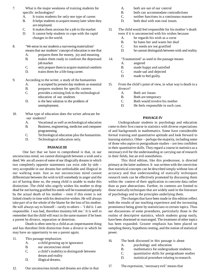- 7. What is the major weakness of training students for specific technologies?
	- A. It trains students for only one type of career.
	- B. It helps students to acquire money later when they are employed.
	- C. It makes them anxious for a job in the market
	- D. It cannot help students to cope with the rapid changes in the world.
- 8. 'We sense in our students a narrowing materialism' means that our students' concept of education is one that
	- A. prepares them for money, joy and meaning
	- B. makes them ready to confront the depressed jobmarket
	- C. onlyprepare them to acquire material comforts
	- D. trains them for a life-long career.
- 9. According to the writer, a study of the humanities
	- A. is accepted by present day students as essential
	- B. prepares students for specific careers
	- C. provides a missing link in the technological education of our students
	- D. is the best solution to the problem of unemployment.
- 10. What type of education does the writer advocate for our students?
	- A. Vocational as well astechnological education
	- B. Business, engineering, medicine and computer programming.
	- C. Technological education plus the humanities.
	- D. Technological education only.

# **PASSAGEIII**

One fact that we have to comprehend is that, in our unconscious mind, we cannot distinguish between a wish and a deed. We are all aware of some of our illogically dreams in which two completely opposite statements can exist side by side – very acceptable in our dreams but unthinkable and illogical in our walking state. Just as our unconscious mind cannot differentiate between the wish to kill somebody in anger and the act of having done so, the young child is unable to make this distinction. The child who angrily wishes his mother to drop dead for not having gratified his needs will be traumatized greatly by the actual death of his mother – even if this event is not linked closely in time with his destructive wishes. He will always take part of or the whole of the blame for the loss of his mother. He will always say to himself – rarely to others – 'I did it. I am responsible. I was bad, therefore mummy left me.' It is well to remember that the child will react in the samemanner if he loses a parent by divorce, separation or desertion.

Death is often seen by a child as an impermanent thing and has therefore little distinction from a divorce in which he may have an opportunity to see a parent again.

- 11. This passage emphasizes
	- A. a child growing up in ignorance
	- B. our unconscious mind
	- C. a child's inability to distinguish between dream and reality
	- D. illogical dreams.
- A. both are out of our control
- B. both can accommodate contradictions
- C. neither functions in a continuous manner
- D. both deal with non-real issues.
- 13. The child would feel responsible for his mother's death even if it is unconnected with his wishes because
	- A. he regards his wish as a curse
	- B. he hates her and wants her deaf
	- C. his needs are not gratified
	- D. he cannot distinguish between wish and reality.
- 14. 'Traumatized' as used in the passage means
	- A. angered
	- B. made happy and satisfied
	- C. made sad and dejected
	- D. made to feel guilty.
- 15. From the child's point of view, in what way is death to a divorce?
	- A. Both are losses
	- B. Both are temporary
	- C. Both would involve his mother
	- D. He feels responsible in each case.

# **PASSAGEIV**

Undergraduate students in psychology and education come to their first course in statistics with diverse expectations of and backgrounds in mathematics. Some have considerable formal training and quantitative aptitude and look forward to learning statistics. Other – perhaps the majority, including some of those who aspire to postgraduate studies – are less confident in their quantitative skills. They regard a course in statistics as a necessary evil for the understanding or carrying out of research in their fields, but an evil nonetheless.

This third edition, like this predecessor, is directed primary at the latter audience. It was written with the conviction that statistical concepts can be described simply without loss of accuracy and that understanding of statically techniques research tools can be effectively promoted by discussing them within the context of their application to concrete data rather than as pure abstractions. Further, its contents are limited to those statically techniques that are widely used in the literature of psychology and to the principles underlying them.

The changes that have been made in this edition reflect both the results of our teaching experience and the increasing prominence being given by statisticians to certain topics. Thus our discussions of some procedures, particularly those in the realms of descriptive statistics, which students grasp easily, have been shortened or rearranged. The treatment of other topics has been expanded. Greater emphasis has been placed on sampling theory, hypothesis testing, and the notion of statistical power.

- 16. The book discussed in this passage is about
	- A. psychology and education
	- B. mathematics for undergraduate students.
	- C. quantitative skills for postgraduate studies
	- D. statistical procedure relating to research.
- 12. Our unconscious minds and dreams are alike in that
- 17. The expression, 'necessary evil' meansthat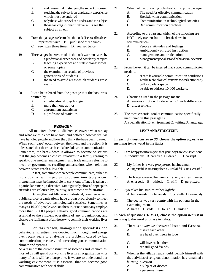- A. evil is essential in studying the subject discussed
- B. studying the subject is an unpleasant experience which must be endured
- C. onlythosewhoareevil can understand the subject
- D. those lacking in quantitative skills see the subject as an evil.
- 18. From the passage, we learn that the book discussed has been A. reprinted twice B. published three times
	- C. rewritten three times D. revised twice.
- 19. The changes that were made in the book were motivated by
	- A. a professional experience and popularityoftopics
	- B. teaching experience and statisticians' views of some topics
	- C. the examination results of previous generations of students
	- D. the need to avoid areas which students grasp easily.
- 20. It can be inferred from the passage that the book was written by
	- A. an educational psychologist
	- B. more than one author
	- C. a prominent statistician
	- D. a professor of statistics.

## **PASSAGE V**

All too often, there is a difference between what we say and what we think we have said, and between how we feel we have handled people and how they think the have been treated. When such 'gaps' occur between the intent and the action, it is often stated that there has been 'a breakdown in communication'. Sometimes, the break-down is allowed to become so serious that the gap becomes a chasm, relatives in a family ceasing to speak to one another, management and trade unions refusing to meet, or governments recalling ambassadors when relations between states reach a low ebb.

In fact, sometimes when people communicate, either as individual or within groups, problems inevitably occur; instructions may be impossible to carry out, offence is taken at a particular remark, a directive is ambiguously phrased or people's attitudes are coloured by jealousy, resentment or frustration.

During the past fifty years, industrial, commercial and public service organizations have grown prodigiously to meet the needs of advanced technological societies. Sometimes as manyas 10,000 people work on the site, or one companyemploys more than 50,000 people. Clearly, good communications are essential to the efficient operations of any organization, and vital to the fulfillment of all thosewho commit their working lives to it.

For this reason, management specialists and behavioural scientists have devoted much thought and energy over recent years to analyzing the problems caused by bad communication practices, and to creating good communication climate and systems.

As a result of the current structure of societies and economies, most of us will spend our working livesin an organization – for many of us it will be a large one. If we are to understand our working environment, it is essential that we become good communicators with social skills.

- 21. Which of the following titles best sums up the passage?
	- A. The need for effective communication
	- B. Breakdown in communication
	- C. Communication in technological societies
	- D. Bad communication practices.
- 22. According to the passage, which of the following are NOTlikely to contribute to a break-down in communication?
	- A. People's attitudes and feelings
	- B. Ambiguously phrased instruction
	- C. managements and trade unions
	- D. Management specialists and behavioural scientists.
- 23. From the text, it can be inferred that a good communicator needs to
	- A. create favourable communication conditions
	- B. get the technological systems to work efficiently
	- C. call a spade a spade
	- D. be able to address 10,000 workers.
- 24. Chasm' as used in the passage means A. serious eruption B. disaster C. wide difference D. disagreement.
- 25. The most essential tool of communication specifically mentioned in this passage is A.specialization B. environment C. writing D. language.

## **LEXISANDSTRUCTURE**

## **In each of questions** *26 to 30***, choose the option** *opposite in meaning* **to the word in the italics.**

- 26. I am happyto inform you that your boys are *conscientious*. A. industrious B. carefree C. dareful D. corrupt.
- 27. My father is a very *prosperous* businessman. A.ungrateful B.unscrupulous C. unskillfulD.unsuccessful.
- 28. The hostess greeted her guestsin a very *relaxed*manner. A. energetic B. athletic C. stiff D. perplexed.
- 29. Ayo takes his studies rather *lightly* A. humorously B. tediously C. carefully D.seriously.
- 30. The doctor was very *gentle* with his patients in the examining room.

A. harsh B. rude C. tough D. unkind.

# **In each of questions** *31 to 41***, choose the option** *nearest in meaning* **to the word or phase in italics.**

- 31. There is no *love lost* between Hassan and Hassana. A. dislike each other
	- B. are head over heels in love
	- C. will love each other
	- D. are still good friends.
- 32. Whether the village head should identify himself with the activities of religious denomination has remained a *burning question*.
	- A. a subject of discord
	- B. a perennial issue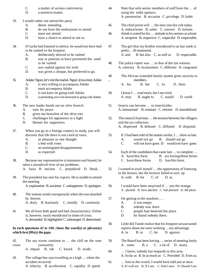|       | $\mathsf{C}$<br>a matter of serious controversy<br>D.<br>a sensitive matter. | 44. | Note that only senior members of staff have the  of<br>using the toilet upstairs. |
|-------|------------------------------------------------------------------------------|-----|-----------------------------------------------------------------------------------|
|       |                                                                              |     | A. permission B. occasion C. privilege D. habit                                   |
| 33.   | I would rather <i>not attend</i> the party.                                  |     |                                                                                   |
|       | A.<br>detest attending                                                       | 45. | The chief priest will  the men into the cult today.                               |
|       | <b>B.</b><br>do not have the enthusiasm to attend                            |     | A. indoctrinate B. usher C. convert D. initiate.                                  |
|       | $\mathsf{C}$<br>must not attend                                              | 46. | Jimoh is noted for his  attitude to his seniors at school.                        |
|       | D.<br>have a choice to attend or not to.                                     |     | A. receptive B. respective C. respectful D. respectable.                          |
| 34.   | If Garba had listened to advice, he would not have had                       |     | The girl that my brother introduced to us last week is                            |
|       | to be rushed to the hospital.                                                |     | pretty ill-mannered.                                                              |
|       | deliberately desired to be rushed<br>А.                                      |     | B. but also C. as well as<br>A. and<br>D. respectable.                            |
|       | <b>B.</b><br>was in position to have prevented the need                      |     |                                                                                   |
|       | to be rushed                                                                 | 48. | The police report was  to that of the eye witness.                                |
|       | $\mathcal{C}$<br>was rushed against his wish                                 |     | A. contrary B. inconsistent C. different D. congruent                             |
|       | was given a cheque, but preferred to go.<br>D.                               |     |                                                                                   |
|       |                                                                              | 49. | The African extended family system gives security to                              |
| 35.   | Aduke: Ngozi, let's visit the market. Ngozi: if you insist, Aduke            |     | members.                                                                          |
|       | is very willing to accompany Aduke<br>A.                                     |     | C. its<br>A. his<br>B. her<br>D. their.                                           |
|       | <b>B.</b><br>must accompany Aduke                                            |     |                                                                                   |
|       | $\mathcal{C}$<br>is not keen on going with Aduke                             | 50. | I know I  read more, but I am tired.                                              |
|       | D.<br>is pretending not to be interested in going with Aduke.                |     | B. ought to<br>C. would<br>D. could<br>A. may                                     |
| 36.   | The new leader hands out an olive branch.                                    | 51. | Insects can become  to insecticides.                                              |
|       | A.<br>sues for peace                                                         |     | A. immunized B. resistant C. reticent D. immobilized.                             |
|       | gives out branches of the olive tree<br><b>B.</b>                            |     |                                                                                   |
|       | challenges his opponents to a fight<br>$\mathcal{C}$                         | 52. | The council chairman  the tension between the villagers                           |
|       | blesses his supporters.<br>D.                                                |     | and the tax collectors.                                                           |
|       |                                                                              |     | A. dispersed B. defused C. diffused<br>D. disputed.                               |
| 37.   | When you go to a foreign country to study, you will                          |     |                                                                                   |
|       | discover that life there is not a bed of roses.                              | 53. | If I had been told of the matter earlier, I  there so late.                       |
|       | as pleasant as one thought<br>A.                                             |     | would not go<br>B. should not go<br>A.                                            |
|       | <b>B.</b><br>a bed with roses                                                |     | $\mathcal{C}$<br>will not have gone. D. would not have gone.                      |
|       | $\mathsf{C}$<br>an unmitigated disappointment                                |     |                                                                                   |
|       | D.<br>as expected.                                                           | 54. | Each of the candidates that came late  to complete                                |
|       |                                                                              |     | A. have/this form<br>B. are having/these forms                                    |
| 38.   | Because our representative is immature and biased, he                        |     | D. has/this form.<br>C. have/these forms                                          |
|       | takes a jaundiced view of our problems.                                      |     |                                                                                   |
|       | A. hazy B. unclear C. prejudiced D. bleak.                                   | 55. | I wanted to avail myself  the opportunity of listening                            |
|       |                                                                              |     | to the lecture, but the lecturer failed to turn up                                |
| 39.   | The president has sent his regrets. He is unable to attend                   |     | A. with B. for<br>C. of<br>D. at.                                                 |
|       | the meeting.                                                                 |     |                                                                                   |
|       | A. explanation B. anxieties C. unhappiness D. apologies.                     | 56. | I would have been surprised if  you the orange.                                   |
|       |                                                                              |     | A. plucked B. have plucked C. had plucked D. did pluck.                           |
| 40.   | The woman acted <i>courageously</i> when she was attacked                    |     |                                                                                   |
|       | by thieves                                                                   | 57. | On getting to the seashore,                                                       |
|       | A. shyly B. fearlessly C. timidly D. carelessly.                             |     | it was empty<br>A.                                                                |
|       |                                                                              |     | <b>B.</b><br>nobody was there                                                     |
| 41.   | We all have both good and bad characteristics. Either                        |     | $\mathsf{C}$<br>people had deserted the place                                     |
|       | is, however, easily <i>manifested</i> in times of crisis.                    |     | he found nobody there.<br>D.                                                      |
|       | A. demanded B. highlighted C. submerged. D. determined.                      |     |                                                                                   |
|       |                                                                              | 58. | Little did Tunde realize that his frequent unwarranted                            |
|       | In each questions 42 to 100, chose the word(s) or phrase(s)                  |     | reports about me were working my advantage.                                       |
|       | which <i>best fills(s)</i> the gaps.                                         |     | C. for<br>D. against.<br>A. in<br>B. to                                           |
| 42.   | The sea waves continue to  the cliff on the west                             | 59. | The Board has been having  series of meeting lately.                              |
| coast | constantly.                                                                  |     | C. a lot of D. many.<br>A. some<br>B. a                                           |
|       | A. impair B. rub<br>C. knock<br>D. erode.                                    |     |                                                                                   |
|       |                                                                              | 60. | I know, nobody has leopards in this area.                                         |
| 43.   | The college bus was travelling at a high  when the                           |     | A. So far as B. In as much as C. Provided D. Even as.                             |
|       | accident occurred.                                                           | 61. | him in the crowd, I would have told you at once.                                  |
|       | A. velocity B. acceleration C. rapidity D. speed.                            |     | A. If I will see B. If I saw C. Had I seen D. Should I see.                       |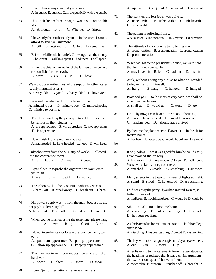- 62. Inyang has always been shy to speak … A. in public B. publicly C. in the public D. with the public.
- 63. … his uncle helped him or not, he would still not be able to do it. A. Although B. If C. Whether D. Since.
- 64. I have only three tubers of yam … in the store, I cannot afford to give you any more. A. still B. outstanding C. left D. remainder
- 65. Beforethe bill could be settled, Chuwang…all themoney. A. has spent B. will have spent C. had spent D. will spent.
- 66. Either the chief of the leader of the farmers ... to be held responsible for the revolt. A. were B. are C. is D. have.
- 67. We must observe that most of the support by other states … onlymarginal returns. A. have yielded B. yield C. has yielded D. have yield.
- 68. She asked me whether I … the letter for her. A. minded to post B. mind to post C. minded posing D. minded to posting.
- 69. The effort made by the principal to get the students to be serious in their studies … A. are appreciated B. will appreciate C. isto appreciate D. is appreciated.
- 70. How I wish I … mymother's advice. A. had heeded B. have heeded C. heed D. will heed.
- 71. Only observers from the Ministry of Works ... allowed into the conference room. A. is B. are C. have D. been.
- 72. Apanel set up to probe the organization's activities … yet to sit A. are B. is C. will D. would.
- 73. The school will … for Easter in another six weeks. A. break off B. break away C. break out D. break up.
- 74. His power supplywas … from the main because he did not pay his electricity bill. A. blown out B. cut off C. put off D. put out.
- 75. When you've finished using the telephone, please hang … A. down B. up C. off D. on.
- 76. I donot intend tostayfor long at the function. I onlywant to … A. put in an appearance B. put up appearance C. show up appearance D. keep up appearance.
- 77. The man rose to an important position as a result of … hard work. A. sheer B. cheer C. share D. shear.
- 78. Ebun Ojo … international fame as an actress

A. aquired B. acquired C. acquared D. aqcuired

- 79. The story on the lost jewel was quite … A. unbelievable B. unbeliveable C. unbelieveable D. unbelivable
- 80. The patient is suffering from ... A.reumatism B.rheumantism C.rhuematism D.rheumatism.
- 81. The attitude of my students to … baffles me A. pronunciation B. pronouncation C. pronunceation D. pronounceation
- 82. When we got to the president's house, we were told that he … two days earlier. A. may have left B. left C. had left D. has left.
- 83. Atuk, without giving any hint as to what he intended to do, went and … himself. A . hung B. hang C. hanged D. hunged
- 84. Provided you … to the market very soon, we shall be able to eat early enough. A. shall go B. would go C. went D. go
- 85. He … by now; I can hear all the people shouting: A. would have arrived B. must have arrived C. had arrived D. should have arrived
- 86. Bythe time the plane reaches Harare, it … in the air for twelve hours.

be

- A. has been B. would be C. would have been D.should
- 87. If onlyAdoyi … what was good for him he could easily have avoided the tragedy.
- A. has known B. have known C. knew D. hadknown. 88. We saw Ifueko … an egg on the wall. A. smashed B. smash C. smashing D. smashes.
- 89. Many streets in the town … in need of lights at night. A. stand B. stood C. have stood D. are standing.
- 90. I did not enjoy the party. If you had invited Tariere, it ... better organized. A. hadbeen B. would have been C. would be D. could be
- 91. Sibi ... novels since she came home A. is reading B. had been reading C. has read D. has been reading.
- 92. Asabe is overdue for retirement as she… in this college since 1954. A.isteaching B.hasbeenteaching C.taught D.wasteaching.
- 93. The boywhostolemangowas given …byan eye witness.
- A. out B. in C. away D. up.
- 94. After listening to the statements form the two students, the headmaster realized that it was a trivial argument that ... a serious quarrel between them. A. touched in B. drewin C. touched off D. brought up.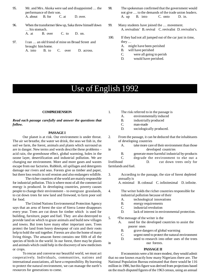- 95. Mr. and Mrs. Akoka were sad and disappointed … the performance of their son. A. about B. for C. at D. over.
- 96. When the transformer blewup, Saka threw himself down … his stomach. A. at B. over C. to D. on.
- 97. I ran … an old friend of mine on Broad Street and brought himhome. A. into B. to C. over D. across.
- 98. The spokesman confirmed that the government would not give … to the demands of the trade union leaders. A. up B. into C. onto D. in.
- 99. Many students have joined the … movement. A. revivalists' B. revival C. revivalist D. revivalist's.
- 100. If they had not all jumped out of the car just in time, they …
	- A. might have been perished
	- B. will have perished
	- C. were all going to perish
	- D. would have perished.

# Use of English 1992

#### **COMPREHENSION**

*Read each passage carefully and answer the questions that follow.*

### **PASSAGE I**

Our planet is at risk. Our environment is under threat. The air we breathe, the water we drink, the seas we fish in, the soil we farm, the forest, animals and plants which surround us are in danger. New terms and words describe these problems – acid rain, the greenhouse effect, global warming, holes in the ozone layer, desertification and industrial pollution. We are changing our environment. More and more gases and wastes escape from our factories. Rubbish, oil spillages and detergents damage our rivers and seas. Forests give us timber and paper, but there loss results in soil erosion and also endangers wildlife.

The richer countires of the world are mainly responsible for industrial pollution. This is where most of all the commercial energy is produced. In developing countries, poverty causes people to change their environment – to overgraze grasslands, to cut down trees for new land and firewood, to farm poor soil for food.

The United Nations Environmental Protection Agency says that an area of forest the size of Sierra Leone disappears every year. Trees are cut down for timber which is used for building, furniture, paper and fuel. They are also destroyed to provide land on which to graze animals and build new villages and towns. But trees have many other important uses. Trees protect the land from heavy downpour of rain and their roots help to hold the soil together. Forests are also the home of many living things. The amazon forest contains one fifth of all the species of birds in the world. In our forest, there may be plants and animals which could help in the discoveryof new medicines or crops.

To rescue and converse our beautiful world, we must act cooperatively. Individuals, communities, nations and international associations, all have a responsibility. By learning to protect the natural environment, we can manage the earth's resources for generations to come.

- 1. The risk referred to in the passage is
	- A. environmentally induced
	- B. industrially produced
	- C. man-made
	- D. sociologically produced.
- 2. From the passage, it can be deduced that the inhabitants of developing countries
- A. take more care of their environment than those in developed countries
	- B. generate more harmful industrial by-products
	- C. degrade the environment to eke out a

livelihood D. cut down trees only for farmlands and fuel.

3. According to the passage, the size of forest depleted annually is

A. minimal B. colossal C. infinitesimal D. infinite.

- 4. The writer holds the richer countries responsible for industrial pollution because of their
	- A. technological innovations
	- B. energy requirements
	- C. industrial revolution
	- D. lack of interest in environmental protection.
- 5. The message of the writer is the
	- A. need for the developed countries to assist the poorer ones
		- B. grave dangers of global warming
	- C. urgent need to protect the natural environment
- D. need to research into other uses of the trees in our forests.

#### **PASSAGEII**

If economists were a bit moremodest, theywould admit that no one knows exactly how many Nigerians there are. The National Population Bureau estimated that there would be 116 million in 1986, but this figure was derived from projections based on the much disputed figures of the 1963 census, using an annual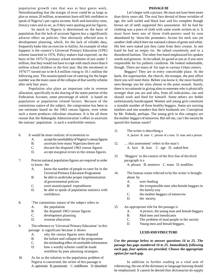population growth rate that was at best guess work. Notwithstanding that the margin of error could be as large as plus or minus 20 million, economists have still felt confident to speak of Nigeria's per capita income, birth and mortality rates, literacy rates and so on, as if they were quoting precise figures.

So much in Nigeria is determined on the basis of population that the lack of accurate figures has a significantly adverse effect on policies. One obviously affected area is development planning, which, for the lack of reliable data, frequently looks like an exercise in futility. An example of what happens is the country's Universal Primary Education (UPE) scheme launched in 1976. Policy makers had expected, on the basis of the 1975/76 primary school enrolment of just under 5 million, that theywould not have to cope with much more than 6 million school children in the first year. But the enrolment in 1976/77 turned out to be 8.4 million rising to 10.1 million the following year. The unanticipated cost of catering for the larger number was the main cause of the collapse of that worthy scheme after only four years.

Population also plays an important role in revenue allocation, specifically in the sharing of the states portion of the Federation Account, some percentage of which is based on population or population related factors. Because of the contentious nature of the subject, the compromise has been to use estimates based on the 1963 census figures, even when such a move produces ridiculous situations. It is for all these reason that the Babangida Administration's effort to ascertain the nations' population is such a worthwhile venture.

- 6. It would be more realistic of economists to
	- A. accept the unreliability of Nigeria's census figures
	- B. ascertain how many Nigerians there are
	- C. discard the disputed 1963 census figures
	- D. accept marginal errors in the census figures.
- 7. Precise national population figures are required in order to know the
	- A. know the number of people to cater for in the Universal PrimaryEducation Programme
	- B. be able to undertake proper implementation of governmental policies
	- C. avert unanticipated expenditures
	- D. be able to speak of population statistics with confidence.
- 8. 'The contentious nature of the subject refers to
	- A. the population
	- B. the disputed 1963 census figures
	- C. development planning
	- D. revenue allocation.
- 9. The reference to 'Universal PrimaryEducation' in this passage is significant because it shows
	- A. why the census figures were disputed
	- B. the failure and collapse of the programme
	- C. themisleading effect of unreliable information
	- D. how a worthy scheme could be made worthless by poor planning strategies.
- 10. As far as the solution to the population problem of Nigeria is concerned, the writer of this passage is A. optimistic B. pessimistic C. indifferent D. disturbed.

#### **PASSAGEIII**

Let's begin with a picture. He must not have been more than thirty years old. The oval face devoid of those wrinkles of age, the well turfed and black hair and his complete though brown set of teeth supported this assessment. All he had for clothing was a piece of cloth with some words written on it. It must have been one of those cloth-posters used by now abandoned by 'show-biz promoters. Across his neck was yet another cloth which bore our national colours of green and white. His feet were naked just they came from their creator. In one hand he had an empty tin. He talked ceaselessly and in a disordered fashion. The other free hand emphasized his spoken words and gestures. As he talked, he gazed at you as if you were responsible for his pathetic condition. He looked redeemable, though. There are many of his type in various Urban centers.

Beggars! They are in every conceivable place. At the bank, the supermarket, the church, the mosque, the post office there you will meet them. Before you know it, the more healthy ones besiege you for alms almost to the point assault. Surely, there is no rationale in giving almsto someone who is physically stronger than you are and who, from all indications, can and should work and fend for himself. Some others are feeble unfortunately handicapped. Women and young girls constitute a sizeable number of these healthy beggars. Some are nursing mothers and one wonders that their husbands are. Conception by Mr. Nobody, perhaps. The young girls in this category are the mother beggars of tomorrow. But tell me, can't the society be spared this human waste?

- 11. The writer is describing a A. picture B. man C. picture of a man D. man and a picture.
- 12. … this assessment'refers to the man's A. face B. hair C. age D. naked feet.
- 13. 'Beggars' in the context of the first line of the third paragraph is a A. phrase B. sentence C. noun D. modifier.
- 14. The human waste referred to by the writer is brought about by
	- A. over-feeding
	- B. the irresponsible men who female beggars in the family way
	- C. the mother-beggars of tomorrow
	- D. the society.
- 15. An appropriate title for the passage is
	- A. A picture, the young man and female beggars
	- B. Mad men and mendicants
	- C. The problem of mad people in the society
	- D. Young men and female beggars.

### **LEXISANDSTRUCTURE**

# *Use the passage below to answer questions 16 to 25. The passage has gaps numbered 16 to 25. Immediately following each gap, four options are provided. Choose the appropriate option for each gap.*

In addition to further reading as a vital arm of referencing, the use of the dictionary in language learning should be emphasized. It cannot be denied that dictionaries do supply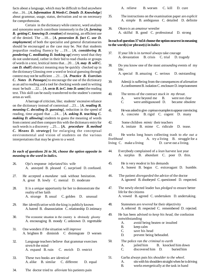facts about a language, which may be difficult to find anywhere else…16…[*A.Information B.WordsC. Details D. Knowledge*] about grammar, usage, status, derivation and so on necessary for comprehension.

Certain in the dictionarywhile context, word analysis and synonyms search contribute immensely in the [*A. forming B. gettingC. knowing D. creation*] of meaning, an efficient use of the denied. The ...18… [*A. possession B. fact C. use D. employment*] of both the specialist and general dictationaries should be encouraged as the case may be. Not that students jeopardize reading fluency by …19… [*A. considering B. pondering C. meditating D. looking up*] every word that they do not understand, rather in their bid to read chunks or groups of wordsin a text, lexitical items that…20… [*A. may B. will C. can D. shall*] obstruct meaning may be quickly checked up in the dictionaryGlossing over a word or lexical guessing through context may not be sufficient …21… [*A. Practice B. Exercises C. Notes D. Passages*] to encourage the use of the dictionary as an aid to reading and a tool for checking words used in writing must be built …22… [*A. on to B. inC. into D. unto*] the reading text. This skill can be easily transferred to the student's content areas as well.

A barrage of criticism, like; students' excessive reliance on the dictionary instead of contextual ...23… [*A. reading B. meaning C. decoding D. guessing*], reduction in the speed of reading, time argued that …24… [*A. asking B. teaching C. making D. allowing*] students to guess the meaning of words from context and then compare this with the dictionary entryfor such words is a discovery ...25… **[***A. procedure B. method C. Means D. strategy***]** for enlarging the conceptual environmental and vision of students on the various interpretations that may be given to a word.

## *In each of questions 26 to 36, choose the option opposite in meaning to the word in italics.*

- 26. Ojo's response *infuriated* his wife A. annoyed B. pleased C. surprised D. confused.
- 27. He accepted a *mundane* task without hesitation. A. great B. lowly C. menial D. moderate
- 28. It is a *unique* opportunity for her to demonstrate the reality of her faith A. strange B. usual C. golden D. unusual
- 29. Her *identification* with the king is publicly known A. hatred B. disassociation C.relationship D.intimacy
- 30. The economic situation in the country is obviously *gloomy* A. encouraging B. moody C. unknown D. regrettable
- 31. One wonders if the situation will *improve* A. brighten B diminish C disintegrate D worsen
- 32. Language teachers believe that grammar exercises *stretch* the mind A. expand B. ruin C. enrich D. restrict
- 33. These two books are *identical* A. alike B. similar C. different D. equal
- 34. The doctor tried to *alleviate* his patients pain

A. relieve B. worsen C. kill D. cure

- 35. The instructions on the examination paper are *explicit* A. simple B. ambiguous C. detailed D. definite
- 36. Okoro is an *amateur* wrestler A. skilful B. good C. professional D. strong

## **Ineachof question37 to54 choose the optionnearest inmeaning to the word(s) or phrase(s) in italics**

- 37. If your life is in *turmoil* always take courage A. devastation B. crisis C. trial D. tragedy
- 38. Do you know one of the most *astounding* events of my life; A. special B. amazing C. serious D. outstanding
- 39. Adeniji issuffering from the consequences of *alienation* A.confinement B. isolation C. enclosure D. imprisonment
- 40. The terms of the contract *stuck in my throat*. A. were beyond me B. were not clear C. were ambiguoused D. became obsolete
- 41. Hewas askedtogive *copious* examplestoappear convincing A. concrete B. rigid C. cogent D. many
- 42. Some children *mimic* their teachers A. imitate B. mime C. ridicule D. tease.

43. He works long hours collecting trash to *eke out a livelihood* A. try a living B. struggle for a living C. make a living D. carve out a living.

- 44. Everybody complained of a *lean* harvest last year A. surplus B. abundant C. poor D. thin.
- 45. He is very *modest* in his demands A. honest B. bogus C. extravagant D. humble.
- 46. The patient *disregarded* the advice of the doctor A. ignored B. disobeyed C. questioned D. respected.
- 47. The newly elected leader has *pledged* to ensure better life for the citizens A. vowed B. agreed C. undertaken D. undertaking.
- 48. Statesmen are *revered* for their objectivity A. referred B. respected C. remembered D. rejected.
- 49. He has been advised to *keep his head*, the confusion notwithstanding
	- A. avoid being beaten or insulted
	- B. keep calm
	- C. save his head
	- D. prevent being beheaded.
- 50. The police *ran the criminal to earth*

A. jailed him B. knocked him down

- C. discovered him D. buried him
- 51. Garba always puts his *shoulder to the wheel*.
	- A. sits with his shoulders straight when he is driving
	- B. works energetically at the task in hand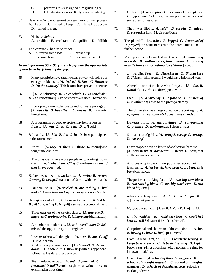- C. performs tasks assigned him grudgingly
- D. holds the steering wheel firmly when he is driving.
- 52. He *reneged* on the agreement between him and his employees. A. kept B. failed to keep C. failed to approve D. failed to sign.
- 53. He is *credulous* A. credible B. creditable C. gullible D. fallible
- 54. The company has *gone under* A. suffered some loss B. broken up C. become broke D. become bankrupt.

## *In each questions 55 to 95, fill each gap with the appropriate option from list following the gap.*

- 55. Many people believe that nuclear power will solve our energy problems … [*A. Indeed B. But C. However D. On the contrary*].This has not been proved to be true.
- 56. … [*A. Conclusively B. To conclude C. In conclusion D. The conclusion*], sign post words are useful to readers.
- 57. Everyprogramming language and software package … [*A. have its B. have their C. hasits D. hastheir*] limitations.
- 58. A programme of good exercise may help a person fight … [*A. out B. at C. with D. off*] cold.
- 59. Baba and … [*A. him B. his C. he D. he's*] participated in the tournament.
- 60. It was … [*A. they B. them C. those D. theirs*] who fought the civil war.
- 61. The physicians have more people in … waiting rooms than … [*A. his/he B. there/they C. their/they D. them/ they*] have ever had.
- 62. Beforemechanization, workers … [*A. wring B. wrung C. wrang D. wringed*] water out of fabrics with their hands.
- 63. Four engineers … [*A. worked B. are working C. had worked D. have been working*] on this system since March.
- 64. Having worked all night, the securityman … [*A. had felt B. felt C. isfeeling D. hasfelt*] a sense of accomplishment.
- 65. Three quarters of the Physics class … [*A. improve B. improves C. are improving D. is <i>improving* dramatically.
- 66. A number ofstudents … [*A. is B. has C. have D. do*] missed the opportunity to re-register.
- 67. Itseemsto be a well thought … [*A. over B. out C. off D. into*] scheme.
- 68. Adekunle is prepared for a…[*A. show-off B. showdown C. show-out D. show up*] with his opponent following his defeat last season.
- 69. Tosin refused to be … [*A. sad B. placated C.* frustrated D. *indifferent*] though he has written the same examination three times.
- 70. On his … [*A. assumption B. ascension C. acceptance D. appointment*] of office, the new president announced some drastic measures.
- 71. The…was filed … [*A. suit/in B. case/in C. suit/at D. case/at*] in Ilorin Magistrate Court.
- 72. The plaintiff … [*A. asked B. begged C. demanded of D. prayed*] the court to restrain the defendants from further action.
- 73. Myexperience in Lagoslast week was … [*A. something to excite B. nothing to explain at home C. nothing to write home D. something to celebrate*] about.
- 74. … [*A. Had Iseen B. Have Iseen C. Should Isee D. If Isaw*] him around, I would have informed you.
- 75. Ahmed is one of the boys who always … [*A. does B. would do C. do D. done*] good work.
- 76. Isent … [*A. a parcel of B. a flash of C. an item of D. number of*) news to the press yesterday.
- 77. The University has a large collection of sporting ... [A. *equipment B. equipments C. costumes D. aids*].
- 78. He keeps his … [ *A. surroundings B. surrounding C. premise D. environments*] clean always.
- 79. She has a set ofgold … [*A. earingB. earingsC. earrings D. ear-ring*].
- 80. I have stopped writing letters of application because I ... [*A. have heard B. had heard C. heard D. hear*] that all the vacancies are filled.
- 81. A survey of opinions on how pupils feel about their teachers … [*A.hasbeenB. have been C. are beingD.is been*] carried out.
- 82. The police are looking for … [ *A. two big cars black B. two cars big black C. two big black cars D. two black big cars*].
- 83. Adaobi is contemptuous … [*A. to B. at C. for D. of*] dishonest people.
- 84. My goats are grazing … [*A. on B. in C. at D. into*] the field.
- 85. It … [*A. would be B. would have been C. would had been D. will be*] easier if he told us himself.
- 86. Our principal and chairman of the occasion … [*A. has B. having C. have D. had*] just arrived.
- 87. From 7 a.m to 9 a.m, he … [*A. is kept busy serving B. keeps busy to serve C. is busied serving D. kept busy to serve*] hot chocolate, often not having time for his own breakfast.
- 88. One of the … [*A. school of thought suggest s B. schools of thought suggest C. school of thoughts suggested D. schools of thought suggests*]selective marking of errors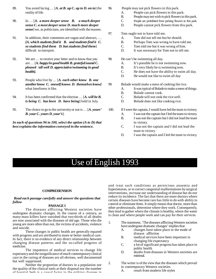- 89. You avoid facing … [*A. at B. up C. up to D. on to*] the reality of life.
- 90. In … [*A. a more deeper sense B. a much deeper sense C. a most deepersense D. much more deeper sense*] we, as politicians, are identified with themasses.
- 91. In addition, their comments are vague and abstract, … *[A. which students find it B. and studentsfind it C. so students find them D. but students find them*] difficult to interpret.
- 92. We are … to receive your letter and to know that you are … [*A. happy/in good health B. grateful/sound C. pleased /all well D. appreciative/swimming in good health].*
- 93. People who live by … [*A. each other know B. one another know C. oneself knows D. themselves know]* what loneliness is like.
- 94. It has been confirmed that the election … [*A. will be B. is being C. has been D. have being*] held in July.
- 95. The choice to go to the universityor not is … [*A. yours' B. your C. yours D. your's*].

*In each of questions 96 to 100, select the option (A to D) that best explains the information conveyed in the sentence.*

96. People may not pick flowersin this park.

- A. People can pick flowersin this park.
- B. Peoplemaynot wish topick flowersin this park.
- C. People are prohibited from picking flowers in this park.
- D. People cannot pick flowers from this park.
- 97. Tom ought not to have told me.
	- A. Tom did not tell me but he should.
	- B. Perhaps Tom was wrong to have told me.
	- C. Tom told me but it was wrong of him.
	- D. It was necessary for Tom not to tell me.
- 98. He can't be swimming all day.
	- A. It's possible he is not swimming now.
	- B. It's very likely he is swimming now.
	- C. He does not have the ability to swim all day.
	- D. He would not like to swim all day
- 99. Bolade would make a mess of cooking the rice.
	- A. It was typical of Bolade to make a mess of things.
	- B. Bolade cannot cook.
	- C. Bolade will not cook the rice well.
	- D. Bolade does not like cooking rice.
- 100. If I were the captain, I would have led the team to victory.
	- A. I was not the captain but I led the team to victory. B. I was not the captain but I did not lead the team to victory.
	- C. I was not the captain and I did not lead the team to victory.
	- D. I was the captain and I led the team to victory.

# Use of English 1993

#### **COMPREHENSION**

## *Read each passage carefully and answer the questions that follow*

## **PASSAGE I**

The diseases afflicting Western societies have undergone dramatic changes. In the course of a century, so many mass killers have vanished that two-thirds of all deaths are now associated with the diseases of old age. Those who die young are more often than not, the victims of accidents, violence and suicide.

These changes in public health are generally equated with progress and are attributed to more or better medical care. In fact, there is no evidence of any direct relationship between changing disease patterns and the so-called progress of medicine.

The impotence of medical services to change life expectancy and the insignificance of much contemporary clinical care in the curing of diseases are all obvious, well documented but well suppressed.

Neither the proportion of doctors in a population nor the quality of the clinical tools at their disposal nor the number of hospital beds is a causal factor in the striking changes in

and treat such conditions as pernicious anaemia and hypertension, or to correct congenital malformations by surgical interventions, increase our understanding of disease but do nor reduce its incidence. The fact that there are more doctors where certain diseases have become rare has little to do with ability to control or eliminate them. It simply means that doctor, more than other professionals, determine where they work. Consequently, theytend to gather where the climate is healthy, where the water is clean and where people work and can pay for their services.

- 1. The statement, 'The diseases afflicting Western societies have undergone dramatic changes'impliesthat
	- A. changes have taken place in the mode of disease affliction
	- B. medical services have been important in changing life expectancy
	- C. a lot of significant progress has taken place in public health
	- D. deaths from diseases in Western societies are minimal.

2. The writer is of the view that the diseases which prevail in contemporary Western societies

A. result from modern life styles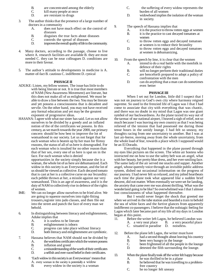- B. are concentrated among the elderly
- C. kill many people at once<br>D. are resistant to drugs
- are resistant to drugs
- 3. The author thinks that the presence of a large number of doctors in a community
	- A. does not have much effect on the control of diseases
	- B. disguises the true facts about diseases<br>C. controls the spread of diseases
	- controls the spread of diseases
	- D. improves the overall quality of life in the community.
- Many doctors, according to the passage, choose to live where A. research facilities are available B. they are most needed C. they can be near colleagues D. conditions are more in their favour.
- 5. The author's attitude to developments in medicine is A. matter-of-fact B. cautious C. indifferent D. cynical

### **PASSAGEII**

- ADUKE: Listen, my fellow women. The issue has little to do with being literate or not. It is true that most members of NAM (NewAwareness Movement) are literate, but this does not make all of us enlightened. We must be able to drawa line between the two. You may be literate and yet possess a consciousness that is decadent and servile. On the other hand, you may not have received any formal education and yet may be the greatest exponent of progressive ideas.
- HASANA: I agree with what our sister has said. Let us not allow ourselves to be divided by a greedy and an inflated notion of the of the certificates we possess. In this century, as we march towards the year 2000, our primary concern should be how best to improve the lot of womanhood in our society. Let us not forget that for each woman who is beaten up by her man for flimsy reasons, the status of all of us here is downgraded. For each woman who is insulted for no other reason than that of her sex, every one of us here is spat on in the face. For each woman who is denied

opportunities in the society simply because she is a woman, the whole lot of us here are dehumanized. Each widow in thissociety is an Everywoman, and the lot of usshould be viewed as collective. Each decayed tomato that is cast at her is a collective curse on our fecundity: each pebble thrown at her, a missile against our very womanhood. Thisis an age of awareness, and it is the duty of NAM to collectively rise in defence of the rights of women.

- IME: We can no longer allow ourselves to be fried alive. We are going to squeeze ourselves into tight-fitting trousers,register into judo classes, and then file out into the street and punch the face of every man we behold.
- 6. In distinguishing between literacy and enlightenment, Aduke implies that
	- A. it is useless to be literate<br>B. enlightenment is inborn
	- enlightenment is inborn
	- C. progress can take place without literacy
	- D. both literacyand enlightenment are symbiotic.
- 7. Hassana believes that NAM should not be divided by
	- A. the worthless certificates which the women possess
		- B. inflation and greed<br>C. a misunderstanding  $\alpha$ a misunderstanding of the worth of their certificates
		- D. a selfish and over-raced belief in their certificates.
- 8. 'Eachwidowin thissocietyis an Everywoman'meansthat A. every woman in the society is potentially a widow
	- B. every widow in the society is a woman
- C. the suffering of every widow represents the burden of all women
- D. widowhood implies the isolation of the woman in society.
- 9. The speech of Hassana implies that
	- A. it isthe practice to throw rotten eggs at women
	- B. it is the practice to cast decayed tomatoes at women
	- C. to throw rotten eggs and decayed tomatoes at women is to reduce their fecundity
	- D. to throw rotten eggs and decayed tomatoes at women is dehumanizing.

10. From the speech by Ime, it is clear that the women

- A. intend to do a real battle with the menfolk in defence of their rights
- B. will no longer perform their traditional duties
- C. are henceforth prepared to adopt a policy of confrontation with the men
- D. can do anything that a man can do sometimes even better

#### **PASSAGEIII**

When I set out for London, little did I suspect that I was not on journey to God's own city where harmony reigned supreme. So used to the frenzied life of Lagos was I that I had come to associate that city with everything that was chaotic, and there was no doubt in my mind that Lagos was one giant symbol of our backwardness. As the plane taxied its way out of the tarmac of our national airport, I heaved a sigh of relief, notso much because I was leaving my own country as that I was being relieved of the tension that had possessed me during those tense hours in the untidy lounge. I had felt so uneasy, my thoughts racing from one uncertainty to another. But I was at last air-borne, moving away from the whole uncertainty, from the whole load of fear, towards a place which I supposed would be an El Dorado.

Everything that happened in the plane passed through my eyes like pictures on the screen. The white air hostess who instructed me on how to use the safety belt was an angel, what with her beauty, her pretty blue dress, and her ever-smiling face. The same lady of the air served me snacks and supper. Another angel, whose queenly voice through an invisible public address system, dished out occasional information on the progress of our journey. I had never felt so relaxed, and my jolted heartbeats each time the plane took what appeared like a sudden brief descent, did not matter. When eventually we were set for landing, the anxiety that came over me was almost thrilling. What wasthe wonderland going to be like? So overwhelmed was I that I almost lost consciousness of what happened thereafter.

But I would never forget the shock that greeted me when we arrived in the tube station and boarded a train to behold the sea of white faces and the furtive glances from apparently indifferent co-passengers. I believe that the nolstagic feeling for Lagos which later became part of my life all my days in London began at this point.

- 11. Before the writer left Lagos, he believed London was
	- A. a very neat place B. a very peaceful place
	- C. situated in paradise D. noiseless.
- 12. Before the plane left Lagos, the writer must have
	- A. had a second thought about leaving his country
	- B. been very hungry in the lounge<br>C. been frightened of all the people
	- C. been frightened of all the people in the lounge.<br>D. detested the filth surrounding the lounge.
	- detested the filth surrounding the lounge.
- 13. When the plane finally took off the writer felt happy because A. he was thrilled to be in a plane
	- B. he believed that he wastravelling to a problemfree country
	- C. he no longer felt uneasy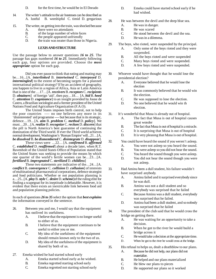- D. for the first time, he would be in El Dorado
- 14. Thewriter's attitude tothe air hostesses can be described as A. lustful B. worshipful C. timid D. gregarious
- 15. The writer, on getting into the train, was shocked because
	- A. there were no attendants<br>B. of the large number of wh
	- B. of the large number of white faces<br>C. the people appeared unfriendly
	- C. the people appeared unfriendly<br>D. the train was neater than those i
	- the train was neater than those in Nigeria.

### **LEXISANDSTRUCTURE**

Use the passage below to answer questions *16 to 25*. The passage has gaps numbered *16 to 25*. Immediately following each gap, four options are provided. Choose the *most appropriate* option for each gap.

Did you ever pause to think that eating and mating may be…16...[A. *interlinked* B. *intertwined* C. *interposed* D. *intermingled*] to the extent of becoming targets for a planned international political strategy? If by an accident of geography, you happen to live in a region of Africa, Asia or Latin America that is one of the …17…[A. *receivers* B. *receptors* C. *recipients* D. *obtainers*] of foreign 'aid', then pay…18… [A. *hid* B. *heed* C. *attention* D. *cognizance*] to an insight provided by Josne de Castro, a Brazilian sociologist and a former president of the United Nations Food and Agriculture Organization (F.A.O).

The United States imposes birth control, not to help the poor countries ---- no one believes any more in its 'disinterested' aid programme ---- but because that is its strategic, defence…19…[A. *aim* B. *problem* C. *method* D. *policy*]. We must…20…[A. *realize* B. *recognize* C. *reckon* D. *discern*] that the pill is North America's best guarantee of continuing the domination of the Third world. If ever the Third world achieves normal development,Washington's'Roman Empire'will...21…[A. *be dissolved* B. *be dismembered* C. *disintegrate* D. *disappear*].

These views were …22… [A. *confirmed* B. *affirmed* C. *established* D. *reaffirmed*] about a decade later, when R.T. Ravenholt of the United States Office of Population stated that the United States was seeking to provide the means by which one quarter of the world's fertile women can be…23…[A. *fertilized* B. *impregnated* C. *sterilized* D. *childless*]

These two statements are indicative of the…24…[A. *conflict* B. *convergence* C. *collision* D. *collusion*] of interests ofmultinational pharmaceutical corporations, defence strategist and food politicians. Whether or not population planning is a…25...[A. *ploy* B. *style* C. *desire* D. *scheme*]ofthe ruling elite for finding a scapegoat for itsineptitude is debatable. However, it is evident that there exists an inextricable link between food aid and population planning policies.

In each of questions *26 to 35* select the option that *best explains* the information conveyed in the sentence.

- 26. Between you and me, I would say that the equipment has outlived its usefulness.
	- A. I believe that the equipment is no longer useful to either of us.
	- B. I believe that the equipment continues to be useful to either you or me.
	- C. My idea of the usefulness of the equipment should remain known only to the two of us.
	- D. My idea of the usefulness of the equipment is shared by both of us.
- 27. Emeka wished he had started school early
	- A. Emeka started school early as he wished.
	- B. Emeka regretted starting school early
	- C. Emeka regretted not starting school early
- D. Emeka could have started school early if he had wished.
- 28. He was between the devil and the deep blue sea.
	- A. He was in danger.
	- B. He was scared
	- C. He stood between the devil and the sea.
	- D. He was in a dilemma.
- 29. The boys, who rioted, were suspended by the principal.
	- A. Only some of the boys rioted and they were suspended.
	- B. All the boys rioted and were suspended
	- C. Many boys rioted and were suspended.
	- D. A few boys rioted and were suspended.
- 30. Whoever would have thought that he would lose the presidential election?
	- A. Everyone believed that he would lose the election
	- B. It was commonly believed that he would win the election.
	- C. He was supposed to lose the election.
	- D. No one believed that he would win th election.
- 31. It's wonderful that Musa is already out of hospital.
	- A. The fact that Musa is out of hospital causes great wonder
		- B. The fact that Musa is out of hospital is a miracle.
		- C. It is surprising that Musa is out of hospital
	- D. It is very pleasing that Musa is out of hospital.
- 32. You could have heard the sound if you weren't asleep.
	- A. You were not asleep so you heard the sound.
	- B. You were asleep so you did not hear the sound.
	- C. You heard the sound though you were asleep.
	- D. You did not hear the sound though you were not asleep.
- 33. Had Aminu been a dull student, his failure wouldn't have surprised anybody.
	- A. Aminu failed and it surprised everybody since he was dull.
	- B. Aminu was not a dull student and so everybody was surprised that he failed
	- C. BecauseAminu was a dull student, everybody was surprised that he failed.
	- D. Aminu had been a dull student, and so nobody was surprised that he failed
- 34. The president of the club said that he would cross the bridge on getting there.
	- A. He was waiting for an opportunity to take a decision.
	- B. When he got to the river he would build a bridge across it
	- C. He would take a decision at the appropriate time.
	- D. When he got to the river he would cross at the bridge.
- 35. His refusal to helps us, dealt a deathblow to our plans.
	- A. Because he did not help, our plans did not materialize.
	- B. He helped and our plans materialized
	- C. He blew our plans to pieces
	- D. He supported our plans so it worked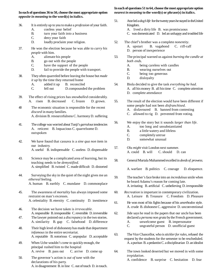**Ineach ofquestions 36 to 50, choose the most appropriate option** *opposite in meaning* **to the word(s) in italics.**

- 36. It is entirely up to you tomake a *profession* of your faith.
	- A. confess your belief
	- B. turn your faith into a business
	- C. deny your faith
	- D. loudly proclaim your religion.
- 37. He won the election because he was able to *carry his people* with him.
	- A. alienate his people
	- B. go out with the people
	- C. have the support of the people
	- D. fail to provide the people with transport.
- 38. Theyoften quarreled before leaving the house but *made it up* by the time they returned home
	- A. added it up B. reconciled
	- C. fell out D.compounded the problem
- 39. The effect of rising prices has *snowballed* considerably. A. risen B. decreased C. frozen D. grown.
- 40 The economic situation is responsible for the recent *discord* in many families. A. division B. resourcefulness C. harmony D. suffering
- 41. Thecollege wasworried aboutTunji's *garrulous* tendencies A. reticent B. loquacious C. quarrelsome D. outspoken
- 42. We have found that cassava is a *sine qua non* item in our industry. A. useful B. indispensable C. useless D. dispensable
- 43. Science may be a complicated area of learning, but its teaching needs to be *demystified*. A.simplified B. twisted C. made difficult D. distorted
- 44. Surveying the sky in the quiet of the night gives me an *ethereal* feeling. A. human B. earthly C. mundane D. commonplace
- 45. The awareness of *mortality* has always imposed some restraint on man's excesses. A. celestiality B. eternity C. continuity D. inestitence
- 46. The decision we have taken is *irrevocable*. A.responsible B.irresponsible C.reversible D.irreversible 47. The lawyer pointed out a *discrepancy* in the two stories.
- A. similarity B. gap C. falsehood D. difference
- 48. Their high level of dishonestyhas made that department *infamous* in the entire secretariat. A. reputable B. notorious C. unpopular D. acceptable
- 49. When Uche wouldn't *come to* quickly enough, the principal rushed him to the hospital A. revive B. pass out C. arrive D. come up
- 50. The governor's action is *out of tune* with the declarations of his party. A. in disagreement B. in line C. out of touch D. in touch.

# **Ineach ofquestions 51 to 64, choose the most appropriate option** *nearest in meaning* **to the word(s) or phrase(s) in italics.**

- 51. Atorled *a dog's life* for the twenty years he stayed in the United Kingdom. A. lived a dirty life B. was promiscuous C. was domesticated D. led an unhappyand troubled life 52. The chief's brother was a complete *nonentity*.
- - A. upstart B. vagabond C. riff-raff
	- D. person of inexperience
- 53. The principal warned us against *burning the candle at both ends*.
	- A. being careless with candles
	- B. wearing ourselves out
	- C. being too generous
	- D. disloyalty
- 54. Biola decided to give the task *everything he had*. A. all hismoney B. all histime C. complete attention D. complete attendance
- 55. The result of the election would have been different if some people had not been *disfranchised*.
	- A. disfavoured B. banned from contesting
	- C. allowed to rig D. prevented from voting.
- 56. We enjoy the story but it sounds *larger than life*.
	- A. too long and unsubstantiated
	- B. a little watery and lifeless
	- C. completely untrue
	- D. somewhat unusual
- 57. Olu *might* visit London next summer. A. could B. will C. should D. can
- 58. GeneralMurtala Muhammedexcelled in *deedsof prowess*.

A. warfare B. politics C. courage D. eloquence.

- 59. The teacher'sface broke into an *incredulous* smile when he heard Adamu's reason for coming late. A.irritating B. artificial C. unbelieving D.irresponsible
- 60. *Recreation* isimportant in contemporary civilization. A. Leisure B. Treasure C. Freedom D. Pleasure
- 61. He won most of his fights because of his *unorthodox* style. A. crude B. dishonest C. aggressive D. unconventional
- 62. Jide says he read in the papers that our uncle has been declared a *persona non grata* bythe French government.
	- A. unwelcome guest B. impersonator

C. ungrateful person D. unofficial guest

- 63. TheViceChancellor, who is *sticklerforrules*,refused the request by the students for the semester to be rescheduled. A. a puritan B. a pedantistC. a disciplinarian D. an idealist
- 64. The town looked deserted but we moved in with some *trepidation*. A. confidence B. surprise C. hesitation D. fear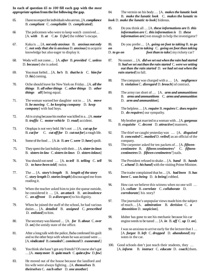**In each of question** *65 to 100* **fill each gap with the** *most appropriate* **option from the list following the gap.**

- 65. Ihavenorespectforindividualswhoaretoo...[A. *compliance* B. *compliant* C. *compliable* D. *complicated*].
- 66 The policemen who were to keep watch connived… [A. *with* B. *at* C.*to* D.*for*] the robber's escape.
- 67. Kaka is …[A. *not only anxious* B. *anxious not only* C. *not only that she is anxious* D. *anxious*] to acquire knowledge but also eager to display it.
- 68. Wodu will not come… [A. *after* B. *provided* C. *unless* D. **because**] she is asked.
- 69. Youmust forbid…[A. *he's* B. *that he is* C. *him for* D. *his*] coming.
- 70. Oche should leave for NewYork on Friday…[A. *all the things* B. *all otherthings* C. *other things* D. *other things all*] being equal.
- 71. The woman warned her daughter not to … [A. *move* B. *be moving* C. *be keeping company* D. *keep company*] with bad boys.
- 72. Aliis cryingbecausehismother was killedin a…[A. *motor* B. *traffic* C. *motor vehicle* D. *road*] accident.
- 73. Otopkpa is not very bold. He's not … [A. *cut up for* B. *cutfor* C. *cut off for* D. *cut outfor*] a rough life.
- 74. Some of the food ... [A. *is* B. are C. were D. have]spoilt.
- 75. Theyspent the last holidaywith their…[A. *sister-in-laws* B. *sisters-in-law* C. *sisters-in-laws* D. *sisters-inlaws*]
- 76. You should not need … [A. *to tell* B. *telling* C. *tell* D. *to have been told*] twice.
- 77. The … [A. *story's length* B. *length of the story* C. *story length* D. *storieslength*] discouraged me from reading it.
- 78. When the teacher asked him to join the queue outside, he considered it … [A. *an attack* B. *an insolence* C. *an affront* D. *a disrespect*] to his dignity.
- 79. When he joined the staff of the school, he had various duties… [A. *detailed* B. *assigned* C. *prescribed* D. *enlisted*] to him.
- 80. The secretarywas blamed… [A. *for* B. *about* C. *over* D. *on*] the untidy state of the office.
- 81. After a long talk with the police, Baba confessed his guilt and so the other boys with whom he was accused were ... [A. *vindicated* B. *consoled* C. *convinced* D. *exonerated*.]
- 82. You think she hasn't got any friends? Of course she's got …[A. *manymore* B. *quitemuch* C. *quitea few* D. *few*]
- 83. He moved out of the house because the landlord and his wife were always fighting…[A. *themselves* B. *theirselves* C. *each other* D. *one another*]
- 84. The vermin on his body… [A. *makesthe lunatic look* B. *make the lunatic look* C. *makes the lunatic to look* D. *make the lunatic to look*] hideous.
- 85. Do you think all … [A. *these informations are* B. *this information are* C. *thisinformation is* D. *these information are*] not enough to help the investigator?

86. Do you prefer… [A. *going on foot to taking* B. *to go on foot to taking* C. *going on foot than taking* D. *to go on foot than to take*] my rickety car?

- 87. No sooner…[A. *didwe set out when the rain had started* B. *hadwe set out than the rain started* C.*werewe setting out than the rain started* D. *we had set out when the rain started*] to fall.
- 88. The company was charged with a … [A. *negligence* B. *violation* C. *disregard* D. *breach*] of contract.
- 89. The army ran short of … [A. *arm and ammunitions* B. *arms and ammunitions* C. *arms and ammunition* D. *arm and ammunition*].
- 90. The helpless… [A. *require* B. *requires* C. *doesrequire* D. *do requires*] our sympathy.
- 91. Mybrother got married to a woman with…[A. *gorgeous* B. *exquisite* C. *decent* D. *attractive*] manners.
- 92. The thief we caught yesterdaywas … [A. *disguised* B. *concealed* C. *masked* D. *veiled*] as an official of the company.
- 93. The carpenter asked for ten packets of… [A. *fifteencentimetre* B. *fifteen centimetres'* C. *fifteencentimetres* D. *fifteen-centimetres'*] nails.
- 94. The President refused to shake…[A. *hand* B. *hands* C. *a hand* D. *his hand*] with the visiting Prime Minister.
- 95. The trader complained that he… [A. *had been* B. *has been* C. *was being* D. *is being*] robbed.
- 96. How can we believe this witness when no one will … [A. *collate* B. *correlate* C. *collaborate* D. *corroborate*] his story?
- 97. The journalist's unpopular views made him the subject of much… [A. *admiration* B. *derision* C. *a dmonition* D. *suspicion*].
- 98. Idubor has gone to see his mechanic because his car engine needsto be tuned … [A. *in* B. *off* C. *up* D. *on*].
- 99. I was so anxious to arrive early for the lecture that I ... [A. *forgot* B. *left* C. *dropped* D. *abandoned*] my notes in the car.
- 100. Good schools don't just teach their students, they … [A. *inform* B. *instruct* C. *educate* D. *coach*] them.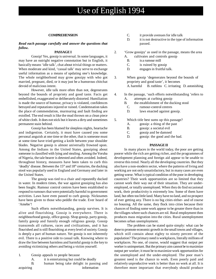# Use of English 1994

#### **COMPREHENSION**

## *Read each passage carefully and answer the questions that follow.*

# **PASSAGE I**

Gossip!Yes, gossip is universal. In some languages, it may have an outright negative connotation but in English, it basicallymeans'idle talk', chat about trivial things or matters. When moderate and kind, 'casual talk' may serve to exchange useful information as a means of updating one's knowledge. The whole neighborhood may grow gossipy with who got married, pregnant, died, or it may just be a humorous chitchat devoid of malicious intent.

However, idle talk more often than not, degenerates beyond the bounds of propriety and good taste. Facts get embellished, exaggerated or deliberately distorted. Humiliation is made the source of humour, privacy is violated, confidences betrayed and reputations injured or ruined. Condemnation takes the place of commendation, murmuring and fault finding are extolled. The end result is like the mud thrown on a clean piece of white cloth. It does not stick but it leaves a dirty and sometimes permanent stain behind.

Gossip has been blamed forsleepless nights, heartache and indigestion. Certainly, it must have caused you some personal anguish at one time or the other, that is someone must at some time have tried getting a knife between your shoulder blades. Negative gossip is almost universally frowned upon. Among the Indians in the United States, gossiping about someone is classified with lying and stealing. Among the Yoruba of Nigeria, the tale bearer is detested and often avoided. Indeed, throughout history, measures have been taken to curb this 'deadly' disease. Between the  $15<sup>th</sup>$  and  $18<sup>th</sup>$  centuries, the ducking stool was popularly used in England and Germany and later in the United States.

The gossip was tied to a chair and repeatedly ducked in water. In modern times, the war against gossiping has also been fought. Rumour control centres have been established to respond to rumours that were potentially harmful to government activities. Laws have even passed to curb gossip. Nicknames have been given to those who peddle the trade. Ever heard of 'Amebo'!

Such efforts notwithstanding, gossip survives. It is alive and flourishing. Gossip is everywhere. There is neighbourhood gossip, office gossip. Shop gossip, party gossip, family gossip and funnily enough religious gossip. Gossip transcends all cultures, races and civilizations, and it has flourished and is still flourishing at every level of society. Gossip is deeply a part of human nature. Yet gossip is not inherently evil. There is a positive side to casual talk. Knowing where to draw the line between harmless and harmful gossip isthe key to avoiding victimizing others and being a victim yourself.

1. Gossip appeals to people because A. it is entertaining but could be deadly B. human being take delight in passing and

acquiring information

- C. it provide avenues for idle talk
- D. it is not destructive in the type of information passed.
- 2. 'Grow gossipy' as used in the passage, means the area A. cultivates and controls gossip
	- B. is a rumour mill
	- C. is ruined by gossip
	- D. engages in fruitful talk.
- 3. When gossip 'degenerates beyond the bounds of propriety and good taste', it becomes A. harmful B. ruthless C. irritating D. astonishing
- 4. In the passage, 'such efforts notwithstanding 'refers to
	- A. attempts at curbing gossip
	- B. the establishment of the ducking stool
	- C. rumour-control centres
	- D. laws enacted against gossip.
- 5. Which title best sums up this passage?
	- A. gossip: a thing of the past
	- B. gossip: a societal evil
	- C. gossip and be damned
	- D. gossip: the good and the bad.

## **PASSAGEII**

In many places in the world today, the poor are getting poorer while the rich are getting richer, and the programmes of development planning and foreign aid appear to be unable to reverse this trend. Nearly all the developing countries. But they also have a non-modern sector, where the patterns of living and working are not only unsatisfactory, but in many cases are even getting worse. What is typical condition of the poor in developing countries? Their work opportunities are so limited that they cannot work their way out of their situation. They are underemployed, or totally unemployed. When they do find occasional work, their productivity is extremely low. Some of them have land, but often too little land. Many have no land, and no prospect of ever getting any. There is no big cities either- and of course no housing. All the same, they flock into cities because their chances of finding some work appear to be greater there than in the villages-where such chances are nil. Rural employment then produces mass migration into the cities. Rural unemployment becomes urban unemployment.

The problem can be stated quite simply: what can be done to promote economic growth in the small towns and villages, which still contain about eighty to ninety percent of the population?The primary need is workplaces, literally millions of workplaces. No one, of course, would suggest that output per worker is unimportant. But the primary aim cannot be to maximize output per worker; it must be tomaximize work opportunitiesfor the unemployed and the under-employed. The poor man's greatest need is the chance to work. Even poorly paid and relatively unproductive work is better than no work at all. It is therefore more important that everybody should produce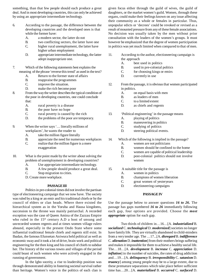something, than that few people should each produce a great deal.And in most developing countries, this can only be achieved by using an appropriate intermediate technology.

- 6. According to the passage, the difference between the developing countries and the developed ones is that while the former have:
	- A. a modern sector, the latter do not
	- B. two conflicting sectors, the latter have one
	- C. higher rural unemployment, the latter have higher urban employment
	- D. appropriate intermediate technology, the latter adopt inappropriate one.
- 7. Which of the following statements best explains the meaning of the phrase 'reverse this trend' as used in the text?
	- A. Return to the former state of affairs
	- B. reappraise the programmes
	- C. improve the situation.
	- D. make the rich become poor
- 8. From thewaythe writer describesthe typical condition of the poor in developing countries, one could conclude that:
	- A. rural poverty is a disease
	- B. the poor have no hope
	- C. rural poverty is caused by the rich
	- D. the problems of the poor are temporary.

9. When the writer says '... literally millions of workplaces', he wants the reader to

- A. take the million figure literally
- B. appreciate the need for numerous workplaces
- C. realize that themillion figure is a mere exaggeration
- 10. What is the point made by the writer about solving the problem of unemployment in developing countries?
	- A. Use appropriate intermediate technology.
	- B. A few people should produce a great deal.
	- C. Stop migration to cities.
	- D. Create more workplace.

### **PASSAGEIII**

Politicsin pre-colonial times did not involve the partisan type of electioneering campaign that we now have. The society was ruled by a king or an emir and his traditional chiefs or by the council of elders or clan heads. Where there existed the hierarchical system as in the Yoruba and Hausa kingdoms, succession to the throne was mainly patriarchal. A recorded exception was the case of Queen Amina of the Zazzau Empire who ruled in the  $15<sup>th</sup>$  century A.D a host of unsung and unrecorded women regents and at times women village rulers abound, especially in the present Ondo State where some influential traditional female chiefs and regents still exist. In Ibadan, the famous Efunsetan Aniwura held political as well as economic swayand it took a lot of drive, brain work and political engineering for the then king and his council of chiefs to subdue her. The history of the various towns and villages of the period could boast of such women who were actively engaged in the running of government.

In the Igbo soceity, a rise to leadership position was through demonstrated abilityin fostering societal survival rather than heritage. Women's voice in the politics of each clan is given focus either through the guild of wives, the guild of daughters, or the market women's guild. Women, through these organs, could make their feelings known on any issue affecting their community as a whole or females in particular. Thus, unpopular edicts or 'decrees' could be revoked or revised as a result of mounted pressure from any of these female associations. No decision was usually taken by the men without prior consultation with the leaders of the women's groups. It must however be emphasized that the degree of women participation in politics was yet much limited when compared to that of men.

- 11. According to the author, electioneering campaign is the approach
	- A. best used in politics
	- B. used in pre-colonial politics
	- C. for choosing kings or emirs
	- D. currently in use
- 12. From the passage, it is obviousthat women participated in politics.
	- A. on equal basis with men
	- B. as leaders of men
	- C. to a limited extent
	- D. as chiefs and regents
- 13. 'Political engineering' in the passage means
	- A. playing of politics
	- B. maneuvering in politics
	- C. studying of politics
	- D. steering political events.
- 14. Which of the following isimplied in the passage?
	- A. women are not politicians
	- B. women should be confined to the home
	- C. women are capable of political leadership
	- D. post-colonial politics should not involve women
- 15. A suitable title for the passage is
	- A. women in politics
	- B. champions of women liberation
	- C. great women of yesteryears
	- D. electioneering campaigns

## **PASSAGEIV**

Use the passage below to answer questions *16 to 26***.** The passage has gaps numbered *16 to 26* immediately following each gap, four options are provided. Choose the *most appropriate* option for each gap.

Two thirds of children in…16…[A. *industrialized* B. *socialized* C. *technological* D. *modernized*]societies no longer have family life. They are virtually abandoned to child-minders from a verytender age. The …17...[A. *disregard* B. *indifference* C. *alienation* D. *inattention* from their mothers brings suffering and makes it impossible for them to achieve a healthy social life. The…18…[A. *development* B. *increase* C. *appreciation* D. *inflation*] in the number of suicides, the rates of drug addiction and…19…[A. *delinquency* B. *irresponsibility* C. *satanism* D. *truancy*] among young people may be to a large extent, due to these premature separations which take place before sufficient time has…20…[A. *materialized* B. *occurred* C. *surfaced* D.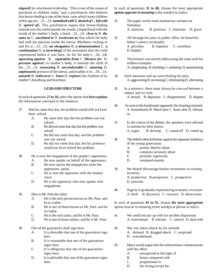*elapsed*] for attachment to develop. 'This is one of the causes of psychosis in children today' says a psychiatrist who believes that breast-feeding is one ofthe basic cares which many children ofthis age are…21…[A. *tantalizedwith* B. *denied of* C. *left with* D. *spared of*]. This psychiatrist argues that breast-feeding extendsinto the world outside the womb, a liquid bond with the inside of the mother's body; a bond…22…[A. *close to* B. *the same as* C. *unrelated to* D. *irrelevant to*] that which the baby had with the placenta inside the uterus. Rhythmic rocking to and fro is…23…[A. *an elongation* B. *a demonstration* C. *a continuation* D. *a stretching*] of the movement that the child experienced before it was born. As for the baby's…24…[*A. squeezing against* B. *separation from* C. *likeness for* D. *pressure against*] its mother's body, it reminds the child of the…25…[A. *reassuring* B. *uncomfortable* C. *amusing* D. *unpleasant*] pressure of the uterus, and enables it to…26…[A. *unearth* B. *rediscover* C. *learn* D. *explore*] the rhythms of its mother's breathing and heartbeat.

## **LEXISANDSTRUCTURE**

In each of questions *27 to 30***,** select the option that *best explains* the information conveyed in the sentence.

- 27. Had he come that day, the problem would still not have been solved.
	- A. He came that day, but the problem was not solved.
	- B. He did not come that day, but the problemwas solved.
	- C. He did not come that day, and the problem was not solved.
	- D. He did not come that day, but his presence would not have solved the problem.
- 28. He is now the megaphone of the people's oppressors.
	- A. He now speaks on behalf of the oppressors.
	- B. He now carries the megaphone when the oppressors speak.
	- C. He is now the oppressor with the loudest voice.
	- D. He is the oppressor who now speaks with megaphone.
- 29. Here is Mr. Pam the tailor.
	- A. He isthe only person known as Mr. Pam, and he is a tailor.
	- B. He is one of those known as Mr. Pam, and he is a tailor.
	- C. He isthe only tailor, and he is Mr. Pam.
	- D. He is one of many tailors, and he is Mr. Pam.
- 30. One of the guarantors shall sign here.
	- A. It is desirable that one of the guarantors sign here.
	- B. It is reasonable that one of the guarantors signs here.
	- C. It is obligatory that one of the guarantors signs here.
	- D. It is advisable that one of the guarantors signs here.

In each of questions **31 to 40,** choose the most appropriate **option** *opposite in meaning* to the word(s) in italics.

- 31. The paper carries many *humourous* cartoons on Saturdays. A. amorous B. grievous C. hilarious D. grave
- 32. All through his years in public office, he found his father's advice *invaluable*. A. priceless B. hopeless C. worthless D. helpful.
- 33. The lecturer was merely *obfuscating* the issue with his endless examples. A.complicating B.clarifying C.confusing D.summarizing
- 34. Such measures end up *exacerbating* the pain. A. aggravating B. increasing C. eliminating D. alleviating
- 35. In a sentence, there must always be *concord* between a subject and its verb.

A. breach B. departure C. disagreement D. dispute

- 36. *Assoon as* the headmaster appeared, the chantingresumed. A. ImmediatelyB. Much later C. Soon after D. Almost as.
- 37. In the course of the debate, the speakers were advised to *summarize* their points. A. argue B. develop C. round off D. round up
- 38 Theelderlyoften *fulminate* againstthe apparent indolence of the young generation.
	- A. protest bitterly about
	- B. complain seriously about
	- C. promote vigorously
	- D. commend warmly
- 39. We should discourage further investment in *existing* factories. A. productive B.prosperous C. prospective D. precious
- 40. Nigeria is gradually experiencing economic *recession* A. birth B. discovery C. recovery D. destruction.

In each of questions **41 to 55,** choose *the most appropriate* option nearest in meaning to the word(s) or phrase in italics.

- 41. We could not *put up with* his terrible disposition A. exterminate B. tolerate C. control D. deal with
- 42. She was *taken aback* by his attitude. A. delayed B. dragged aback C. surprised D. overwhelmed
- 43. Manywould argue that the achievement *commensurate with* the effort.
	- A. unexpected in the light of
	- B. funny compared with
	- C. proportional to
	- D. the wrong excuse for.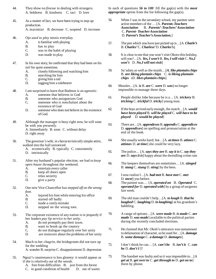- 44. They show no *finesse* in dealing with strangers. A. boldness B. kindness C. tact D. love
- 45. As a matter of fact, we have been trying to *step up* production. A. maximize B. decrease C. suspend D. increase
- 46. Ojo *used to play* tennis everyday.
	- A. isfamiliar with playing
		- B. has to play
		- C. was in the habit of playing
		- D. was made to play.
- 47. In his own story, he confirmed that they had been *on his tail* for quite sometime.
	- A. closely following and watching him
	- B. searching for him<br>C. giving him a tail
	- giving him a tail
	- D. tagging him a talebearer
- 48. I am surprised to learn that Badmus is an *agnostic*.
	- A. someone that believes in God
	- B. someone who antagonizes God C. someone who is nonchalant about
	- someone who is nonchalant about the existence of God
	- D. someone who does not believe in the existence ofGod.
- 49. Although the manager is busy right now, he will soon be with you *presently*. A. Immediately B. soon C. without delay D. right away
- 50. The governor's wife, in *characteristically* simple attire, walked into the hall unnoticed.
	- A. eccentrically B. typically C. consistently D. intrinsically
- 51. After my husband's popular election, we had to *keep open house* throughout the weekend.
	- A. entertain every caller<br>B. keep all doors open
	- keep all doors open
	- $\begin{array}{cc}\n\text{C.} & \text{relax security} \\
	\text{D.} & \text{give a narty}\n\end{array}$
	- give a party
- 52. Our newVice-Chancellor has *stepped off on the wrong foot*.
	- A. injured his foot while entering his office
	- B. started off badly<br>C. made a costly mis
	- made a costly mistake
	- D. stepped on the wrong toes.
- 53. The corporate existence of any nation is in jeopardy if her leaders *pay lip service to her unity*.
	- A. do not promptly pay their taxes.<br>B. want to break up the country
	- B. want to break up the country<br>C. do not dialogue-regularly over
	- do not dialogue-regularly over her unity
	- D. are insincere about the problems of her unity
- 54. Much to her *chagrin*, the bridegroom did not turn up for the wedding A. wonder B.surpriseC. disappointment D. depression
- 55. Ngozi's countenance is less gloomy: it would appear as if she is relatively *out of the woods*.
	- A. free from difficulties B. just from the forest
	- C. in good condition of health D. out of wants

In each of questions *56 to 100* fill the gap(s) with the *most appropriate* option from the list following the gap(s).

- 56. When I was in the secondary school, my parents were active members of the … [A. *Parents-Teachers Association* B. *Parents'-Teachers'Association* C. *Parent- TeacherAssociation* D. *Parent's Teacher'sAssociation.*]
- 57. The pen which you have just picked up is…[A. *Charle's* B. *Charles'* C. *Charless'* D. *Charles's*].
- 58. It is clear to me that you won't visit Okoro this holiday, will you?…[A. *Yes,I won't* B. *Yes,I will visit* C. *No,I won't* D. *No,I will not visit*]
- 59. Sa'adatu as well as the maids…[*A. like plantain chips* B. *are liking plantain chips* C. *is liking plantain chips* sD. *likes plantain chips*].
- 60. Measles…[A. *is* B. *are* C. *were* D. *was*] no longer impossible to manage these days.
- 61. People dislike Jobe because he is a… [A. *trickery* B. *tricking* C. *trickful* D. *tricky*] young man.
- 62. Ifthe boys arrived earlyenough, the match…[A. *would have been played* B. *will be played* C. *will have to be played* D. *would be played*]
- 63. There are…[A. *appendexes* B. *appendix* C. *appendices* D. *appendixes*] on spelling and pronunciation at the end of the book.
- 64. She usuallyworks hard; but…[A. *at times* B. *atimes* C. *attimes* D. *at time*] she could be very lazy.
- 65. The police… [A. *says they are* B. *say it is* C. *say they are* D. *saysit is*] happy about the dwindling crime rate
- 66. The keepers themselves are sometimes… [A. *stinged* B. *stang* C. *stung* D. *sting*] by the bees.
- 67. I now realize I…[A. *had met* B. *have met* C. *met* D. *meet*] you before.
- 68. The patient was… [A. *operated on* B. *Operated* C. *operated for D. operated with* | by a group of surgeons last week.
- 69. The old man couldn't help…[A. *to laugh* B. *that he laughed* C. *laughing* D. *in laughing*] at his grandson's babbling.
- 70. A range of options…[A. *were made* B. *is made* C. *are made* D. *was made*] available to the political parties during the recently concluded elections.
- 71. He claimed that Mr. Okoli's utterance wastantamount to defamation of character, so he sued for...[A. *damage* B. *some damage* C. *a damage* D. *damages*].
- 72. I don't think he can… [A. *can't be* B. *isn't it* C. *can he* D. *don't I* ]?
- 73. The handset was faulty and so it wasimpossible to…[A *get at* B. *get overto* C. *get through to* D. *get on to*] them by phone.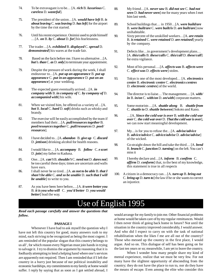- 74. To be extravagant isto be… [A. *rich* B. *luxurious* C. *careless* D. *wasteful*].
- 75. The president of the union…[A. *would have left* B. *is about leaving C. was leaving D. has left* for the airport by the time the riot started.
- 76. Until hisrecent experience. Onimisi used to pride himself ...[A. *on* B. *by* C. *about* D. *for*] his fearlessness.
- 77. The trader…[A. *exhibited* B. *displayed* C. *spread* D. *demonstrated*] his wares at the trade fair.
- 78. Based on the facts before me. I have no alternative... [A. *but* b. *than* C. *as* D. *only*] to terminate your appointment.
- 79. Despite the pressure of work during the week, I shall endeavour to…[A. *put up an appearance* B. *put up appearance* C. *put in an appearance* D. *put on an appearance*] at your wedding.
- 80. The expected guest eventually arrived…[A. *in company with* B. *in company of* C. *by company of* D. *accompanied with*] his wife.
- 81. When we visited him, he offered us a variety of…[A. *hot* **B**. *local* C. *hard* D. *soft*] drinks such as whisky and brandy.
- 82. The exercise will be easilyaccomplished by the team if members had their...[A. *pull/resources together* B. *pool/resourcestogether* C. *pull/resources* D. *pool/ resources*].
- 83. I have decided to…[A. *abandon* B. *give up* C. *discard* D. *jettison*] drinking alcohol for health reasons.
- 84. Iwould like to…[A. *accompany* B. *follow* C. *e scort* D. *join*] my father to Kaduna.
- 85. One…[A. *can't* B. *shouldn't* C. *need not* D. *dares not*] be too careful these days; times are uncertain and walls have ears.
- 86. Ishall never be so tired…[A. *as not to be able* B. *that I shan't be able* C. *and so be unable* D. *such that I will be unable*] to write to you.
- 87. As you have been here before,…[A. *it were better you* B. *it is you who will* C. *you'd better* D. *you would better*] lead the way.
- 88. My friend…[A. *never saw* B. *did not see* C. *had not seen* D. *had never seen*] me for many years when I met him last week.
- 89. School buildingsthat… in 1950…[A. *were build/are* B. *were built/are* C. *were built/is* D. *are built/are*] now unihabitable.
- 90. Sixty percent of the unskilled workers…[A. *are retain* B. *isretained* C. *were retained* D. *are retained*] yearly by the company.
- 91. Defects like…in government's development plans… [A. *this/calls* B. *these/calls* C. *this/call* D. *these/call*] for extra vigilance.
- 92. Most of his personal….[A. *affects was* B. *affects were* C. *effect was* D. *effects were*]stolen.
- 93. Tokyo is one of the most developed… [A. *electronics centre* B. *electronic centre* C. *electronics centres* D. *electronic centres*] of the world.
- 94. The director is to liaise… Themanagement… [A. *with/ in* B. *in/on* C. *with/on* D. *on/with*] corporate matters.
- 95. Somemotorists …[A. *shuttle along* B. *shuttle from* C. *shuttle to* D. *shuttle between*] Sokoto and Kano.
- 96. …[A. *Since the cold war is over* B. *with the cold war over* C. *the coldwar over* D. *That the coldwaris over*], we can now start meaningful development.
- 97. My…is for you to refuse the…[A. *advise/advice* B. *advice/advice* C. *advice/advise* D. *advise/advise*] of the wicked.
- 98. Go straight down the hill and take the third… [A. *bend* B. *branch* C. *junction* D. *turning*] on the left.You can't missit
- 99. I hereby declare and…[A. *inform* B. *confirm* C. *affirm* D. *conform*] that, to the best of my knowledge, this statement is true in all respects
- 100. A citizen in a democracy can…[A. *turn up* B. *bring out* C. *bring up* D. *turn to*] the lawif he orshe wantsto correct an injustice.

# Use of English 1995

*Read each passage carefully and answer the questions that follow.*

## **PASSAGE I**

Whenever I have had to ask myself the question why I have not left this country for good, many answers rush to my mind, each striving to be recognized as being the most cogent. I am reminded of the popular slogan that this country belongs to us all', for which reason every Nigerian must join hands in trying to salvage it. I try to dismiss the argument by reasoning that it is foolhardy attempting to lend a helping hand where one's services are apparently not required. Then I am reminded that ifI left the country in a hurry just because of our political instability and economic hardships, my commitments to my family at home would suffer. I reply by saying that as soon as I got settled abroad, I would arrange for myfamilyto join me. Other financial problems at home would be taken care of bymyregular remittances.Would I then never think of going back home in future? Not until the situation in the country improved considerably, I would answer. And who did I expect to carry on with the task of national rehabilitation when the likes f me are all out of the country? Those who messed up the country in the first place, I would argue. And so on. This dialogue of self has been going on for the last ten years or so; meanwhile, I am yet to leave the country.

When I wonder how many people share my kind of mental experience, realize that we must be very few. For not many have the slightest opportunity of absconding from the country; they do not have the place to run to, nor do they have the means of escape. Even among the elite who consider this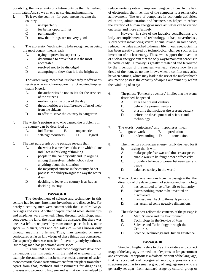possibility, the uncertainty of a future outside their fatherland intimidates. And so we all end up staying and mumbling.

- 1. To leave the country 'for good' means leaving the country
	- A. unexpectedly
	- B. for better opportunities
	- C. permanently
	- D. now that things are not very good
- 2. The expression 'each striving to be recognized as being the most cogent' means each
	- A. trying to prove its superiority
	- B. determined to prove that it is the most acceptable
	- C. resolved not to be dislodged
	- D. attempting to show that it is the brightest.
- 3. The writer's argument that it isfoolhardy to offer one's services where such are apparently not required implies that in Nigeria
	- A. the authorities do not solicit for the services of the citizens
	- B. mediocrity is the order of the day
	- C. the authorities are indifferent to offers of help from the citizens
	- D. to offer to serve the country is dangerous.
- 4. The writer's posture as to who caused the problems in his country can be described as
	- A. indifferent B. unpatriotic
	- C. self-righteousness D. logical.
- 5. The last paragraph of the passage reveals that
	- A. the writer is a member of the elite which alone indulges in this king of thinking
	- B. people in the country only end up arguing among themselves, while nobody does anything about the situation
	- C. the majority of citizensin the country do not possess the ability to argue the way the writer does
	- D. deciding to leave the country is as bad as deciding to stay.

## **PASSAGEII**

The development of science and technology in this century had led men into many inventions and discoveries. For nearly a century, men were content with the use of railways, carriages and cars. Another chapter opened when steamships and airplanes were invented. Thus, through technology, man conquered the land, the water and the airspace. But there was one area left unconquered by man: outer space. In fact, outer space --- planets, stars and the galaxies --- was known only through magnifying lenses. Thus, man operated on mere conjectures asfar as knowledge of these things was concerned. Consequently, there was no scientific certainty, only hypotheses. But today, man has penetrated outer space.

It is true that science and technology have developed tremendously in this century. In the field of engineering, for example, the automobile has been invented as a means of easier, more comfortable and faster movement from one place to another. Apart from that, methods and instruments for diagnosing diseases and promoting hygiene and sanitation have helped to reduce mortality rate and improve living conditions. In the field of electronics, the invention of the computer is a remarkable achievement. The use of computers in economic activities, education, administration and business has helped to reduce the exertion of human energy as more activities can be carried out faster and more effectively.

However, in spite of the laudable contributions and lofty accomplishments of technology, it has, nevertheless, succeeded in introducing several anomalies and, in some cases, reduced the value attached to human life. In our age, social life has been greatly altered by technological changes such as the invention of nuclear energy. Those who support the invention of nuclear energy claim that the only way tomaintain peace isto be battle-ready. Humanity is greatly threatened and terrorized by the invention of the nuclear warhead. People now live in dread of the hour, as no one knows when a conflict may arise between nations, which may lead to the use of the nuclear bomb assumed to possessthe capacity of wiping out humanity within the twinkling of an eye.

- 6. The phrase 'For nearlya century' impliesthat the events described happened
	- A. after the present century
	- B. before the present century
	- C. at a time that includes the present century
	- D. before the development of science and technology.
- 7. The words 'conjectures' and 'hypotheses' mean
	- A. guess-work B. prediction
	- D. understanding D. conclusion
- 8. The inventors of nuclear energy justify the need for it by saying that it will
	- A. make people fear war and thus create peace
	- B. enable wars to be fought more effectively
	- C. provide a balance of power between war and peace
	- D. balanced society in the world.
- 9. The conclusion one can draw from the passage isthat the direction of the development of science and technology
	- A. has continued to be of benefit to humanity
	- B. leaves nothing more to be invented or discovered
	- C. may lead man back to the early periods
	- D. has assumed some negative dimensions.
- 10. The title that best reflects the contents of the passage is
	- A. Man, Science and the Environment
	- B. Technology in the Service of Man
	- C. Science and Technology through the Centuries
	- D. Science, Technology and Human Existence.

# **PASSAGEIII**

Standard English refers to the authoritative and correct usage of the language, the medium of expression for government and education. Its opposite is a dialectal variant of the language, that is, accepted and recognized words, expressions and structures peculiar to a smaller group of language users who are generally set apart from standard usage by cultural group or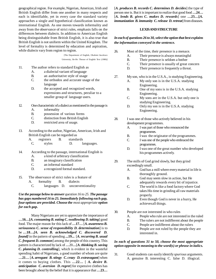geographical region. For example, Nigerian,American, Irish and British English differ from one another in many respects and each is identifiable, yet in every case the standard variety approaches a single and hypothetical classification known as international English. As one moves towards informality and away from the observance of strict rules, emphasis falls on the differences between dialects. In addition to American English being distinguishable from British English, it is also true that British English is not uniform within the United Kingdom. The level of formality is determined by education and aspiration, while dialects vary from region to region.

> [The Department of English, Obafemi Awolowo University, IIe-Ife: Theuse of English Text (1980)]

- 11. The author refers to standard English as
	- A. a dialectal variant of language
	- B. an authoritative style of usage
	- C. the orthodox and accurate usage of the language
	- D. the accepted and recognized words, expressions and structures, peculiar to a smaller group of language users.
- 12. One characteristic of a dialect as mentioned in the passage is A. informality
	- B. possession of various forms
	- C. distinction from British English
	- D. restricted area of usage.
- 13. According to the author, Nigerian, American, Irish and British English can be regarded as
	- A. registers B. standards
		- C. styles D. languages.
- 14. According to the passage, international English is
	- A. a kind of arbitrary classification
	- B. an imaginary classification
	- C. an informal standard
	- D. a recognized formal standard.
- 15. The observance of strict rules is a feature of
	- A. formality B. dialects
		- C. languages D. unconventionality

*Use the passage belowto answer question 16 to 25. The passage has gaps numbered 16 to 25. Immediately following each gap, four options are provided. Choose the most appropriate option for each gap.*

ManyNigerians are yet to appreciate the importance of **…16…[***A. consuming B. eating C.swallowing D. taking*] good food. The major reason for thislack of **…17…** [*A. awarenessB. seriousness C. sense of responsibility D. determination*] is to be **…18…***[A. seen B. acknowledged C. discovered D. found]* in the pattern ofspending **...19...** [*A. recurring B. usual C. frequent D. common*] among the people of this country. This pattern is characterized by lack of **…**20**…**[*A. thinking B.saving C. planning D. controlling*], which is evident in the wasteful spending habit of Nigerians, a good number of whom are quite **…21…** [*A. arrogant B.stingy C. crazy D. extravagant*] when it comes to buying clothes. This **…22…** [ *A. desire B. anticipation C. aversion D. regret*] for expensive clothes has been brought about by the belief that it is appearance that **…23…**

[*A. produces B. records C. determines D. decides*] the type of person one is. But it isimportant to realize that good food **…24…** [*A. lends B. gives C. makes D. rewards*] one **…25…[***A. immunization B. immunity C. release D. retreat*] from diseases.

# **LEXISANDSTRUCTURE**

# *In eachof questions 26 to 30, select the option that best explains the information conveyed in the sentence.*

- 26. Most of the time, their presence is a menace.
	- A. Their presence is always meaningful
	- B. Their presence is seldom a bother
	- C. Their presence is usually of great concern
	- D. Their presence is frequently a threat.
- 27. My son, who is in the U.S.A., is studying Engineering.
	- A. My only son is in the U.S.A. studying Engineering.
	- B. One of my sons is in the U.S.A. studying Engineering.
	- C. My sons are in the U.S.A. but only one is studying Engineering.
	- D. Only my son is in the U.S.A. studying Engineering.
- 28. I was one of those who actively believed in his development programmes.
	- A. I was part of those who renounced the programmes.
	- B. I was the originator of the programmes.
	- C. I was one of the peoplewho embraced the programmes.
	- D. I was one of the great number who developed his programmes actively.
- 29. The mills of God grind slowly, but they grind exceedinglysmall.
	- A. God has a mill where everymaterial in life is thoroughly ground.
	- B. God may seem slow in action, but He adequately rewards every bit of injustice.
	- C. The world is like a food factorywhere God takes His time in grinding all raw materials properly.
	- D. Even though God is never in a hurry, He achievesall things.
- 30. People are not interested in who rules
	- A. People who rule are not interested in the ruled
	- B. The rulers are not indifferent about the people
	- C. People are indifferent about the rulers
	- D. People are not ruled by the people they are interested in.

# *In each of questions 31 to 50, choose the most appropriate option opposite in meaning to the word(s) or phrase in italics.*

31. Good students can easily identify *spurious* arguments. A. genuine B. interesting C. false D. illogical.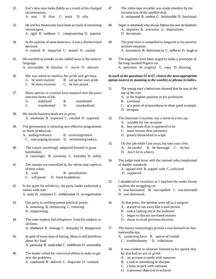- 32. Eze's skin now looks *flabby* as a result of his changed circumstances. A. neat B. firm C. weak D. oily.
- 33. He and his lieutenants have been accused of remaining *intransigent*. A. rigid B. stubborn C. compromising D. popular.
- 34. In the opinion of most observers, it was a *disinterested* decision. A. neutral B. impartial C. biased D. candid.
- 35. We watched in wonder asshe rattled away in the *esoteric* language. A. inscrutable B. familiar C. secret D. obscure.
- 36. She was asked to *swallow her pride* and get busy. A. be more realistic B. eat up her own pride
	- C. be more insistent C. be less proud.
- 37. Many species in creation have *mutated* over the years into new forms of life.
	- A. stabilized B. manifested C. transformed D. standardized.
- 38. His textile business deals are in *gross*. A. wholesale B. imported C. retailed D. exported.
- 39. The government is *initiating* new effective programmes to *boost* production.
	- A. ending/enhance B. reviewing/renew C. rearranging/increase D. terminating/reduce.
- 40. The culprit *unwittingly* subjected himself to great humiliation. A. cunningly B. curiously C. foolishly D. subtly
- 41. The masses are controlled by the *whims and caprices* of their rulers. A. wish B. parochialism
	- C. will power D. level-headedness
- 42. In his quest for *solidarity*, the party leader undertook a nation-wide tour. A. unity B. resistance C. mobilization D. re-organization
- 43. Our party is *wielding* potent political power. A. assuming B. renouncing C. restoring D. reappraising.
- 44. The ruler expects full *allegiance* from his subjects at all times. A. obedience B. homage C. disloyalty D. disapproval.
- 45. In spite ofmany days of fasting, Musa is still *fastidious* about his food. A. particular B. undecided C. indifferent D. unmindful.
- 46. The leader called for *concerted* effortsin order to get over the problems.
	- A. combined B. definite C. disparate D. isolated.
- 47. The video tape recorder was made *obsolete* by the introduction of the satellite dish. A. antiquated B. useless C. fashionable D. functional.
- 48. Segun issomebodywho always follows his own *inclinations.* A. impulses B. aversions C. dispositions D. deviations
- 49. The poor man is compelled to *languish* in his povertystricken situation. A. luxuriate in B. deteriorate in C. suffer in D. laugh at
- 50. The engineers have been urged to make a *prototype* of the long-awaited Nigeria car. A. specimen B. original C. copy D. drawing.

## *In each of the questions 51 to 67, choose the most appropriate option nearest in meaning to the word(s) or phrase in italics.*

- 51. The young man's behaviour showed that he was *at the top of the tree*.
	- A. at the highest position in his profession
	- B. confused
	- C. at a point of preparedness to show good example
	- D. arrogant.
- 52. The chairman's reaction was a *storm in a tea cup*.
	- A. suitable for the occasion
	- B. less serious than it appeared to be
	- C. more serious than necessary
	- D. greatly diminished in scope.
- 53. Do this job while I am away, but *take your time*. A. be careful B. be thorough C. be fast D. don't be in a hurry.
- 54. The judge *took issue with* the counsel who complained of double standards.
	- A. agreed with B. argued with C. criticized D. supported.
- 55. I *shuddered in revulsion* as I watched the snake slowly swallow the struggling rat.
	- A. was fascinated B. wasrepelled C. wasinterested
	- D. was distressed.
- 56. At that point, the speaker went *off at a tangent*.
	- A. started to run away like a mad person
	- B. took a lashing out at the audience
	- C. began to discuss unrelated matters
	- D. chose to recall previous decision.
- 57. The enemy interestingly proved a real *bulwark* on that memorable day.
	- A. protecting force B. source of trouble
	- C. troubleshooter D. tribulation.
- 58. It was evident to whoever listened to his speech that he also had an *axe to grind*.
	- A. an account to settle with someone
	- B. a tool or something to sharpen
	- C. a bone to pick with someone
	- D. a personal objective to achieve.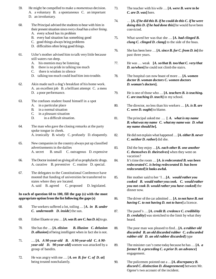- 59. He might be compelled to make a *momentous* decision. A. a voluntary B. a spontaneous C. an important D. an involuntary.
- 60. The Principal advised the students to bear with him in their presentsituation since *every cloud has asilverlining*.
	- A. every school has its problem
	- B. every bad situation has something good
	- C. good things always bring problems
	- D. difficulties often bring good things.
- 61. Uche's mother advised him to talk very little because still waters run deep.
	- A. his enemies may be listening
	- B. there is no pride in talking too much
	- C. there is wisdom in silence
	- D. talking too much could lead him into trouble.
- 62. Akin made such a dog's breakfast of his home work. A. an excellent job B. a brilliant attempt C. a mess D. a poor performance.
- 63. The confuses student found himself in a spot
	- A. in a particular place
	- B. in a normal situation
	- C. in a pleasant situation
	- D. in a difficult situation.
- 64. The man who gave the closing remarks at the party spoke tongue in cheek. A. ironically B. wisely C. profusely D. eloquently.
- 65. New companiesin the country always put up classified advertisements in the dailies A. secret B. small C. outrageous D. expensive
- 66. TheDoctorinsisted on givingall of us prophylactic drugs. A. curative B. preventive C. routine D. special.
- 67. The delegates to the Constitutional Conference have mooted that funding of universities be transferred to states where they are located. A. said B. agreed C. proposed D. legislated.

# **In each of question 68 to 100, fill the gap (s) with the most appropriate option from the list following the gaps(s)**

- 68. The workers suffered a lot, toiling … [*A. in B. under C. underneath D. inside*] the sun.
- 69. Either Ekaete or you … **[***A.wasB. are C. hasD. is***]** togo.
- 70. She has the … **[***A. elision B. illusion C. delusion D. allusion***]** of being intelligent when in fact she is not.
- 71. … **[***A. A 90-year-old B. A 90-year-old C. A 90 year-old D. 90-year-old***]** women was attacked by a group of bandits.
- 72. He was angry with me … [*A. on B. for C. of D. at***]** being treated nonchalantly.
- 73. The teacher with his wife … **[***A. were B. were to be C. are D. was***]** here.
- 74. … **[***A. if he did this B. if he could do this C. if he were doing this D. if he had done this***]** he would have been convicted.
- 75. What saved her was that she … **[***A. had clinged B. clung C. clinged D. clang***]** to the side of the boas.
- 76. She has been here … **[***A.since B. for C. from D. in***]** the past three years.
- 77. He was … weak **[***A. so/that B. too/that C. very/that D. so/when***]** he could not climb the stairs.
- 78. The hospital can now boast of more … **[***A. women doctor B. woman doctors C. women doctors D. woman's doctors***].**
- 79. He is one of those who … **[***A. teachers B. is teaching. C. are teaching D. teach***]** in my school.
- 80. The director, no less than his workers … **[***A. is B. are C. were D. ought***]** to blame.
- 81. The principal asked me … **[** *A. what is my name B. whatwas my name C. whatmy name was D. what my name should be***].**
- 82. He did not explain what happened … **[***A. eitherB. never C. neither D. rather***]** did she.
- 83. Did the boy enjoy …**[***A. each other B. one another C. themselves D. theirselves***]** when they went on vacation?
- 84. It'stime the room … **[***A. is redecorated B. was been redecorated C. is being redecorated D. has been redecorated***] it looks awful.**
- 85. Her mother said to her 'I …**[***A. would rather you cooked B. would rather you cook. C. would rather you not cook D. would rather you have cooked***]** the dinner now.
- 86. The driver of the car admitted … **[***A. to not have B. not having C. to not having D. not to have***]** a licence.
- 87. The panel's … **[***A. credit B. credence C. credibility D. credulity***]** was stretched to the limit by what they heard.
- 88. The poor man was pleased to find…**[***A. a rubber old discarded B. an old discarded rubber C. a discarded rubber old D. an old rubber discarded***]** type
- 89. The minister can't come today because he has … **[***A. a former B. a preceding C. a prior D. an advance***]** engagement.
- 90. The policemen pointed out a …**[***A. discrepancy B. discord C. distinction D. disagreement***]** between Mr. Ogene's two account of the incident.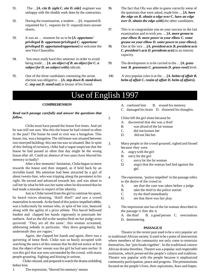- 91. The …**[***A. cite B. sight C. site D. side***]** engineer was unhappy with the shoddy work done by the contractors.
- 92. During the examination, a student … **[**A. requested B. requested for C. requests for D. request**]** more answer sheets.
- 93. It was an … moment for us to be **[***A. opportune/ privileged B. opportune/privileged C. opportune/ privileged D. opportuned/opportune***]** to welcome the newVice-Chancellor.
- 94. You must study hard this semester in order to avoid being made … **[***A. an object of B. an object for C. a subject for D. an subject with***]** ridicule.
- 95. One of the three candidates contesting the union election was obliged to …**[***A. step down B.stand down C. step out D. stand out***]** in favour of his friend.
- 96. The fact that Olu was able to guess correctly some of the questions that were asked, made him … **[***A. have the edge on B. obtain a edge over C. have an edge over D. obtain the edge with***]** the other candidates.
- 97. This is to congratulate you on your success in the last examination and to wish you … **[***A. more grease to your elbow B. more power to your elbow C. some grease on your elbow D. some power to your elbow***].** 98. One ot the vice …**[***A. president acts B. president acts C. president's acts D. presidents acts***]** in an interim capacity.
- 99. The development is to be carried to the ... **[***A. grass root B. grassroots C. grassroots D. grass-root***]** level.
- 100. A very popular rules is at the … **[***A. helms of affair B. helm of affair C. reaim of affair D. helm of affairs***].**

# Use of English 1997

# **COMPREHENSION**

# *Read each passage carefully and answer the questions that follow.*

Chike must have passed the house five times. And yet he was still not sure. Was this the house he had visited so often in the past? The house he used to visit was a bungalow. This house, too, was a bungalow. The old house was situated between two-storeyed building: this one too was so situated. But in spite of this feeling of certainty, chike had a vague suspicion that the house he had passed so often that day might be the wrong house after all. Could an absence of two years have blurred his memory so badly?

After a few moments' hesitation, Chike began to move towards the house and then stopped, as if held back by an invisible hand. His attention had been attracted by a girl of about twenty-four, who was tripping along the pavement to his right. He turned and advanced towards her, and was about to call her bywhat he felt was her name when he discovered that he had made a mistake in respect of her identity.

Just as Chike turned from the girl to continue his quest, he heard voices shouting, 'thief! thief!' and saw a crowd materialize in seconds. At the head of this justice-impelled rabble, was a ludicrously fat woman who, in spite of her size, bounced along with the agility of a prize athlete. This barrel bellowed loudest and clapped her hands vigorously to punctuate her outburst. And as she did so the surplusflesh on her pudgy arms quivered. 'They are all the same', this woman screamed, addressing nobody in particular. 'they dress gorgeously, but underneath they are rogues.'

Again, she clapped her hands and again, there was a quivering of loose flesh. Chike was so busily occupied with watching the antics of this woman that he did not notice at first that the object of her venom was the girl he had seen earlier. It was this girl that was now surrounded by the crowd, with many people groaning. Sighing and hissing in unison.

Chike relaxed, and prepared towatch the drama unfolding before him.

1. The expression, 'blurred his memory' means

- A. confused him B. erased his memory
- C. damaged his brain D. distorted his thoughts.
- 2. Chike left the girl alone because he
	- A. discovered that she was a thief
	- B. was afraid of the fat woman
	- C. did not known her
	- D. did not like her.
- 3. Many people in the crowd groaned, sighed and hissed because they were
	- A. angrywith the girl
	- B. sorry for the girl
	- C. sorry for the fat woman
	- D. angry that the woman had lied against the girl.
- 4. The expression, 'justice-impelled' in the passage refers to the desire of the crowd to
	- A. see that the case was taken before a judge
	- B. take the thief to the police station
	- C. trythe thief immediately
	- D. see that there was fair play.
- 5. The impression one has of the fat woman described in the passage is that she is
	- A. the thief B. a good person C. overzealous D. domineering.

# **PASSAGEII**

Theatre in the recent past used to be a very popular art in traditional African society. It used to be a point of intersection where members of the community not only come to entertain themselves, but 'join headstogether'. In the traditional context African drama therefore, Theatre was a popular and respectable institution, which preserved the people's culture and tradition. Theatre was popular with the people because it emphasized community participation, peace and progress. The presentations focused on the people's lives, their aspirations, fears and hopes.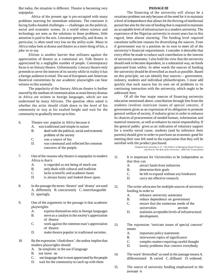But today, the situation is different. Theatre is becoming very unpopular.

Africa of the present age is pre-occupied with many problems yearning for immediate solutions. The continent is facing hydra-headed challenges --- challenges on the political, social and economic scenes. In a world where science and technology are seen as the solutions to these problems, little attention is paid to the arts. Literature generally, and drama in particular, is often rated very low on the utility scale. Many in Africa today look at drama and theatre as a mere thing of fun, a joke so to say.

Elitism is another barrier that militates against the appreciation of theatre as a communal art. Folk theatre is appreciated by a negligible number of people. Contemporary focus is on literary theatre. Unfortunately. Literary theatre only pretends to serve the interest of its society while in reality it has a foreign audience in mind. The use of Europeans and American theatrical conventions by our academic playwrights can bear witness to this anomaly.

The popularity of the literary African theatre is further marred bythe medium of communication as most literarydramas in Africa are written in foreign languages, which are not understood by many Africans. The question often asked is whether the artist should climb down to the level of his community or stay at his exalted height and wait for the community to graduallymove up to him.

- 6. Theatre was popular in Africa because it
	- A. wastraditional and simple in nature
	- B. dealt with the political, social and economic problem of the society
	- C. was a source of fun
	- D. was communal and reflected the common concerns of the people.
- 7. One ofthe reasons why theatre is unpopular in modern Africa is that it
	- A. is regarded as not being of much use
	- B. only deals with cultural and tradition
	- C. lacks scientific and academic bases
	- D. is always funny and looked down upon.
- 8. In the passage the terms'theatre' and 'drama' are used A. differently B. concurrently C. interchangeable D. sparingly.
- 9. One of the arguments in the passage is that academic playwrights
	- A. expressthemselves only in foreign languages
	- B. serve as a catalyst in the society's appreciation of theatre
	- C. work against the common man's appreciation of theatre
	- D. make theatre popular in traditional societies.
- 10. Bythe expression 'climb down', the author impliesthat modern playwrights should
	- A. be simplistic in the use if language
	- B. not move on
	- C. use language that ismost appreciated bythe people
	- D. wait for the community to catch up with them

## **PASSAGEIII**

The financing of the university will always be a vexatious problem not only because of the need for it to maintain a level of independence that allows for the thriving of intellectual pursuit but also for the size of funding that is required to maintain an acceptable level of infrastructure in a modern university. The experience of the Nigerian university in recent years has in this regard, been almost alarming. The funding level required constitute sufficient reasons for diversifying the sources. Even if government was in a position on its own to meet all of the university's financial requirements. I consider it desirable that every effort be made to reduce such contribution in the interest of university autonomy. I also hold the view that the university should seek to become dependent, in a substantial way, on funds generated from within. In other words the sources of funding the university should be diversified as much as possible. Based on this principle, we can identify four sources— government, industry, students and individual philanthropists. I must add quickly that each source has its own set of problems in its continuing interaction with the university, which ought to be addressed here.

Of all the four major sources of financing university education mentioned above, contribution through fees from the students involves instricate issues of special concern, if government gives as an expression of its obligation to promote general welfare of society, if industry gives in order to enhance its chances of procurement of needed human, information and material resources, as well as enhance its social responsibility. If the general public gives as an indication of voluntary support for a worthy social cause, students (and by inference their parents) should give in order to purchase an economic good for meeting their own felt need in the expectation that they will be satisfied with the product purchased.

> [Adapted from Onosode, G. O. :'*The Politics of Managing People Prospects and Poverty The Role of the University',* 1009 OAU Convocation]

- 11. It is important for Universities to be independent so that they can
	- A. attract funds from industries
	- B. determine their goals
	- C. be left to expand without any hindrance
	- D. carry out effective research.
- 12. The writer advocates for multiple sources of university funding in order to
	- A. enhance university autonomy
	- B. reduce dependence on government
	- C. ensure that the numerous needs of the universities aremet
	- D. maintain acceptable levels of infrastructural development.
- 13. The expression 'intricate issues of special concern' means
	- A. important policy statements
	- B. interwoven topics of significance
	- C. complex matters requiring careful thought
	- D. knotty problems that concern everybody.
- 14. The word 'diversified' as used in the passage meansA. differentiated B. varied C. diffused D. widened.
- 15. The source of university funding emphasized in the passage is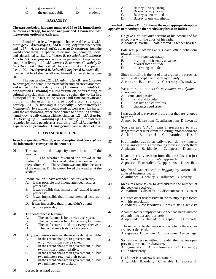| А. | government         | B. | industry |
|----|--------------------|----|----------|
|    | the general public | D. | student  |

#### **PASSAGEIV**

### **The passage below has gaps numbered 16 to 25.Immediately following each gap, for option are provided. Choose the** *most appropriate* **option for each gap.**

In today's society, few people at home need feel...16…[*A*. *estrangedB. discouragedC. bad D. intrigued*] from other people and… 17…[*A. cut out B. offC. cut away D. cut down*] from the world about them. Telephone, television, car, common, social and educational …18…[*A. interest B. associations C. interests C. activity D. escapapades*] with other parents, all keep married couples in living …19…[*A. contact B. contract C. activity D. together*] with the rest of the community. If a person feels…20…[*A. deprived B. isolatedC. neglected D. cheated*], it may be that he of she has allowed himself of herself to become so.

The person who…21…[*A. administersB. runsC. orders D. arranges*] the home is the master of the immediate environment and is free to plan the daily…22…[A. *chores* B. *timetable* C. *organization* D. *routing*] to allowfor time off, or for reading, or cultural or social activities, much more so than the worker in a factory of office. In fact, in the case of a full-time housewife and mother, if she uses her time to good effect, she could develop…23…[A. *mentally* B. *physically* C. *economically* D. *intelligently*] by reading or home study as well as enrich herself with the ameliorating experience denied to a working woman, namelyloving daily contact with her children …24…[A. *Bearing* B. *Dressing up* C. *Washing up* D. *Bringing up*] children is regarded by many people as a rewarding…25…[A. *activity* B. *experience* C. *promotion* D. *engagement*] and a labour of love.

#### **LEXISANDSTRUCTURE**

#### **In each of questions 26 to 30,selectthe option that** *best explains* **the information conveyed in the sentence.**

26. The stadium had a capacity crowd in spite of the weather.

> A. The weather favoured the crowd at the stadium. B. The crowd defied the weather to fill the stadium. C. The stadium was not filled because The stadium was not filled because of the weather. D. The crowd loved the weather at the stadium.

- 27. Imona couldn't have attended lectures yesterday.
	- A. It was possible that Imona attended lectures yesterday.
	- B. It was possible that Imona didn't attend lecturer yesterday.
	- C. It was impossible that Imona attended lectures yesterday.
	- D. It was impossible that Imona didn't attend lectures yesterday.
- 28. The conference is biennial.
	- A. The conference is held twice every year.<br>B. The conference is held twice every two y
	- B. The conference is held twice every two years<br>C. The conference is held once every other year.
	- C. The conference is held once every other year.<br>D. The conference lasts for two years
	- The conference lasts for two years.
- 29. Only two ministers survived the recent cabinet reshuffle. A. In the recent changes in government,
	- only twoministers were sacked.
	- B. In the recent changes in government, all but two ministers remained alive.
	- C. In the recent changes in government, all but two ministers retained their posts.
	- D. In the recent changes in government, all but two ministers were sacked.

| А.           | Bassey is very strong |
|--------------|-----------------------|
| B.           | Bassey is very brave  |
| $\mathsf{C}$ | Bassey is determined  |
|              |                       |

D. Bassey is unsympathetic

### **Ineach of questions 31 to 50 choose the most appropriate option** *opposite in meaning* **to the word(s) or phrase in italics.**

- 31. He gave a *painstaking* account of his account of his encounter with the ghost of his father A.sordid B. fearful C. half- hearted D. tender-hearted.
- 32. Bala was put off by Lanre's *conquettish* behaviour towards him.
	- A. unfriendly advantage<br>B. inviting and friendly a
	- inviting and friendly advances
	- C. quarrel some attitude<br>D. interesting attitude.
	- interesting attitude.
- 33. Since mortality is the lot of man argued the preacher, we must all accept death with *equanimity*. A. concern B. uncertainty C. serenity D. anxiety.
- 34. We admire the minister's *passionate and dynamic* characteristics.
	- A. cruel and passive
	- B. kind and forceful<br>C. passive and chari
	- C. passive and charmless<br>D. charmless and cruel.
	- charmless and cruel.
- 35. I was advised to stay away from citiesthat are *ravaged* by crime. A. spoilt by B. free from C. suffering from D. haven of.
- 36. You can use *lethal* means if necessary to stop dangerous characters from molesting innocent citizens<br>A. fatal B. cruel C. harmless D. soft A. fatal B. cruel C. harmless D. soft
- 37. His intention was not actually to punish the villagers, and in any case he is now making moves to *pacify* them A. placate B. ridicule C. appease D. annoy. C. appease D. annoy.
- 38. If you are really keen on immediate results, you just have to adopt this *pragmatic* approach A. practical B. unrealisticC. opportunistic D. sensible.
- 39. My friend was reduced to *beggary* by various illadvised business deals. A. affluence B. penury C. influence D. poverty.
- 40. Measures were taken to *authenticate* the number of the booklets received. A. reaffirm B. discredit C. discountenance D. count
- 41. He urged other *progressives* in the country to join forces with his association A. radicals B. conservatives C. pessimists D. activists
- 42. Adama'sfather simply *condoned* her bad habitsinstead of punishing her appropriately A. opposed B. blamed C. accepted D. forbade.
- 43. The undesirable elements who *perpetuate* these vices are never detected. A. aggravate B. overlook C. discontinue D. encourage.
- 44. Some travellers *unwittingly* render themselves open prey to questionable character. A. genuinely B. wholesomely C. knowingly D. inadvertently.
- 45. His father is a *shrewd* businessman A. gullible B. orderly C. reliable D. resourceful.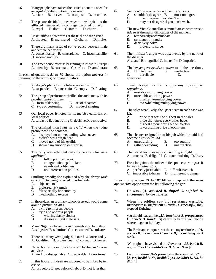- 46. Many people have raised the issued about the need for an *equitable* distribution of our wealth A. a fair B. an even C. an unjust D. an undue.
- 47. The pastor decided to *exorcise* the evil spirit as the afflicted member of his congregation cried for help.<br>A. expel B. dive C. invite D. charm. C. invite
- 48. He *mumbled* a few words at the trial and then cried<br>A shouted B murmured C charm D invite. A. shouted B. murmured C. charm
- 49. There are many areas of *convergence* between male and female behaviour. A. concomitance B. concordance C. incompatibility D. incomparability.
- 50. The greenhouse effect is beginning to *abate* in Europe A. intensify B. extenuate C. surface D. ameliorate

In each of questions *51 to 70* choose the option *nearest in meaning* to the word(s) or phase in italics.

- 51. Adebayo's plans for the future are *in the air*. A. suspended B. uncertain C. empty D. floating
- 52. The group of performers thrilled the audience with its peculiar *choreography*.
	- A. form of dancing B. art of theatrics<br>C. type of costuming D. mode of singing C. type of costuming
- 53. Our local paper is noted for its *incisive* editorials on local politics. A. sarcastic B. penetrating C. decisive D. destructive.
- 54. The criminal *didn't bat an eyelid* when the judge pronounced the sentence.
	- A. displayed no understanding whatsoever B. didn't shed a single tear
	-
	- B. didn't shed a single tear<br>C. moved none of his evelic
	- C. moved none of his eyelids<br>D. showed no emotion or surp showed no emotion or surprise.
- 55. The rally was attended only by people who were *apolitical*.
	- A. full of political fervour<br>B. antagonistic to politici
	- B. antagonistic to politicians<br>C. new-breed politicians
	- C. new-breed politicians<br>D. not interested in politic
	- not interested in politics.
- 56. Smilling broadly, she explained why she always *took exception* to being referred to as his wife
	- A. objected to<br>B. preferred ve
	- B. preferred very much<br>C. felt specially honour felt specially honoured by
	- D. liked nothing excepts.
- 57. In those days an ordinary school drop-out would come around *putting on airs*.
	-
	- A. trying to impress people<br>B. trying to oppress people
	- B. trying to oppress people<br>C. wearing flashy clother
	- C. wearing flashy clother<br>D. dresses in light materia dresses in light materials.
- 58. Many Nigerian have *inured* themselves to hardship A. subjected B. submitted C. accustomed D. endeared.
- 59. There are many *venal* judges in our law courts today A. Qualified B. professional C. corrupt D. honest.
- 60. He is bound to exposes himself by his *nefarious* activities
	- A. kind B. disreputable C. despicable D. nocturnal.
- 61. In this house, children are supposed to be in bed *by* ten o'clock. A. just before B. not before C. about D. not later than.
- 62. You *don't have to agree* with our producers.
	- A. shouldn't disagree B. must not agree C. may disagree if you don't wish
	- C. may disagree if you don't wish<br>D. may not disagree if you don't w
	- may not disagree if you don't wish.
- 63. The new Vice-Chancellor'simmediate concern wasto *tide over* the major difficulties of the moment
	- A. temporarily accommodate<br>B. permanently handle
	- B. permanently handle<br>C. decisively solve
	- C. decisively solve<br>D. pretend to solve
	- pretend to solve.
- 64. The minister's anger was *aggravated* by the news of the disaster. A. abated B. magnified C. intensifies D. impeded.
	-
- 65. The lawyer gave *evasive* answers to all the questions.<br>A. Unintelligent B. ineffective A. Unintelligent B.<br>C. unreliable unreliable D. equivocal.
- 66. Their strength is their *staggering capacity to reproduce*.
	- unstable mutiplying power
	- B. unreliable attacking power
	- C. qualitative multiplying power<br>D. overwhelming multiplying power
	- overwhelming multiplying power.
- 67. The sales were lively; the *upset price* in each case was fair.
	- A. price that was the highest in the sales<br>B. price that upset every other buyer
	- B. price that upset every other buyer<br>C. highest amount for a bidder to offer
	- C. highest amount for a bidder to offer<br>D. lowest selling price of each item.
	- lowest selling price of each item.

68. The cleaner resigned from his job which he said had become a *trivial round.*

- A. unrewarding B. too routine<br>C. rather degrading D. unattractive
- rather degrading
- 69. The island becomes more *enchanting* at night A. attractive B. delightful C. accommodating D. livery
- 70. For a long time, the robber defied police warnings asif he was *inculnerable*.
	- A. perfectly justifiable B. difficult to catch
	- C. impossible to harm D. indifferent to danger.

In each of questions *71 to 100* fill each gap with the *most appropriate* option from the list following the gap.

- 71. He was…[*A. assisted B. duped C. cajoled D. encouraged*] by the trickster.
- 72. When the soldiers saw that resistance was…[*A. inadequate B. inefficient C. futile D. successful*] they stopped fighting.
- 73. you should read all the…[*A. brochuresB. prospectuses C. tickets D. handouts*] carefully before you decide where to go on holiday.
- 74. The Emir and conqueror of the enemy territories…[*A. arrives B. are to arrive C. arrive D, are arriving*] next week.
- 75. We ought to have visited the Governor…[*A. isn't it B. oughtn't we C. shouldn't we D. haven't we*]?
- 76. He didn't sense Obi's presence in the room did he? … [*A. yes, he didB. No, he didC. yes, he didn't D. No, he didn't*].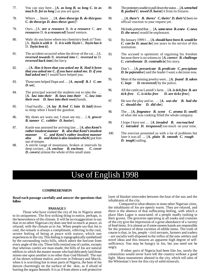- 77. You can stay here…[*A. as long B. so long C. in as much D. for as long* ] as you are quiet.
- 78. Where … buses … [*A. does these/go B. do this/goes C. do these/go D. does these/ goes*]?
- 79. Ours…[A. *are a resource* B. *is a resource* C. *are resources* D. *is a resourced*] based venture.
- 80. Wale: do you know where my chemistry book is?Tom: [A. *Toyin is with it* B. *it is with Toyin* C. *Toyin hasit* D. *Toyin lent it*].
- 81. The accident occurred when the driver of the car…[A. *reversed towards* B. *reversed into* C. *reversed to* D. *reversed back into*] the lorry.
- 82. …[*A. Has it been that you asked me B. Had it been that you asked me C. if you have asked me. D. if you had asked me*] I would have helped you.
- 83. Thosemen helpedDupe and … [*A. myself B. I C. me D. we*].
- 84. The principal warned the students not to take the ... [*A. law into their B. laws into their C. law into their own D. laws into their own*] hands.
- 85. I had hardly… [*A. lay B. lied C. lain D. laid*] down to sleep when I heard the gunshot.
- 86. My shoes are worn out; I must see my… [ *A. grocer B. tanner C. cobbler D. hosier*].
- 87. Kunle was annoyed for arriving late... [A. *also Kemi's ratherinsolent manner B. also that Kemi'sinsolent manner C. and Kemi's rather insolent manner also D. and Kemi is also insolent which*] put him out of temper.
- 88. A sterile range of mountains, broken at intervals by deep ravines…[*A. enclose B. encloses C. cover D. covers*] almost the whole of this small state.
- 89. Theprotestersunabletopulldownthestatus…[*A.wrenched B. pushed C. towed D. burnt*] it from itsfixtures.
- 90. …[*A. there's B. theres' C. theirs' D. their's*] been no officail reaction to your request yet.
- 91. Hislooksportendthat… [*A. somenews B. anew C.news D. the news*] would be unpleasant.
- 92. ByJanuary 1999 I … [*A.should have been B. would be C. can be D. must be*] ten years in the service of this institution.
- 93. The accused is optimistic of regaining his freedom because there is nowitnessto [*A. correct B. challenge C. corroborate D. contradicts*] his story.
- 94. Don't … [*A. prevaricate B. predicate C. precipitate D. be pejorative* ] said the leader I want a decision now.
- 95. Most of themissing jewelrywere…[*A. found B. taken D. recovered*] by the police.
- 96. All the cattle on Lamidi'sfarm… [*A. istick free B. are tick-free C. is ticks-free D. are ticks-free*].
- 97. He saw the play and so … [*A. was she B. had she C. should she D. did she*].
- 98. The… [*A. fragrance B. scent C. aroma D. smell*] of what she was cooking filled the whole company.
- 99. I hope I have not … [*A. invaded B. encroached C. intruded D. trespassed*] too much on your time.
- 100. The exercise presented us with a lot of problems but later it was all … [*A. plain B. smooth C. rough D. tough*] sailing.

# Use of English 1998

#### **COMPREHENSION**

**Read each passage carefully and answer the questions that follow**

#### **PASSAGE I**

Those who have visited the city of Jos in Nigeria attest to its uniqueness. The first striking thing to notice, perhaps, is the benevolence of the climate. It will be no exaggeration to say that in no other Nigerian city does one feel so much at peace, so relaxed, with the climate as in Jos. When people say that Jos is cool, the remark is always a compliment, referring to the cool, serene feeling of being at peace with nature, which one experiences in the city. This feeling is topographically symbolized by the surrounding rocky hills, which adorn the horizon from every angle of the city. These hillsremind you of castles, excepts that whereas castles are man-made, the hills of Jos are natural edifices in which the master mason who had delicately laid those stones one upon another is no other than God Himself. The sun of Jos shines without malice, and even in February and March, when it is scorching hot in most parts of Nigeria, the heat of Jos dances charmingly on the surface of the skin, as if afraid of hurting the organs beneath. It is as if from above a soft protective layer of blanket intercedes between the heat of the sun and the inhabitants of the city.

Compared to what obtains in most other Nigerian cities, the inhabitants of Jos are openly warm. They are relaxed, and there is the absence of that suffocating feeling, with which a place likes Lagos is associated, of a people madly rushing to their graves. The groceries operating at all nooks and crannies of the city give the impression of a great abundance of a variety offood items. It is almost asifsome unseen hands are responsible for the presence of these varieties of edible items. The truth of course isthat, in Jos, people - civil servants, farmers and traders – are sociallywell-disposed to the influx of the new settlers and novel ideas and this ensures an apparent high degree of selfsufficiency. You may be hungry in Jos, but you need not be angry.

If other parts of Nigeria had been like Jos, surely the colonialists would never have left the country without a good fight. Many monuments abound in the city, which tell tales of the Whiteman's love for this city of solid minerals.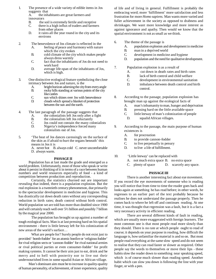1. The presence of a wide variety of edible items in Jos suggests that

A. the inhabitants are great farmers and innovators

- B. the soil is extremely fertile and receptive
- C. there is a high influx of traders and farmers from other places
- D. it rains all the year round in the city and its environs
- 2. The benevolence of Jos climate is reflected in the
	- feeling of peace and harmony with nature which the city evokes
	- B. cold climate of the citywhich makes people always dress warmly
	- C. fact that the inhabitants of Jos do not need to work hard
	- D. average life-span of the inhabitants of Jos, which is high.
- 3. One distinctive ecological feature symbolizing the close intimacy between Jos and nature, is the
	- A. bright horizon adorning the city from every angle
	- B. rocky hills standing at various points of the city likecastles
	- C. sun which shines over Jos with benevolence
	- D. cloudswhich spread a blanket of protection between the sun and the earth.
- 4. The last paragragh of the passage suggests that
	- A. the colonialists left Jos only after a fight<br>B. the colonialists left Jos reluctantly
	- B. the colonialists left Jos reluctantly<br>C. Jos could not contain the many col
	- Jos could not contain the many colonialists
	- D. Nigeria's independence forced many colonialists out of Jos.
- 5. 'The heat of Jos dances caressingly on the surface of the skin as if afraid to hurt the organs beneath' this meansin Josit is

A. never hot B. always cold C. never uncomfortable D. always warm.

## **PASSAGEII**

Population has at last made the grade and emerged as a world problem. Unfortunately, most of those who speak or write about it persist in thinking of it in terms of a race between human numbers and world resources especially of food - a kind of competition between production and reproduction.

Certainly, the statistics churned out are important revealing that indeed, there is a population explosion. But the real explosion is a twentieth century phenomenon, due primarily to the spectacular development in medicine and hygiene. This has drastically cut down death rates without any corresponding reduction in birth rates; death control without birth control. World population we are told has more than doubled since 1900 andwill certainlyreach well over 5½ billion and possibly 7 billion by themagical year 2000.

The population has brought us up against a number of tough ecological facts. Man is at last pressing hard on his spatial environment - there is little leeway left for his colonization of new areas of the world's surface…

What are people for? Surely people do not exist just to provided 'bomb-fodder' for an atomic bonfire or 'religious fodder' for rival religion sects or 'cannon-fodder' for rival national armies or rival political parties or even consumer-fodder' for profit making systems. It cannot be their aim just to eat, drink and be merry and to hell with posterity nor to live out their undernourished lives in some squalid Asian or African village.

Man's dominant aim must be to increase in quality-quality of human personality, of achievement, of inner experience, quality of life and of living in general. Fulfillment is probably the embracing word; more 'fulfillment' more satisfaction and less frustration for more *Homo sapiens.* Man wants more varied and fuller achievement in the society as opposed to drabness and shrinkages. We want more knowledge and more interest as against ignorance and apathy. Then would we know that the spatial environment is not as small as we think.

- 6. The theme of the passage is
	- A. population explosion and development in medicine
	- B. man in a deprived world
	- C. development in medicine and hygiene
	- D. population and the need for qualitative development.
- 7. Population explosion is as a result of
	- A. cut down in death rates and birth rates
	- B. lack of birth control and child welfare
	- C. development in environmental sanitation
	- D. imbalance between death control and birth control.
- 8. According to the passage, population explosion has brought man up against the ecological facts of
	- A. man'sinhumanity toman, hunger and deprivation
	- B. pressing hard on the little available space
	- C. little leeway of man's colonization of people
	- D. squalid African villages.
- 9. According to the passage, the main purpose of human existences is
	- A. for procreation
	- B. to provide cannon-fodder
	- C. to live perpetually in penury
	- D. to live a life of fulfillment.
- 10. 'Little leeway' can be replaced with
	- A. not much extra space B. no extra space
	- C. plenty of space D. scarcely any space.

# **PASSAGEIII**

There is another interesting fact about eye movement. If you record the eye movements of someone who is reading you will notice that from time to time the reader goes back and looks again at something he has read before; in other words, he regresses to an earlier part of the text probably because he realises he does not understand the passage properly. Then he comes back to where he left off and continues reading. At one time, it was thought that regression was a fault, but it is a fact a very necessary activity in efficient reading.

There are several different kinds of fault in reading, which are usually more exaggerated with foreign learners. The most common one is that most people read more slowly than they should. There is no rate at which people ought to read of course; it depends on your purpose in reading, how difficult the language is, how unfamiliar the material is and so on. But most people read everything at the same slow speed and do not seem to realise that they can read faster or slower as required. Other people say the words to themselves or move their lips - these habits slow the reader down to something near speaking speed, which is of course much slower than reading speed. Another habit which can slow you down is following the line with your finger, or with a pen.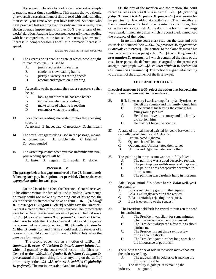If you want to be able to read faster the secret is simply to practise under timed conditions. This means that you should give yourself a certain amount of time to read with understanding then check your time when you have finished. Students who have practised fast reading even for only an hour a week, have shown average improvements of over 50% over a term of ten weeks' duration. Reading fast does not necessarilymean reading with less comprehension - in fact students usually show small increase in comprehension as well as a dramatic increase in speed.

[Wallace, M.C: *Study Skills in English, C.U.P. 1980*]

- 11. The expression 'There is no rate at which people ought to read of course... is used to
	- A. justify regression in reading
	- B. condemn slow reading habits
	- C. justify a variety of reading speeds
	- D. recommend regression in reading.
- 12. According to the passage, the reader regresses so that he can
	- A. look again at what he has read before
	- B. appreciate what he is reading
	- C. make sense of what he is reading
	- D. remember what he is reading.
- 13. For effective reading, the writer implies that speaking speed is A. normal B. inadequate C. necessary D.significant
	-
- 14. The word 'exaggerated' as used in the passage, means A. pronounced B. problematic C. falsified D. compounded
- 15. The writer implies that when you read unfamiliar material, your reading speed will be
	- A. faster B. regular C. irregular D. slower.

### **PASSAGE IV**

## **The passage below has gaps numbered** *16 to 25***. Immediately following eachgap, four options are provided. Choose the** *most appropriate* option for each gap.

On the 21st ofJune 1994, the Director – General received in his office a visitor, the first of its kind in hislife. Even though he really could not make any meaning out of his name, the visitor's second statement that he was a court ... 16... [A. bailiff *B. messenger C. litigant D. clerk*] readily gave the Director - General a clear picture of the man's purpose. He immediately gave to the Director- General two sets of papers. The first was a …17… **[***A. writ ofsummonsB.subpoenaC. call notice D. letter***]** which was to notify the Director- General that he and the agency he represented were being sued for **…18…[***A. battery B.slander C. libel D. contempt*] and that he should seek the services of a lawyer who would appear for him on the 6th of July when the case was for mention.

The second paper was on a motion of …**19**…[ *A. summons B. order C. decision D. interlocutory injunction***]** which, if granted by the court would restrain the Director – General or the **…20…[***A.defender B. defedant C. litigant D. prosecution***]** from publishing further anything on the staff of the ministry or the **…21…[***A. witness B. exhibits C. plaintiffs D. perjurer***].** The motion was also slated for 6th July.

On the day of the mention and the motion, the court became alive as early as 8.30 a.m as the **…22…[***A. presiding judge B. court clerk C. justice D. prosecutor***]** was known for his punctuality. He would sit at exactly 9 a.m. The plaintiffs and their counsel were the first to come into the court room, then came the defence counsel. At the dot of the hour, three bangs were heard, immediately after which the court clerk announced the presence of the judge.

In no time the court clerk read out the case and both counsels announced their **…23…[***A. presence B. appearances C. arrivals D.interests***]** . The counsel to the plaintiffs moved his motion relying on a six- paragraph …24…[*A. oathB. affidavit C. presentation D. arguments* ] which contained the facts of the case. In response, the defence counsel argued on the premise of an eigth- paragraph **…25…[***A. counter affidavit B. declaration C.submission D. summons***].** Themotion was granted according to the merit of the argument of the first lawyer.

#### **LEXISANDSTRUCTURE**

## In each of questions 26 to 35, select the option that best explains **the information conveyed in the sentence .**

- 26. If I left the country, I would arrange for my family to join me.
	- A. He left the country and his family joined him B. In the event of his leaving the country, his
	- B. In the event of his leaving the country, his familywould join him.
	- C. He did not leave the country and his family did not join him.
	- D. He may not leave the country.
- 27. A state of mutual hatred existed for years between the two villages of Umuna and Ogboma .
	- A. Umuna hated Ogboma.
	- B. Ogboma hated Umuna.
	- C. Ogboma and Umuna hated themselves<br>D. Umuna and Ogboma hated each other
	- Umuna and Ogboma hated each other.
- 28. The painting in the museum was beautifully faked.
	- A. The painting was a good deceptive replica.
	- B. The painting was well-framed and displayed.
	- C. The painting was deceptively decorated in the museum.
	- D. The painting was carefully hung in museum.
- 29. **Ade:** Do you mind if Isit down here? *Bola:* well, yes I do actually.
	- A. Bola is reluctantly granting the request.
	- B. Bola is willingly accepting the request.
	- C. Bola is certainly rejecting the request.<br>D. Bola is objecting to the request.
	- Bola is objecting to the request.
- 30. The President held forth for several minutes on the need for patriotism.
	- A. The President was silent for some minutes when patriotism was being discussed.
	- B. The President whispered a few things about patriotism.
	- C. The President spent time saying a few things about patriots.
	- D. The President gave a rather long speech on the importance of patriotism.
- 31. The slide in the price ofgold in the world market hasleft the industry reeling.
	- A. The gradual fall in gold price is making the industry unstable.
	- B. The stability in gold price is making the industry stagnant.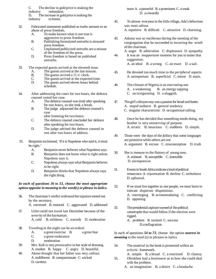C. The decline in gold price is making the industry redundant. redundant. D. The increase in gold price is making the industry to boom. to boom.

- 32. Fabricated statements published as truths amount to an abuse of press freedom.
	- A. To make known what is not true is aggressive to press freedom.
	- B. Publishing formulated untruths is misused press freedom.
	- C. Unplanned publicized untruths are a misuse of the freedom of the press.
	- D. Press freedom is based on published untruths.
- 33. The expected guests arrived at the eleventh hour.
	- A. The guests arrived at the last minute.<br>B. The guests arrived a 11 o' clock.
	- The guests arrived a 11 o' clock.
	- C. The guests arrived at the expected time.<br>D. The guests arrived eleven hours behind
	- The guests arrived eleven hours behind schedule.
- 34. After addressing the court for two hours, the defence counsel rested her case.
	- A. The defence counsel was tired after speaking for two hours, so she took a break.
		- B. The judge adjourned the defence counsel's case after listening for two hours.
	- C. The defence counsel concluded her defence after speaking for two hours.
	- D. The judge advised the defence counsel to rest after two hours of address.
- 35. Benjamin exclaimed, 'Ifit is Napoleon who said it, it must be right.'
	- A. Benjamin never believes what Napoleon says.
	- B. Benjamin does not know what is right unless Napoleon says it.
	- C. Napoleon always says what Benjamin believes to be right.
	- D. Benjamin thinks that Napoleon always says the right thing.

## *In each of questions 36 to 53, choose the most appropriate option opposite in meaning to the word(s) or phrase in italics.*

- 36. The chairman's verdict *redressed* the injusticemeted out by the secretary. A. corrected B. restored C . aggravated D. addressed
- 37. Uche could not travel last December because of the *severity* of the harmattan. A. cold B. mildness C. warmth D. moderation
- 38. Traveling in the night can be an *ordeal.*
	- A. a great exercise B. a great fear
	- C. a great endurance
	- D. moderation
- 39. Mrs. Kofi is very *provocative* in her style of dressing. A. modest B. happy C. angry D. beautiful.
- 40. Akoso thought that her father was very *callous*. A. indifferent B. compassionate C. wicked D. careless.

team A. a powerful B. a prominent C. a weak D. a cowardly

- 42. To almost everyone in the little village, Ada's behaviour was most *odious* A. repulsive B. difficult C. attractive D. charming.
- 43. Aduma was so vociferous during the meeting of the congregation that he succeeded in incurring the *wrath* of the chairman.
- A. anger B. admiration C. displeasure D. sympathy. 44. It was an *inopportune* moment for you to make that suggestion. A. an ideal B. a wrong C. an exact D. a sad .
- 45. He devoted too much time to the *peripheral* aspects A. unimportant B. superficial C. minor D. main.
- 46. The climate of Nigeria is an *enervating* one A. a weakening B. an energy sapping C. an invigorating D. a sluggish.
- 47. The girl's *idiosyncrasy* was a passion for bread and butter. A. stupid outburst B. general tendency C. singular characteristic D. occupational calling.
- 48. Once he has decided that something needs doing, my brother is very *unswerving* of purpose. A. erratic B. tenacious C. stubborn D. simple.
- 49. Those were the days of the *fallacy* that some languages are primitive while others are not A. argument B. excuse C. misconception D. truth
- 50. She is *immune* to the flattery of young men. A. resistant B.susceptible C. insensible D. unresponsive
- 51. EventsinSouthAfricaindicateakind ofpolitical *renascence*.A. rejuvenation B. decline C. turbulence D. upheaval.
- 52. If we must live together as one people, we must learn to tolerate *disparate* dispositions. A. converging B. accommodating C. conflicting D. opposing.
- 53. The presidential aspirant warned of the political *catastrophe* that would follow if the election were rigged.
	- A. problem B. turmoil C. success D.conflagration.

In each of questions *54 to 73*, choose the option *nearest in meaning* to the word (s) or phrases in italics

- 54. The material in the book is presented within an *eclectic* framework.
	- A. simple B. a broad C. a restricted D. clumsy.
- 55. Ohiokhen had a *brainwave* as to how she could deal with the problem.
	- A. an imagination B. a desire C. a headache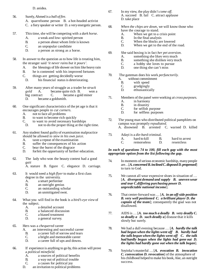- D. anidea.
- 56. Surely,Ahmed is a *ball of fire*.
	- A. quarrelsome person B. a hot-headed activist
	- C. a fiery speaker or writer D. a veryenergetic person.
- 57. Thistime, she will be competing with a *dark horse*.
	- A. a weak and low-spirited person
		- B. a person about whom little is known
		- C. an unpopular candidate
		- D. a person as strong as a horse.
- 58. In answer to the question as to how life is treating him, the stranger said *'it never rains but it pours'*.
	- A. the blessings of life shower on him like heavy rain
	- B. he is contented with his improved fortunes
	- C. things are getting decidedly worse
		- D. his financial status is deteriorating.
- 59. After many years of struggle as a trader he *struck* A. became quite rich B. won a big contract C. became a gold miner D. became a goldsmith.
- 60. One significant characteristics of the jet age is that it encourages people *to cut corners*.
	- A. not to face all problems
	- B. to want to become rich quickly
	- C. to want to avoid necessary hardships
	- D. not to do the proper thing at the right time.
- 61. Any student found guilty of examination malpractice should be allowed *to stew in his own juice*.
	- A. taste a repeat of the examination
	- B. suffer the consequences of his action
	- C. bear the burnt of the disgrace
	- D. forfeit the opportunity of further education.
- 62. The lady who won the beauty contest had a good *gait*

A. stature B. figure C. elegance D. carriage.

- 63. It would need a *high flyer* to make a first class degree in the university.
	- A. a smart performer
	- B. an outright genius
	- C. an outstanding scholar
	- D. an unmitigated swot.
- 64. What you will find in the book is a *bird's eye view*of the subject.
	- A. a detailed account
	- B. a balanced discussion
	- C. a biased treatment
	- D. a general survey.
- 65. Hers was a *chequered* career
	- A. an interesting and successful career
		- B. a career full of sorrow and tears
		- C. a bright and memorable career
		- D. a career full of ups and downs.
- 66. If experience is anything to go by, this action will prove a *political minefield*.
	- A. a sources of political benefits
	- B. a way out of political trouble
	- C. a causes for political joy
	- D. an invitation to political problems
- 67. In my view, the play didn't *come off*. A. succeed B. fail C. attract applause D. take place
- 68. *When the chips are down,* we will know those who have the courage to stand.
	- A. When we get to a crisis point
		- B. In the final analysis
		- C. When the blocks are lowered
	- D. When we get to the end of the road.
- 69. She said boxing is in fact *her pet aversion*.
	- A. something she likes very much
	- B. something she dislikes very much
	- C. a hobby she loves to pursue D. one thing she can't miss
	-
- 70. The gateman does his work *perfunctorily.* A. without commitment
	- B. with speed
	- C. grudgingly
	- D. ethusiastically
- 71. Members of the panel were working *at cross purposes.*
	- A. in harmony
	- B. in disunity
	- C. for selfish purpose
	- D. for selfless purposes
- 72. The young man who distributed political pamphlets on campus was promptly *repudiated.*
	- A. disowned B. arrested C. warned D. killed
- 73. Adayi is a *die-hard* criminal.
	- A. hard to kill B. hard to arrest C. remorseless D. resentless

### *In each of questions 74 to 100, fill each gap with the most appropriate option from the list following the gap.*

- 74. In moments of serious economic hardship, many people are…[*A. concernedB.inclinedC. disposedD. propensed*] to turn to God.
- 75. We cannot all wear expensive shoes in situation of … [*A. divergent demand and supply B. uneven wear and tear C.differing purchasing power D. unpredictable national income*].
- 76. That center-forward was … [*A. in an off-side position B. very well positioned C. a brilliant player D. the captain of the team*]; consequently the goal was not disallowed.
- 77. AIDS is … [*A. too much a deadly B. very deadly C. so deadly a D. such deadly a*] disease that it kills slowly but surely.
- 78. We had a dull evening because … [*A. hardly the talk had begun when the lights went off B. hardly had the talk begun when the lights went off C. the talk had hardly begun when the lights had gone out D. the lights had hardly gone out when the talk began*].
- 79. Soyinka's masterful … [*A. evocation B. invocation C. convocation D. revocation*] of the atmosphere of his childhood helped to make his book,Ake*,* an outright success.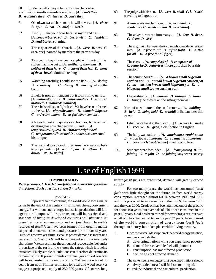80. Students will always blame their teachers when examination results are unfavourable … [*A. won't they B. wouldn't they C. isn't it D. can't they*]

- 81. Okonkwo is a stubborn man; he will never… [ *A. chew B. spit C. eat D. bite*] his words.
- 82. Kindly … me your book because my friend has … [*A. borrow/borrowed B. borrow/lent C. lend/lent D. lend/borrowed*] mine.
- 83. Three-quarters of the church … [*A. were B. was C. is D. are*] painted by members the previous day.
- 84. Two young boys have been caught with parts of the stolen machine but …[*A. neither of them has B. neither of them have C. none of them has D. none of them have*] admitted stealing it.
- 85. Watching carefully, I could see the fish … [*A. doting B. crawling C. diving D. darting*] along the bottom.
- 86. Emeka is now a … student but it took him years to … [*A. matured/mature B. mature/mature C. mature/ matured D. matured/ matured*].
- 87. The rebels will soon fight back. We have been informed …their… [*A. of/predicament B. about/indulgence C. on/rearmament D. asfor/advancement*].
- 88. Ali was honest and quiet as a schoolboy, but too much drinking has now changed his … and … [*A. temperature/injured B. character/tightened C. temperament/loosened D. innocence/worsened*] his tongue.
- 89. The hospital was closed … because there were no beds to put patients ... [*A. again/upon B. off/on C. down/ at D. up/in*].
- 90. The judge with hisson… [*A. were B. shall C. is D. are*] traveling to Lagos now.
- 91. A university teacher is an… [*A. academic B. academics C. academician D. academia*].
- 92. The adventurers ran into many … [*A. dear B. dears C. deers D. deer*].
- 93. The argument between the two neighbours degenerated into …[*A. a free to all B. a free fight C. a flee for all D. a free for all fight*].
- 94. The class … [*A. comprised of B. comprises of C. comprise D. comprises*] more girlsthan boys this session.
- 95. The tourist bought … [*A. a brown small Nigerian earthen pot B. a small brown Nigerian earthen pot C. an earthen brown small Nigerian pot D. a Nigerian small brown earthen pot*].
- 96. I have already… [*A. hanged B. hunged C. hang D. hung*] the picture on the sitting room wall.
- 97. Most of us will attend the conference … [*A. holding B. held C. being held D. to hold*] at Ibadan later this years.
- 98. Ishall work hard so that I can … [*A. secure B. make C. receive D. grab*] a distinction in English.
- 99. The baby was rather … [*A. much more troublesome B. much too troublesome C. so much troublesome D. very much troublesome*] than I could bear.
- 100. Students were forbidden …[*A. from joining B. in joining C. to join D. on joining*] any secret society.

## Use of English 1999

## **COMPREHENSION**

*Read passages, I, II & III carefully and answerthe questions that follow. Each question carries 3 marks.*

### **PASSAGE I**

If present trends continue, the world would face a major crisis by the end of this century: insufficient cheap, convenient energy. For without such energy, industrial production will fall, agricultural output will drop, transport will be restricted and *standard of living in developed countries will plummet*. At present, almost all our energycomesfrom *fossil fuels*. The earth's reserves of *fossil fuels* have been formed from organic matter subjected to enormous heat and pressure for millions of years. But such reserves are finite. Because power demand is increasing very rapidly, *fossil fuels* will be exhausted within a relatively short time. We can estimate the amount of recoverable fuel under the surface of the earth and we know the rate at which it is being extracted. Fairly simple calculations can therefore determine its remaining life. If present trends continue, gas and oil reserves will be exhausted by the middle of the 21st century – about 70 years from now. Similar estimates for coal and wood reserves suggest a projected supply of 250-300 years. Of course, long before *fossil fuels* are exhausted, demand will greatly exceed supply.

For too many years, the world has consumed *fossil fuels* with little thought for the future. In fact, world energy consumption increased almost 600% between 1900 and 1965 and it is projected to increase by another 450% between 1965 and the year 2000. Crude oil has been pumped out of the ground for about 100 years, but over half of it has been consumed in the past 18 years. Coal has been mined for over 800 years, but over a half of it has been extracted in the past 37 years. In sum, most of the world's consumption of energy from *fossil fuels* throughout history, hastaken place within living memory.

- 1. Fromthewriter's description oftheworld energysituation, we may conclude that
	- A. developing nations will soon experience poverty
	- B. demand for recoverable fuel will plummet
	- C. consumption has not affected production
	- D. decline has not affected demand.
- 2. The writer seems to suggest that developed nations should
	- A. always calculate a fossil fuel's remaining life
	- B. reduce industrial and agricultural production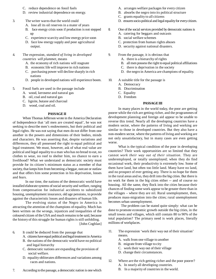- C. reduce dependence on fossil fuels
- D. review industrial dependence on energy.
- 3. The writer warns that the world could
	- A. lose all its oil reserves in a mater of years
	- B. face energy crisis soon if production is not stepped up
	- C. experience scarcity and low energy price soon
	- D. face low energy supply and poor agricultural output.
- 4. The expression, *standard of living in developed countries will plummet*, means
	- A. the economy of rich nations will stagnate
	- B. economic life will improve in rich nations
	- C. purchasing power will decline sharply in rich nations
	- D. people in developed nations will experience boom.
- 5. Fossil fuels are used in the passage include
	- A. wood, kerosene and natural gas
	- B. oil, coal and natural gas
	- C. lignite, butane and charcoal
	- D. wood, coal and oil.

## **PASSAGEII**

When Thomas Jefferson wrote in the America Declaration of Independence that 'all men are created equal', he was not seeking to describe men's endowments, but their political and legal rights. He was not saying that men do not differ from one another in the powers and dimensions of their bodies, minds and characters. He was asserting that, despite variations and differences, they all possessed the right to equal political and legal treatment. We must, however, ask of what real value are political and legal equality to a man who has no bread to eat, no clothes to wear, no roof to shelter him, no chance to earn a livelihood? What we understand as democratic society must provide for its citizen's minimum status as a member of that society, that keeps him from becoming a beggar, outcast or outlaw and that offers him some protection in his deprivation, losses and fears.

In our time, the nations of the democratic world have installed elaborate systems of social security and welfare, ranging from compensation for industrial accidents to subsidized housing, unemployment insurance, old age pensions, to provide against the characteristic losses and disasters of human life.

The evolving status of the Negro in America is attracting the attention of the champions of equality. Much has been written on the wrongs, injustices and inequalities of the coloured citizen of the USA and much remains to be said, because the history of this struggle for human rights is still unfolding. [John Coghlan]

- 6. It could be deduced from the passage that
	- A. citizens have equal political and legal treatment in America B. the nations of the democratic world have no political
	- and legal hierarchy
	- C. democratic nations are expanding the provision of social welfare.
	- D. equality obliterates differences and variations among races and nations.
- A. arranges welfare packages for every citizen
- B. absorbs the negro into its political structure
- C. grants equality to all citizens
- D. ensures socio-political and legal equality for every citizen.
- 8. One of the social services provided by democratic nations is
	- A. catering for beggars and outcasts
	- B. social welfare schemes
	- C. protection from human rights abuses
	- D. security against national disasters.
- 9. From the passage, it is obvious that
	- A. there is a hierarchy of rights
	- B. allmen possessthe right toequal political affiliations
	- C. there is deprivation in the society
	- D. the negro in America are champions of equality.
- 10. A suitable title for the passage is
	- A. Democracy
	- B. Discrimination
	- C. Equality
	- D. Freedom

## **PASSAGEIII**

In many places in the world today, the poor are getting poorer while the rich are getting richer, and the programmes of development planning and foreign aid appear to be unable to reverse this trend. Nearly all the developing countries have a modern sector, where the patterns of living and working are similar to those in developed countries. But they also have a non-modern sector, where the patterns of living and working are not only unsatisfactory, but in many cases are even getting worse.

What is the typical condition of the poor in developing countries? Their work opportunities are so limited that they cannot *work their way out of their situation*. They are underemployed, or totally unemployed; when they do find occasional work, their productivity is extremely low. Some of them have land, but often too little land. Many have no land, and no prospect of ever getting any. There is no hope for them in the rural areas and so, theydrift into the big cities. But there is no work for them in the big cities either -- and of course no housing. All the same, they flock into the cities because their chances of finding some work appear to be greater there than in the villages – where they are nil. Rural unemployment, then, produces mass-migration into the cities; rural unemployment becomes urban unemployment.

The problem can be stated quite simply: what can be done to promote economic growth outside the big cities, in the small towns and villages, which still contain 80 to 90% of the total population? The primary need is work places, literally millions of workplaces.

- 11. The expression 'work their way out of their situation' means.
	- A. walk from one village to another
	- B. migrate from village to city
	- C. work their way out of their village
	- D. change their circumstances.
- 12. Where are the rich getting richer and the poor poorer? A. In nearly all developing countries.
	- B. In a majority of countries in the world.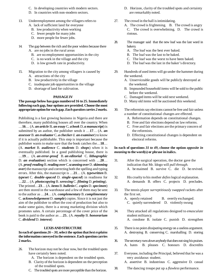- C. In developing countries with modern sectors.
- D. In countries with non-modern sectors.
- 13. Underemployment among the villagers refers to A. lack of sufficient land for everyone
	- B. low productivity when working
	- C. fewer people for many jobs
	- D. more people for fewer jobs.
- 14. The gap between the rich and the poor widens because there A. are no jobs in the rural areas
	- B. are no employment opportunities in the city
	- C. is no work in the village and the city
	- D. is low growth rate in productivity.
- 15. Migration to the city among villagers is caused by
	- A. attractions of the city
	- B. low productivity in the village
	- C. inadequate job opportunities in the village
	- D. shortage of land for cultivation.

## **PASSAGEIV**

## **The passage below has gaps numbered 16 to 25.Immediately following each gap, four options are provided. Choose the most appropriate option for each gap.** *Eachquestioncarries 2marks.*

Publishing is a fast growing business in Nigeria and there are therefore, many publishing houses all over the country. When …**16**… (A. *an article* B**.** *an essay* C**.** *a book* D**.** *a manuscript*) is submitted by an author, the publisher sends it …**17**… (A. *an assessor* B. *an evaluator* C**.** *a checker* d. *an examiner*) to know if it is actually publishable. This step is important because the publisher wants to make sure that the book catches the…**18**… (A. *market* B. *audience* C. *students* D. *shops*) when it is eventually published. In a good publishing house, there is …**19**… (A. *an error-proof* B. *an editorial* C. *lithographic* D. *an evaluation*) section which is concerned with …**20**… (A. *proof-reading*B. *reading over*C.*scanning over*D. *skimming over*) the manuscript and correcting both the spelling and typing errors. After this, the manuscript is …**21**… (A. *typewritten* B. *typeset* C. *double-spaced* D. *single-spaced*) in readiness for …**22**… (A. *photocopying* B. *xeroxing*C. *filming* D. *printing*). The printed…**23**…(A. *items*B. *bulletin* C. *copies* D. *specimen*) are then stored in the warehouse and a few of them may be sent to the author as …**24**… (A. *complementary* B. *complimentary* C. *acknowledgement* D. *sample*) copies. Since it is not just the aim of the publisher to offset the cost of production but also to make some gains, there is a strong marketing division which promotes sales. A certain percentage of the cover price of the book is paid to the author as …**25**.. (A. *royalty* B. *honorarium* C. *dividend* D. *interest*)

## **LEXISANDSTRUCTURE**

## **In eachof questions** *26 – 30***,select the option that** *best explains* **the informationconveyed inthe sentence.Each questioncarries 2 marks.**

- 26. The horizon may not be clear now, but the troubled spots have certainly been noted.
	- A. The horizon is dependent on the troubled spots.
	- B. Clarity of the horizon is dependent on the perception of the troubled spots.
	- C. Thetroubled spots aremore perceptible than the horizon.
- D. Horizon, clarity of the troubled spots and certainty are remarkably noted.
- 27. The crowd in the hall is intimidating.
	- A. The crowd is frightening. B. The crowd is angry C. The crowd is overwhelming. D. The crowd is riotous.
- 28. The manager said that the new loaf was the last word in bakery.
	- A. The loaf was the best ever baked.
	- B. The loaf was the last to be baked.
	- C. The loaf was the worst to have been baked.
	- D. The loaf was the last in the baker's directory.
- 29. Hundreds of used items will go under the hammer during the weekend.
	- A. Unserviceable goods will be publicly destroyed at the weekend.
	- B. Impounded household items will be sold to the public before the weekend.
	- C. Damaged items will be sold next weekend.
	- D. Many old items will be auctioned this weekend.
- 30. The reformists say elections cannot be free and fair unless a number of constitutional changes are effected.
	- A. Reformation depends on constitutional changes.
	- B. Free and fair elections depend on law reforms.
	- C. Free and fair elections are the primary concern of the reformists.
	- D. Effecting constitutional changes is dependent on electoral reforms.

## **In each of questions** *31 to 49***, choose the option** *opposite in meaning* **to the word(s) or phrase in italics.**

- 31. After the surgical operation, the doctor gave the indication that Mr. Idogo will *pull through.* A. be maimed B. survive C. die D. be revived.
- 32. His cruelty to his mother *defies*logical explanation. A. demands B. offers C. projects D. precludes.
- 33. The tennis player *surreptitiously swapped* rackets after the first set.

A. openly retained B. overtly exchanged. C. quietly surrendered D. violently swung

- 34. They attacked all regulations designed to *emasculate* student militancy. A. condone B. isolate C. punish D. strengthen
- 35. There is no point *dissipating* energyon a useless argument. A. destroying B. conserving C. marshalling D. storing
- 36. The secretary *runs down* anybody that does not sing his praises. A. hates B. pleases C. honours D. discredits
- 37. Everyone, including the Principal, believed that he was a very *assiduous* student.
	- A. assertive B. industrious C. aggressive D. casual
- 38. The dancing troupe put up a *flawless* performance.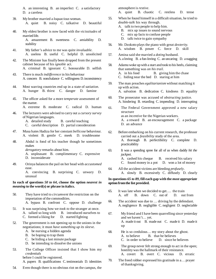A. an interesting B. an imperfect C. a satisfactory D. a careless

- 39. My brother married a *loquacious* woman. A. quiet B. noisy C. talkative D. beautiful
- 40. My eldest brother is now faced with the *vicissitudes* of married life.

A. amazement B. sweetness C. amiability D. stability

- 41. My father's advice to me was quite *invaluable.* A. useless B. useful C. helpful D. unsolicited
- 42. The Minister has finally been dropped from the present cabinet because of his *ignoble* act. A. criminal B. ignorant C. honourable D. selfish
- 43. There is much *indifference* in his behaviour A. concern B. nonchalance C. willingness D.inconsistency
- 44. Most warring countries end up in a state of *satiation.* A. hunger B. thirst C. danger D. famine
- 45. The officer asked for a more *temperate* assessment of the matter.

A. extreme B. moderate C. radical D. human

- 46. The lecturers were advised to carry out a *cursory survey* of Nigerian languages.
	- A. detailed study B. careful teaching
	- C. careful description D. partial consideration
- 47. Musa hates Hadiza for her constant *bellicose* behaviour. A. violent B. gentle C. meek D. troublesome
- 48. Abdul is fond of his teacher though he sometimes makes

*derogatory* remarks about him.

- A. unpleasant B. complimentary C. expressive D. inconsiderate
- 49. Orinya balancesthe pail on her head with *accustomed* ease.

A. convincing B. surprising C. unwary D. unusual

## **In each of questions** *50 to 64***, choose the option** *nearest in meaning* **to the word(s) or phrase in italics.**

- 50. They have tried to *circumvent* the restriction on the importation of the commodities. A. bypass B. confront C. oppose D. challenge
- 51. It was surprising how we *took to* the stranger at once. A. talked so long with B. introduced ourselves to C. formed a liking for D. started fighting
- 52. The government is not opening up to the unions in the negotiations; it must *have something up its sleeve.*
	- A. be nursing a hidden agenda
	- B. be hoping to trap them
	- C. be hiding a last minute package
	- D. be intending to dissolve the unions
- 53. The College Officer insisted that I show him my *credentials*

before I could be registered. A. papers B. qualifications C. testimonials D. identities

54. Even though there is no obvious riot on the campus, the

atmosphere is *restive*.

### A. quiet B. chaotic C. restless D. tense

- 55. When he found himself in a difficult situation, he tried to *double-talk* his way through.
	- A. talk to two people to help him.
		- B. mix up issues to sound nervous
		- C. mix up facts to confuse people
		- D. talk twice to gain sympathy
- 56. Mr. Dzokoto plays the piano with great *dexterity.* A. wisdom B. power C. force D. skill
- 57. Amina said she married a *doting* husband. A. a loving B. a fun-loving C. an uncaring D. a nagging
- 58. Adamuwoke upwith a start and took to his heels, claiming that something was *on his trail.* A. in his food B. giving him the chase C. hiding near the bed D. staring at him
- 59. The man preaches *egalitarianism* without matching it up with action. A. salvation B. dedication C. kindness D. equality
- 60. The prosecutor was accused of *obstructing* justice. A. hindering B. retarding C. impending D. interrupting
- 61. The Federal Government approved a new salary structure as an *incentive* for the Nigerian workers. A. a reward B. an encouragement C. a package D. an advance
- 62. Before embarking on his current research, the professor carried out a *feasibility* study of the area. A. thorough B. perfectibility C. complete D. practicability
- 63. It was a spending spree for all of us when daddy *hit the jackpot*. A. cashed his cheque B. received his salary C. found money in a pot D. won a lot of money
- 64. All the accident victims are bleeding *profusely*. A. slowly B. excessively C. diffusely D. clearly

## **In questions** *65 to 89***, fill each gap with the** *most appropriate* **optionfromthe list provided.**

- 65. It was late when we decided to get…. the train A. off B. down C. out of D. out from
- 66. The accident was due to … driving by the defendant. A. negligence B. negligible C. negligent D. neglectable
- 67. My friend and I have been quarrelling since yesterday and we haven't… yet. A. made it out B. made out C. made it D. made it up
- 68. He is so credulous… my story about the ghost. A. to believe B. that he believes C. in order to believe D. since he believes
- 69. The group never felt strong enough to act in the open; hostilitywas the hallmark of their resistance. A. covert B. overt C. vicious D. erratic
- 70. The freed robber expressed his gratitude in a… prayer of thanksgiving.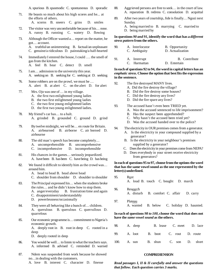A.spurious B.spasmodic C. spontaneous D. sporadic

- 71. He boasts so much about his high scores and he... at the efforts of others. A. scorns B. sneers C. grins D. smiles
- 72. The visitor was very uncomfortable because of his… nose. A. runny B. running C. watery D. flowing
- 73. Although the Officer wanted a… report on the matter, he got… account. A. truthful/an uninteresting B. factual/an unpleasant C. genuine/a ridiculous D. painstaking/a half-hearted
- 74. Immediately I entered the house, I could …. the smell of gasfrom the kitchen. A. feel B. hear C. detect D. smell
- 75. I am… admission to the university this year. A. seekingon B. seeking for C. seekingat D. seeking
- 76. Some robbers are on the prowl, we must be … A. alert B. at alert C. on the alert D. for alert
- 77. Mrs. Ojo was one of … in my village.
	- A. the first two enlightened young ladies
	- B. the two first enlightened young ladies
	- C. the two first young enlightened ladies
	- D. the first two young enlightened ladies.
- 78. My friend's car has… to a halt. A. grinded B. grounded C. ground D. grind
- 79. Bytwelve midnight, we will be… en route for Britain. A. airbourned B. airborne C. air borned D. airbourne
- 80. The old man's speech has become completely… A. uncomprehensible B. uncomprehensive C. incomprehensive D. incomprehensible
- 81. His chances in the games… seriously jeopardized. A. havebeen B. hasbeen C. havebeing D. hasbeing
- 82. We found it difficult to identify him asthe crowd was… around him.
	- A. head to head B. head above head
	- C. shoulder from shoulder D. shoulder to shoulder
- 83. The Principal expressed his… when the students broke the rules… and he didn't know how to stop them. A. anger/everyday B. frustration/time and again C. disappointment/understandably D. powerlessness/occasionally
- 84. Theywere all behaving like a bunch of… children. A. querulous B. querulous C. querrullous D. quarrelous
- 85. Our economic programme is... commitment to Nigeria's economic growth. A. deeply root in B. root in deep C. rooted in a deep D. deeply rooted in deep
- 86. You would be well... to listen to what the teachers says. A. informed B. advised C. reminded D. warned
- 87. Ndem was suspended from work because he showed no…in dealing with the customers.
	- A. love B. interest C. character D. finesse
- 88. Aggrieved persons are free to seek… in the court of law. A. reparation B. redress C. consolation D. acquittal
- 89. After two years of courtship, Jide is finally… Ngozi next Sunday.
	- A. being married to B. marrying C. married to D. being married by

## **In questions** *90 and 91***, identify the word that has a** *different stress pattern* **from the others.**

| 90. | A. Interlocutor<br>C. Ambiguity | B. Opportunity<br>D. Actualization |
|-----|---------------------------------|------------------------------------|
|     |                                 |                                    |
| 91. | A. Interrupt                    | B. Contribute                      |
|     | C. Harmattan                    | D. Entertain                       |

## **In each of questions 92 to 94, the word in capital letters has an** *emphatic stress***. Choose the option that best fitsthe expression in the sentence.**

- 92. The fire destroyed MANY lives.
	- A. Did the fire destroy the village?
	- B. Did the fire destroy some houses?
	- C. Did the fire destroy any lives?
	- D. Did the fire spare any lives?
- 93. The accused hasn't even been TRIED yet.
	- A. Was the accused sentenced to life imprisonment?
	- B. Has the suspect been apprehended?
	- C. Why hasn't the accused been tried yet?
	- D. Was the accused handed over to the police?

## 94. The electricity in OUR premises comes from a generator.

- A. Is the electricity in your compound supplied by a generator?
- B. Is the electricity in your neighbour's premises supplied by a generator?
- C. Does the electricity in your premises come from NEPA?
- D. Does everybody in your street receive electricity from generators?

## **In each of questions 95 to 97, choose fromthe optionsthe word that has the same vowel sound as the one represented by the letter(s) underlined.**

| 95. | Rust<br>A. loud B. touch C. bought D. march          |
|-----|------------------------------------------------------|
| 96. | Research<br>A. disturb B. comfort C. affair D. carry |
| 97. | Plateau                                              |

A. wanted B. below C. holiday D. haunted.

## **In each of questions** *98 to 100***, choose the word that does not have the** *same vowel sound* **as the others.**

|  |  | 98. A. deep B. lease C. meet D. lace |  |
|--|--|--------------------------------------|--|
|  |  | 99. A. loot B. boot C. rout D. route |  |
|  |  | 100. A. sun B. shun C. son D. short  |  |

### **COMPREHENSION**

*Read passages I, II & II carefully and answer the questions that follow. Each question carries 3 marks.*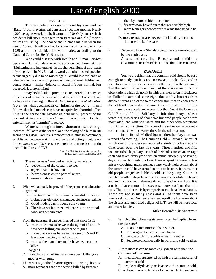## Use of English 2000

## **PASSAGE I**

Time was when boys used to point toy guns and say 'Bang!'Now, they aim real guns and shoot one another. Nearly 4,200 teenagers were killed byfirearmsin 1990.Onlymotor vehicle accidents kill more teenagers than firearms and *the firearms figures are rising*. The chance that a black male between the ages of 15 and 19 will be killed by a gun has almost tripled since 1985 and almost doubled for white males, according to the National Centre for Health Statistics.

Who could disagree with Health and Human Services Secretary, Donna Shalala, when she pronounced these statistics 'frightening and intolerable?' In the shameful light of this 'waste of young lives' in Ms. Shalala's words, an often-asked question seems urgently due to be raised again: Would less violence on television – the surrounding environment for most children and young adults – make violence in actual life less normal, less accepted, less horrifying?

It may be difficult to prove an exact correlation between the viewer of fantasized violence and the criminal who acts out violence after turning off the set. But *if the premise of education is granted* – that good models can influence the young – then it follows that bad models can have an equivalent harmful effect. This is the reasonable hypothesis held by 80 percent of the respondents to a recent Times Mirror poll who think that violent entertainment is'harmful'to society.

Witness enough mimed shootouts, see enough 'corpses' fall across the screen, and the taking of a human life seems no big deal. Even if a simple causal relationship cannot be established between watching violence and acting it out, is not this *numbed sensitivity* reason enough for cutting back on the overkill in films and TV?

From: The Christian Science Monitor, April 16 – 22, 1993, p. 20, CSPS, Boston, MA, USA.

- 1. The writer uses 'numbed sensitivity' to refer to
	- A. deadening of the capacity to feel
	- B. objectionable behaviour
	- C. heartlessness on the part of actors.
	- D. unreasonable violence.
- 2. What will actually be proved 'if the premise of education is granted'?
	- A. Entertainment on television is harmful to society.
	- B. Violence on television encourages violence in real life.
	- C. Good models can influence the young.
	- D. The viewer of fantasized violence is the criminal who acts out violence.
- 3. From the passage, it can be inferred that since 1985
	- A. more black males between the ages of 15 and 19 havebeen killing one another with guns.
	- B. more black males between the ages of 15 and 19 have been getting killed by guns.
	- C. more white than black males have been getting killed
	- by guns.
	- D. more black than white males have been killing one another with guns.
- 4. The writer says 'the firearmsfigures are rising' because A. more teenagers are now getting killed by firearms

than by motor vehicle accidents

- B. firearms now have figures that are terribly high
- C. more teenagers now carry fire arms than used to be the case
- D. more teenagers are now getting killed by firearms than used to be the case.
- 5. In SecretaryDonna Shalala's view, the situation depicted by the statistics is
	- A. tense and reassuring B. topical and intimidating
	- C. alarming andunbearable D. disturbingandconducive.

## **PASSAGEII**

You would think that the common cold should be easy enough to study, but it is not so easy as it looks. Colds often seem to spread from one person to another, so it is often assumed that the cold must be infectious, but there are some puzzling observations which do not fit in with this theory. An investigator in Holland examined some eight thousand volunteers from different areas and came to the conclusion that in each group the colds all appeared at the same time – transfer of infection from case to case could not account for that. Yet at the Common Cold Research Unit in Salisbury the infection theory has been tested out; two series of about two hundred people each were inoculated, one with salt water and the other with secretions from known cold victims. Only one of the salt-water group got a cold, compared with seventy-three in the other group.

In the British Medical Journal the other day, there was a report of a meeting, 'The Common Cold -- Fact and Fancy', at which one of the speakers reported a study of colds made in Cirencester over the last five years. Three hundred and fifty volunteers had kept diaryrecords of their colds and on an average each had seven every year, with an annual morbidity of seventy days. So nearly one-fifth of our lives is spent in more or less misery, coughing and sneezing. Some widely held beliefs about the common cold have turned out not to be true. It seems that old people are just as liable to colds as the young. Sailors in isolated weather ships have just as many colds while on board and not in contact with the outside world as when on shore. It is a truism that common illnesses pose more problems than the rare. The rare disease is by comparison much easier to handle. There are not so many cases and all of them have been intensively studied. Someone has read up all the literature about the disease and published a digest of it. There will be more facts and fewer fancies.

### Miles Howard: *'The Spectator'*

- 6. Which of the following statements can be implied from the passage?
	- A. People catch more colds in winter.
	- B. The origin of colds is inconclusive.
	- C. People catch more colds in warm weather.
	- D. People catch cols equally in warm and cold weather.
- 7. A rare disease can be more easily dealt with than the common cold because
	- A. medical experts are fed up with the rampant cases of common colds
	- B. people easilydevelop resistance to the common colds
	- C. a dequate research exists to uncover facts bout such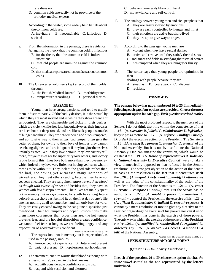rare diseases

- D. common colds are easily not he province of the orthodox medical experts.
- 8. According to the writer, some widely held beliefs about the common colds are: A. inevitable B. irreconcilable C. fallacious D.
	- societal
- 9. From the information in the passage, there is evidence. A. against the theory that the common cold is infectious
	- B. for the theory that the common cold is indeed infectious
	- C. that old people are immune against the common cold
	- D. that medical reports are silent on facts about common colds.
- 10. The Cirencester volunteers kept a record of their colds through
	- A. the British Medical Journal B. morbidity rates
	- C. temperature recordings. D. personal diaries.

### **PASSAGEIII**

Young men have strong passions, and tend to gratify them indiscriminately. Of the bodily desires, it is the sexual by which they are most swayed and in which they show absence of self-control. They are changeable and fickle in their desires, which are violent while theylast, but quicklyover: their impulses are keen but not deep-rooted, and are like sick people's attacks of hunger and thirst. Theyare hot-tempered and quick-tempered, and apt to give way to their anger; bad temper often gets the better of them, for owing to their love of honour they cannot bear being slighted, and are indignant if theyimagine themselves unfairly treated. While they love honour, they love victory still more, for youth is eager for superiority over others, and victory is one form of this. They love both more than they love money, which indeed they love very little, not having yet learnt what it means to be without it. They look at the good side rather than the bad, not having yet witnessed many instances of wickedness. They trust others readily, because they have not yet been cheated. They are sanguine; *nature warms their blood as though with excess of wine*; and besides that, they have as yet met with few disappointments. Their lives are mainly spent *not in memory but in expectation*, for youth has a long future before it and a short past behind it: on the first day of one's life one has nothing at all to remember, and can only look forward. They are easily cheated owing to the sanguine disposition just mentioned. Their hot tempers and hopeful dispositions make them more courageous than older men are; the hot temper prevents fear, and the hopeful disposition creates confidence; we cannot feel fear so long as we are feeling angry, and any expectation of good makes us confident.

- Aristole's Youth and Old-Age, p. 197 11. The expression, 'not in memory but in expectation', as used in the passage, implies
	- A. innocence, not experience B. future, not present
	- C. past, not present D. hopelessness, not hopefulness.
- 12. The statement, 'nature warmstheir blood as though with excess of wine', as used in the text, means
	- A. act with considerable confidence and trust.
	- B. respond with suspicion and alertness
- C. behave shamelessly like a drunkard
- D. move with care and self-control.
- 13. The analogy between young men and sick people is that
	- A. they are easily swayed by emotions
	- B. they are easily controlled by hunger and thirst
	- C. their emotions are active but short-lived
	- D. they are apt to give way to anger.
- 14. According to the passage, young men are
	- A. violent when they have sexual desires
	- B. active and restive until they satisfy their desires
	- C. indignant and fickle in satisfying their sexual desires
	- D. hot-tempered when they are hungry or thirsty.
- 15. The writer says that young people are optimistic in their
	- dealings with people because they are.
	- A. steadfast B. courageous C. discreet
	- D. reckless.

## **PASSAGEIV**

## **The passage below has gaps numbered 16 to 25.Immediately following each gap, four options are provided. Choose the most appropriate option for each gap.** *Eachquestioncarries 2marks.*

With the most profound respect to the members of the Senate, I do not think that it is within the competence of that …**16**…(A. *executive*B. *judicial*C. *administrative* D. *legislative*) bodyto pass a motion to …**17**… (A. *enforce* B. *nullify* C. *modify* D. *order)* the executive action of the President. The Senate is …**18**…(A. *a wing* B. *a portion* C. *an anchor* D. *an arm*) of the National Assembly. But it is not by itself alone the National Assembly. One can imagine the confusion, which would be created if the …**19**…(A. *House of Representatives* B. *Judiciary* C. *National Assembly* D*. Executive Council*) were to take a view diametrically opposed to that reflected in the Senate resolution. The strongest objection to the action of the Senate in passing the resolution is the fact that it constituted itself the…**20**… (A. *litigant* B. *defendant* C. *plaintiff* D*. attorney*) as well as the judge of the constitutionality of the action of the President. The function of the Senate is to …**21**… (A. *enact* B. *create* C. *compose* D. *annul)* laws. But the Senate has no authority or …**22**… (A. *might* B. *power* C. *dynamism* D. *strength*) to control the President in the exercise of his …**23**… (A. *official* B. *authoritative* C. *judicial* D. *executive*) powers. It cannot by a mere resolution or motion give any directive to the President regarding the exercise of his powers nor can it undo what the President has done in the exercise of those powers. The onlyway in which the exercise of the powers of the President can be…**24**… (A. *modified* B. *standardized* C*. regulated* D. *ordered*) is by …**25**…(A. *an Act* B. *a Decree* C. *a motion* D. *a bill*) of the National Assembly.

Adapted from The Guardian of July 8, 1999, p. 8

## **LEXIS,STRUCTUREANDORALFORMS**

### *(Questions 26 to 62 carry 1 mark each.)*

**In each of the questions** *26 to 30***, choose the option that has** *the same vowel sound* **as the one represented by the letters underlined.**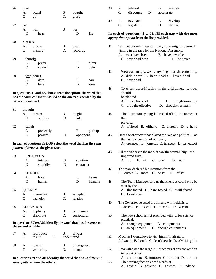| 26. | <b>boat</b>                           |                                                                  |           |             |         | 39 |
|-----|---------------------------------------|------------------------------------------------------------------|-----------|-------------|---------|----|
|     | А.                                    | board                                                            | B.        | bought      |         |    |
|     | $\mathsf{C}$                          | go                                                               | D.        | glory       |         |    |
|     |                                       |                                                                  |           |             |         | 40 |
| 27. | $\frac{\text{air}}{\text{air}}$<br>A. | heir                                                             | <b>B.</b> | her         |         |    |
|     | C.                                    | hear                                                             |           | D.          | fire    | In |
|     |                                       |                                                                  |           |             |         | ap |
| 28. | pleasure                              |                                                                  |           |             |         |    |
|     | A.                                    | pliable                                                          | B.        | pleat       |         | 41 |
|     | C.                                    | plenary                                                          | D.        | jeopardy    |         |    |
| 29. | thunder                               |                                                                  |           |             |         |    |
|     | A.                                    | prefer                                                           |           | <b>B.</b>   | differ  |    |
|     | $\mathcal{C}$                         | confer                                                           |           | D.          | defer   |    |
|     |                                       |                                                                  |           |             |         | 42 |
| 30. |                                       | $tear$ (noun)                                                    |           |             |         |    |
|     | А.                                    | dare                                                             |           | B.          | care    |    |
|     | $\mathcal{C}$                         | here                                                             |           | D.          | wear    | 43 |
|     |                                       | In questions 31 and 32, choose from the options the word that    |           |             |         |    |
|     |                                       | has the same consonant sound as the one represented by the       |           |             |         |    |
|     | letters underlined.                   |                                                                  |           |             |         |    |
|     |                                       |                                                                  |           |             |         |    |
| 31. | thought<br>А.                         | theatre                                                          | <b>B.</b> | taught      |         | 44 |
|     | C.                                    | weather                                                          | D.        | fate        |         |    |
|     |                                       |                                                                  |           |             |         |    |
| 32. | caliph                                |                                                                  |           |             |         |    |
|     | A.                                    | presently                                                        |           | B.          | perhaps |    |
|     | $\mathsf{C}$                          | powerful                                                         | D.        | opponent    |         | 45 |
|     |                                       | In each of questions 33 to 36, select the word that has the same |           |             |         |    |
|     |                                       | pattern of stress as the given word.                             |           |             |         |    |
|     |                                       |                                                                  |           |             |         | 46 |
| 33. |                                       | <b>ENORMOUS</b>                                                  |           |             |         |    |
|     | A.                                    | interest                                                         | B.        | solution    |         |    |
|     | $\mathcal{C}$                         | stupidly                                                         | D.        | character   |         | 47 |
| 34. |                                       | <b>HONOUR</b>                                                    |           |             |         |    |
|     | A.                                    | hotel                                                            |           | В.          | hyena   |    |
|     | $\mathcal{C}$                         | human                                                            |           | D.          | humane  | 48 |
|     |                                       |                                                                  |           |             |         |    |
| 35. | <b>QUALITY</b><br>А.                  | guarantee                                                        | <b>B.</b> | accepted    |         |    |
|     | $\mathsf{C}$                          | bachelor                                                         | D.        | relation    |         |    |
|     |                                       |                                                                  |           |             |         | 49 |
| 36. |                                       | <b>EDUCATION</b>                                                 |           |             |         |    |
|     | А.                                    | duplicity                                                        | B.        | economics   |         |    |
|     | $\mathsf{C}$                          | elaborate                                                        | D.        | conjectural |         | 50 |
|     |                                       | In questions 37 and 38, identify the word that has the stress on |           |             |         |    |
|     | the second syllable.                  |                                                                  |           |             |         |    |
|     |                                       |                                                                  |           |             |         |    |

| 37. | А. | reproduce<br>result | D | understand | always                 |
|-----|----|---------------------|---|------------|------------------------|
| 38. | А. | tomato<br>yesterday |   | В.         | photograph<br>tranquil |

**In questions 39 and 40, identify the word that has a** *different stress pattern* **from the others.**

| 39. | А.<br>C. | integral<br>discourse                                                                     | D. | $\mathbf{B}$<br>accelerate | intimate                                                                                                         |
|-----|----------|-------------------------------------------------------------------------------------------|----|----------------------------|------------------------------------------------------------------------------------------------------------------|
| 40. | А.<br>C. | navigate<br>legislate                                                                     |    | В.<br>D.                   | envelop<br>liberate                                                                                              |
|     |          | appropriate option from the list provided.                                                |    |                            | In each of questions 41 to 62, fill each gap with the most                                                       |
| 41. |          | victory in the race for the National Assembly.<br>A. never have been<br>C. never had been |    |                            | Without our relentless campaigns, we might  sure of<br>B. have never be<br>D. be never                           |
| 42. |          | D. never had                                                                              |    |                            | We are all hungry; we  anything to eat since morning.<br>A. didn't have B. hadn't had C. haven't had             |
| 43. |          | should<br>be planted.<br>A. drought-proof<br>C. drought-effective                         |    | D.                         | To check desertification in the arid zones,  trees<br>drought-resisting<br>В.<br>drought-resistant               |
| 44. | the      | players                                                                                   |    |                            | The loquacious young lad reeled off all the names of<br>A. off head B. offhand C. at heart D. at hand            |
| 45. |          | the last convention of our party.                                                         |    |                            | I like the character that played the role of a politicalat<br>A. thorncoat B. torncoat C. turncoat D. turnedcoat |
| 46. | А.       | imported suits.<br>B. off<br>up                                                           |    | C. over                    | All the traders in the market saw the woman buy the<br>D.<br>out                                                 |
| 47. |          | The man declared his intention from the<br>A. outset B. inset C. onset D. offset          |    |                            |                                                                                                                  |
| 48. |          | won by the<br>D. fore-footed                                                              |    |                            | The Team Manager told us that the race could only be<br>A. flat-footed B. bare-footed C. swift-footed            |
| 49. |          |                                                                                           |    |                            | The Governor rejected the bill and withheld his<br>A. accent B. assent C. access D. ascent                       |
| 50. |          | practical.<br>A. enough equipment B. equipments<br>C. an equipment D. enough equipments   |    |                            | The new school is not provided with  for science                                                                 |
| 51. |          | Much as I would love to visit him, I'm afraid                                             |    |                            | A. I won't B. I can't C. I can't be able D. of visiting him                                                      |
| 52. |          | in recent times.                                                                          |    |                            | Ilesa witnessed the largest  of writers at any convention<br>A. turn-around B. turnover C. turn-out D. turn-on   |

53. The warring factions need words of…

A. advise B. adverse C. advises D. advice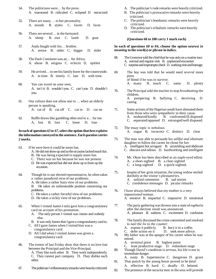- 54. The politicians were… by the press. A. marooned B. ridiculed C. eclipsed D. ostracized
- 55. There are many… to her personality. A. moods B. styles C. facets D. faces
- 56. There are several… in the farmyard. A. sheep B. ewe C. lamb D. goat
- 57. Audu fought with his… brother. A. senior B. older C. bigger D. elder
- 58. The Dark Continent was an… for Africa. A. abuse B. enigma C. eclectic D. epithet
- 59. He arrived…to see hisfamily leave for the countryside. A. in time B. timely C. late D. with time.
- 60. You can travel on your own, A. isn't it B. wouldn'tyou. C. can't you D. shouldn't you.
- 61. Our culture does not allow one to … when an elderly person is speaking. A. cut of B. cut off C. cut in D. cut on
- 62. Raffle drawslike gambling often end in a… for me. A. lost B. loss C. loose D. lose

## **In each of questions** *63 to 67***,selectthe option that** *best explains* **the information conveyedin the sentence.** *Eachquestioncarries 2 marks.*

- 63. If he were here it could be more fun. A. He did not show up and so the occasion lacked much fun.
	- B. He was being expected to supply more fun.
	- C. There was no fun because he was not present.
	- D. Hewas expected but did not showup to liven up the occasion.
- 64. Though he is our elected representative, he often takes a rather jaundiced view of our problems. A. He takes a rather hazy view of our problems.
	- B. He takes an unfavourable position concerning our problems.
	- C. He takes a rather forceful view of our problems.
	- D. He takes a sickly view of our problems.
- 65. When I visited James I only gave him a congratulatory card on account of his promotion.
	- A. The only person I visited was James and nobody else.
	- B. It was only James that I gave a congratulatory card to.
	- C. All I gave James when I visited him was a congratulatory card.
	- D. All I did when I visited James was given a congratulatory card.
- 66. The events of last Friday show that there is no love lost between the Principal and the Vice-Principal.
	- A. They like each other B. Theywork independently. C. They cannot part company D. They dislike each other.
- 67. Thepolitician'sinflammatoryremarkswereheavilycriticized.
- A. The politician's rude remarks were heavily criticized.
- B. The politician's provocative remarks were heavily criticized.
- C. The politician's bombastic remarks were heavily criticized.
- D. The politician's tribalistic remarks were heavily criticized.

### **(Questions 68 to 100 carry 1 mark each)**

### **In each of questions** *68 to 84***, choose the option** *nearest in meaning* **to the word(s) or phrase in italics.**

- 68. TheGovernortold the chiefthat hewas onlyon a *routine tour*. A. normal and regular visit B. unplanned encounter C. surprise and impromptucheck D. working visit and homage.
- 69. The boy was told that he would need *several* more pints of blood if he was to survive. A. many B. much C. some D. plenty
- 70. The Principal told the teacher to stop *browbeating* the children. A. pampering B. bullying C. deceiving D. caning
- 71. Some actions of the Nigerian youth have alienated them from those who were *sympathetic* to their cause. A. endeared/kindly B. confronted/ill disposed C. separated/opposed D. estranged/well disposed.
- 72. The essay topic is *nebulous*. A. vague B. incorrect C. distinct D. clear
- 73. The man was able to persuade his *willful and obstinate* daughter to follow the career he chose for her. A. intelligent but arrogant B. unyielding and obdurate C. obscure and odious D. hardworking and intelligent
- 74. Mr. Okon has been described as an *eagle-eyed* editor. A. a short-sighted B. a clear-sighted C. a long-sighted D. a quick-sighted.
- 75. Inspite of her grim situation, the young widow smiled dutifully at the visitor's *pleasantries*. A. unkind comments B. sad stories

C. condolence messages D. jocular remarks

- 76. I have always believed that my mother is a very *impassioned* woman. A. emotive B. impartial C. impassive D. emotional
- 77. The party gathering wasthrown into a state of *euphoria* after the election result was announced. A. pleasure B. sadness C. excitement D. confusion
- 78. The family discussed the crime committed and resolved to *nail the lie to the counter*.
	- A. expose it publicly. B. bury it in a coffin.
	- C. defer action on it D. seek more advice.
- 79. My father was at the *apogee* of his career when he was retired.
	- A. terminal point B. highest point
	- C. least productive stage D. redundant stage
- 80. Though David's condition is *serious*, hislife is not in immediate danger.
- A. nasty B. hypertensive C. dangerous D. grave 81. That punch by the young boxer proved to be *fatal*.
- A. effective B. hard C. deadly D. belated.
- 82. The presence of the securitymen in the area will provide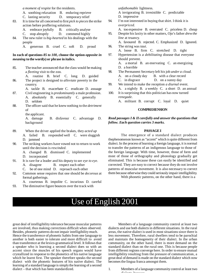*a moment of respite* for the residents.

- A. soothing relaxation B. enduring reprieve
- C. lasting security D. temporary relief
- 83. It is time for all concerned to first *pick to pieces*the strike action before proffering solutions.
	- A. embrace joyfully B. critically analyse
	- C. stop abruptly D. commend highly
- 84. The new ruler is *big-hearted* in his dealings with the people
	- A. generous B. cruel C. soft D. proud

### **In each of questions** *85 to 100***, choose the option** *opposite in meaning* **to the word(s) or phrase in italics.**

- 85. The teacher announced that the class would bemaking a *fleeting* visit to the zoo.
- A. routine B. brief C. long D. guided 86. The project is designed to *alleviate* poverty in the country.
	- A. tackle B. exacerbate C. eradicate D. assuage
- 87. Civil engineering is *predominantly* a male profession. A. absolutely B. essentially C. generally D. seldom
- 88. The officer said that he knew nothing to the *detriment* of
	- the applicant.

A. damage B. disfavour C. advantage D. background

- 89. When the driver applied the brakes, they *acted up* A. failed B. responded well C. were sluggish D. jammed
- 90. The striking workers have vowed not to return to work until the decision is *rescinded*.
	- A. changed B. dismissed C. implemented D. incorporated
- 91. It is rare for a leader and his deputy to *see eye to eye*. A. disagree B. respect each other
- C. be of one mind D. reproach each other 92. Common sense requires that one should be *decorous* at formal gatherings.
- A. courteous B. impolite C. incurious D. careful 93. The diminutive figure bounces over the track with

*unfathomable* lightness.

A invigorating B. irresistible C. predictable D. impressive

- 94. I'm not interested in buying that shirt. I think it is *overpriced*.
- A. too expensive B. overrated C. priceless D. cheap 95. Despite hislaxity in other matters, Ojo's father *drewthe*
- *line* at truancy. A. favoured B. rejected. C. Emphasized D. Ignored.
- 96. The string was *taut*.
- A. loose B. firm C. stretched D. tight
- 97. Hypertension is *a debilitating* disease that everyone should prevent.
	- A. a mortal B. an enervating C. an energizing D. a horrible
- 98. The Permanent Secretary left his job *under a cloud*. A. on a cloudy day B. with a clear record C. in disgrace D. on a sunny day
- 99. We intend to make the reception *a diurnal* event. A. a nightly B. a weekly C. a short D. an annual
- 100. It is surprising that this politician has now turned *renegade*.
	- A. militant B. corrupt C. loyal D. quiet

### **COMPREHENSION**

## *Read passages I & II carefully and answer the questions that follow. Each question carries 3 marks.*

### **PASSAGE I**

The emergence of a standard dialect produces thephenomenon known as "accent" which is quite different from dialect. In the process of learning a foreign language, it is normal to transfer the patterns of an indigenous language to those of the foreign language. With time, however, those of form and most of those of orthography and phonology gradually get eliminated. This is because these can easily be identified and corrected. They are easy to correct because they do not involve patterns of muscular movement. It is also necessary to correct them because otherwise theycould seriously impair intelligibility.

With phonetic patterns, on the other hand, there is a

## Use of English 2001

great deal of intelligibility tolerance because muscular patterns are involved, thus making corrections difficult when observed. Besides, phonetic patterns do not impair intelligibilitymuch. Hence the transference of phonetic habits from one language to another is both easier to tolerate and more difficult to avoid than transference at the lexico-grammatical level. It follows that a speaker who is learning a second dialect does so with an accent since the muscles of his speech organs would have crystallized in response to the phonetics of his native language which he learnt first. The speaker therefore speaks the second dialect with the phonetic features of his native dialect. The learning of a standard language is simply the learning of a second dialect – that which has been standardized.

Members of a language community control at least two dialects and use both dialectsin different situations. In the rural areas, the native dialect is used in most situations since there is less movement. Therefore, rural dwellers tend to be parochial and maintain the homogeneity of their dialect. In the urban community, on the other hand, there is more demand on the standard dialect than on the rural one. This is because people from different regions converge here. In order to ensure mutual intelligibility resulting from the pressure of communication, a great deal of demand is made on the standard dialect which now becomes the lingua franca amongst them.

1. Members of a language community control at least two dialects because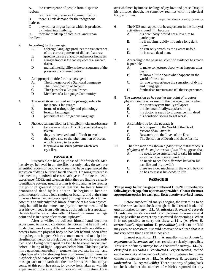A. the convergence of people from disparate regions

results in the pressure of communication. B. there is little demand for the indigenous

dialects.

C. they want a lingua franca which is produced bymutual intelligibility.

D. they are made up of both rural and urban dwellers.

- 2. According to the passage,
	- A. a foreign language produces the transference of the correct patterns of dialect features.
	- B. speech organs are shaped by indigenous languages. C. a lingua franca is the consequence of a standard dialect.
	- D. mutual intelligibility is the consequence of the pressure of communication.

3. An appropriate title for this passage is

- A. The Emergence of a Standard Language
- B. The Phenomenon of Accent
- C. The Quest for a Lingua Franca<br>D. Members of a Language Comm
- Members of a Language Community
- 4. The word *those*, as used in the passage, refers to
	- A. indigenous languages
	- B. forms of orthography and phonology
	- C. foreign languages<br>D. patterns of an indi
	- patterns of an indigenous language.
- 5. Phonetic patterns allow for intelligibility tolerance because A. transference is both difficult to avoid and easy to tolerate
	- B. they are involved and difficult to avoid
	- C. they give rise to the phenomenon of accent which is easy to tolerate
	- D. they involve muscular patterns which later crystallize.

### **PASSAGEII**

It is possible to have a glimpse of life after death. Man has always believed in an afterlife, but only today do we have scientific reports of people who seem to have experienced the sensation of dying but lived to tell about it. Ongoing research is documenting hundreds of cases each year of the near –death experience (NDE), and scientists think they are finding a clearly identifiable pattern: usually a man is dying and, as he reaches the point of greatest physical distress, he hears himself pronounced dead by his doctor. He begins to hear an uncomfortable noise, a loud ringing or buzzing, and at the same time feels himself moving very rapidly through a long dark tunnel. After this he suddenly finds himself outside of his own physical body, but still in the immediate physical environment, and he sees his own body from a distance, as though he is a spectator. He watches the resuscitation attempt from this unusual vantage point and is in a state of emotional upheaval.

After a while, he collects himself and becomes accustomed to his odd condition. He notices that he still had a 'body', but one of a very different nature and with very different powers from the physical body he has left behind. Soon after, things begin to happen. Others come to meet and to help him. He glimpses the spirits of relatives and friends who have already died, and a loving, warmspirit of a kind he has never encountered before- a being of light – appears before him. This being asks him a question, nonverbally – to make him evaluate his life – and helps him along by showing him *a panoramic instantaneous playback of the major events of his life*. Then he finds that he must go back to the earth that the time for his death has not yet come. At this point he resists, for by now he is taken up with his experiences in the afterlife and does not want to return. He is overwhelmed by intense feelings of joy, love and peace. Despite his attitude, though, he somehow reunites with his physical body and lives.

Adapted from Moody, R. A. (1975) *Life after Life*

- 6. The NDE man appears to be a spectator in the flurry of activities around him because
	- A. his new 'body' would not allow him to participate.
	- B. he is moving rapidly through a long dark tunnel.
	- C. he can only watch as the events unfold
	- D. he is now a dead man.
- 7. According to the passage, scientific evidence has made it possible
	- A. to make conjectures about what happens after death
	- B. to know a little about what happens in the world of the dead
	- C. for one to experience the sensation of dying and living again
	- D. for the dead to return and tell their experiences.
- 8. The expression *as he reaches the point of greatest physical distress*, as used in the passage, means when
	- A. the man's system finally collapses
	- B. the sick man finally stops breathing
	- C. his doctor is ready to pronounce him dead
	- D. his condition seems to get worse.
- 9. A suitable title for the passage is
	- A. A Glimpse into the World of the Dead
		- B. Visions of an Afterlife
	- C. Research into the Lives of the Dead
	- D. The Sensation of Death and the Afterlife.
- 10. That the man was shown a *panoramic instantaneous playback of the major events of his life* suggests that
	- A. he needs to be entertained to take his mind away from the noise around him
	- B. he needs to see the difference between his past life and his new life
	- C. there are video machinesin the world beyond
	- D. he has to assess his deeds in life.

## **PASSAGEIII**

### **The passage below has gaps numbered 11 to 20. Immediately following each gap, four options are provided. Choose the most appropriate option for each gap.** *Eachquestioncarries 2marks***.**

Before any detailed analysis begins, the first thing to do with the raw data is to check through the field record books and questionnairesfor any **…11..** (A. *mistakes* B. *events* C. *records* D. *odds*), inconsistencies and incompleteness. In some cases, it may be possible to correct any discovered shortcomings. When it is not possible to carry out these **…12…** (A. *plans* B. *corrections* C. **expectations** D. *possibilities*), a visit to the field may even be necessary. It should however be realized that it is not very often that a revisit is possible.

In most scientific**…13…** (A. *questionnaires* B. *data* C. *experiments D. conclusions*) such revisits are clearly impossible. This is true of many surveys too. A road traffic survey...14.. (A. *classified* B. *precoded* C. *conducted* D. *experimented*) to find out the amount and frequency of daily traffic between two towns cannot be expected to be **...15...** (A. *observed* B. *produced* C. *undertaken* D. *reproducible).* There is no way of going back to check whether the number of vehicles reported for any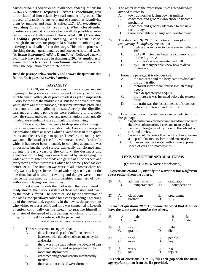particular hour is correct or not. With open-ended questionsthe **…16…**(A. *method* B. *responses* C. *errors* D. *conclusions*) have to be classified into relatively small number of groups. The process of classifying answers and of sometimes identifying them by number and letter is called**…17..** (A. *encoding* B. *recording* C. *coding* D. *recoding*). When closed-ended questions are used, it is possible to code all the possible answers before they are actually received. Thisis called**…18..**(A. *recoding* B. *coding* C. *precoding* D. *encoding*). What is done, a check through the answers for proper classification, numbering and lettering is still called for at this stage. This whole process of checking through questionnaires and notebooks is called ...19.. (A. *listing* B. *posting*C. *editing* D. *auditing*). Collected data will eventually have to be used in drawing **…20..** (A. *analogies* B. *examples* C*. references* D. *conclusions*) and writing a report about the population from which it came.

### **Readthe passage belowcarefully andanswer the questionsthat follow.** *Each question carries 3 marks.*

### **PASSAGEIV**

*By 1910, the motorcar was plainly conquering the highway*. The private car was now part of every rich man's establishment, although its prices made it as yet an impossible luxury for most of the middle class. But for the adventuresome youth, there was the motorcycle, a fearsome invention producing accidents and ear –splitting noises. Already, the dignified carriages and smart pony-traps were beginning to disappear from the roads, and coachmen and grooms, unless mechanically minded, were finding it more difficult to make a living.

The roads, which had gone to sleep since the coming of the railway, now awoke to feverish activity. Cars and motorcycles dashed along them at speeds which rivaled those of the express trains, and the lorry began to appear. Therefore, the road system was compelled to adapt itself to a volume and speed of traffic for which it had never been intended. Its complete adaptation was impossible; but the road surface was easily transformed and, during the early years of the century, the dustiness and greasiness of the highways were lessened by tar-spraying. To widen and straighten the roads and get rid of blind corners and every steep gradient were tasks which had scarcely been tackled before 1914. The situation was worst of all in towns where not only was any large scheme of road widening usually out of the question, but also where crowding and danger were all too frequently increased by the short-sighted eagerness of town authoritiesin laying down tramlines.

Yet it was not only the road system that was in need of readjustment; the nervous system of those who used and dwelt by the roads suffered. The noises caused by the conversion of the roadsinto speedways called for a corresponding tightening up of the nerves; and, especially in the towns, the pedestrians who wished to preserve life and limb was compelled to keep his attention continually on the stretch, to practise himself in estimates of the speed of approaching vehicles and to run or jump for his life if he ventured off the pavement.

Adapted from Rachel Carson: *The Advent of the Motor Car*

21. The writer seems to suggest that

- A. the volume and speed of traffic on the roads increased with the advent of cars, motor cycles andlorries
- B. there were no roads before the advent of cars and motorcycles and so people had to be mechanicallyminded
- C. coachmen and grooms were not mechanically minded
- D. the roads that existed were dormant.
- 22. The writer uses the expression *unless mechanically minded* to refer to
	- A. town authorities laying down tramlines<br>B. coachmen and grooms who chose to be
	- coachmen and grooms who chose to become mechanics
	- C. coachmen and grooms adaptable to the new technology
	- D. those amenable to change and development.
- 23. The statement *By 1910, the motor car was plainly conquering the highway* means that
	- A. highway codes for motor cars came into effect by 1910
	- B. by 1910 motor cars became a common sight on the highways
	- C. the motor car wasinvented in 1910
	- D. by 1910 many people knew how to drive motorcars.
- 24. From the passage, it is obvious that
	- A. the motorcar and the lorry came to displace the train traffic
	- B. motorcars were mere luxuries which many people
		- tried desperately to acquire
	- C. the motorcar wasinvented before the express trains
	- D. the train was the fastest means of transport beforethe motorcar and the lorry.
- 25. One of the following statements can be deducted from the passage.
	- A. Significant improvement occurred in road transport since the advent of motorcars, lorries and motorcycles.
	- B. People no longer used trains with the advent of cars and lorries.
	- C. Society would be better off without the chaotic volume and speed of motor cars, lorries and motorcycles.
	- D. Human society was static without the express speed of cars and motorcycles.

### **LEXIS,STRUCTUREANDORALFORMS**

#### *(Questions 26 to 80 carry 1 mark each.)*

**In questions** *26 and 27***, identify the word that has a** *different stress pattern* **from the others**.

| 26. | administrative<br>temperamental D. | в | circulation<br>consideration |
|-----|------------------------------------|---|------------------------------|
| 27. | classroom                          |   | programme                    |

| . | . | <b>CHUSSI OUILL</b> | ╍ | $\mu$ <sub>2</sub> $\mu$ |
|---|---|---------------------|---|--------------------------|
|   |   | brother             |   | July                     |

#### **In each of questions** *28 to 31***, choose the word that** *does not* **have the same** *vowel sound* **asthe others.**

| 28. | А.<br>C.           | bale<br>saint   |          | В.<br>D.       | plait<br>gate |
|-----|--------------------|-----------------|----------|----------------|---------------|
| 29. | А.<br>$\mathsf{C}$ | rice<br>granite | B.<br>D. | fight<br>die   |               |
| 30. | А.<br>$\mathsf{C}$ | wind<br>even    | B.<br>D. | people<br>key  |               |
| 31. | A.<br>C.           | enjoy<br>toil   | B.<br>D. | log<br>rejoice |               |

**In each of questions 31 to 56, fill each gap with the** *most appropriate* **option from the list provided.**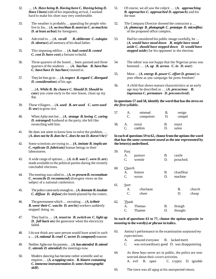- 32. … (**A**. *Have being B. Having been C. Having being D. Have I been*) told of hisimpending arrival, I worked hard to make his short stay very comfortable.
- 33. The weather is probably… appealing for people who live in Jos… (*A. no less/thanB. more/as C. as much/as D. at least as/but*) for foreigners.
- 34. Ado tried to… (*A. recall B. obliterate C. eulogize D. obstruct*) all memory of his dead father.
- 35. This imposing edifice … (*A. had costed B. costed C. cost D. have cost*) a fortune to build.
- 36. Three quarters of the hostel… been painted and three quarters of the students … (*A. has/has B. have/has C. have/have D. has/have*) moved in.
- 37. Theylet him goin … (*A.respect B.regard C. disregard D. consideration*) of his age.
- 38. …(*A. While B. By chance C. Should D. Should in case*) you come early to the new house, clean up my flat.
- 39. These villagers… (*A. used B. are used C. were used D. use*) to grow rice.
- 40. WhenAjikemet her… (*A. strange B. loving C. caring D. estranged*) husband at the party, she felt like reconciling with him.
- 41. He does not seem to know how to solve the problem, … (*A. does not he B. does he C. does he not D. doesn't he*)?
- 42. Some scientists are trying to… *(A. imitate B. implicate C. replicate D. fabricate)* human beings in their laboratories.
- 43. A wide range of options…. (*A. is B. was C. were D. are*) made available to the political parties during the recently concluded elections.
- 44. Themeeting was called to…(*A.re-presentB.reconstitute C. reconcile D. recommend*) divergent views on the subject of a national conference.
- 45. Thepolice cameearlyenough to…(*A. detonateB.insulate C. diffuse D. defuse*) the bomb planted by the rioters.
- 46. The government which…recruiting … (*A. is/their B. were/ their C. was/its D. are/its*) workers suddenly stopped doing so.
- 47. They had to … (*A. resort to B. switch on C. light up D. fall back on*) the generator when the electricity failed.
- 48. I do not think any sane person would have acted in such a… (*A.rational B. cruel C.secret D. composed*)manner.
- 49. Neither Agbonor his parents… (*A. has attended B. attend C. attends D. attended*) the meetings now.
- 50. Modern dancing has become rather scientific and so requires … (*A. a rapping voice. B. bizarre costuming C. immense instrumentation D.some choreographic skill*).
- 51. Of course, we all saw the culprit … (*A. approaching B. approaches C. approached D. approach*) and hit the man
- 52. The Company Director showed the contractor a ... (*A. photocopy B. photograph C. prototype D. microfilm*) of the proposed office complex.
- 53. Had he considered his public image carefully, he … (*A. would have stood down B. might have stood aside C. should have stepped down D. would have stepped aside*) for his opponent in the election.
- 54. The editor was not happy that the Nigerian press was hemmed … (*A. up B. across C. in D. over*)
- 55. More… (*A. energy B. power C. effort D. grease*) to your elbow as you campaign for press freedom!
- 56. A child that shows mature characteristics at an early age may be described as … (*A. precocious B. ingenuous C. premature D. preconceived*).

**In questions 57 and 58, identify the word that hasthe** *stress on the first syllable***.**

| 57. | А. | misread           | В.      | resign          |
|-----|----|-------------------|---------|-----------------|
|     | C. | competent         | D.      | compel          |
| 58. |    | resist<br>confirm | B.<br>Ð | intact<br>salon |

**In each of questions 59 to 62, choose fromthe optionsthe word that has the** *same consonant sound* **asthe one represented by the letter(s) underlined.**

| 59. | Past<br>A.<br>pasture | B. | castle       |
|-----|-----------------------|----|--------------|
|     | C.<br>wrestle         | D. | preached.    |
| 60. | Church                |    |              |
|     | A.<br>feature         | B. | chauffeur    |
|     | C.<br>ocean           | D. | machine      |
| 61. | Sure                  |    |              |
|     | charlatan<br>A.       |    | church<br>B. |
|     | C.<br>cheer           |    | D.<br>cheap  |
| 62. | Thank                 |    |              |
|     | <b>Thomas</b><br>А.   | В. | though       |
|     | C.<br><b>Thames</b>   | D. | thought      |

## **In each of questions 63 to 77, choose the option** *opposite in meaning* **to the word(s) or phrase in italics.**

- 63. Amina's performance in the examination *surpassed my expectations*.
	- A. amazed everyone B. lacked merit
	- C. was extraordinary good D. was disappointing
- 64. As these boys never act in public, the police are now worried about their *covert* activities.

A. evil B. open C. cryptic D. ignoble

65. The town was all *agog* at his unexpected return.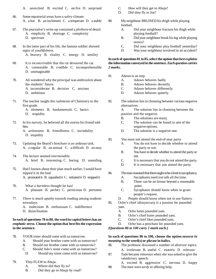- A. unexcited B. excited C. on fire D. surprised
- 66. Some equatorial areas have a *sultry* climate. A. a hot B. an inclement C. a temperate D. a stable
- 67. The journalist's write-up contained a *plethora* of detail. A. simplicity B. shortage C. complexity D. spectrum
- 68. In the latter part of his life, the famous soldier showed signs of *youthfulness*. A. bravery B. vitality C. energy D. senility
- 69. It is *inconceivable* that the rat devoured the cat. A. contestable B. credible C. incomprehensible D. unimaginable
- 70. Ali wondered why the principal was *ambivalent* about the students' future. A. inconsiderate B. decisive C. anxious D. ambitious
- 71. The teacher taught the *rudiments* of Chemistry to the first grade.
	- A. elements B. fundamentals C. basics D. stupidity
- 72. In his *naivety*, he believed all the stories hisfriend told him. A. artlessness B. friendliness C. incredulity D. stupidity
- 73. Updating the Board's brochure is an *arduous* task. A. a regular B. an annual C. a difficult D. an easy
- 74. The lecture seemed *interminable*. A. brief B. interesting C. boring D. unending
- 75. Had I known about their plan much earlier, I would have *nipped* it in the bud. A. promoted it B. squashedit C. initiatedit D. stopped it
- 76. What a *harmless* thought he has! A. pleasant B. perfect C. pernicious D. pertinent
- 77. There is much *apath*y towards reading among students nowadays. A. indecision B. enthusiasm C. indifference
	- D. disinclination

## **In each of questions 78 to 80, the word in capital letters has an** *emphatic stress***. Choose the option that best fitsthe expression in the sentence.**

- 78. YOUR sister should come with us tomorrow.
	- A. Should your brother come with us tomorrow?
	- B. Should our brother come with us tomorrow?
	- C. Should Ado's sister come with us tomorrow?
	- D. Should my sister come with us tomorrow?
- 79. They FLEW to Abuja.
	- A. Where did they fly to?
	- B. Did they go to Abuja by road?
- C. How will they get to Abuja?
- D. Did they fly to Jos?
- 80. My neighbour BRUISED histhigh while playing football.
	- A. Did your neighbour fracture his thigh while playing football?
	- B. Did your neighbour break hisleg while playing tennis?
	- C. Did your neighbour play football yesterday?
	- D. Was your neighbour involved in an accident?

## **In each of questions 81 to 85,selectthe option that** *best explains* **the information conveyedin the sentence.** *Eachquestioncarries 2 marks***.**

- 81. Adawo is an imp.
	- A. Adawo behaves badly.
	- B. Adawo behaves decently.
	- C. Adawo behaves differently.
	- D. Adawo behaves queerly.
- 82. The solution liesin choosing between various negative alternatives.
	- A. The solution lies in choosing between the positive and the negative.
	- B. The solutions are many.
	- C. The solution can be found in one of the negative options.
	- D. The solution is a negative one.
- 83. You must not attend the end-of-year party.
	- A. You do not have to decide whether to attend the party or not.
	- B. You have to decide whether to attend the party or not.
	- C. It is necessary that you do not attend the party.
	- D. It is necessary that you attend the party.
- 84. The man reasoned that there ought to be a limit to sycophancy.
	- A. Sycophants need not talk all the time.
	- B. There can be no favour beyond a reasonable point.
	- C. Sycophants should know when to grant people's request.
	- D. People should know when not to use flattery.
- 85. Oche's chief idiosyncrasy is a passion for pounded yam.
	- A. Oche hates pounded yam.
	- B. Oche's chief hates pounded yam.
	- C. Oche's chief likes pounded yam.
	- D. Oche has a penchant for pounded yam.

*(Questions 86 to 100 carry 1 mark each.)*

## **In each of questions 86 to 100, choose the option** *nearest in meaning* **to the word(s) or phrase in italics.**

- 86. The professor discussed a number of *abstruse* topics. A. irrelevant B. useful C. esoteric D. relevant.
- 87. Tade became *timorous* when she was asked to give the valedictory speech.

A. excited B. aggressive C. nervous D. happy 88. The men were *tardy* in offering help.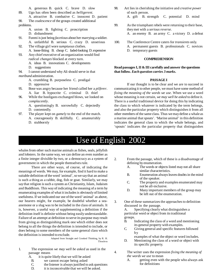- A. generous B. quick C. brave D. slow
- 89. Ugo has often been described as *belligerent*.
- A. attractive B. combative C. innocent D. patient 90. The *coalescence* of the groups created additional

problems.

- A. union B. fighting C. proscription D. disbandment
- 91. Funmi isjust being *facetious* about her marrying a soldier. A. unfaithful B. serious C. crazy D. unserious
- 92. The village girl wore *sumptuous* clothes. A. loose-fitting B. cheap C. faded-looking D. expensive
- 93. Any chief executive of an organization would find *radical changes* blocked at every turn.
	- A. ideas B. innovations C. developments
	- D. suggestions
- 94. I cannot understand whyAli should serve in that *moribund* administration.
	- A. crumbling B. purposeless C. prodigal D. oppressive
- 95. Bose was angry because her friend called her a *pilferer*. A. liar B. hypocrite C. criminal D. thief
- 96. While the hooligans exchanged blows, we looked on *complacently*.
	- A. questioningly B. sorrowfully C. dejectedly D. contentedly.
- 97. The player kept on *gamely* to the end of the match. A. courageously B. skillfully. C. amateurishly D. stubbornly
- 98. Art lies in cherishing the initiative and *creative power* of each person.
	- A. gift B. strength C. potential D. mind
- 99. As the triumphant rebels were returning to their base, theymet with a *serious reverse.* A. an enemy B. an army C. a victory D. a defeat
- 100. The Conference Centre caters for *transients* only. A. permanent guests B. professionals C. novices D. temporary guests

### **COMPREHENSION**

### **Read passagesI,II & III carefully and answer the questions that follow.** *Each question carries 3 marks***.**

### **PASSAGE I**

If our thought is to be clear and we are to succeed in communicating it to other people, we must have some method of *fixing the meaning of the words we use*. When we use a word whose meaning is not certain, *we may well be asked* to define it. There is a useful traditional device for doing this by indicating the class to which whatever is indicated by the term belongs, and also the particular property which distinguishesit from all other members of the same class. Thus wemaydefine a whale as a marine animal that spouts'. 'Marine animal' in this definition indicates the general class to which the whale belongs, and 'spouts' indicates the particular property that distinguishes

## Use of English 2002

whales from other such marine animals as fishes, seals, jellyfish and lobsters. In the same way, we can define an even number as a finite integer divisible by two, or a democracy as a system of government in which the people themselves rule.

There are other ways, of course, of indicating the meanings of words. We may, for example, find it hard to make a suitable definition of the word 'animal', sowe saythat an animal is such a thing as a rabbit, dog, fish or goat. Similarly, we may say that religion is such a system as Christianity, Islam, Judaism and Buddhism. This way of indicating the meaning of a term by enumerating examples of what it includes is obviously of limited usefulness. If we indicated our use of the word 'animal' as above, our hearers might, for example, be doubtful whether a seaanemone or a slug was to be included in the class of animals. It is, however, a useful way of supplementing a definition if the definition itself is definite without being easily understandable. Failure of an attempt at definition to serve its purpose may result from giving as distinguishing mark one which either does not belong to all the things the definition is intended to include, or does belong to some members of the same general class which the definition is intended to exclude.

> Adapted from Straight and Crooked Thinking, by R. H. **Thouless**

- 1. The expression *we may well be asked* as used in the passage means
	- A. it is quite likely that we will be asked
		- B. we cannot escape being asked
		- $C.$  the listener is always justified to ask questions
		- D. it is inconceivable that we will be asked.
- 2. From the passage, which of these is a disadvantage of defining by enumeration.
	- A. The words or objects listed may not all share similar characteristics.
	- B. Enumeration always leaves doubts in the mind of the speaker.
	- C. The property and examples enumerated may not be all-inclusive.
	- D. Many important members of the group may be left out of the enumeration.
- 3. One of these summarizes the approaches to definition discussed in the passage.

A. Specifying clearly what distinguishes a particular word or object from its traditional groups.

- B. Indicating the class of a word and mentioning its general property with examples.
- C. Giving general and specific features followed by

examples of what the object or word includes.

- D. Mentioning the class of a word or object with its specific property.
- 4. The writer uses the expression *fixing the meaning of the words we use* to mean
	- A. getting even with the people who always ask for definitions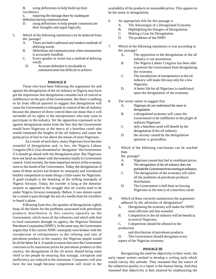B. using definitions to help build up their vocabulary

C. repairing the damage done by inadequate definition during communication

- D. using definitions to help people communicate their thoughts and argue logically.
- 5. Which of the following statements can be deduced from the passage?
	- A. There are both traditional and modern methods of defining words.
	- B. Definitions aid communication when enumeration is accurately handled.
	- C. Every speaker or writer has a method of defining words.
		- D. Accurate definition is invaluable to communication but difficult to achieve.

## **PASSAGEII**

Those who have been following the arguments for and against the deregulation of the oil industry in Nigeria may have got the impression that deregulation connotes lack of control or indifference on the part of the Government. But there is nothing so far from official quarters to suggest that deregulation will cause the Government to relinquish its control of the oil industry because the absence of direct control does not mean that it will surrender all its rights to the entrepreneurs who may want to participate in the industry. Yet the opposition expressed so far against deregulation stems from the fear that the Government would leave Nigerians at the mercy of a heartless cartel who would command the heights of the oil industry and cause the pump price of fuel to rise above the means of most Nigerians.

As a result of such fears, many Nigerians have become resentful of deregulation and, in fact, the Nigeria Labour Congress (NLC) has threatened to 'deregulate' the Government if it should go ahead with the deregulation plan. But Nigerians have not fared any better with the economy totally in Government control. Until recently, the most important sectors of the economy were in the hands of the Government. Today, the deregulation of some of these sectors has broken its monopoly and introduced healthy competition to make things a little easier for Nigerians. A good example is the breaking of the stifling monopoly of Nigeria Airways. Today, the traveler is king at the domestic airports as opposed to the struggle that air travels used to be under Nigeria Airways monopoly. Before, it was almost easier for a camel to passthrough the eye of a needle than for travellers to board a plane.

Following from this, the apostles of deregulation rightly heap all the blame for the problems associated with petroleum products distribution in this country squarely on the Government, which owns all the refineries and which sells fuel to local consumers through its agency, the Nigerian National Petroleum Corporation (NNPC). In the same way, the Government arguesthat if the current NNPC monopolywere broken with the introduction of entrepreneurs to the refining and sale of petroleum products in the country, the Nigerian people would be all the better for it. It stands to reason that once the Government continues to fix maximum prices for petroleum products in this country, the deregulation of the oil sector should bring some relief to the people by ensuring that wastage, corruption and inefficiency are reduced to the minimum. Consumers will also have the last laugh because competition will result in the availability of the products at reasonable prices. This appearsto be the sense in deregulation.

- 6. An appropriate title for this passage is
	- A. The Advantages of a Deregulated Economy
	- B. Highlighting the Dangers of Deregulation
	- C. Making a Case for Deregulation
	- D. The problems of the NNPC
- 7. Which of the following statements is true according to the passage?
	- A. The opposition to the deregulation of the oil industry is not unanimous.
	- B. The Nigeria Labour Congress has been able to prevent the Government from deregulating the economy.
	- C. The introduction of entrepreneurs to the oil industry will make life easy only for a few Nigerians.
	- D. A better life for all Nigerians is conditional upon the deregulation of the economy.
- 8. The writer seems to suggest that
	- A. Nigerians do not understand the sense in deregulation.
	- B. a deregulated economy will cause the Government to be indifferent to the plight of ordinaryNigerians.
	- C. only a heartless cartel will benefit by the deregulation of the oil industry.
	- D. the anxiety caused by the deregulation question is groundless.
- 9. Which of the following conclusions can be reached from

the passage?

- A. Nigerians cannot buyfuel at exorbitant prices.
- B. The deregulation of the oil industry does not preclude the Government from exerting its influence.
- C. The deregulation of the economy will solve all the problems of petroleum products distribution.
- D. The Government is hell-bent on leaving Nigerians at the mercy of a heartless cartel.
- 10. Which of these correctly summarizes the arguments adduced by the advocates of deregulation?
	- A. Deregulating the economywill make the NNPC more efficient and less wasteful.
	- B. Competition in the oil industrywill be beneficia to several Nigerians.
	- C. Competition should be allowed in the production
		- and distribution of petroleum products.

D. The Government should deregulate every aspect of the Nigerian economy.

### **PASSAGEIII**

Recognizing the need for objectivity in their work, the early report writers worked to develop a writing style which would convey this attitude. They reasoned that the source of the subjective quality in a report is the human being. And they reasoned that objectivity is best attained by emphasizing the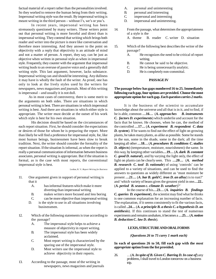factual material of a report rather than the personalities involved. So they worked to remove the human being from their writing. Impersonal writing style wasthe result. By impersonal writing is meant writing in the third person – without I's, we's or you's.

In recent years, impersonal writing has been strenuously questioned by many writers. These writers point out that personal writing is more forceful and direct than is impersonal writing. They contend that writing which brings both reader and writer into the picture is more like conversation and therefore more interesting. And they answer to the point on objectivity with a reply that objectivity is an attitude of mind and not a matter of person. A report, they say, can be just as objective when written in personal style as when in impersonal style. Frequently, they counter with the argument that impersonal writing leads to an overuse of passive voice and a generally dull writing style. This last argument, however, lacks substance. Impersonal writing can and should be interesting. Any dullness it may have is wholly the fault of the writer. As proof, one has only to look at the lively styles used by the writers for newspapers, news magazines and journals. Most of this writing is impersonal – and usually it is not dull.

As in most cases of controversy, there is some merit to the arguments on both sides. There are situations in which personal writing is best. There are situations in which impersonal writing is best. And there are situations in which either style is appropriate. The writer must decide at the outset of his work which style is best for his own situation.

His decision should be based on the circumstances of each report situation. First, he should consider the expectations or desires of those for whom he is preparing the report. More than likely he will find a preference for impersonal style, for, like most human beings, businessmen have been slow to break tradition. Next, the writer should consider the formality of the report situation. If the situation Is informal, as when the report is really a personal communication of information between business associates, personal writing is appropriate. But if the situation is formal, as is the case with most reports, the conventional impersonal style is best.

Lesikar, R. V.: *Report Writing for Business*

- 11. One argument given in support of personal writing is that it
	- A. hasinformal features which make it more diverting than impersonal writing
	- B. makes writers more focused and less boring
	- C. can be more objective than impersonal writing
	- D. is the style to use in all situations involving businessmen.
- 12. Which of the following statements is true according to the passage?
	- A. The impersonal style helps to achieve a measure of objectivity in report writing.
	- B. The impersonal style has been widely acclaimed.
	- C. Most report writing is characterized by the sparing use of the impersonal style.
	- D. Most writers use the impersonal style to achieve objectivity in their reports.
- 13. According to the passage, most of the writing in newspapers, news magazines and journals
- A. personal and uninteresting
- B. personal and interesting
- C. impersonal and interesting
- D. impersonal and uninteresting.
- 14. From the passage, what determines the appropriateness of a style is the

A. theme B. reader C. writer D. situation

- 15. Which of the following best describes the writer of the passage?
	- A. He recognizes the need to be critical of report writing.
	- B. He cannot be said to be objective.
	- C. He is being unnecessarily analytic.
	- D. He is completely non-committal.

## **PASSAGEIV**

## **The passage below has gaps numbered 16 to 25.Immediately following each gap, four options are provided. Choose the most appropriate option for each gap.** *Eachquestioncarries 2marks.*

It is the business of the scientist to accumulate knowledge about the universe and all that is in it, and to find, if he is able, common **…16…** (*A. approaches B. instruments C. factors D. experiments*) which underlie and account for the facts that he knows. He chooses, when he can, the method of the controlled **…17…** (*A. experiment B. respondent C. data D. system*). If he wants to find out the effect of light on growing plants, he takes manyplants, as alike as possible. Some he stands in the sun, some in the shade, some in the dark; all the time keeping all other **…18…** (*A. procedures B. conditions C.studies D. objects*) (temperature, moisture, nourishment) the same. In this way, by keeping other variables**…19…** (*A. dark B. constant C. good D. natural*), and by varying the light only, the effect of light on plants can be clearly seen. This **…20…** (*A. method B. research C. tool D. rationale*) of using 'controls' can be applied to a variety of situations, and can be used to find the answers to questions as widely different as 'must moisture be present **…21…** (*A. bar B. gold C. iron D. an alloy*) isto rust?' and 'which variety of beans gives the greatest yield in one**…22..** (*A. period B. season c. climate D. weather*)?'

In the course of his**…23…** (*A. inquiries B. findings C. queries D. experiment*), the scientist may find what he thinks is one common explanation for an increasing number of facts. The explanation, if it seems consistently to fit the various facts, is called **..24…** (*A. a principle B. a thesis C. a hypothesis D. an antithesis*). If this continues to stand the test of numerous experimentsand remainsunshaken,it becomes a **…25…** (*A.notion B. deduction C. law D. thesis*).

### **LEXIS,STRUCTUREANDORALFORMS**

### *(Questions 26 to 75 carry 1 mark each)*

**In each of questions 26 to 50, fill each gap with the** *most appropriate* **option from the list provided.**

26. …(*A.In spite of B. Given C. Barring D.In case of*) any problems, I shall travel to London tomorrow on a business trip.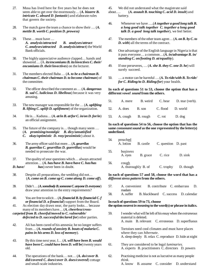- 27. Musa has lived here for five years but he does not seem able to get over the enormously… (*A. bizarre B. intricate C. absurd D*. *fantastic*) and elaborate rules that govern the society.
- 28. The match gave the team a chance to show their … (*A. mettle B. worth C. position D. prowess)*
- 29. These… must have … *A. analysis/attracted B. analyses/attract C. analyses/attracted D. analysis/attract*) theWorld Bank officials.
- 30. The highly appreciative audience clapped… hands and showered … (A. *its/encomiumsB. its/invectives C. their/ encomiums D. their/invectives*) on the lecturer.
- 31. The members elected Baba … (*A. to be a chairman B. chairman C. their chairman D. to become chairman*) of the committee.
- 32. The officer described the comment as … (*A. dangerous B. sad C. ludicious D. libellous*) because it was very amusing.
- 33. The new manager wasresponsible for the … (*A. uplifting B. lifting C. uplift D. upliftment*) of the organization.
- 34. He is… Kaduna… (*A. at/in B. at/forC. in/on D. for/in*) an official assignment.
- 35. The future of the company is… though many seem … (*A. promising/nostalgic B. dicy/unsatisfied C. okay/optimistic D. rosy/pessimistic*) about it.
- 36. The armyofficersaid that more… (*A. geurrilas B. guerrilas C. geurrillas D. guerrillas*) would be needed to prosecute the war.
- 37. The quality of your questions which… always attracted attention… (*A. has/have B. have/have C. has/has*

*D. have/ has*) never been in doubt.

- 38. Despite all preparations, the wedding did not… (*A. come on B. come up C. come along D. come off*).
- 39. Didn't… (*A.somebodyB.someoneC.anyoneD.everyone*) draw your attention to the entry requirements?
- 40. You are free to solicit… (*A.financial B. by financial C. f or financial D. a financial*) support from the Board.
- 41. As election day draws near, the party looks… because many of its members have… (*A. cheerless/cross-*
- *carpeted from B. cheerful/moved to C. vulnerable/ defected to D. successful/declared for*) other parties.
- 42. Ali has been cured of his amnesia; he no longer suffers from… (*A. rounds of anxiety B. bouts of malaria C. painsin his arms D. loss of memory*).
- 43. By this time next year, I… (*A. will have been B. would have been C. could have been D. will be*) twenty years old.
- 44. The operations of the bank… not… (*A. do/cover B. did/covered C. does/cover D. does/covered*) cottage and small-scale industries.

45. We did not understand what the magistrate said about…. (*A. assault B. touching C. acid D. insult*) and battery.

- 46. Whenever we have ….(*A together a good long talk B. a long good talk together C. together a long good talk D. a good long talk together*), we feel better.
- 47. The members ofthe other team agree… (*A. onB. by C. to D. with*) all the terms of the contract.
- 48. One advantage of the English language in Nigeria isthat it puts everyone… a common…(*A. in/advantage B. in/ standing C. on/footing D. at/equality*).
- 49. If one perseveres, … (*A. she B. they C. one D. he*) will surely succeed.
- 50. …a motor can be harmful … (*A. To ride/with B. To ride/ for C. Riding/to D. Riding/for*) your health.

### **In each of questions 51 to 53, choose the option that has a different** *vowel sound* **from the others.**

|  |                                      | 51. A. mere B. weird C. hear D. tear (verb). |
|--|--------------------------------------|----------------------------------------------|
|  | 52. A. does B. son C. flood D. world |                                              |
|  | 53. A. cough B. rough C. rot D. dog  |                                              |

### **In each of questions 54 to 56, choose the option that has the same** *consonant sound* **asthe one represented by the letter(s) underlined.**

| 54. | preached<br>A. lotion | B. castle           | C. question D. past |           |
|-----|-----------------------|---------------------|---------------------|-----------|
| 55. | business<br>A. eyes   | B. grace            | C. rice             | $D.$ sink |
| 56. | cough                 | A. thoroughly B. of | C. trophy           | D. though |

**In each of questions 57 and 58, choose the word that has a** *different stress pattern* **from the others.**

- 57. A. convenient B. contribute C. embarrass D. madam
- 58. A.suffer B. blackboard C. success D. calendar

## **In each of questions 59 to 73, choose the option** *nearest in meaning* **to the word(s) or phrase in italics.**

- 59. Iwonder whatwill be left ofhis essaywhen the *extraneous* material is deleted. A. main B. relevant C. erroneous D. superfluous
- 60. Tortoises need cool climates and must have places where they can *hibernate*. A.sleep deeply B. relax C. reproduce D. hide at night
- 61. They are considered to be legal *luminaries.* A. experts B. practitioners C. directors D. powers
- 62. Practising medicine is not aslucrative as many people *think*. A. know B. assume C. consider D. understand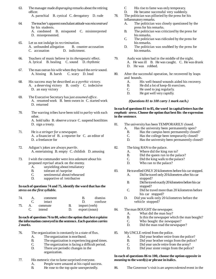63. Themanager made *disparaging* remarks about the retiring officer.

A. parochial B. cynical C. derogatory D. rude

- 64. Theteacher'sapparentnonchalantattitudewas *misconstrued* by his students. A. condoned B. misquoted C. misinterpreted D. misrepresented.
- 65. Let us not indulge in *recrimination*. A. unfounded allegation<br>C. accusation L D. indictment.
- 66. Teachers of music believe in its *therapeutic* effect. A. lyrical B. healing C. sound D. rhythmic
- 67. Theman outran his wife when they heard the *eerie* sound. A. hissing B. harsh C. scary D. loud
- 68. His success may be described as *a pyrrhic victory*. A. a deserving victory B. costly C. indecisive D. an easy victory
- 69. The Executive Secretary hasjust *assumed office*. A. resumed work B. been sworn in C. started work D. returned
- 70. The warring tribes have been told to *parley* with each other. A. hold talks B. observe a truce C. suspend hostilities D. sign a treaty.
- 71. He is *a stringer for* a newspaper. A. a financier of B. a reporter for C. an editor of D. a freelancer for
- 72. Adigun's jokes are always *puerile.* A. entertaining B. empty C. childish D. amusing
- 73. I wish the commander were *less adamant about* his proposed *reprisal* attack on the enemy.
	- A. unyielding about/retaliatory
	- B. tolerant of /surprise
	- C. sentimental about/rehearsed
	- D. supportive of /retributive

## **In each of questions 74 and 75, identify the word that hasthe** *stress on the first syllable.*

|     | А. | comment | B.                         | dismiss |
|-----|----|---------|----------------------------|---------|
|     |    | intact  | $\mathbf{D}$               | confuse |
| 75. |    | commute | import (verb)              |         |
|     |    | intend  | $\exp$ ort $(\text{noun})$ |         |

### **In each of questions 76 to 80,selectthe option that** *best explains* **the information conveyedin the sentence.** *Eachquestioncarries 2 marks.*

- 76. The organization is constantly in a state of flux.
	- A. The organization is moribund.
		- B. The organization is experiencing good times.
		- C. The organization is facing a difficult period.<br>D. There are periodic changes in the
		- There are periodic changes in the organization.
- 77. His meteoric rise to fame surprised everyone.
	- A. People were amazed at his rapid success.
	- B. He rose to the top quite unexpectedly.
- C His rise to fame was only temporary.
- D. He became successful very suddenly.
- 78. The politician was pilloried by the press for his inflammatoryremarks.
	- A. The politician was closely questioned by the press for his remarks.
	- B. The politician was criticized by the press for his remarks.
	- C. The politician was ridiculed by the press for his remarks.
	- D. The politician was snubbed by the press for his remarks.
- 79. Audu was taken bad in the middle of the night. A. He was ill B. He was caught. C. He was drunk
	- D. He was robbed.
- 80. After the successful operation, he recovered by leaps and bounds.
	- A. His well-bound wounds aided his recovery.
	- B. He did a lot of keep-fit exercises.
	- C. He used to jog regularly.
	- D. He got well very rapidly.

## *(Questions 81 to 100 carry 1 mark each.)*

### **In each of questions 81 to 85, the word incapital letters hasthe** *emphatic stress***. Choose the option that best fits the expression in the sentence**.

- 81. The university has been TEMPORARILY closed.
	- A. Has the university been permanently open?
		- B. Has the campus been permanently closed?
		- C. Has the college been temporarily closed?<br>D. Has the university been permanently close
		- Has the university been permanently closed?
- 82. The king RAN to the palace.
	- A. Where did the king run to?
	- B. Did the queen run to the palace?
	- C. Did the king walk to the palace?
	- D. Who ran to the palace?
- 83. He travelled ONLY 20 kilometres before his car stopped.
	- A. Did he travel only20 kilometres after his car stopped?
	- B. Did he travel exactly 20 kilometres before his car stopped?
	- C. Did he travel more than 20 kilometres before his car stopped?
	- D. Did you walk only 20 kilometres before the vehicle stopped?
- 84. Theman BOUGHT the newspaper.
	- A. What did the man buy?<br>B. Is this the newspaper wh
	- B. Is this the newspaper which the man bought?<br>C. Who bought the newspaper?
	- Who bought the newspaper?
	- D. Did the man read the newspaper?
- 85. MyUNCLE retired from the police.
	- A. Did your brother retire from the police?
	- B. Did your brother resign from the police?
	- C. Did your uncle retire from the army?
	- D. Did your sister resign from the police?

## **In each of questions 86 to 100, choose the option** *opposite in meaning* **to the word(s) or phrase in italics.**

86. The Governor's visit is *an unprecedented* event in the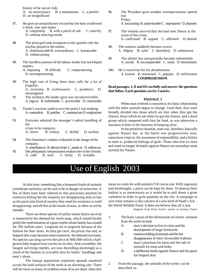history of he social club. A. an unnecessary B. a momentous C. a perfect D. an insignificant

- 87. He gave an unsatisfactory excuse but the boss swallowed it *hook, line and sinker.* A. completely B. with a pinch of salt. C. entirely D. without mincing words.
- 88. The principal took exception to the *ignoble* role the teacher played in the matter. A. dishonourableB. extraordinary C. honourable D. embarrassing
- 89. The *hardline* posture of the labour leader has not helped matters. A. imposing B. difficult C. compromising D. uncompromising
- 90. The high cost of living these days calls for a lot of *frugality*. A. economy B. recklessness C. prudence D. extravagance
- 91. The evidence the leader gave was *incontrovertible.* A. logical B. indubitable C. practicable D. contestable
- 92. Tunde's reaction *underscores*the point I was making. A.contradicts B.justifies C.summarizesD. emphasizes

93. Everyone admired the manager's *adroit* handling of the crises in he company. A. clever B. clumsy C. skilful D. tactless

94. The chairman's conduct *redounds* to the image of the company.

A. contributes to B. detracts from C. assists in D. reflects on.

95. Her *phlegmatic* temperament endears her to her friends. A. cold B. stoic C. lively D. irritable.

- 96. The President gave another *extemporaneous* speech last Friday. A.fascinating B. unfavourableC. unprepared D. planned.
- 97. The witness *averred* that she had seen Dosun at the scene of the crime. A. confirmed B. argued C. affirmed D. denied
- 98. The workers suddenly became *restive*. A. fidgety B. calm C. disorderly D. submissive
- 99. The athlete has unexpectedly become *indomitable*. A. unruly B. unconquerable C. weak D. disoriented.
- 100. He is *notorious* for his drunkenness. A. known B. renowned C. popular D. well known **COMPREHENSION**

## **Read passages, I,II andIII carefully and answer the questions that follow. Each question carries 3 marks.**

### **PASSAGE I**

When man evolved a conscience, his basic relationship with the other animals began to change. Until then, they were broadly divided into those which ate him when they got the chance, those which he ate when he got the chance, and a third group which competed with him for food, or was otherwise a nuisance to him in the business of keeping alive.

In the primitive situation, man was, therefore, basically against Nature but, as the battle was progressively won, conscience crept in; the awareness of responsibility, and a failure to meet it, produced feelings of guilt. Those who live in cities and need no longer do battle against Nature are nowadays most actively for Nature.

## Use of English 2003

At this time, something like a thousand kinds of animals (vertebrate animals) can be said to be in danger of extinction. A few of them have been reduced to this precarious position by extensive killing but the majority are disappearing only as fast as the particular kind of country they need for existence is itself disappearing: and all this at the hands of man, as often as not by mistake.

There are three species of turtles whose future survival is menaced by the demand for turtle soup, which would hardly justifythe extermination of a giant reptilewhose family has existed for 200 million years. Leopards are in jeopardy because of the fashion for their skins. As they get rarer, the prices rise and, as leopard skin coats becomemore expensive, the demand increases. No species can long survive the price of N60,000 which a halfgrown baby leopard now carries on itsskin. And crocodiles, the longest surviving reptiles, are now dwindling alarmingly as a result of the fashion in crocodile skin for ladies' handbags and men's shoes.

The human population explosion spreads mankind across the land surfaces of the earth at an alarming rate. There will be twice as many of us before most of us are dead. Doesthis mean no room for wild animals? Of course not. With ingenuity and forethought, a place can be kept for them. To destroy their habitat is as unnecessary as it would be to pull down a great cathedral in order to grow potatoes on the site. A campaign to save what remains is the concern of a new kind of Noah's  $Ark$ the World Wildlife Fund. It does not believe that all is lost.

Adapted from Peter Scott's article in Sunday Times

- 1. The basic causes of the elimination of certain animals from the earth include
	- A. man's decision to live in cities and the development of large farmlands
	- B. extensive killing of animals and the fast disappearance of their favourable habitats
	- C. man's penchant for meat and the sale of animals for meat and hides
	- D. a deliberate battle against Nature and the quest for leopard skin.

2. From the passage, the attitude of the writer can be described as.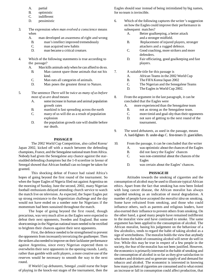- A. partial
- B. optimistic
- C. indifferent
- D. pessimistic
- 3. The expression *when man evolved a conscience* means when
	- A. man developed an awareness of right and wrong
		- B. man'sintellect improved tremendously
	- C. man acquired new habits
	- D. man became a critical creature.
- 4. Which of the following statements is true according to the passage?
	- A. Man kills animals onlywhen he can afford to doso.
		- B. Man cannot spare those animals that eat his kind.
		- C. Man eats all categories of animals.
		- D. Man poses the greatest threat to Nature.
- 5. The sentence *There will be twice as many of us before most of us are dead* means
	- A. some increase in human and animal population growth rates
	- B. mankind is fast spreading across the earth
	- C. many of us will die as a result of population explosion
	- D. the population growth rate will double before our death.

### **PASSAGEII**

The 2002 World Cup Competition, also called Korea/ Japan 2002, kicked off with a match between the defending champions, France, and the Senegalese national team fromAfrica. Nobody had given the Senegalese any chance against the starstudded defending champions but the 1-0 scoreline in favour of Senegal showed that African football can no longer be taken for granted.

This shocking defeat of France had raised Africa's hopes of going beyond the first round of the tournament. So when the Super Eagles of Nigeria filed out against Argentina on the morning of Sunday, June the second, 2002, many Nigerian football enthusiasts delayed attending church service to watch the match live on television. As expected, the Super Eagles put up strong resistance to the Argentinian challenge and the day would not have ended on a somber note for Nigerians if the momentum had been sustained throughout the match.

The hope of going beyond the first round, though precarious, was verymuch alive as the Eagles were expected to defeat their next opponents, Sweden and England. But some shortcomings in the Nigerian national team needed to be rectified to brighten their chances against their next opponents.

First, the defence needed to be strengthened to prevent the opponents from incessantlyterrorizing the goalkeeper. Then the strikers also needed toimprove on their lackluster performance against Argentina, since every Nigerian expected them to overwhelm their next opponents in the opening rounds. Lastly, rather than gamble with unfit players, a more creative use of the reserves would be necessary to smooth the way to the next round.

If World Cup *debutants*, Senegal ,could nurse the hope of playing in the knock-out stages of the tournament, then the Eagles should soar instead of being intimidated by big names, for no team is invincible.

- 6. Which of the following captures the writer's suggestion on how the Eagles could improve their performance in subsequent matches?
	- A. Better goalkeeping, a better attack and a stronger midfield.
	- B. Replacement of injured players, stronger attackers and a rugged defence.
	- C. Good coaching, more strikers and more defenders.
	- D. Fair officiating, good goalkeeping and fast players.
- 7. A suitable title for this passage is
	- A. African Teams in the 2002 World Cup
	- B. The FIFAKorea/Japan 2002
	- C. The Nigerian and the Senegalese Teams
	- D. The Eagles in World Cup 2002.
- 8. From the argument in the last paragraph, it can be concluded that the Eagles were
	- A. more experienced than the Senegalese team
	- B. not as strong as the Senegalese team.
	- C. more timid and goal-shy than their opponents
	- D. not sure of getting to the next round of the tournament.
- 9. The word *debutants*, as used in the passage, means A. hard-fighters B. under-dogs C. first-timers D. giant killers.
- 10. From the passage, it can be concluded that the writer
	- A. was optimistic about the chances of the Eagles
	- B. did not fancy the Eagles' chances
	- C. was non-committal about the chances of the Eagles
	- D. was certain about the Eagles' chances.

## **PASSAGEIII**

Attitudes towards the smoking of cigarettes and the consumption of alcohol may be used to illustrate typical African ethics. Apart from the fact that smoking has now been linked with lung cancer disease, the African moralist has always regarded smoking as an indication of moral degradation. A number of people have accepted the *moralist idea* on smoking. Some have refrained from smoking, and those who could influence others, such as parents and religious leaders, have also exerted their influence to prevent others from smoking. On the other hand, a good many people have remained indifferent to the moralist view and have continued to smoke. The same argument has been applied to the consumption of alcohol. The African moralist, basing his judgement on the behaviour of a few alcoholics, tends to regard the habit of taking alcohol as a sign of wretchedness. The moralist holds the view that anybody who forms the habit of consuming alcohol will never do well in live. While this may be true in respect of a few people in the society, the fear of the moralist has not been justified. However, the economics is primarily interested in the habit of smoking and the consumption of alcohol in so far as they give satisfaction to smokers and drinkers and so generate supply of and demand for tobacco and alcohol. The economist is interested in knowing how many packets of cigarettes are consumed and to what extent an increase or fall in consumption could affect production, that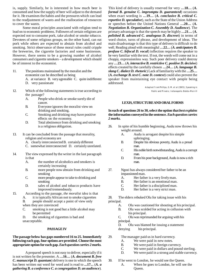is, supply. Similarly, he is interested in how much beer is consumed and how the supply of beer will adjust to the demand for it. He examines the habits and the pressures which can lead to the readjustment of wants and the reallocation of resources to cover the wants.

Some moral principles associated with religion tend to lead on to economic problems. Followers of certain religions are expected not to consume pork, take alcohol or smoke tobacco. Devotees of some religious groups, on the other hand, can eat pork while others are expected to abstain from alcohol and smoking. Strict observance of these moral rules could cripple the breweries, the cigarette factories and some businesses. However, there seems to be a growing number of alcohol consumers and cigarette smokers – a development which should be of interest to the economist.

- 11. The positions maintained by the moralist and the economist can be described as being A. at variance B. veryagreeable C. quite indifferent D. very passionate
- 12. Which of the following statements is true according to the passage?
	- A. People who drink or smoke surely die of cancer.
	- B. Everyone ignores the moralist view on drinking and smoking.
	- C. Smoking and drinking may have positive effects on the economy.
	- D. Total abstinence from drinking and smoking is a religious obligation.
- 13. It can be concluded from the passage that morality, religion and economy are
	- A. clearly interconnectedB. certainlydifferent
	- C. somewhat interconnected D. certainly unrelated.
- 14. The view expressed by the writer in the last paragraph is that
	- A. the number of alcoholics and smokers is certainly increasing
	- B. more people now abstain from drinking and smoking
	- C. more people appear to take to drinking and smoking
	- D. sales of alcohol and tobacco products have improved tremendously.
- 15. According to the passage, *the moralist idea* is that
	- A. it is typicallyAfrican not to smoke cigarettes B. people should accept a point of view only
	- when they are convinced
	- C. smoking is not good but a little alcohol may be permitted
	- D. the smoking of cigarettes is bad and unacceptable.

## **PASSAGEIV**

### **The passage below has gaps numbered 16 to 25.Immediately following each gap, four options are provided. Choose the most appropriate option for each gap.** *Eachquestioncarries 2marks.*

Aprepared speech is not easy to deliver, especially if it is not written by the presenter. A **…16…** (*A. document B. free C. manuscript D. quantum*) delivery is one in which the speech has been written out word for word and is read to **...17...** (*A. a gathering B. a conference C. a congregation D. an audience*). This kind of delivery is usually reserved for very **…18…** (*A. formal B. genuine C. impromptu D. guaranteed*) occasions when exact wording is **…19…** (*A. conclusive B. critical C. reportive D. speculative*), such as the State of the Union Address or speeches before the United Nations General **…20…** (*A. Negotiation B. Organization C. Assembly D. Audience*). The primary advantage is that the speech may be highly **…21…** (*A. polished B. advanced C. analogous D. discreet*) in terms of word choice, turns of phrase, and development of ideas. The main disadvantage is that this type of delivery is difficult to do well. Reading aloud with meaningful **…22…** (*A. anticipatory B. profuse C. bifocal D. vocal*) inflection requires the speaker to be very familiar with the text. If not, the words will come out in a choppy, expressionless way. Such poor delivery could destroy any **…23…** (*A. interactive B.restrictive C. positive D. decisive*) effects created by the carefully chosen **…24…** (*A. language B. slangC. dialect D. rhetoric*) Lack offamiliaritywith the **…25…** (*A. exchange B. text C. note D. context*) could also prevent the speaker from maintaining eye contact with people being addressed.

> Adapted from Phillips, G. M. et al (1985), Speaking in Public and Private, Indianapolis: Bobbs-Merrill

## **LEXIS,STRUCTUREANDORALFORMS**

**In each of questions 26 to 30,selectthe option that** *best explains* **the information conveyedin the sentence.** *Eachquestioncarries 2 marks.*

- 26. In spite of his humble beginning, Audu now throws his weight around.
	- A. Audu is arrogant despite his simple upbringing.
	- B. Despite his obvious poverty, Audu is a proud man.
	- C. Hisnoble birth notwithstanding,Auduis acorrupt man.
	- D. From his poor background, Audu is now a rich man.
- 27. Ngozi has always considered her father to be an impassioned man.
	- A. Her father is a very livelyman.
	- B. Her father is an emotional man.
	- C. Her father is a disciplined man.
	- D. Her father is a very strict man.

28. The elders rebuked Olu for taking issue with his principal.

- A. Olu was cautioned for shouting at his principal.
- B. Olu was scolded for acting in collusion with his principal.
- C. Olu was reprimanded for arguing with his principal.

D. Olu was blamed for issuing a statement denying his principal.

- 29. The manager paid us in hard currency.
	- A. We were paid in new notes.
	- B. We were paid in foreign currency.
	- C. We were paid in dollars and pound sterling.
	- D. We were paid in a strong and stable currency.
- 30. If he went to London, he would see the Queen.
	- A. When he goes to London, he will see the Queen.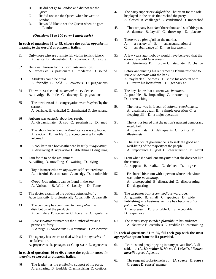- B. He did not go to London and did not see the Queen.
- C. He did not see the Queen when he went to London.
- D. He would like to see the Queen when he goes to London.

*(Questions 31 to 100 carry 1 mark each.)*

### **In each of questions 31 to 45, choose the** *option opposite* **in meaning to the word(s) or phrase in italics.**

- 31. Only those who are *gullible* fall victim to histrickery. A. saucy B. devastated C. courteous D. astute
- 32. He is well known for his *inordinate* ambition. A. excessive B. passionate C. moderate D. sound
- 33. Students could be *timid*. A. friendly B. bold C. covetous D. pugnacious
- 34. The witness decided to *conceal* the evidence. A. divulge B. hide C. destroy D. pugnacious
- 35. The members of the congregation were *inspired* by the sermon. A. bewitched B. enthralled C. disenchanted D. disorientated
- 36. Agbenu was *ecstatic* about her result. A. dispassionate B. sad C. pessimistic D. mad
- 37. The labour leader's *recalcitrant* stance was applauded. A. stubborn B. flexible C. uncompromising D. wellinformed
- 38. A cool bath in a hot weather can be truly *invigorating*. A. devastating B. unpalatable C. debilitating D. disgusting
- 39. I am *loath* to do the assignment. A. willing B. unwilling C. waiting D. dying
- 40. Toyin is married to *an impatient*, self-centered man. A. a fretful B. a tolerant C. an edgy D. a tolerable
- 41. *Gregarious* animals can be found in the zoo. A. Various B. Wild C. Lonely D. Tame
- 42. The doctor examined the patient *painstakingly*. A. perfunctorily B. professionally C. painfully D. carefully
- 43. The company has continued to *monopolize* the distribution of the products. A. centralize B. specialize C. liberalize D. regularize
- 44. A *conservative* estimate put the number of missing persons at forty. A.Arough B.An accurate C.Aprimitive D.An incorrect
- 45. The agency has sworn to deal with all the *apostles* of confederation. A. proponents B. protagonists C. apostates D. opponents.

### **In each of questions 46 to 60, choose the option** *nearest in meaning* **toword(s) or phrase in italics.**

46. The leader has the *unstinting* support of his party. A. unsparing B. laudable C. uninspiring D. cautious.

- 47. The party supporters *vilified* the Chairman for the role he played in the crisis that rocked the party. A. elected. B. challenged C. condemned D. impeached
- 48. The company is to *shed* three thousand staff this year. A. demote B. lay off C. throw up D. placate
- 49. There was *a glut of* oil on the market. A. a variety of B. an accumulation of C. an abundance of D. an increase in
- 50. A few years ago, nobody would have believed that the economy would *turn around*. A. deteriorate B. improve C. stagnate D. change
- 51. Before announcing hisretirement, Ochima resolved to *settle on account with* the bank. A. pay back all he owes B. close his account with C. retire his loans from D. get back at
- 52. The boys knew that a storm was *imminent*. A. possible B. impending C. threatening D. encroaching
- 53. The nurse was in favour of *voluntary euthanasia*. A. a painless death B. a simple operation C. a sleeping pill D. a major operation
- 54. The *cynics* feared that the nation's nascent democracy would fail. A. pessimists B. delinquents C. critics D. illusionists
- 55. The *essence* of governance is to seek the good and well-being of the majority of the people. A. importance B. goal C. characteristic D. secret
- 56. From what she said, one may *infer* that she does not like the course. A. suppose B. realize C. deduce D. agree
- 57. He shared his room with a person whose behaviour was quite *nauseating*. A. disrespectful B. disgraceful C. discouraging D. disgusting
- 58. The carpenter built a *commodious* wardrobe. A. gigantic B. small C. spacious D. wide
- 59. Publishing as a business venture has become *a hot potato* in Nigeria. A. unpleasant B. profitable C. unacceptable D. expensive
- 60. The man's story sounded *plausible* to his audience. A. fantastic B. credulous C. credible D. entertaining

## **In each of questions 61 to 85, fill each gap with the** *most appropriate* **option from the list provided**.

- 61. 'I can't stand people prying into my private life', Ladi said. '...,' (A. *Me neither* B. *Me too* C. *I also* D. *Likewise myself*) agreed Agbenu .
- 62. The sergeant spoke to me in a … (A. *coerce* B. *coarse* C. *course* D. *causal*) manner.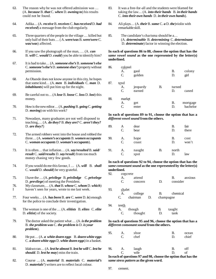- 63. The reason why he was not offered admission was … (A. *because* B. *that* C. *when* D. *owning to*) hisresults could not be found.
- 64. Adika…(A. *receive* B. *receives* C. *hasreceived* D. *had received*) a message from the club regularly.
- 65. Three quarters ofthe people in the village … killed but onlyhalf of their huts… (A. *were/was* B. *were/were* C. *was/was*) affected.
- 66. If you saw the photograph of the man, … (A. *can* B. *will* C. *would* D. *could*) you be able to identify him?
- 67. It is bad to take… (A. *someone else's* B. *someone's else* C. *someone's else's* D. *someone elses'*) propertywithout permission.
- 68. As Obande does not know anyone in this city, he hopes that some kind… (A. *men* B. *individuals* C. *man* D. *inhabitants*) will put him up for the night.
- 69. Be careful not to… (A *lose* B. *loose* C. *loss* D. *lost*) this money.
- 70. Howisthe neweditor… (A. *pushing* B. *going* C. *getting* D. *moving*) on with his work?
- 71. Nowadays, many graduates are not well disposed to teaching,… (A. *do they?* B. *they are?* C. *aren't they?* D. *are they?*)
- 72. The armed robbers went into the house and robbed the three… (A. *women's occupants* B. *women occupants* C. *woman occupants* D. *woman's occupants*).
- 73. It is often… that inflation… (A. *say/resulted* B. *said/ result* C. *said/results* D. *say/result*) from too much money chasing very few goods.
- 74. If you would dome thisfavour, I … (A. *will* B. *shall* C. *would* D. *should*) be very grateful.
- 75. I have the … (A. *privilege* B. *priviledge* C. *privelege* D. *previlege*) of meeting the President.
- 76. Myclassmate,… (A. *that* B. *whose* C. *whom* D. *which*)
- I haven't seen for years, wrote to me last week.
- 77. Four weeks… (A. *has been* B. *are* C. *were* D. *is*) enough for the police to conclude their investigation.
- 78. The woman is one of the … (A. *elitists* B. *elites* C. *elite* D. *elitist*) of the society.
- 79. The doctor asked the patient what … (A. *isthe problem* B. *the problem was* C. *the problem is* D. *is your problem*).
- 80. He put… (A. *a white dozen eggs* B. *dozenwhite eggs* C. *a dozenwhite eggs* D. *white dozen eggs*) in a basket.
- 81. Idakwo ran… (A. *lest he almost* B. *lest he will* C. *lest he should*. D. *lest he may*) miss the train.
- 82. Course … (A. *material* B. *materials* C. *material's* D. *materials'*) writers are to reflect local colour.
- 83. It was a free-for-all and the students were blamed for taking the law… (A. *into their hands* B. *in their hands* C. *into their own hands* D. *in their own hands*).
- 84. Ali plays… (A. *their* B. *some* C. *a* D. *the*)violin with remarkable skill.
- 85. The candidate's charisma should be a… (A. *determinable* B. *determining* C. *determinant* D. *determinate*) factor in winning the election.

**In each of questions 86 to 88, choose the option that has the** *same vowel sound* **as the one represented by the letter(s) underlined.**

| 86. | colonel      |          |    |        |          |
|-----|--------------|----------|----|--------|----------|
|     | А.           | gaol     |    | B.     | colony   |
|     | $\mathsf{C}$ | golden   |    | D.     | girl     |
| 87. | tend         |          |    |        |          |
|     | А.           | jeopardy | В. | turned |          |
|     | $\mathsf{C}$ | earned   |    | D.     | caned    |
| 88. | market       |          |    |        |          |
|     | А.           | get      |    | В.     | mortgage |
|     | C.           | enter    |    | D.     | bachelor |

### **In each of questions 89 to 91, choose the option that has a** *different vowel sound* **from the others.**

| 89. | А<br>$\mathsf{C}$  | dear<br>bear   |    | В.<br>D.    | fair<br>there |
|-----|--------------------|----------------|----|-------------|---------------|
| 90. | А.<br>$\mathsf{C}$ | hope<br>coast  |    | В.<br>D.    | cost<br>won't |
| 91. | А.<br>C.           | naught<br>spot | В. | north<br>D. | law           |

### **In each of questions 92 to 94, choose the option that has the** *same consonant sound* **asthe one represented by the letter(s) underlined.**

| 92. | concrete             |                |
|-----|----------------------|----------------|
|     | attend<br>А.         | anxious<br>В.  |
|     | C.<br>concern        | consider<br>D. |
| 93. | chalet               |                |
|     | А.<br>college        | chemical<br>B. |
|     | chairman<br>C.<br>D. | champagne      |
| 94. | teeth                |                |
|     | though<br>А.         | B.<br>taught   |
|     | thought<br>C.        | tank<br>D.     |

### **In each of questions 95 and 96, choose the option that has a** *different consonant sound* **from the others.**

| 95. | A.            | shoe  | В. | ocean |
|-----|---------------|-------|----|-------|
|     | $\mathcal{C}$ | chef  | D. | chief |
|     |               |       |    |       |
|     |               |       |    |       |
| 96. | А.            | laugh | В. | off   |
|     |               | wife  |    | of    |

**In each of questions 97 and 98, choose the option that hasthe** *same stress pattern* **asthe given word.**

97. cement.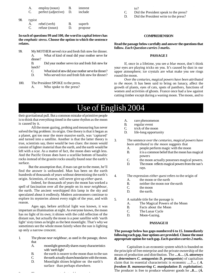|     | А.<br>C. | employ (noun)<br>perfect (adjective) | В.<br>D. | interest<br>include |
|-----|----------|--------------------------------------|----------|---------------------|
| 98. | typist   |                                      |          |                     |
|     | А.       | rebel (verb)                         | В.       | superb              |
|     | C.       | refuse (noun)                        | D.       | propose             |

**In each of questions 99 and 100, the word in capital letters has the** *emphatic stress***. Choose the option to which the sentence relates.**

- 99. My MOTHER served rice and fresh fish stew for dinner. A. What of kind of meal did your mother serve for dinner?
	- B. Did your mother serve rice and fresh fish stew for lunch?
	- C. What kind of stew did your mother serve for dinner?
	- D. Who served rice and fresh fish stew for dinner?
- 100. The President SPOKE to the press.
	- A. Who spoke to the press?

|    | $\mathsf{to}2$                        |
|----|---------------------------------------|
| C. | Did the President speak to the press? |
| D. | Did the President write to the press? |

#### **COMPREHENSION**

**Readthe passage belowcarefully andanswer the questionsthat follow.** *Each Question carries 3 marks.*

### **PASSAGE I**

If, once in a lifetime, you see *a blue moon*, don't think your eyes are playing tricks on you. It's caused by dust in our upper atmosphere; ice crystals are what make you see rings round the moon.

*Overthe centuries, magical powers have been attributed to the moon*. It has been said to bring on lunacy, affect the growth of plants, eyes of cats, spots of panthers, functions of women and activities of ghosts. France once had a law against cutting timber except during a waning moon. The moon, and to

# Use of English 2004

their gravitational pull. But a common mistake of primitive people isto think that everything timed in the same rhythm as the moon is caused by it.

All themoon gazing, probing and measuring has never solved the big problem: its origin. One theory is that it began as a planet, got too near the more massive earth, was 'captured' and turned into a satellite. Another is that the latter theory is true, scientists say, there would be two clues: the moon would consist of lighter material than the earth, and the earth would be left with a scar. As a matter of fact, the moon does weigh less. And the Pacific Ocean does have a scarlike bottom of basaltic rocks instead of the granite rocks usually found near the earth's surface.

But the assumption that, if man can get to the moon, he'll find the answer is unfounded. Man has been on the earth hundreds of thousands of years without determining the earth's origin. Scientists, of course, will never give up *either quest*.

Indeed, for thousands of years the moon has worked a spell of fascination over all the people on its *near neighbour*, the earth. The ancient worshipped this lamp in the sky and speculated about it endlessly. Modern astronomers continue to explore its mysteries almost every night of the year, and with reason.

Ages ago, before artificial light was known, it was important as illumination at night. As everyone knows, the moon has no light of its own; it shines with the cold reflection of the distant sun, but actually the moon is a poor satellite with 'earth light' sixty times as bright as the best moonlight. That's why we sometimes see the whole moon faintly when the sun is lighting up only a narrow crescent.

- 1. The phrase *near neighbour*, as used in the passage, shows that
	- A. moonlight generally shares many characteristics with 'earth light'
	- B. the earth is nearer to the moon than to the sun
	- C. theearth actuallysharesboundarieswith themoon. D. Moonlight shines brighter on the earth's
	- surface than perhaps elsewhere.

2. The passage suggests that *a blue moon* is a

- A. rare phenomenon
- B. regular event
- C. trick of the moon
- D. life-long opportunity
- 3. The sentence *overthe centuries, magical powers have been attributed to the moon* suggests that
	- A. people perform magic with the moon
	- B. it is a common belief that the moon has magical powers
	- C. the moon actually possesses magical powers.
	- D. The moon reflects magical powers from the sun's rays.

4. The expression *either quest* refers to the origin of

- A. the moon or the earth
- B. neither the moon nor the earth
- C. the moon
- D. the earth.
- 5. A suitable title for the passage is
	- A. The Magical Powers of the Moon
	- B. Facts about the Moon
	- C. TheLunar Cycle
	- D. Moon-Gazing.

### **PASSAGEII**

### **The passage below has gaps numbered 6 to 15. Immediately following each gap, four options are provided. Choose the most appropriate option for each gap.** *Eachquestioncarries 2marks***.**

Capitalism is an economic system which is founded on the principle of free enterprise and the private ownership of the means of production and distribution. The **…6…** (*A. attorneys B. determiners C. antagonists D. protagonists*) of capitalism claim that its essential characteristic is economic **…7…** ( *A. freedom B. manoeuvring C. manipulation D. exploitation*). The producer is free to produce whatever goods he **..8…** (*A.*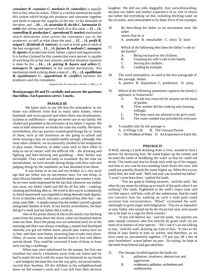*consumer B. customer C. marketer D. controller*) is equally free to buywhat he wants. There is a market mechanism under this system which brings the producer and consumer together and tends to equate the supplies of the one to the demands of the other, and **…10…** (*A. neutralize B. decide C. harmonize D. settle*) the whims and caprice of both. It isthis same **…11…** (*A. controllingB. productionC. operational D.market*) mechanism which determines what prices the consumers pay to the producers, as well as what share the total **…12…** (*A. profit B. output C. dividends D. interest*), in cash or kind, goesto each of the four recognized… **13…** (*A. factorsB. methodsC. managers D. agents*) of production-land, labour, capital and organization. It is further claimed for this system that every person is capable of watching his or her own interest, and that whatever injustice is done by the **…14…** (*A. pricing B. buyers and sellers C. managers D. operations*) of the market mechanism, this mechanism tends to bring about a state of ...15... (A. *equilibrium B. equidistance C.. opprobrium D. conflict*) between the producers and the consumers.

*manufactures B. buys C. sells D. fancies*); but the **…9…** (*A.*

Adapted from *The Guardian*, October 5, 2003, p. 10

**Read passagesIII and IV carefully and answer the questions that follow.** *Each question carries 3 marks***.**

#### **PASSAGEIII**

We knew early in our life that the *atmosphere* in our home was different from that in many other homes, where husbands and wives quarrel and where there was drunkenness, laziness or indifference – things we never saw in our family. We chafed and grumbled at the strictness of my father's regime. We went to hide whenever we broke the rules too visibly. We knew, nevertheless, that our parents wanted good things for us. Some of these, such as the insistence on our going to school and never missing a day, we accepted readily enough, although, like most other children, we occasionally yielded to the temptation to play truant. However, in other cases such as their effort to keep us out of contact with the difficult life – the drinking and fighting and beer-brewing and gambling – their failure was inevitable. They could not keep us insulated. By the time we moved about, we were already seeing things with their eyes and judging things by the standards we had absorbed from them.

It was borne in on me and my brother at a very early age that our father was *an uncommon man*. For one thing, in most African families, work around the home was women's work. Sowe were vastlyimpressed by the fact that whenever mymother was away, my father could and did do all her jobs – cooking, cleaning and looking after us.We lived in thiswayin a community in which housework wasregarded as being beneath male dignity. Even in families which, like ours, produced boy after boy – our sister came fifth – it simply meant that the mother carried a greater and greater burden of work. In our family, nevertheless, the boys did girl's work and my father did it with us.

One of the prime chores of life in the family was fetching water from the pump down the street, some two hundred metres from our door. Since the pump was not unlocked until six in the morning and there was always crowding, a system had developed whereby you got out before dawn, placed your twenty-litre tin in line, and then went home, returning later to take your place. Often, of course, tins would be moved back in line and others moved ahead. This could be corrected if none of those in front were too big a challenge.

When taps were substituted for the pumps, the first one installed was nearly a kilometre away from our house and we had to make the treck with the water tins balanced on our heads -- and indignity because this was the waygirls, not proud males, carried their burdens. All the children in the neibghbourhood knew we did women's work and I can still hear their derisive laughter. We did our jobs doggedly, that notwithstanding, because our father and mother expected it of us. Out of choice our father did everything we did, including fetching water on the occasion, and commanded us by sheer force of his example.

- 16. By describing his father as *an uncommon man*, the writer means that he is A. amenable B. remarkable C. strict D. kind
- 17. Which of the following describesthe father's role in the family?
	- A. Being too hard on the children.
	- B. Usurping his wife'srole in the family.
	- C. Serving the children.
	- D. Leading by example.
- 18. The word *atmosphere*, as used in the first paragraph of the passage, means

A. pattern B. disposition C. preference D. unity

- 19. Which of the following statements captures the family's approach to housework?
	- A. No job was reserved for anyone on the basis of gender.
	- B. Their mother did the cooking and cleaning willingly.
	- C. The boys were not allowed to do girls work.
	- D. The water needed was provided by everyone.

20. A suitable title for the passage is

- A. A Village Life B. The Unusual Parent
- C. The Problem of Water D. An Experience in Early life.

### **PASSAGEIV**

A Wolf, seeing a Lamb drinking from a river, wanted to find a pretext for devouring him. He stood higher up the stream and accused the lamb of muddying the water so that he could not drink. The lamb said that he drank only with tip of his tongue, and that in any case he was standing lower down the river, and could not possibly disturb the water higher up. *When this excuse failed him*, the wolf said: 'Well, last year you insulted my father.' 'I wasn't even born then,' replied the lamb.

'You are good at finding answers, 'said the wolf, 'but what do you mean by taking up so much of the path where I am walking? The lamb, frightened at the wolf's *angry tone and terrible aspect*, told him, with all due submission, that he could not conceive how his walking on such a wide path could occasion him inconvenience. 'What!' exclaimed the wolf, seemingly in great anger and indignation. 'You are as impudent as your father who seized me by the throat last year, and caused me to be kept in a cage for three months.'

'If you will believe me,' said the lamb, 'my parents are poor simple creatures who live entirely by green stuff; we are none of us hunters of your species.' 'Ah! I see it's no use talking to you, 'said the wolf, drawing up close to him. 'It runs in the blood of your family to hate us wolves, and therefore, as we have come so conveniently together, I'll just pay off a few of your forefathers' scores before we part. 'So saying, he leapt at the lamb from behind and garroted him.

- 21. The charges levelled against the lamb are
	- A. pollution, insolence, obstruction and aggression.
	- B. exuberance, pollution, wickednessand stubbornness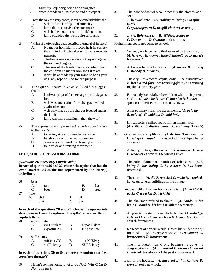- C. garrulity, loquacity, pride and arrogance
- D. greed, wandering, insolence and disrespect.
- 22. From the way the storyended, it can be concluded that the
	- A. wolf and the lamb parted amicably<br>B. lamb did not survive the encounter
	- B. lamb did not survive the encounter<br>C. wolf had encountered the lamb's pa
	- C. wolf had encountered the lamb's parents<br>D. lamb offended the wolf quite seriously.
	- lamb offended the wolf quite seriously.

23. Which of the following aptly describes the moral of the story?

- A. No matter how highly placed he is in society, the unmindful lawbreaker will always meet his nemesis.
- B. The lawis weak in defence of the poor against the rich and mighty.
- C. The sins of the forefathers are visited upon the children no matter how long it takes.
- D. If you have made up your mind to hang your dog, any rope will do for the purpose.
- 24. The expression *when this excuse failed him* suggests that the
	- A. lamb was prepared for the charges levelled against him
	- B. wolf was uncertain of the charges levelled againstthe lamb
	- C. wolf only made up the charges levelled against the lamb
	- D. lamb was more intelligent than the wolf.
- 25. The expression *angry tone and terrible aspect* refers to the wolf's
	- A. towering size and thunderous voice
	- B. harsh voice and menacing posture
	- C. sonorous voice and overbearing attitude
	- D. loud voice and fretting movement.

## **LEXIS,STRUCTUREANDORALFORMS**

## *(Questions 26 to 59 carry I mark each.)*

**In each of questions 26 and 27, choose the option that hasthe** *same vowel sound* **as the one represented by the letter(s) underlined.**

| 26. | bear |       |    |      |       |
|-----|------|-------|----|------|-------|
|     | A.   | rare  |    | В.   | fear  |
|     | C.   | beer  |    | D.   | steer |
| 27. | nine |       |    |      |       |
|     | А.   | click | В. | gill |       |
|     | C.   | pint  | D. | pin  |       |

**In each of the questions 28 and 29, choose the** *appropriate stress pattern* **from the options. The** *syllables* **are written in capital letters.**

| 28. | expostulate |             |    |             |  |  |
|-----|-------------|-------------|----|-------------|--|--|
|     | А.          | exPOStulate | B. | exposTUlate |  |  |
|     | C.          | expostuLATE | D. | EXpostulate |  |  |
| 29. |             | sufficiency |    |             |  |  |
|     | А.          | sufficienCY | B. | suffiCIENcy |  |  |
|     | C           | sufFIciency | D. | SUFficiency |  |  |

## **In each of questions 30 to 54, choose the option that** *best completes* **the gap(s)**

30. He isn't coming home, is he?…(*A. No B. Why C. Yes D. Now*), he isn't.

- 31. The poor widow who could not buy the clothes was seen … her wool into… (*A. making/tailoring B. to spin/ yards C. spinning/yarn D. to spill/clothes*) yesterday.
- 32. … (**A.** *Referring to B. With reference to C. Due to D. Owning to*) his illness,

Muhammad could not come to school.

- 33. You may not have heard the last word on the matter, … (*A. have youB.may you haveC. haven't you D.mayn't have you*)?
- 34. Agbo says he is not afraid of … (*A. no one B. nothing C. nobody D. anybody*)
- 35. The city… as a federal capital only … (*A. existed/over B. has existed/for C. was existing/from D. is existing in*) the last twenty years.
- 36. He not only looked after the children when their parents died, … (*A. also he B. also C. but also D. but he*) sponsored their education to university.
- 37. After so many trials, the experiment… (*A. paid up B. paid off C. paid out D. paid for).*
- 38. Hissupporters rallied round him in moments of… (*A. criticism B. disillusionment C. acrimony D. crisis*)
- 39. One needsto exemplify or … (*A. declare B. demonstrate C. satisfy D. supply*) the aspect of the subject being discussed.
- 40. Actually, he forgot the one to…(*A. whomever B. who C. whoever D. whom*) the job was given.
- 41. The police claim that a number ofstolen cars… (*A. is being B. has being C. have been D. has been*) recovered.
- 42. The storm… (*A. did B. wreckedC. made D. wreaked*) havoc on several buildings in the village.
- 43. People dislike Mariam because she is… (*A trickful B. tricky C. a tricker D. trickish*)
- 44. The chairman refused to shake … (*A. hands. B. his hand C. hand D. his hands*) with the secretary.
- 45. Ali goes to the stadium regularly, but he.. (*A. didn't go B. hasn't been C. haven't been D. hadn't been*) to the church for months.
- 46. No teacher of honour would subject his student to any form of … (*A. harrassment B. harrasment C. harassement D. harassment*).
- 47. The interpreter was wrong because he gave the congregation a… (*A. unilateral B. literary C. literal D. lateral*) translation of the pastor's statement.
- 48. Each of the houses… (*A. have got B. has C. have D. were given*) a new look.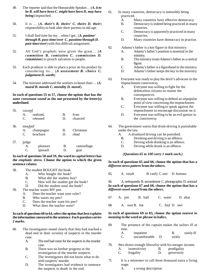- 49. The reporter said that the Honourable Speaker… (*A. isto be B. will have been C. might have been D. may have being*) impeached.
- 50. It is … (*A. their's B. theirs' C. theirs D. their*) responsibility to look after their parents in old age.
- 51. Ishall find time for my…when I get.. (*A. pastime/ through B. pass-time/over C. passtime/through D. past-time/over*) with this difficult assignment.
- 52. All God's prophets were given the great… (*A commition B. comission C. commission D. commision*) to preach salvation to people.
- 53. Each producer is able to place a price on his product by considering its… (*A assessment B. choice C. judgement D. worth*)
- 54. The minister addressed the workers to boost their… (*A. mural B. morale C. morality D. moral*).

**In each of questions 55 to 57, choose the option that has the** *same consonant sound* **as the one presented by the letter(s) underlined**.

| 55. | caused        |           |    |            |
|-----|---------------|-----------|----|------------|
|     | А.            | realized, | B. | frost      |
|     | $\mathcal{C}$ | released  | D. | chanced    |
| 56. | mischief      |           |    |            |
|     | А.            | champagne | B. | Christmas  |
|     | C.            | brochure  | D. | ritual     |
| 57. | judge         |           |    |            |
|     | A.            | pleasure  | В. | camouflage |
|     | C.            | spinach   | D. | gear       |

**In each of questions 58 and 59, the word in capital letters has the** *emphatic stress***. Choose the option to which the given sentence relates.**

- 58. The student BOUGHT the book.
	- A. Who bought the book?
	- B. What did the student buy?
	- C. How will the student get the book?
	- D. Did the student steal the book?
- 59. The teacher wants MY pen.
	- A. Does the teacher want your ruler?
	- B. Who wants my pen?
	- C. Does the teacher want his pen?
	- D. What does the teacher want?

## **In each of questions 60 to 64,selectthe option that** *best explains* **the information conveyedin the sentence.** *Eachquestioncarries 2 marks***.**

- 60. The investigators stated clearly that they had reached a dead end in their scrutiny of suspects in the murder case.
	- A. The end had come for the suspects in the murder case.
	- B. There was no further progress in the investigation of the murder suspects.
	- C. The investigators did not know what to do with suspects'murder.
	- D. The investigators had evidence to sentence the suspects to death in the end.
- 61. In many countries, democracy is ostensibly being practiced.
	- A. Many countries have effective democracy.
	- B. Democracy is indeed being practiced in many countries.
	- C. Democracy is apparently practiced in many countries.
	- D. Many countries have democracy in practise.
- 62. Adamu'sfather is a key figure in that ministry.
	- A. Adamu's father's position is essential in the ministry.
	- B. The ministry trusts Adamu's father as a central figure.
	- C. Adamu's father is a figurehead in the ministry.
	- D. Adamu's father keeps the key to the ministry.
- 63. Everyone was ready to play the devil's advocate in the impeachment controversy.
	- A. Everyone was willing to fight for the defenceless citizens no matter the consequences.
	- B. Everyone was willing to defend an unpopular point of view concerning the impeachment.
	- C. Everyone was willing to speak against the impeachment to encourage discussion on it.
	- D. Everyone was willing to be an evil genius in the controversy.
- 64. The government warnsthat drink-driving is punishable under the law.
	- A. A drunkard driving can be punished.
	- B. Drinking and driving is an offence.
	- C. Driving while drinking is an offence.
	- D. Driving while drunk is an offence.

### *(Questions 65 to 100 carry 1 mark each.)*

**In each of questions 65 and 66, choose the option that has a** *different stress pattern* **from the others.**

65. A. result B. ratify C.taxi D. famous

66. A. orthopaedicB.secondment C. photographic D. oriental **In each of questions 67 and 68, choose the option that has a** *different vowel sound* **from the others.**

- 67. A. pot B. hall C. water D. altar
- 68. A. tout B. foe C. foul D. owl

## **In each of questions 69 to 83, choose the option** *nearest in meaning* **to the word or phrase in italics.**

- 69. The presence of the captain makes the sailors *ill at ease*. A. impatient B. easily ill
	- C. uncomfortable D. sickly
- 70. Ibro shows enough *liberality* with his meager income. A. insensitivity B. prodigality C. frugality D. generosity
- 71. It is a *misnomer* to call three thousand naira a living wage.
	- A. a wrong description